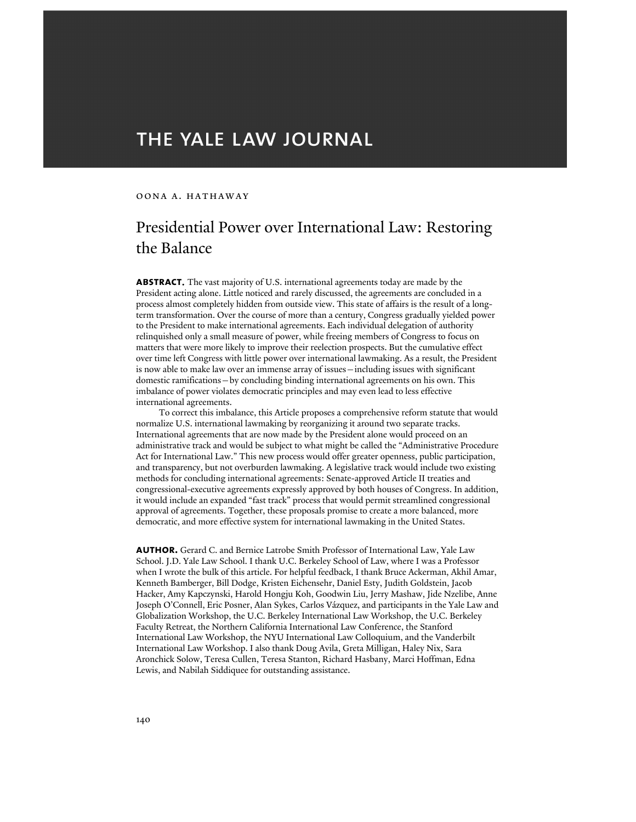# THE YALE LAW JOURNAL

## oona a. hathaway

# Presidential Power over International Law: Restoring the Balance

**abstract**. The vast majority of U.S. international agreements today are made by the President acting alone. Little noticed and rarely discussed, the agreements are concluded in a process almost completely hidden from outside view. This state of affairs is the result of a longterm transformation. Over the course of more than a century, Congress gradually yielded power to the President to make international agreements. Each individual delegation of authority relinquished only a small measure of power, while freeing members of Congress to focus on matters that were more likely to improve their reelection prospects. But the cumulative effect over time left Congress with little power over international lawmaking. As a result, the President is now able to make law over an immense array of issues—including issues with significant domestic ramifications—by concluding binding international agreements on his own. This imbalance of power violates democratic principles and may even lead to less effective international agreements.

 To correct this imbalance, this Article proposes a comprehensive reform statute that would normalize U.S. international lawmaking by reorganizing it around two separate tracks. International agreements that are now made by the President alone would proceed on an administrative track and would be subject to what might be called the "Administrative Procedure Act for International Law." This new process would offer greater openness, public participation, and transparency, but not overburden lawmaking. A legislative track would include two existing methods for concluding international agreements: Senate-approved Article II treaties and congressional-executive agreements expressly approved by both houses of Congress. In addition, it would include an expanded "fast track" process that would permit streamlined congressional approval of agreements. Together, these proposals promise to create a more balanced, more democratic, and more effective system for international lawmaking in the United States.

**author.** Gerard C. and Bernice Latrobe Smith Professor of International Law, Yale Law School. J.D. Yale Law School. I thank U.C. Berkeley School of Law, where I was a Professor when I wrote the bulk of this article. For helpful feedback, I thank Bruce Ackerman, Akhil Amar, Kenneth Bamberger, Bill Dodge, Kristen Eichensehr, Daniel Esty, Judith Goldstein, Jacob Hacker, Amy Kapczynski, Harold Hongju Koh, Goodwin Liu, Jerry Mashaw, Jide Nzelibe, Anne Joseph O'Connell, Eric Posner, Alan Sykes, Carlos Vázquez, and participants in the Yale Law and Globalization Workshop, the U.C. Berkeley International Law Workshop, the U.C. Berkeley Faculty Retreat, the Northern California International Law Conference, the Stanford International Law Workshop, the NYU International Law Colloquium, and the Vanderbilt International Law Workshop. I also thank Doug Avila, Greta Milligan, Haley Nix, Sara Aronchick Solow, Teresa Cullen, Teresa Stanton, Richard Hasbany, Marci Hoffman, Edna Lewis, and Nabilah Siddiquee for outstanding assistance.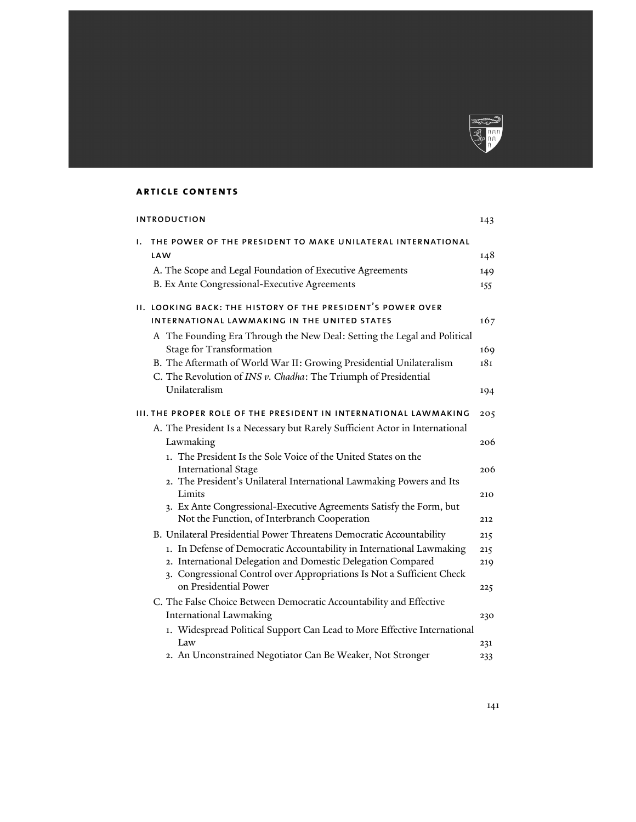

## **article contents**

|    | <b>INTRODUCTION</b>                                                                                                                                                                                             | 143        |
|----|-----------------------------------------------------------------------------------------------------------------------------------------------------------------------------------------------------------------|------------|
| Ι. | THE POWER OF THE PRESIDENT TO MAKE UNILATERAL INTERNATIONAL<br>LAW                                                                                                                                              | 148        |
|    | A. The Scope and Legal Foundation of Executive Agreements                                                                                                                                                       | 149        |
|    | B. Ex Ante Congressional-Executive Agreements                                                                                                                                                                   | 155        |
|    | II. LOOKING BACK: THE HISTORY OF THE PRESIDENT'S POWER OVER                                                                                                                                                     |            |
|    | INTERNATIONAL LAWMAKING IN THE UNITED STATES                                                                                                                                                                    | 167        |
|    | A The Founding Era Through the New Deal: Setting the Legal and Political<br>Stage for Transformation                                                                                                            | 169        |
|    | B. The Aftermath of World War II: Growing Presidential Unilateralism<br>C. The Revolution of INS v. Chadha: The Triumph of Presidential                                                                         | 181        |
|    | Unilateralism                                                                                                                                                                                                   | 194        |
|    | III. THE PROPER ROLE OF THE PRESIDENT IN INTERNATIONAL LAWMAKING                                                                                                                                                | 205        |
|    | A. The President Is a Necessary but Rarely Sufficient Actor in International                                                                                                                                    |            |
|    | Lawmaking                                                                                                                                                                                                       | 206        |
|    | 1. The President Is the Sole Voice of the United States on the<br><b>International Stage</b>                                                                                                                    | 206        |
|    | 2. The President's Unilateral International Lawmaking Powers and Its<br>Limits                                                                                                                                  | 210        |
|    | 3. Ex Ante Congressional-Executive Agreements Satisfy the Form, but<br>Not the Function, of Interbranch Cooperation                                                                                             | 212        |
|    | B. Unilateral Presidential Power Threatens Democratic Accountability                                                                                                                                            | 215        |
|    | 1. In Defense of Democratic Accountability in International Lawmaking<br>2. International Delegation and Domestic Delegation Compared<br>3. Congressional Control over Appropriations Is Not a Sufficient Check | 215<br>219 |
|    | on Presidential Power                                                                                                                                                                                           | 225        |
|    | C. The False Choice Between Democratic Accountability and Effective                                                                                                                                             |            |
|    | International Lawmaking                                                                                                                                                                                         | 230        |
|    | 1. Widespread Political Support Can Lead to More Effective International<br>Law                                                                                                                                 | 231        |
|    | 2. An Unconstrained Negotiator Can Be Weaker, Not Stronger                                                                                                                                                      | 233        |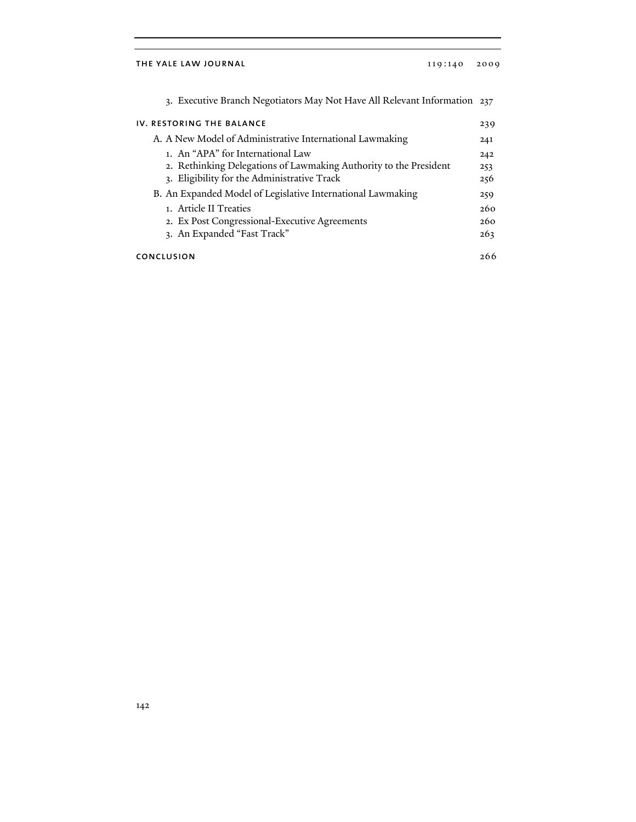## THE YALE LAW JOURNAL 119:140 2009

| 3. Executive Branch Negotiators May Not Have All Relevant Information 237                                                                             |                   |
|-------------------------------------------------------------------------------------------------------------------------------------------------------|-------------------|
| IV. RESTORING THE BALANCE                                                                                                                             | 239               |
| A. A New Model of Administrative International Lawmaking                                                                                              | 241               |
| 1. An "APA" for International Law<br>2. Rethinking Delegations of Lawmaking Authority to the President<br>3. Eligibility for the Administrative Track | 242<br>253<br>256 |
| B. An Expanded Model of Legislative International Lawmaking<br>1. Article II Treaties<br>2. Ex Post Congressional-Executive Agreements                | 259<br>260<br>260 |
| 3. An Expanded "Fast Track"                                                                                                                           | 263               |
| CONCLUSION                                                                                                                                            | 266               |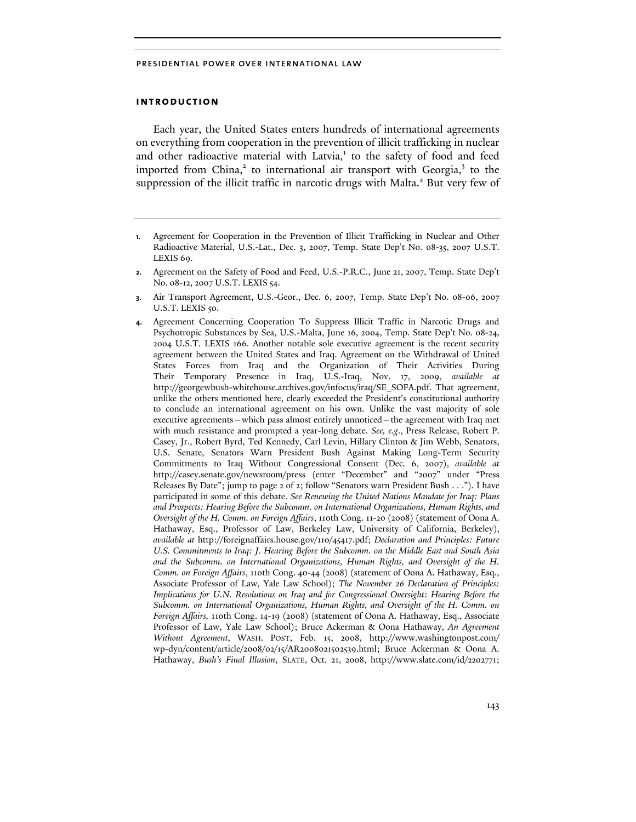## **introduction**

Each year, the United States enters hundreds of international agreements on everything from cooperation in the prevention of illicit trafficking in nuclear and other radioactive material with Latvia,<sup>1</sup> to the safety of food and feed imported from China,<sup>2</sup> to international air transport with Georgia,<sup>3</sup> to the suppression of the illicit traffic in narcotic drugs with Malta.<sup>4</sup> But very few of

- **1.** Agreement for Cooperation in the Prevention of Illicit Trafficking in Nuclear and Other Radioactive Material, U.S.-Lat., Dec. 3, 2007, Temp. State Dep't No. 08-35, 2007 U.S.T. LEXIS 69.
- **2.** Agreement on the Safety of Food and Feed, U.S.-P.R.C., June 21, 2007, Temp. State Dep't No. 08-12, 2007 U.S.T. LEXIS 54.
- **3.** Air Transport Agreement, U.S.-Geor., Dec. 6, 2007, Temp. State Dep't No. 08-06, 2007 U.S.T. LEXIS 50.
- **4.** Agreement Concerning Cooperation To Suppress Illicit Traffic in Narcotic Drugs and Psychotropic Substances by Sea, U.S.-Malta, June 16, 2004, Temp. State Dep't No. 08-24, 2004 U.S.T. LEXIS 166. Another notable sole executive agreement is the recent security agreement between the United States and Iraq. Agreement on the Withdrawal of United States Forces from Iraq and the Organization of Their Activities During Their Temporary Presence in Iraq, U.S.-Iraq, Nov. 17, 2009, *available at* http://georgewbush-whitehouse.archives.gov/infocus/iraq/SE\_SOFA.pdf. That agreement, unlike the others mentioned here, clearly exceeded the President's constitutional authority to conclude an international agreement on his own. Unlike the vast majority of sole executive agreements—which pass almost entirely unnoticed—the agreement with Iraq met with much resistance and prompted a year-long debate. *See, e.g*., Press Release, Robert P. Casey, Jr., Robert Byrd, Ted Kennedy, Carl Levin, Hillary Clinton & Jim Webb, Senators, U.S. Senate, Senators Warn President Bush Against Making Long-Term Security Commitments to Iraq Without Congressional Consent (Dec. 6, 2007), *available at* http://casey.senate.gov/newsroom/press (enter "December" and "2007" under "Press Releases By Date"; jump to page 2 of 2; follow "Senators warn President Bush . . ."). I have participated in some of this debate. *See Renewing the United Nations Mandate for Iraq: Plans and Prospects: Hearing Before the Subcomm. on International Organizations, Human Rights, and Oversight of the H. Comm. on Foreign Affairs*, 110th Cong. 11-20 (2008) (statement of Oona A. Hathaway, Esq., Professor of Law, Berkeley Law, University of California, Berkeley), *available at* http://foreignaffairs.house.gov/110/45417.pdf; *Declaration and Principles: Future U.S. Commitments to Iraq: J. Hearing Before the Subcomm. on the Middle East and South Asia and the Subcomm. on International Organizations, Human Rights, and Oversight of the H. Comm. on Foreign Affairs*, 110th Cong. 40-44 (2008) (statement of Oona A. Hathaway, Esq., Associate Professor of Law, Yale Law School); *The November 26 Declaration of Principles: Implications for U.N. Resolutions on Iraq and for Congressional Oversight*: *Hearing Before the Subcomm. on International Organizations, Human Rights, and Oversight of the H. Comm. on Foreign Affairs,* 110th Cong. 14-19 (2008) (statement of Oona A. Hathaway, Esq., Associate Professor of Law, Yale Law School); Bruce Ackerman & Oona Hathaway, *An Agreement Without Agreement*, WASH. POST, Feb. 15, 2008, http://www.washingtonpost.com/ wp-dyn/content/article/2008/02/15/AR2008021502539.html; Bruce Ackerman & Oona A. Hathaway, *Bush's Final Illusion*, SLATE, Oct. 21, 2008, http://www.slate.com/id/2202771;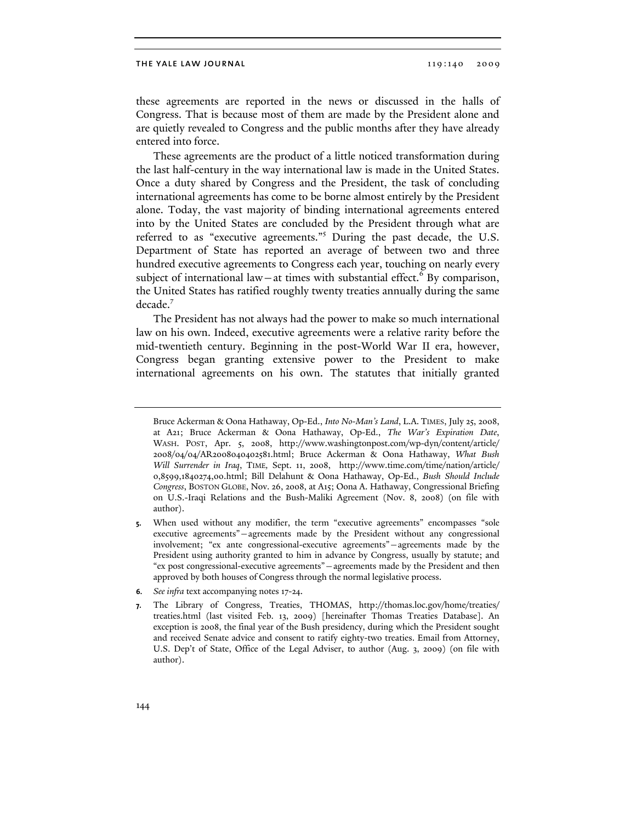these agreements are reported in the news or discussed in the halls of Congress. That is because most of them are made by the President alone and are quietly revealed to Congress and the public months after they have already entered into force.

These agreements are the product of a little noticed transformation during the last half-century in the way international law is made in the United States. Once a duty shared by Congress and the President, the task of concluding international agreements has come to be borne almost entirely by the President alone. Today, the vast majority of binding international agreements entered into by the United States are concluded by the President through what are referred to as "executive agreements."<sup>5</sup> During the past decade, the U.S. Department of State has reported an average of between two and three hundred executive agreements to Congress each year, touching on nearly every subject of international law – at times with substantial effect.<sup>6</sup> By comparison, the United States has ratified roughly twenty treaties annually during the same decade.<sup>7</sup>

The President has not always had the power to make so much international law on his own. Indeed, executive agreements were a relative rarity before the mid-twentieth century. Beginning in the post-World War II era, however, Congress began granting extensive power to the President to make international agreements on his own. The statutes that initially granted

Bruce Ackerman & Oona Hathaway, Op-Ed., *Into No-Man's Land*, L.A. TIMES, July 25, 2008, at A21; Bruce Ackerman & Oona Hathaway, Op-Ed., *The War's Expiration Date*, WASH. POST, Apr. 5, 2008, http://www.washingtonpost.com/wp-dyn/content/article/ 2008/04/04/AR2008040402581.html; Bruce Ackerman & Oona Hathaway, *What Bush Will Surrender in Iraq*, TIME*,* Sept. 11, 2008, http://www.time.com/time/nation/article/ 0,8599,1840274,00.html; Bill Delahunt & Oona Hathaway, Op-Ed., *Bush Should Include Congress*, BOSTON GLOBE, Nov. 26, 2008, at A15; Oona A. Hathaway, Congressional Briefing on U.S.-Iraqi Relations and the Bush-Maliki Agreement (Nov. 8, 2008) (on file with author).

**<sup>5.</sup>** When used without any modifier, the term "executive agreements" encompasses "sole executive agreements"—agreements made by the President without any congressional involvement; "ex ante congressional-executive agreements"—agreements made by the President using authority granted to him in advance by Congress, usually by statute; and "ex post congressional-executive agreements"—agreements made by the President and then approved by both houses of Congress through the normal legislative process.

**<sup>6.</sup>** *See infra* text accompanying notes 17-24.

**<sup>7.</sup>** The Library of Congress, Treaties, THOMAS, http://thomas.loc.gov/home/treaties/ treaties.html (last visited Feb. 13, 2009) [hereinafter Thomas Treaties Database]. An exception is 2008, the final year of the Bush presidency, during which the President sought and received Senate advice and consent to ratify eighty-two treaties. Email from Attorney, U.S. Dep't of State, Office of the Legal Adviser, to author (Aug. 3, 2009) (on file with author).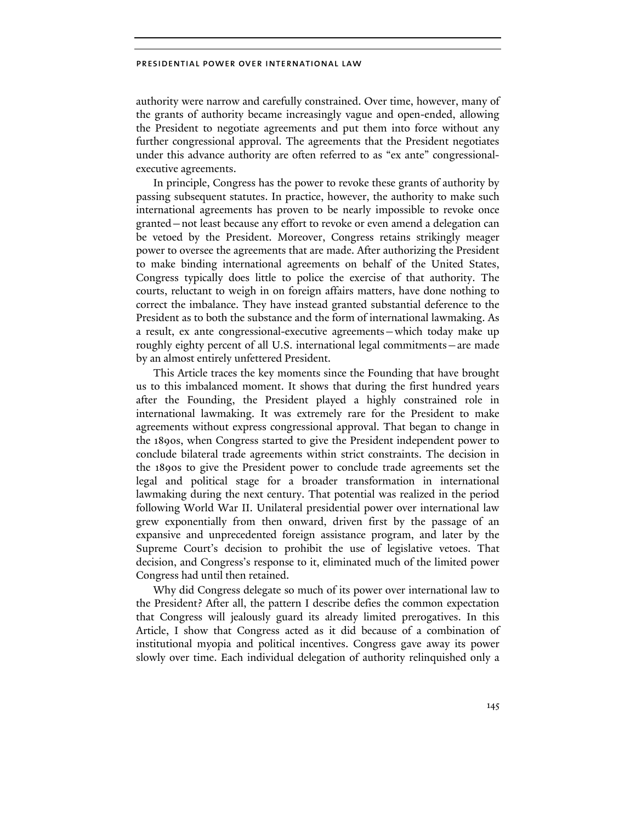authority were narrow and carefully constrained. Over time, however, many of the grants of authority became increasingly vague and open-ended, allowing the President to negotiate agreements and put them into force without any further congressional approval. The agreements that the President negotiates under this advance authority are often referred to as "ex ante" congressionalexecutive agreements.

In principle, Congress has the power to revoke these grants of authority by passing subsequent statutes. In practice, however, the authority to make such international agreements has proven to be nearly impossible to revoke once granted—not least because any effort to revoke or even amend a delegation can be vetoed by the President. Moreover, Congress retains strikingly meager power to oversee the agreements that are made. After authorizing the President to make binding international agreements on behalf of the United States, Congress typically does little to police the exercise of that authority. The courts, reluctant to weigh in on foreign affairs matters, have done nothing to correct the imbalance. They have instead granted substantial deference to the President as to both the substance and the form of international lawmaking. As a result, ex ante congressional-executive agreements—which today make up roughly eighty percent of all U.S. international legal commitments—are made by an almost entirely unfettered President.

This Article traces the key moments since the Founding that have brought us to this imbalanced moment. It shows that during the first hundred years after the Founding, the President played a highly constrained role in international lawmaking. It was extremely rare for the President to make agreements without express congressional approval. That began to change in the 1890s, when Congress started to give the President independent power to conclude bilateral trade agreements within strict constraints. The decision in the 1890s to give the President power to conclude trade agreements set the legal and political stage for a broader transformation in international lawmaking during the next century. That potential was realized in the period following World War II. Unilateral presidential power over international law grew exponentially from then onward, driven first by the passage of an expansive and unprecedented foreign assistance program, and later by the Supreme Court's decision to prohibit the use of legislative vetoes. That decision, and Congress's response to it, eliminated much of the limited power Congress had until then retained.

Why did Congress delegate so much of its power over international law to the President? After all, the pattern I describe defies the common expectation that Congress will jealously guard its already limited prerogatives. In this Article, I show that Congress acted as it did because of a combination of institutional myopia and political incentives. Congress gave away its power slowly over time. Each individual delegation of authority relinquished only a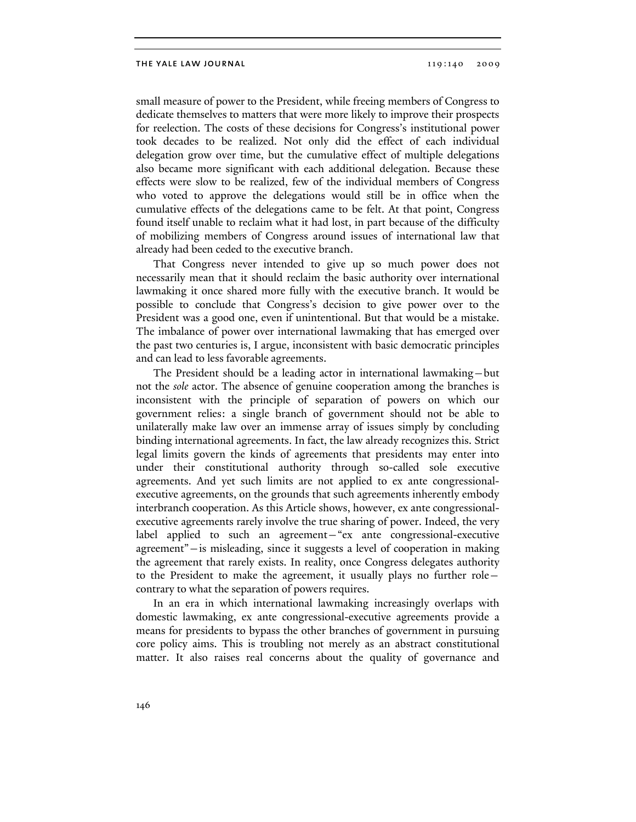small measure of power to the President, while freeing members of Congress to dedicate themselves to matters that were more likely to improve their prospects for reelection. The costs of these decisions for Congress's institutional power took decades to be realized. Not only did the effect of each individual delegation grow over time, but the cumulative effect of multiple delegations also became more significant with each additional delegation. Because these effects were slow to be realized, few of the individual members of Congress who voted to approve the delegations would still be in office when the cumulative effects of the delegations came to be felt. At that point, Congress found itself unable to reclaim what it had lost, in part because of the difficulty of mobilizing members of Congress around issues of international law that already had been ceded to the executive branch.

That Congress never intended to give up so much power does not necessarily mean that it should reclaim the basic authority over international lawmaking it once shared more fully with the executive branch. It would be possible to conclude that Congress's decision to give power over to the President was a good one, even if unintentional. But that would be a mistake. The imbalance of power over international lawmaking that has emerged over the past two centuries is, I argue, inconsistent with basic democratic principles and can lead to less favorable agreements.

The President should be a leading actor in international lawmaking—but not the *sole* actor. The absence of genuine cooperation among the branches is inconsistent with the principle of separation of powers on which our government relies: a single branch of government should not be able to unilaterally make law over an immense array of issues simply by concluding binding international agreements. In fact, the law already recognizes this. Strict legal limits govern the kinds of agreements that presidents may enter into under their constitutional authority through so-called sole executive agreements. And yet such limits are not applied to ex ante congressionalexecutive agreements, on the grounds that such agreements inherently embody interbranch cooperation. As this Article shows, however, ex ante congressionalexecutive agreements rarely involve the true sharing of power. Indeed, the very label applied to such an agreement—"ex ante congressional-executive agreement"—is misleading, since it suggests a level of cooperation in making the agreement that rarely exists. In reality, once Congress delegates authority to the President to make the agreement, it usually plays no further role contrary to what the separation of powers requires.

In an era in which international lawmaking increasingly overlaps with domestic lawmaking, ex ante congressional-executive agreements provide a means for presidents to bypass the other branches of government in pursuing core policy aims. This is troubling not merely as an abstract constitutional matter. It also raises real concerns about the quality of governance and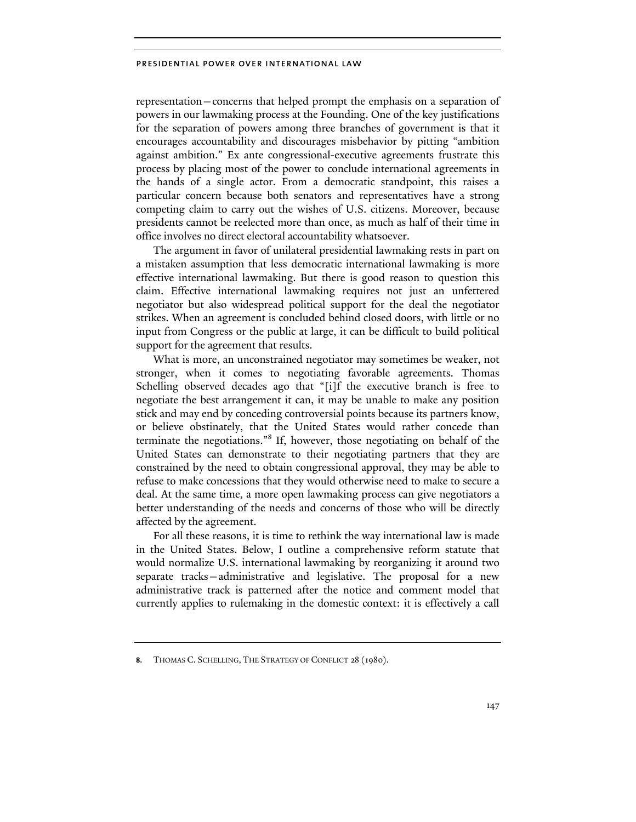representation—concerns that helped prompt the emphasis on a separation of powers in our lawmaking process at the Founding. One of the key justifications for the separation of powers among three branches of government is that it encourages accountability and discourages misbehavior by pitting "ambition against ambition." Ex ante congressional-executive agreements frustrate this process by placing most of the power to conclude international agreements in the hands of a single actor. From a democratic standpoint, this raises a particular concern because both senators and representatives have a strong competing claim to carry out the wishes of U.S. citizens. Moreover, because presidents cannot be reelected more than once, as much as half of their time in office involves no direct electoral accountability whatsoever.

The argument in favor of unilateral presidential lawmaking rests in part on a mistaken assumption that less democratic international lawmaking is more effective international lawmaking. But there is good reason to question this claim. Effective international lawmaking requires not just an unfettered negotiator but also widespread political support for the deal the negotiator strikes. When an agreement is concluded behind closed doors, with little or no input from Congress or the public at large, it can be difficult to build political support for the agreement that results.

What is more, an unconstrained negotiator may sometimes be weaker, not stronger, when it comes to negotiating favorable agreements. Thomas Schelling observed decades ago that "[i]f the executive branch is free to negotiate the best arrangement it can, it may be unable to make any position stick and may end by conceding controversial points because its partners know, or believe obstinately, that the United States would rather concede than terminate the negotiations."<sup>8</sup> If, however, those negotiating on behalf of the United States can demonstrate to their negotiating partners that they are constrained by the need to obtain congressional approval, they may be able to refuse to make concessions that they would otherwise need to make to secure a deal. At the same time, a more open lawmaking process can give negotiators a better understanding of the needs and concerns of those who will be directly affected by the agreement.

For all these reasons, it is time to rethink the way international law is made in the United States. Below, I outline a comprehensive reform statute that would normalize U.S. international lawmaking by reorganizing it around two separate tracks—administrative and legislative. The proposal for a new administrative track is patterned after the notice and comment model that currently applies to rulemaking in the domestic context: it is effectively a call

**<sup>8.</sup>** THOMAS C. SCHELLING, THE STRATEGY OF CONFLICT 28 (1980).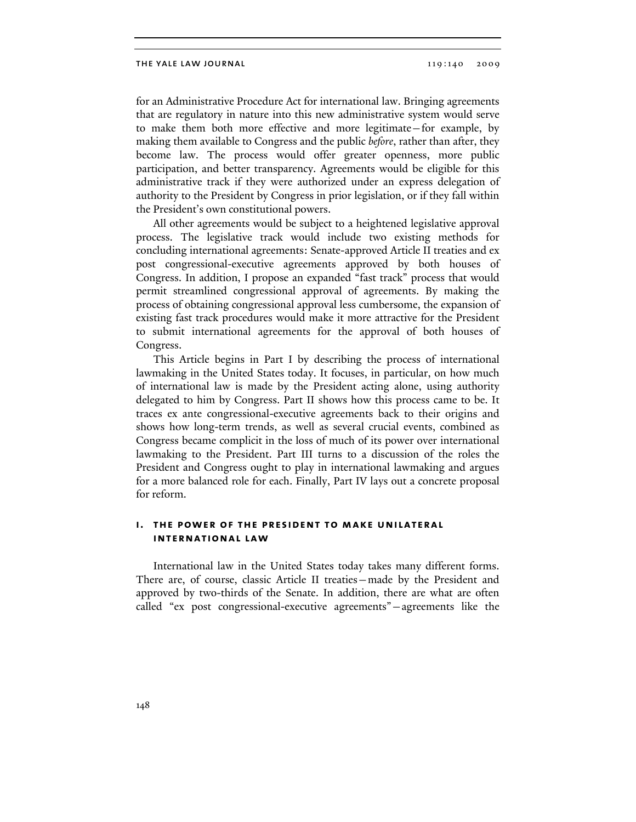for an Administrative Procedure Act for international law. Bringing agreements that are regulatory in nature into this new administrative system would serve to make them both more effective and more legitimate—for example, by making them available to Congress and the public *before*, rather than after, they become law. The process would offer greater openness, more public participation, and better transparency. Agreements would be eligible for this administrative track if they were authorized under an express delegation of authority to the President by Congress in prior legislation, or if they fall within the President's own constitutional powers.

All other agreements would be subject to a heightened legislative approval process. The legislative track would include two existing methods for concluding international agreements: Senate-approved Article II treaties and ex post congressional-executive agreements approved by both houses of Congress. In addition, I propose an expanded "fast track" process that would permit streamlined congressional approval of agreements. By making the process of obtaining congressional approval less cumbersome, the expansion of existing fast track procedures would make it more attractive for the President to submit international agreements for the approval of both houses of Congress.

This Article begins in Part I by describing the process of international lawmaking in the United States today. It focuses, in particular, on how much of international law is made by the President acting alone, using authority delegated to him by Congress. Part II shows how this process came to be. It traces ex ante congressional-executive agreements back to their origins and shows how long-term trends, as well as several crucial events, combined as Congress became complicit in the loss of much of its power over international lawmaking to the President. Part III turns to a discussion of the roles the President and Congress ought to play in international lawmaking and argues for a more balanced role for each. Finally, Part IV lays out a concrete proposal for reform.

# **i. the power of the president to make unilateral international law**

International law in the United States today takes many different forms. There are, of course, classic Article II treaties—made by the President and approved by two-thirds of the Senate. In addition, there are what are often called "ex post congressional-executive agreements"—agreements like the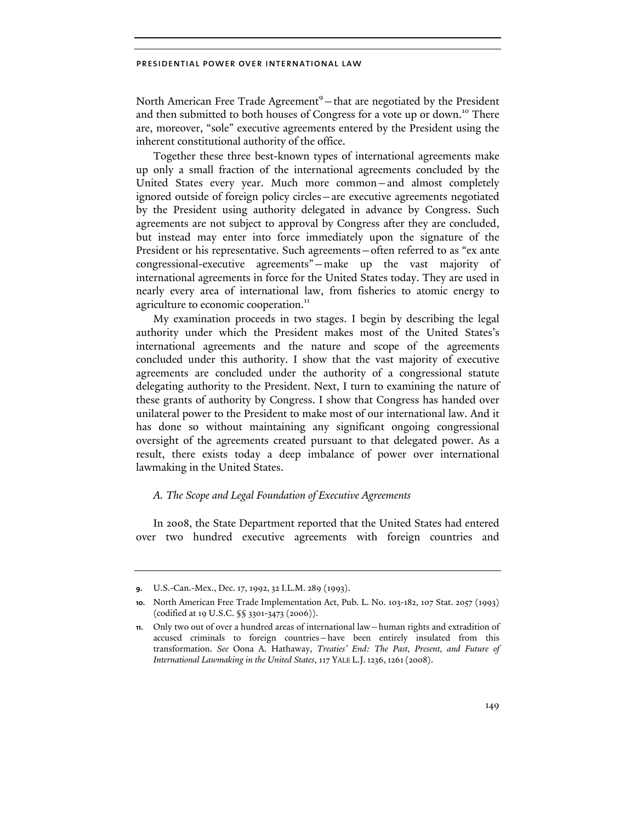North American Free Trade Agreement<sup>9</sup> - that are negotiated by the President and then submitted to both houses of Congress for a vote up or down.<sup>10</sup> There are, moreover, "sole" executive agreements entered by the President using the inherent constitutional authority of the office.

Together these three best-known types of international agreements make up only a small fraction of the international agreements concluded by the United States every year. Much more common—and almost completely ignored outside of foreign policy circles—are executive agreements negotiated by the President using authority delegated in advance by Congress. Such agreements are not subject to approval by Congress after they are concluded, but instead may enter into force immediately upon the signature of the President or his representative. Such agreements—often referred to as "ex ante congressional-executive agreements"—make up the vast majority of international agreements in force for the United States today. They are used in nearly every area of international law, from fisheries to atomic energy to agriculture to economic cooperation.<sup>11</sup>

My examination proceeds in two stages. I begin by describing the legal authority under which the President makes most of the United States's international agreements and the nature and scope of the agreements concluded under this authority. I show that the vast majority of executive agreements are concluded under the authority of a congressional statute delegating authority to the President. Next, I turn to examining the nature of these grants of authority by Congress. I show that Congress has handed over unilateral power to the President to make most of our international law. And it has done so without maintaining any significant ongoing congressional oversight of the agreements created pursuant to that delegated power. As a result, there exists today a deep imbalance of power over international lawmaking in the United States.

# *A. The Scope and Legal Foundation of Executive Agreements*

In 2008, the State Department reported that the United States had entered over two hundred executive agreements with foreign countries and

**<sup>9.</sup>** U.S.-Can.-Mex., Dec. 17, 1992, 32 I.L.M. 289 (1993).

**<sup>10.</sup>** North American Free Trade Implementation Act, Pub. L. No. 103-182, 107 Stat. 2057 (1993) (codified at 19 U.S.C. §§ 3301-3473 (2006)).

**<sup>11.</sup>** Only two out of over a hundred areas of international law—human rights and extradition of accused criminals to foreign countries—have been entirely insulated from this transformation. *See* Oona A. Hathaway, *Treaties' End: The Past, Present, and Future of International Lawmaking in the United States*, 117 YALE L.J.1236,1261(2008).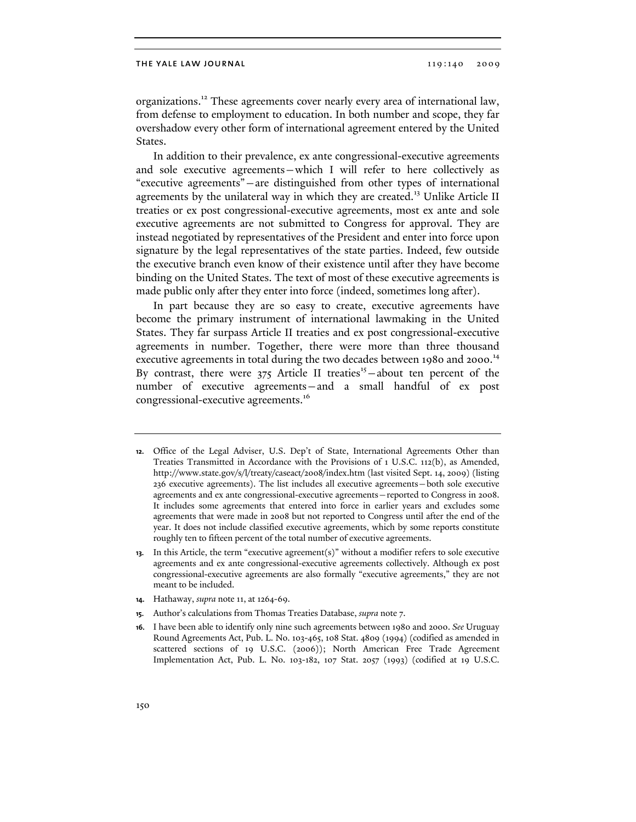organizations.<sup>12</sup> These agreements cover nearly every area of international law, from defense to employment to education. In both number and scope, they far overshadow every other form of international agreement entered by the United States.

In addition to their prevalence, ex ante congressional-executive agreements and sole executive agreements—which I will refer to here collectively as "executive agreements"—are distinguished from other types of international agreements by the unilateral way in which they are created.<sup>13</sup> Unlike Article II treaties or ex post congressional-executive agreements, most ex ante and sole executive agreements are not submitted to Congress for approval. They are instead negotiated by representatives of the President and enter into force upon signature by the legal representatives of the state parties. Indeed, few outside the executive branch even know of their existence until after they have become binding on the United States. The text of most of these executive agreements is made public only after they enter into force (indeed, sometimes long after).

In part because they are so easy to create, executive agreements have become the primary instrument of international lawmaking in the United States. They far surpass Article II treaties and ex post congressional-executive agreements in number. Together, there were more than three thousand executive agreements in total during the two decades between 1980 and 2000.<sup>14</sup> By contrast, there were  $375$  Article II treaties<sup>15</sup> – about ten percent of the number of executive agreements—and a small handful of ex post congressional-executive agreements.<sup>16</sup>

**<sup>12.</sup>** Office of the Legal Adviser, U.S. Dep't of State, International Agreements Other than Treaties Transmitted in Accordance with the Provisions of 1 U.S.C. 112(b), as Amended, http://www.state.gov/s/l/treaty/caseact/2008/index.htm (last visited Sept. 14, 2009) (listing 236 executive agreements). The list includes all executive agreements—both sole executive agreements and ex ante congressional-executive agreements—reported to Congress in 2008. It includes some agreements that entered into force in earlier years and excludes some agreements that were made in 2008 but not reported to Congress until after the end of the year. It does not include classified executive agreements, which by some reports constitute roughly ten to fifteen percent of the total number of executive agreements.

**<sup>13.</sup>** In this Article, the term "executive agreement(s)" without a modifier refers to sole executive agreements and ex ante congressional-executive agreements collectively. Although ex post congressional-executive agreements are also formally "executive agreements," they are not meant to be included.

**<sup>14.</sup>** Hathaway, *supra* note 11, at 1264-69.

**<sup>15.</sup>** Author's calculations from Thomas Treaties Database, *supra* note 7.

**<sup>16.</sup>** I have been able to identify only nine such agreements between 1980 and 2000. *See* Uruguay Round Agreements Act, Pub. L. No. 103-465, 108 Stat. 4809 (1994) (codified as amended in scattered sections of 19 U.S.C. (2006)); North American Free Trade Agreement Implementation Act, Pub. L. No. 103-182, 107 Stat. 2057 (1993) (codified at 19 U.S.C.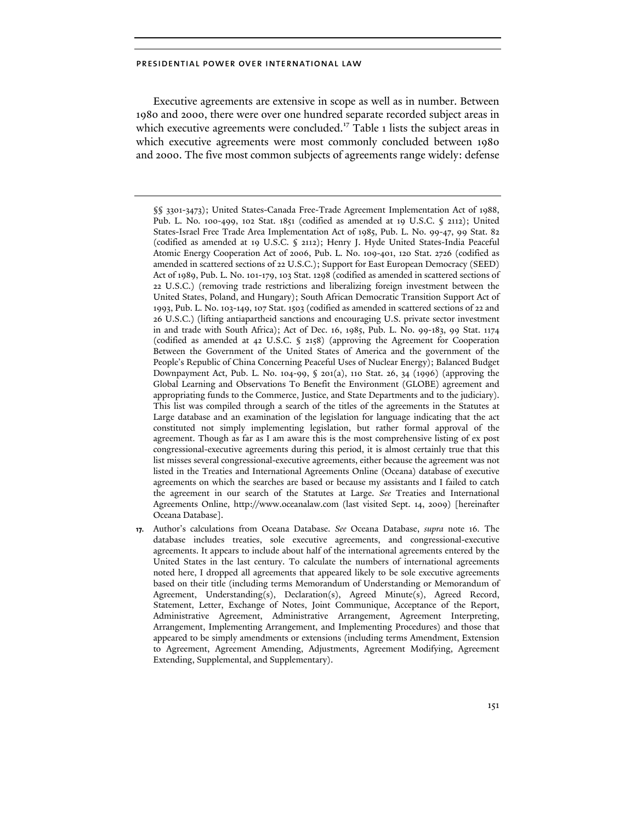Executive agreements are extensive in scope as well as in number. Between 1980 and 2000, there were over one hundred separate recorded subject areas in which executive agreements were concluded.<sup>17</sup> Table 1 lists the subject areas in which executive agreements were most commonly concluded between 1980 and 2000. The five most common subjects of agreements range widely: defense

§§ 3301-3473); United States-Canada Free-Trade Agreement Implementation Act of 1988, Pub. L. No. 100-499, 102 Stat. 1851 (codified as amended at 19 U.S.C. § 2112); United States-Israel Free Trade Area Implementation Act of 1985, Pub. L. No. 99-47, 99 Stat. 82 (codified as amended at 19 U.S.C. § 2112); Henry J. Hyde United States-India Peaceful Atomic Energy Cooperation Act of 2006, Pub. L. No. 109-401, 120 Stat. 2726 (codified as amended in scattered sections of 22 U.S.C.); Support for East European Democracy (SEED) Act of 1989, Pub. L. No. 101-179, 103 Stat. 1298 (codified as amended in scattered sections of 22 U.S.C.) (removing trade restrictions and liberalizing foreign investment between the United States, Poland, and Hungary); South African Democratic Transition Support Act of 1993, Pub. L. No. 103-149, 107 Stat. 1503 (codified as amended in scattered sections of 22 and 26 U.S.C.) (lifting antiapartheid sanctions and encouraging U.S. private sector investment in and trade with South Africa); Act of Dec. 16, 1985, Pub. L. No. 99-183, 99 Stat. 1174 (codified as amended at 42 U.S.C. § 2158) (approving the Agreement for Cooperation Between the Government of the United States of America and the government of the People's Republic of China Concerning Peaceful Uses of Nuclear Energy); Balanced Budget Downpayment Act, Pub. L. No. 104-99,  $\S$  201(a), 110 Stat. 26, 34 (1996) (approving the Global Learning and Observations To Benefit the Environment (GLOBE) agreement and appropriating funds to the Commerce, Justice, and State Departments and to the judiciary). This list was compiled through a search of the titles of the agreements in the Statutes at Large database and an examination of the legislation for language indicating that the act constituted not simply implementing legislation, but rather formal approval of the agreement. Though as far as I am aware this is the most comprehensive listing of ex post congressional-executive agreements during this period, it is almost certainly true that this list misses several congressional-executive agreements, either because the agreement was not listed in the Treaties and International Agreements Online (Oceana) database of executive agreements on which the searches are based or because my assistants and I failed to catch the agreement in our search of the Statutes at Large. *See* Treaties and International Agreements Online, http://www.oceanalaw.com (last visited Sept. 14, 2009) [hereinafter Oceana Database].

**17.** Author's calculations from Oceana Database. *See* Oceana Database, *supra* note 16*.* The database includes treaties, sole executive agreements, and congressional-executive agreements. It appears to include about half of the international agreements entered by the United States in the last century. To calculate the numbers of international agreements noted here, I dropped all agreements that appeared likely to be sole executive agreements based on their title (including terms Memorandum of Understanding or Memorandum of Agreement, Understanding(s), Declaration(s), Agreed Minute(s), Agreed Record, Statement, Letter, Exchange of Notes, Joint Communique, Acceptance of the Report, Administrative Agreement, Administrative Arrangement, Agreement Interpreting, Arrangement, Implementing Arrangement, and Implementing Procedures) and those that appeared to be simply amendments or extensions (including terms Amendment, Extension to Agreement, Agreement Amending, Adjustments, Agreement Modifying, Agreement Extending, Supplemental, and Supplementary).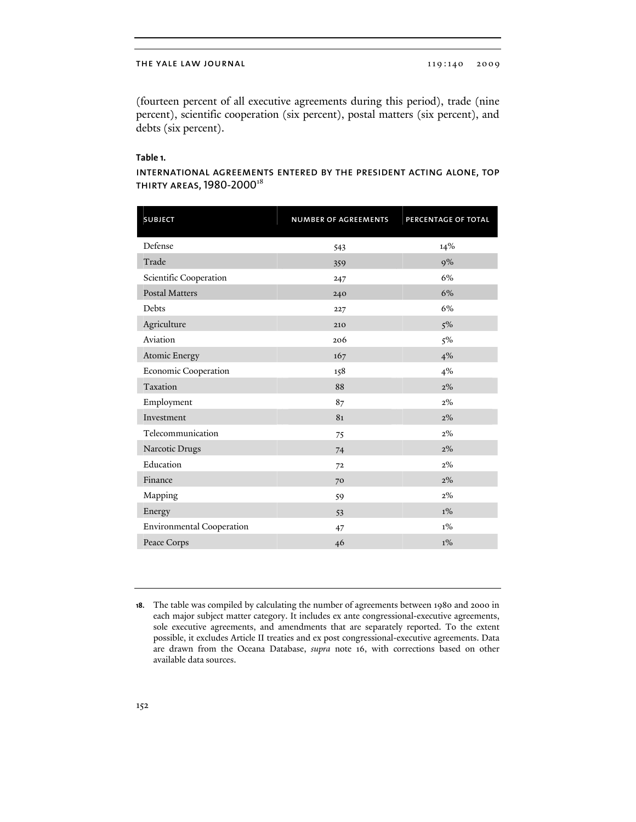### THE YALE LAW JOURNAL 119:140 2009

(fourteen percent of all executive agreements during this period), trade (nine percent), scientific cooperation (six percent), postal matters (six percent), and debts (six percent).

## **Table 1.**

# international agreements entered by the president acting alone, top THIRTY AREAS, 1980-2000<sup>18</sup>

| <b>SUBJECT</b>            | <b>NUMBER OF AGREEMENTS</b> | PERCENTAGE OF TOTAL |
|---------------------------|-----------------------------|---------------------|
|                           |                             |                     |
| Defense                   | 543                         | 14%                 |
| Trade                     | 359                         | 9%                  |
| Scientific Cooperation    | 247                         | 6%                  |
| <b>Postal Matters</b>     | 240                         | 6%                  |
| Debts                     | 227                         | 6%                  |
| Agriculture               | 210                         | $5\%$               |
| Aviation                  | 206                         | 5%                  |
| Atomic Energy             | 167                         | 4%                  |
| Economic Cooperation      | 158                         | 4%                  |
| Taxation                  | 88                          | 2%                  |
| Employment                | 87                          | $2\%$               |
| Investment                | 81                          | 2%                  |
| Telecommunication         | 75                          | $2\%$               |
| Narcotic Drugs            | 74                          | $2\%$               |
| Education                 | 72                          | $2\%$               |
| Finance                   | 70                          | $2\%$               |
| Mapping                   | 59                          | $2\%$               |
| Energy                    | 53                          | $1\%$               |
| Environmental Cooperation | 47                          | $1\%$               |
| Peace Corps               | 46                          | $1\%$               |

**<sup>18.</sup>** The table was compiled by calculating the number of agreements between 1980 and 2000 in each major subject matter category. It includes ex ante congressional-executive agreements, sole executive agreements, and amendments that are separately reported. To the extent possible, it excludes Article II treaties and ex post congressional-executive agreements. Data are drawn from the Oceana Database, *supra* note 16, with corrections based on other available data sources.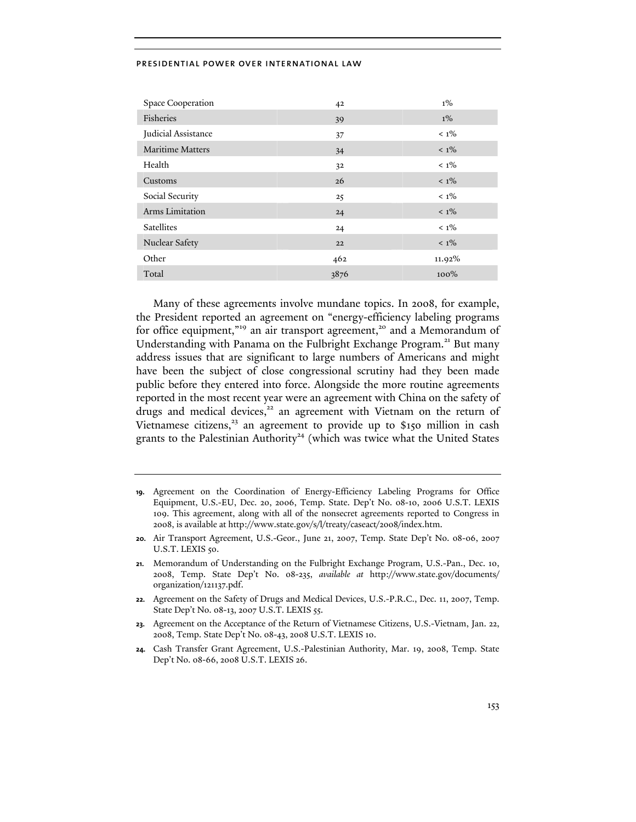| Space Cooperation   | 42   | $1\%$   |
|---------------------|------|---------|
| Fisheries           | 39   | $1\%$   |
| Judicial Assistance | 37   | $< 1\%$ |
| Maritime Matters    | 34   | $< 1\%$ |
| Health              | 32   | $< 1\%$ |
| Customs             | 26   | $< 1\%$ |
| Social Security     | 25   | $< 1\%$ |
| Arms Limitation     | 24   | $< 1\%$ |
| Satellites          | 24   | $< 1\%$ |
| Nuclear Safety      | 22   | $< 1\%$ |
| Other               | 462  | 11.92%  |
| Total               | 3876 | $100\%$ |

Many of these agreements involve mundane topics. In 2008, for example, the President reported an agreement on "energy-efficiency labeling programs for office equipment,"<sup>19</sup> an air transport agreement,<sup>20</sup> and a Memorandum of Understanding with Panama on the Fulbright Exchange Program.<sup>21</sup> But many address issues that are significant to large numbers of Americans and might have been the subject of close congressional scrutiny had they been made public before they entered into force. Alongside the more routine agreements reported in the most recent year were an agreement with China on the safety of drugs and medical devices,<sup>22</sup> an agreement with Vietnam on the return of Vietnamese citizens,<sup>23</sup> an agreement to provide up to \$150 million in cash grants to the Palestinian Authority<sup>24</sup> (which was twice what the United States

- **22.** Agreement on the Safety of Drugs and Medical Devices, U.S.-P.R.C., Dec. 11, 2007, Temp. State Dep't No. 08-13, 2007 U.S.T. LEXIS 55.
- **23.** Agreement on the Acceptance of the Return of Vietnamese Citizens, U.S.-Vietnam, Jan. 22, 2008, Temp. State Dep't No. 08-43, 2008 U.S.T. LEXIS 10.
- **24.** Cash Transfer Grant Agreement, U.S.-Palestinian Authority, Mar. 19, 2008, Temp. State Dep't No. 08-66, 2008 U.S.T. LEXIS 26.

**<sup>19.</sup>** Agreement on the Coordination of Energy-Efficiency Labeling Programs for Office Equipment, U.S.-EU, Dec. 20, 2006, Temp. State. Dep't No. 08-10, 2006 U.S.T. LEXIS 109. This agreement, along with all of the nonsecret agreements reported to Congress in 2008, is available at http://www.state.gov/s/l/treaty/caseact/2008/index.htm.

**<sup>20.</sup>** Air Transport Agreement, U.S.-Geor., June 21, 2007, Temp. State Dep't No. 08-06, 2007 U.S.T. LEXIS 50.

**<sup>21.</sup>** Memorandum of Understanding on the Fulbright Exchange Program, U.S.-Pan., Dec. 10, 2008, Temp. State Dep't No. 08-235, *available at* http://www.state.gov/documents/ organization/121137.pdf.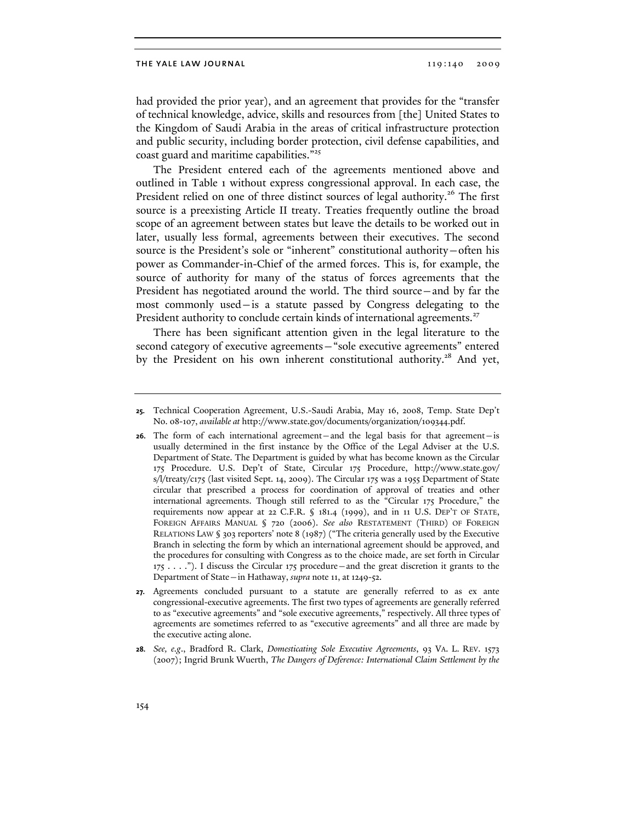had provided the prior year), and an agreement that provides for the "transfer of technical knowledge, advice, skills and resources from [the] United States to the Kingdom of Saudi Arabia in the areas of critical infrastructure protection and public security, including border protection, civil defense capabilities, and coast guard and maritime capabilities."<sup>25</sup>

The President entered each of the agreements mentioned above and outlined in Table 1 without express congressional approval. In each case, the President relied on one of three distinct sources of legal authority.<sup>26</sup> The first source is a preexisting Article II treaty. Treaties frequently outline the broad scope of an agreement between states but leave the details to be worked out in later, usually less formal, agreements between their executives. The second source is the President's sole or "inherent" constitutional authority—often his power as Commander-in-Chief of the armed forces. This is, for example, the source of authority for many of the status of forces agreements that the President has negotiated around the world. The third source—and by far the most commonly used—is a statute passed by Congress delegating to the President authority to conclude certain kinds of international agreements.<sup>27</sup>

There has been significant attention given in the legal literature to the second category of executive agreements—"sole executive agreements" entered by the President on his own inherent constitutional authority.<sup>28</sup> And yet,

**<sup>25.</sup>** Technical Cooperation Agreement, U.S.-Saudi Arabia, May 16, 2008, Temp. State Dep't No. 08-107, *available at* http://www.state.gov/documents/organization/109344.pdf.

**<sup>26.</sup>** The form of each international agreement—and the legal basis for that agreement—is usually determined in the first instance by the Office of the Legal Adviser at the U.S. Department of State. The Department is guided by what has become known as the Circular 175 Procedure. U.S. Dep't of State, Circular 175 Procedure, http://www.state.gov/ s/l/treaty/c175 (last visited Sept. 14, 2009). The Circular 175 was a 1955 Department of State circular that prescribed a process for coordination of approval of treaties and other international agreements. Though still referred to as the "Circular 175 Procedure," the requirements now appear at 22 C.F.R. § 181.4 (1999), and in 11 U.S. DEP'T OF STATE, FOREIGN AFFAIRS MANUAL § 720 (2006). *See also* RESTATEMENT (THIRD) OF FOREIGN RELATIONS LAW § 303 reporters' note 8 (1987) ("The criteria generally used by the Executive Branch in selecting the form by which an international agreement should be approved, and the procedures for consulting with Congress as to the choice made, are set forth in Circular  $175$  . . . ."). I discuss the Circular  $175$  procedure—and the great discretion it grants to the Department of State—in Hathaway, *supra* note 11, at 1249-52.

**<sup>27.</sup>** Agreements concluded pursuant to a statute are generally referred to as ex ante congressional-executive agreements. The first two types of agreements are generally referred to as "executive agreements" and "sole executive agreements," respectively. All three types of agreements are sometimes referred to as "executive agreements" and all three are made by the executive acting alone.

**<sup>28.</sup>** *See, e.g*., Bradford R. Clark, *Domesticating Sole Executive Agreements*, 93 VA. L. REV. 1573 (2007); Ingrid Brunk Wuerth, *The Dangers of Deference: International Claim Settlement by the*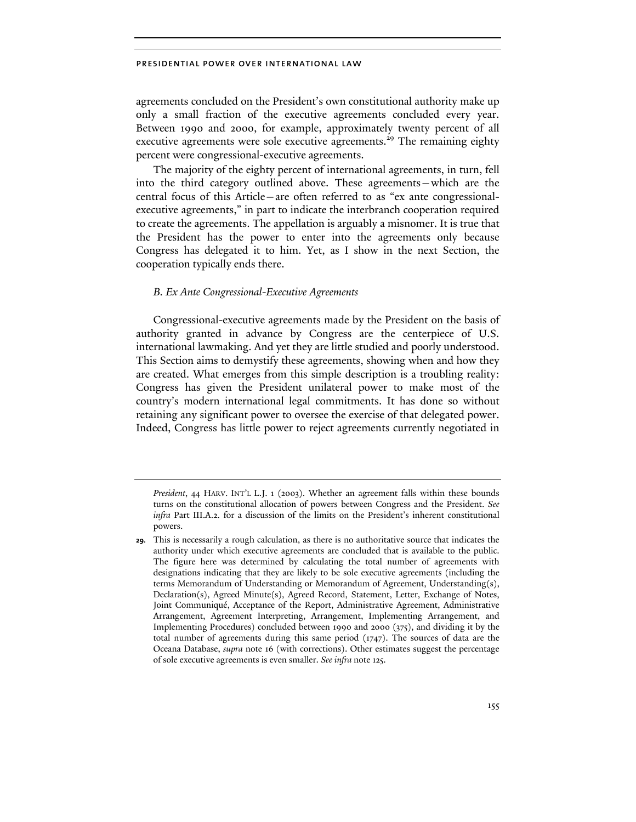agreements concluded on the President's own constitutional authority make up only a small fraction of the executive agreements concluded every year. Between 1990 and 2000, for example, approximately twenty percent of all executive agreements were sole executive agreements.<sup>29</sup> The remaining eighty percent were congressional-executive agreements.

The majority of the eighty percent of international agreements, in turn, fell into the third category outlined above. These agreements—which are the central focus of this Article—are often referred to as "ex ante congressionalexecutive agreements," in part to indicate the interbranch cooperation required to create the agreements. The appellation is arguably a misnomer. It is true that the President has the power to enter into the agreements only because Congress has delegated it to him. Yet, as I show in the next Section, the cooperation typically ends there.

## *B. Ex Ante Congressional-Executive Agreements*

Congressional-executive agreements made by the President on the basis of authority granted in advance by Congress are the centerpiece of U.S. international lawmaking. And yet they are little studied and poorly understood. This Section aims to demystify these agreements, showing when and how they are created. What emerges from this simple description is a troubling reality: Congress has given the President unilateral power to make most of the country's modern international legal commitments. It has done so without retaining any significant power to oversee the exercise of that delegated power. Indeed, Congress has little power to reject agreements currently negotiated in

*President*, 44 HARV. INT'L L.J. 1 (2003). Whether an agreement falls within these bounds turns on the constitutional allocation of powers between Congress and the President. *See infra* Part III.A.2. for a discussion of the limits on the President's inherent constitutional powers.

**<sup>29.</sup>** This is necessarily a rough calculation, as there is no authoritative source that indicates the authority under which executive agreements are concluded that is available to the public. The figure here was determined by calculating the total number of agreements with designations indicating that they are likely to be sole executive agreements (including the terms Memorandum of Understanding or Memorandum of Agreement, Understanding(s), Declaration(s), Agreed Minute(s), Agreed Record, Statement, Letter, Exchange of Notes, Joint Communiqué, Acceptance of the Report, Administrative Agreement, Administrative Arrangement, Agreement Interpreting, Arrangement, Implementing Arrangement, and Implementing Procedures) concluded between 1990 and 2000 (375), and dividing it by the total number of agreements during this same period (1747). The sources of data are the Oceana Database, *supra* note 16 (with corrections). Other estimates suggest the percentage of sole executive agreements is even smaller. *See infra* note 125.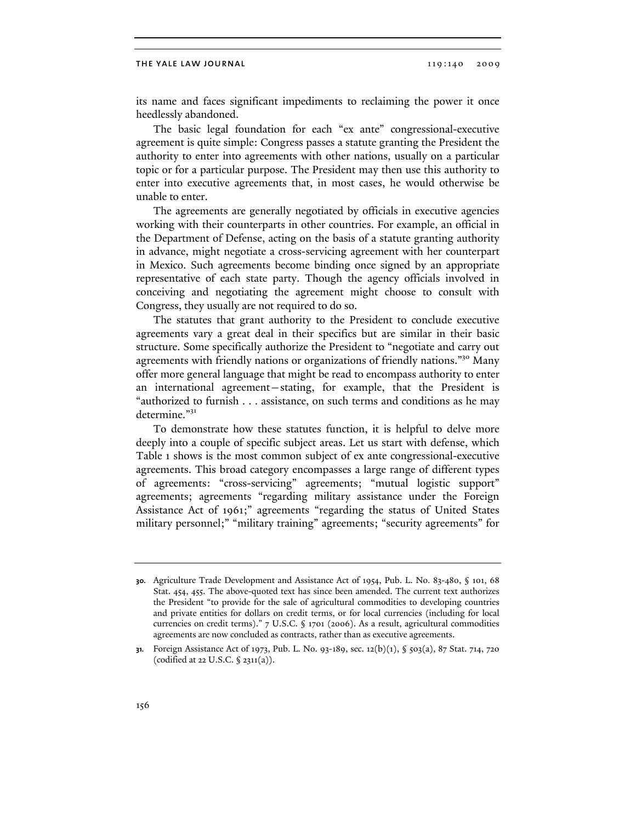its name and faces significant impediments to reclaiming the power it once heedlessly abandoned.

The basic legal foundation for each "ex ante" congressional-executive agreement is quite simple: Congress passes a statute granting the President the authority to enter into agreements with other nations, usually on a particular topic or for a particular purpose. The President may then use this authority to enter into executive agreements that, in most cases, he would otherwise be unable to enter.

The agreements are generally negotiated by officials in executive agencies working with their counterparts in other countries. For example, an official in the Department of Defense, acting on the basis of a statute granting authority in advance, might negotiate a cross-servicing agreement with her counterpart in Mexico. Such agreements become binding once signed by an appropriate representative of each state party. Though the agency officials involved in conceiving and negotiating the agreement might choose to consult with Congress, they usually are not required to do so.

The statutes that grant authority to the President to conclude executive agreements vary a great deal in their specifics but are similar in their basic structure. Some specifically authorize the President to "negotiate and carry out agreements with friendly nations or organizations of friendly nations."<sup>30</sup> Many offer more general language that might be read to encompass authority to enter an international agreement—stating, for example, that the President is "authorized to furnish . . . assistance, on such terms and conditions as he may determine."<sup>31</sup>

To demonstrate how these statutes function, it is helpful to delve more deeply into a couple of specific subject areas. Let us start with defense, which Table 1 shows is the most common subject of ex ante congressional-executive agreements. This broad category encompasses a large range of different types of agreements: "cross-servicing" agreements; "mutual logistic support" agreements; agreements "regarding military assistance under the Foreign Assistance Act of 1961;" agreements "regarding the status of United States military personnel;" "military training" agreements; "security agreements" for

**<sup>30.</sup>** Agriculture Trade Development and Assistance Act of 1954, Pub. L. No. 83-480, § 101, 68 Stat. 454, 455. The above-quoted text has since been amended. The current text authorizes the President "to provide for the sale of agricultural commodities to developing countries and private entities for dollars on credit terms, or for local currencies (including for local currencies on credit terms)." 7 U.S.C. § 1701 (2006). As a result, agricultural commodities agreements are now concluded as contracts, rather than as executive agreements.

**<sup>31.</sup>** Foreign Assistance Act of 1973, Pub. L. No. 93-189, sec. 12(b)(1), § 503(a), 87 Stat. 714, 720 (codified at 22 U.S.C. § 2311(a)).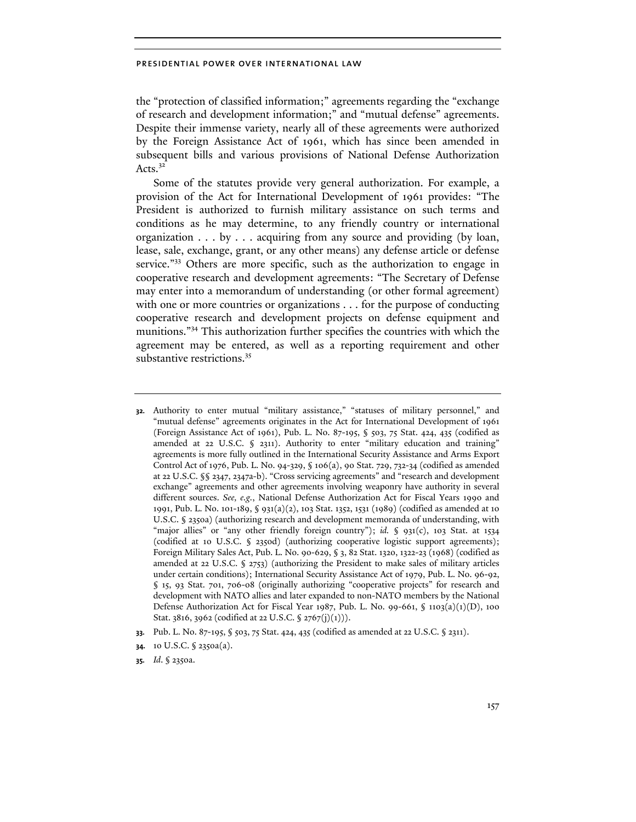the "protection of classified information;" agreements regarding the "exchange of research and development information;" and "mutual defense" agreements. Despite their immense variety, nearly all of these agreements were authorized by the Foreign Assistance Act of 1961, which has since been amended in subsequent bills and various provisions of National Defense Authorization Acts. $3<sup>2</sup>$ 

Some of the statutes provide very general authorization. For example, a provision of the Act for International Development of 1961 provides: "The President is authorized to furnish military assistance on such terms and conditions as he may determine, to any friendly country or international organization . . . by . . . acquiring from any source and providing (by loan, lease, sale, exchange, grant, or any other means) any defense article or defense service."<sup>33</sup> Others are more specific, such as the authorization to engage in cooperative research and development agreements: "The Secretary of Defense may enter into a memorandum of understanding (or other formal agreement) with one or more countries or organizations . . . for the purpose of conducting cooperative research and development projects on defense equipment and munitions."34 This authorization further specifies the countries with which the agreement may be entered, as well as a reporting requirement and other substantive restrictions.<sup>35</sup>

- **32.** Authority to enter mutual "military assistance," "statuses of military personnel," and "mutual defense" agreements originates in the Act for International Development of 1961 (Foreign Assistance Act of 1961), Pub. L. No. 87-195, § 503, 75 Stat. 424, 435 (codified as amended at 22 U.S.C. § 2311). Authority to enter "military education and training" agreements is more fully outlined in the International Security Assistance and Arms Export Control Act of 1976, Pub. L. No. 94-329, § 106(a), 90 Stat. 729, 732-34 (codified as amended at 22 U.S.C. §§ 2347, 2347a-b). "Cross servicing agreements" and "research and development exchange" agreements and other agreements involving weaponry have authority in several different sources. *See, e.g.*, National Defense Authorization Act for Fiscal Years 1990 and 1991, Pub. L. No. 101-189, § 931(a)(2), 103 Stat. 1352, 1531 (1989) (codified as amended at 10 U.S.C. § 2350a) (authorizing research and development memoranda of understanding, with "major allies" or "any other friendly foreign country"); *id.* § 931(c), 103 Stat. at 1534 (codified at 10 U.S.C. § 2350d) (authorizing cooperative logistic support agreements); Foreign Military Sales Act, Pub. L. No. 90-629, § 3, 82 Stat. 1320, 1322-23 (1968) (codified as amended at 22 U.S.C. § 2753) (authorizing the President to make sales of military articles under certain conditions); International Security Assistance Act of 1979, Pub. L. No. 96-92, § 15, 93 Stat. 701, 706-08 (originally authorizing "cooperative projects" for research and development with NATO allies and later expanded to non-NATO members by the National Defense Authorization Act for Fiscal Year 1987, Pub. L. No. 99-661,  $\oint$  1103(a)(1)(D), 100 Stat. 3816, 3962 (codified at 22 U.S.C. § 2767(j)(1))).
- **33.** Pub. L. No. 87-195, § 503, 75 Stat. 424, 435 (codified as amended at 22 U.S.C. § 2311).

**<sup>34.</sup>** 10 U.S.C. § 2350a(a).

**<sup>35.</sup>** *Id*. § 2350a.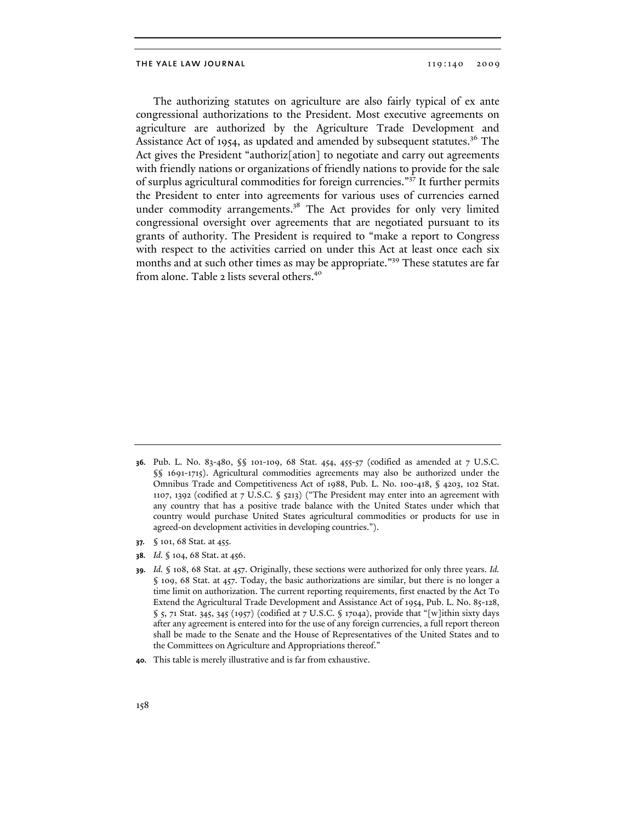The authorizing statutes on agriculture are also fairly typical of ex ante congressional authorizations to the President. Most executive agreements on agriculture are authorized by the Agriculture Trade Development and Assistance Act of 1954, as updated and amended by subsequent statutes.<sup>36</sup> The Act gives the President "authoriz[ation] to negotiate and carry out agreements with friendly nations or organizations of friendly nations to provide for the sale of surplus agricultural commodities for foreign currencies."37 It further permits the President to enter into agreements for various uses of currencies earned under commodity arrangements.<sup>38</sup> The Act provides for only very limited congressional oversight over agreements that are negotiated pursuant to its grants of authority. The President is required to "make a report to Congress with respect to the activities carried on under this Act at least once each six months and at such other times as may be appropriate."<sup>39</sup> These statutes are far from alone. Table 2 lists several others.<sup>40</sup>

- **37.** § 101, 68 Stat. at 455.
- **38.** *Id.* § 104, 68 Stat. at 456.

**40.** This table is merely illustrative and is far from exhaustive.

**<sup>36.</sup>** Pub. L. No. 83-480, §§ 101-109, 68 Stat. 454, 455-57 (codified as amended at 7 U.S.C. §§ 1691-1715). Agricultural commodities agreements may also be authorized under the Omnibus Trade and Competitiveness Act of 1988, Pub. L. No. 100-418, § 4203, 102 Stat. 1107, 1392 (codified at 7 U.S.C. § 5213) ("The President may enter into an agreement with any country that has a positive trade balance with the United States under which that country would purchase United States agricultural commodities or products for use in agreed-on development activities in developing countries.").

**<sup>39.</sup>** *Id.* § 108, 68 Stat. at 457. Originally, these sections were authorized for only three years. *Id.* § 109, 68 Stat. at 457. Today, the basic authorizations are similar, but there is no longer a time limit on authorization. The current reporting requirements, first enacted by the Act To Extend the Agricultural Trade Development and Assistance Act of 1954, Pub. L. No. 85-128,  $\S$  5, 71 Stat. 345, 345 (1957) (codified at 7 U.S.C.  $\S$  1704a), provide that "[w]ithin sixty days after any agreement is entered into for the use of any foreign currencies, a full report thereon shall be made to the Senate and the House of Representatives of the United States and to the Committees on Agriculture and Appropriations thereof."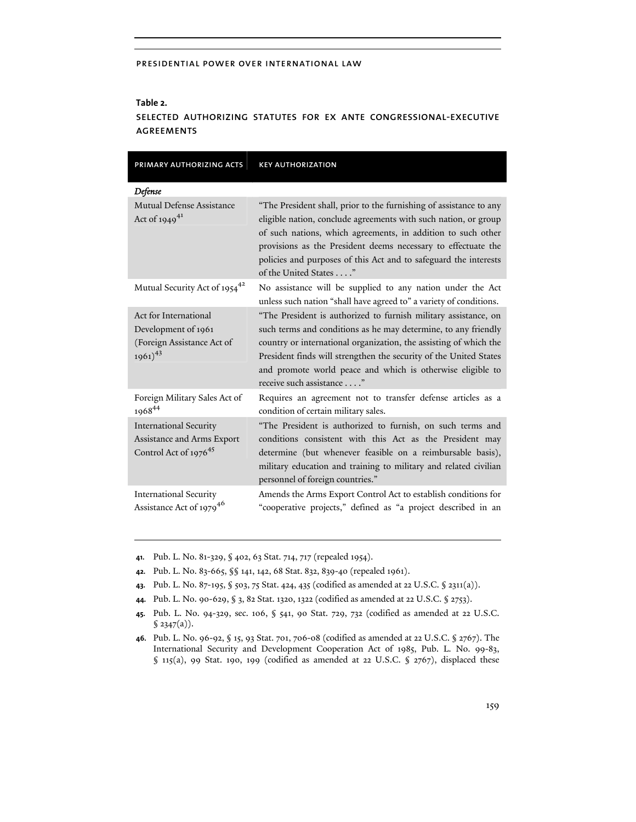## **Table 2.**

# selected authorizing statutes for ex ante congressional-executive agreements

| PRIMARY AUTHORIZING ACTS                                                                         | <b>KEY AUTHORIZATION</b>                                                                                                                                                                                                                                                                                                                                              |
|--------------------------------------------------------------------------------------------------|-----------------------------------------------------------------------------------------------------------------------------------------------------------------------------------------------------------------------------------------------------------------------------------------------------------------------------------------------------------------------|
| Defense                                                                                          |                                                                                                                                                                                                                                                                                                                                                                       |
| Mutual Defense Assistance<br>Act of 1949 <sup>41</sup>                                           | "The President shall, prior to the furnishing of assistance to any<br>eligible nation, conclude agreements with such nation, or group<br>of such nations, which agreements, in addition to such other<br>provisions as the President deems necessary to effectuate the<br>policies and purposes of this Act and to safeguard the interests<br>of the United States"   |
| Mutual Security Act of 1954 <sup>42</sup>                                                        | No assistance will be supplied to any nation under the Act<br>unless such nation "shall have agreed to" a variety of conditions.                                                                                                                                                                                                                                      |
| Act for International<br>Development of 1961<br>(Foreign Assistance Act of<br>$1961)^{43}$       | "The President is authorized to furnish military assistance, on<br>such terms and conditions as he may determine, to any friendly<br>country or international organization, the assisting of which the<br>President finds will strengthen the security of the United States<br>and promote world peace and which is otherwise eligible to<br>receive such assistance" |
| Foreign Military Sales Act of<br>196844                                                          | Requires an agreement not to transfer defense articles as a<br>condition of certain military sales.                                                                                                                                                                                                                                                                   |
| <b>International Security</b><br>Assistance and Arms Export<br>Control Act of 1976 <sup>45</sup> | "The President is authorized to furnish, on such terms and<br>conditions consistent with this Act as the President may<br>determine (but whenever feasible on a reimbursable basis),<br>military education and training to military and related civilian<br>personnel of foreign countries."                                                                          |
| <b>International Security</b><br>Assistance Act of 1979 <sup>46</sup>                            | Amends the Arms Export Control Act to establish conditions for<br>"cooperative projects," defined as "a project described in an                                                                                                                                                                                                                                       |

**41.** Pub. L. No. 81-329, § 402, 63 Stat. 714, 717 (repealed 1954).

- **42.** Pub. L. No. 83-665, §§ 141, 142, 68 Stat. 832, 839-40 (repealed 1961).
- **43.** Pub. L. No. 87-195, § 503, 75 Stat. 424, 435 (codified as amended at 22 U.S.C. § 2311(a)).
- **44.** Pub. L. No. 90-629, § 3, 82 Stat. 1320, 1322 (codified as amended at 22 U.S.C. § 2753).
- **45.** Pub. L. No. 94-329, sec. 106, § 541, 90 Stat. 729, 732 (codified as amended at 22 U.S.C.  $$ 2347(a)$ .
- **46.** Pub. L. No. 96-92, § 15, 93 Stat. 701, 706-08 (codified as amended at 22 U.S.C. § 2767). The International Security and Development Cooperation Act of 1985, Pub. L. No. 99-83,  $\S$  115(a), 99 Stat. 190, 199 (codified as amended at 22 U.S.C.  $\S$  2767), displaced these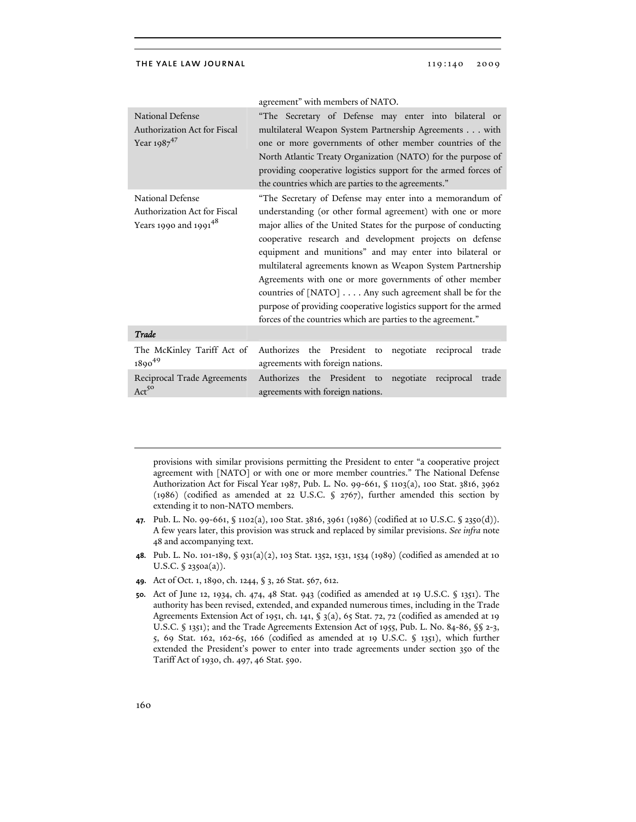|                                                                             | agreement" with members of NATO.                                                                                                                                                                                                                                                                                                                                                                                                                                                                                                                                              |
|-----------------------------------------------------------------------------|-------------------------------------------------------------------------------------------------------------------------------------------------------------------------------------------------------------------------------------------------------------------------------------------------------------------------------------------------------------------------------------------------------------------------------------------------------------------------------------------------------------------------------------------------------------------------------|
| <b>National Defense</b><br>Authorization Act for Fiscal<br>Year $1987^{47}$ | "The Secretary of Defense may enter into bilateral or<br>multilateral Weapon System Partnership Agreements with<br>one or more governments of other member countries of the<br>North Atlantic Treaty Organization (NATO) for the purpose of<br>providing cooperative logistics support for the armed forces of<br>the countries which are parties to the agreements."                                                                                                                                                                                                         |
| National Defense                                                            | "The Secretary of Defense may enter into a memorandum of                                                                                                                                                                                                                                                                                                                                                                                                                                                                                                                      |
| Authorization Act for Fiscal<br>Years 1990 and 1991 <sup>48</sup>           | understanding (or other formal agreement) with one or more<br>major allies of the United States for the purpose of conducting<br>cooperative research and development projects on defense<br>equipment and munitions" and may enter into bilateral or<br>multilateral agreements known as Weapon System Partnership<br>Agreements with one or more governments of other member<br>countries of [NATO] Any such agreement shall be for the<br>purpose of providing cooperative logistics support for the armed<br>forces of the countries which are parties to the agreement." |
| Trade                                                                       |                                                                                                                                                                                                                                                                                                                                                                                                                                                                                                                                                                               |
| The McKinley Tariff Act of<br>$1890^{49}$                                   | Authorizes the President to negotiate reciprocal trade<br>agreements with foreign nations.                                                                                                                                                                                                                                                                                                                                                                                                                                                                                    |
| Reciprocal Trade Agreements<br>$Act^{50}$                                   | Authorizes the President to negotiate reciprocal<br>trade<br>agreements with foreign nations.                                                                                                                                                                                                                                                                                                                                                                                                                                                                                 |

provisions with similar provisions permitting the President to enter "a cooperative project agreement with [NATO] or with one or more member countries." The National Defense Authorization Act for Fiscal Year 1987, Pub. L. No. 99-661, § 1103(a), 100 Stat. 3816, 3962 (1986) (codified as amended at 22 U.S.C. § 2767), further amended this section by extending it to non-NATO members.

- **47.** Pub. L. No. 99-661, § 1102(a), 100 Stat. 3816, 3961 (1986) (codified at 10 U.S.C. § 2350(d)). A few years later, this provision was struck and replaced by similar previsions. *See infra* note 48 and accompanying text.
- **48.** Pub. L. No. 101-189, § 931(a)(2), 103 Stat. 1352, 1531, 1534 (1989) (codified as amended at 10 U.S.C. § 2350a(a)).
- **49.** Act of Oct. 1, 1890, ch. 1244, § 3, 26 Stat. 567, 612.
- **50.** Act of June 12, 1934, ch. 474, 48 Stat. 943 (codified as amended at 19 U.S.C. § 1351). The authority has been revised, extended, and expanded numerous times, including in the Trade Agreements Extension Act of 1951, ch. 141, § 3(a), 65 Stat. 72, 72 (codified as amended at 19 U.S.C. § 1351); and the Trade Agreements Extension Act of 1955, Pub. L. No. 84-86, §§ 2-3, 5, 69 Stat. 162, 162-65, 166 (codified as amended at 19 U.S.C. § 1351), which further extended the President's power to enter into trade agreements under section 350 of the Tariff Act of 1930, ch. 497, 46 Stat. 590.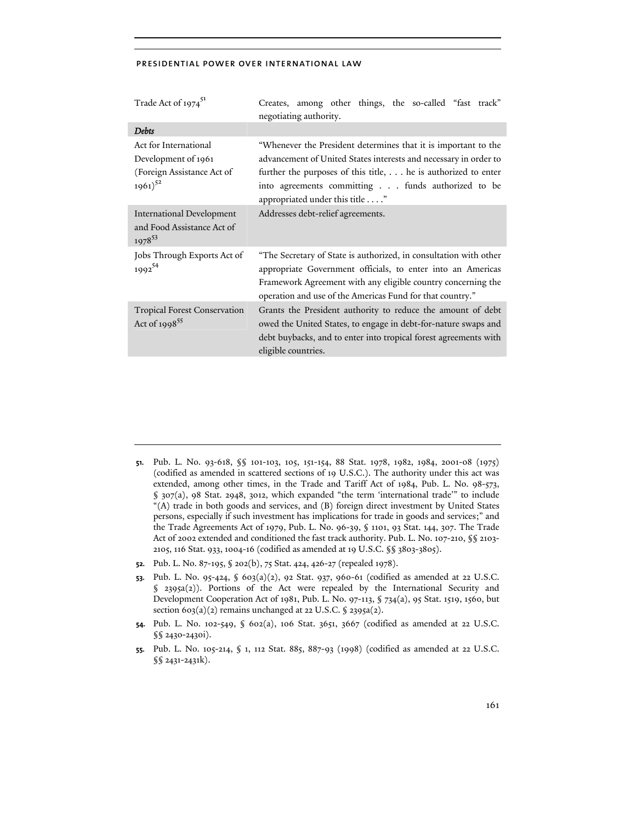| Trade Act of 1974 <sup>51</sup>                                                            | Creates, among other things, the so-called "fast track"<br>negotiating authority.                                                                                                                                                                                                          |
|--------------------------------------------------------------------------------------------|--------------------------------------------------------------------------------------------------------------------------------------------------------------------------------------------------------------------------------------------------------------------------------------------|
| <b>Debts</b>                                                                               |                                                                                                                                                                                                                                                                                            |
| Act for International<br>Development of 1961<br>(Foreign Assistance Act of<br>$1961)^{52}$ | "Whenever the President determines that it is important to the<br>advancement of United States interests and necessary in order to<br>further the purposes of this title, he is authorized to enter<br>into agreements committing funds authorized to be<br>appropriated under this title" |
| <b>International Development</b><br>and Food Assistance Act of<br>$1978^{53}$              | Addresses debt-relief agreements.                                                                                                                                                                                                                                                          |
| Jobs Through Exports Act of<br>199254                                                      | "The Secretary of State is authorized, in consultation with other<br>appropriate Government officials, to enter into an Americas<br>Framework Agreement with any eligible country concerning the<br>operation and use of the Americas Fund for that country."                              |
| <b>Tropical Forest Conservation</b><br>Act of 1998 <sup>55</sup>                           | Grants the President authority to reduce the amount of debt<br>owed the United States, to engage in debt-for-nature swaps and<br>debt buybacks, and to enter into tropical forest agreements with<br>eligible countries.                                                                   |

- **51.** Pub. L. No. 93-618, §§ 101-103, 105, 151-154, 88 Stat. 1978, 1982, 1984, 2001-08 (1975) (codified as amended in scattered sections of 19 U.S.C.). The authority under this act was extended, among other times, in the Trade and Tariff Act of 1984, Pub. L. No. 98-573, § 307(a), 98 Stat. 2948, 3012, which expanded "the term 'international trade'" to include "(A) trade in both goods and services, and (B) foreign direct investment by United States persons, especially if such investment has implications for trade in goods and services;" and the Trade Agreements Act of 1979, Pub. L. No. 96-39, § 1101, 93 Stat. 144, 307. The Trade Act of 2002 extended and conditioned the fast track authority. Pub. L. No. 107-210, §§ 2103- 2105, 116 Stat. 933, 1004-16 (codified as amended at 19 U.S.C. §§ 3803-3805).
- **52.** Pub. L. No. 87-195, § 202(b), 75 Stat. 424, 426-27 (repealed 1978).
- **53.** Pub. L. No. 95-424, § 603(a)(2), 92 Stat. 937, 960-61 (codified as amended at 22 U.S.C.  $\S$  2395a(2)). Portions of the Act were repealed by the International Security and Development Cooperation Act of 1981, Pub. L. No. 97-113, § 734(a), 95 Stat. 1519, 1560, but section  $603(a)(2)$  remains unchanged at 22 U.S.C. § 2395a(2).
- **54.** Pub. L. No. 102-549, § 602(a), 106 Stat. 3651, 3667 (codified as amended at 22 U.S.C. §§ 2430-2430i).
- **55.** Pub. L. No. 105-214, § 1, 112 Stat. 885, 887-93 (1998) (codified as amended at 22 U.S.C. §§ 2431-2431k).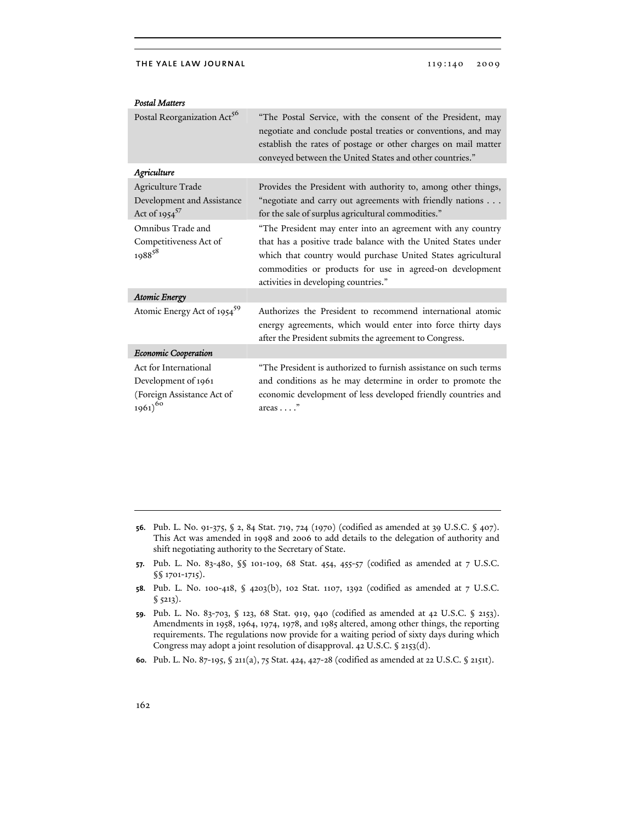| Postal Reorganization Act <sup>56</sup>                                                             | "The Postal Service, with the consent of the President, may<br>negotiate and conclude postal treaties or conventions, and may<br>establish the rates of postage or other charges on mail matter<br>conveyed between the United States and other countries."                                       |
|-----------------------------------------------------------------------------------------------------|---------------------------------------------------------------------------------------------------------------------------------------------------------------------------------------------------------------------------------------------------------------------------------------------------|
| Agriculture                                                                                         |                                                                                                                                                                                                                                                                                                   |
| Agriculture Trade<br>Development and Assistance<br>Act of 1954 <sup>57</sup>                        | Provides the President with authority to, among other things,<br>"negotiate and carry out agreements with friendly nations<br>for the sale of surplus agricultural commodities."                                                                                                                  |
| Omnibus Trade and<br>Competitiveness Act of<br>198858                                               | "The President may enter into an agreement with any country<br>that has a positive trade balance with the United States under<br>which that country would purchase United States agricultural<br>commodities or products for use in agreed-on development<br>activities in developing countries." |
| <b>Atomic Energy</b>                                                                                |                                                                                                                                                                                                                                                                                                   |
| Atomic Energy Act of 1954 <sup>59</sup>                                                             | Authorizes the President to recommend international atomic<br>energy agreements, which would enter into force thirty days<br>after the President submits the agreement to Congress.                                                                                                               |
| Economic Cooperation                                                                                |                                                                                                                                                                                                                                                                                                   |
| Act for International<br>Development of 1961<br>(Foreign Assistance Act of<br>$1961)$ <sup>60</sup> | "The President is authorized to furnish assistance on such terms<br>and conditions as he may determine in order to promote the<br>economic development of less developed friendly countries and<br>$area: \ldots$ "                                                                               |

## *Postal Matters*

- **56.** Pub. L. No. 91-375, § 2, 84 Stat. 719, 724 (1970) (codified as amended at 39 U.S.C. § 407). This Act was amended in 1998 and 2006 to add details to the delegation of authority and shift negotiating authority to the Secretary of State.
- **57.** Pub. L. No. 83-480, §§ 101-109, 68 Stat. 454, 455-57 (codified as amended at 7 U.S.C. §§ 1701-1715).
- **58.** Pub. L. No. 100-418, § 4203(b), 102 Stat. 1107, 1392 (codified as amended at 7 U.S.C. § 5213).
- **59.** Pub. L. No. 83-703, § 123, 68 Stat. 919, 940 (codified as amended at 42 U.S.C. § 2153). Amendments in 1958, 1964, 1974, 1978, and 1985 altered, among other things, the reporting requirements. The regulations now provide for a waiting period of sixty days during which Congress may adopt a joint resolution of disapproval. 42 U.S.C. § 2153(d).
- **60.** Pub. L. No. 87-195, § 211(a), 75 Stat. 424, 427-28 (codified as amended at 22 U.S.C. § 2151t).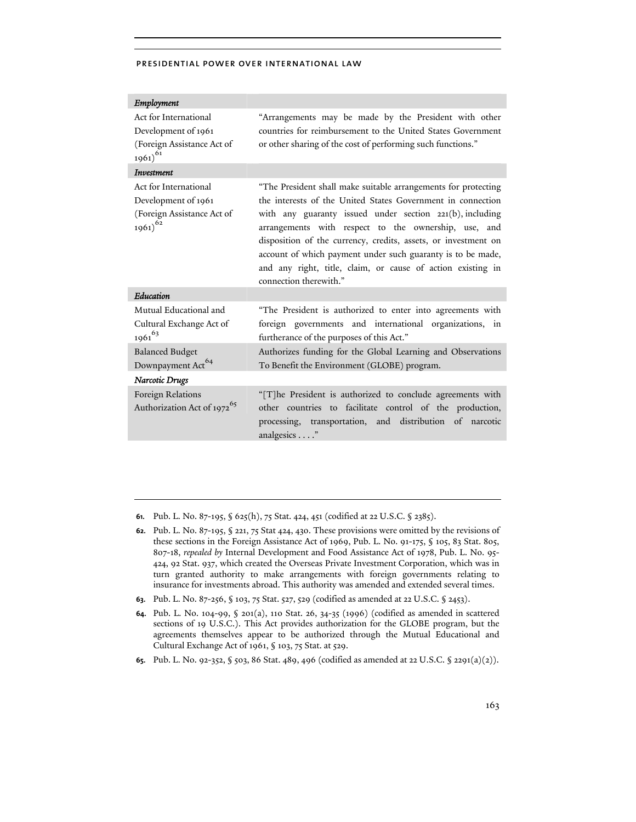| Employment                                                                                 |                                                                                                                                                                                                                                                                                                                                                                                                                                                                             |
|--------------------------------------------------------------------------------------------|-----------------------------------------------------------------------------------------------------------------------------------------------------------------------------------------------------------------------------------------------------------------------------------------------------------------------------------------------------------------------------------------------------------------------------------------------------------------------------|
| Act for International                                                                      | "Arrangements may be made by the President with other                                                                                                                                                                                                                                                                                                                                                                                                                       |
| Development of 1961                                                                        | countries for reimbursement to the United States Government                                                                                                                                                                                                                                                                                                                                                                                                                 |
| (Foreign Assistance Act of<br>$1961)^{61}$                                                 | or other sharing of the cost of performing such functions."                                                                                                                                                                                                                                                                                                                                                                                                                 |
| Investment                                                                                 |                                                                                                                                                                                                                                                                                                                                                                                                                                                                             |
| Act for International<br>Development of 1961<br>(Foreign Assistance Act of<br>$1961)^{62}$ | "The President shall make suitable arrangements for protecting<br>the interests of the United States Government in connection<br>with any guaranty issued under section 221(b), including<br>arrangements with respect to the ownership, use, and<br>disposition of the currency, credits, assets, or investment on<br>account of which payment under such guaranty is to be made,<br>and any right, title, claim, or cause of action existing in<br>connection therewith." |
| Education                                                                                  |                                                                                                                                                                                                                                                                                                                                                                                                                                                                             |
| Mutual Educational and<br>Cultural Exchange Act of<br>$1961^{63}$                          | "The President is authorized to enter into agreements with<br>foreign governments and international organizations, in<br>furtherance of the purposes of this Act."                                                                                                                                                                                                                                                                                                          |
| <b>Balanced Budget</b><br>Downpayment Act <sup>64</sup>                                    | Authorizes funding for the Global Learning and Observations<br>To Benefit the Environment (GLOBE) program.                                                                                                                                                                                                                                                                                                                                                                  |
| Narcotic Drugs                                                                             |                                                                                                                                                                                                                                                                                                                                                                                                                                                                             |
| Foreign Relations<br>Authorization Act of 1972 <sup>65</sup>                               | "[T]he President is authorized to conclude agreements with<br>other countries to facilitate control of the production,<br>processing, transportation, and distribution of narcotic<br>analgesics"                                                                                                                                                                                                                                                                           |

**61.** Pub. L. No. 87-195, § 625(h), 75 Stat. 424, 451 (codified at 22 U.S.C. § 2385).

- **62.** Pub. L. No. 87-195, § 221, 75 Stat 424, 430. These provisions were omitted by the revisions of these sections in the Foreign Assistance Act of 1969, Pub. L. No. 91-175, § 105, 83 Stat. 805, 807-18, *repealed by* Internal Development and Food Assistance Act of 1978, Pub. L. No. 95- 424, 92 Stat. 937, which created the Overseas Private Investment Corporation, which was in turn granted authority to make arrangements with foreign governments relating to insurance for investments abroad. This authority was amended and extended several times.
- **63.** Pub. L. No. 87-256, § 103, 75 Stat. 527, 529 (codified as amended at 22 U.S.C. § 2453).
- **64.** Pub. L. No. 104-99, § 201(a), 110 Stat. 26, 34-35 (1996) (codified as amended in scattered sections of 19 U.S.C.). This Act provides authorization for the GLOBE program, but the agreements themselves appear to be authorized through the Mutual Educational and Cultural Exchange Act of 1961, § 103, 75 Stat. at 529.
- **65.** Pub. L. No. 92-352, § 503, 86 Stat. 489, 496 (codified as amended at 22 U.S.C. § 2291(a)(2)).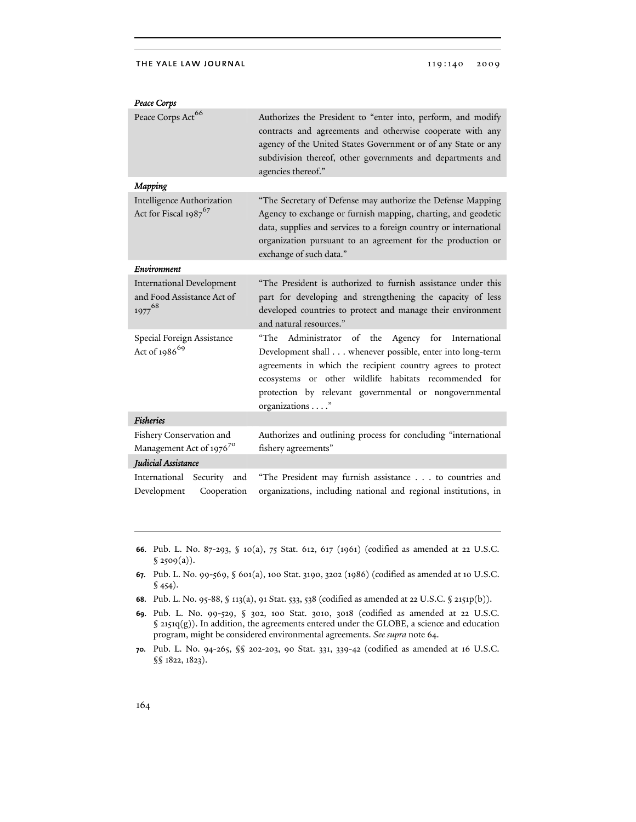#### THE YALE LAW JOURNAL 119:140 2009

*Peace Corps* 

| Peace Corps Act <sup>66</sup>                                                        | Authorizes the President to "enter into, perform, and modify<br>contracts and agreements and otherwise cooperate with any<br>agency of the United States Government or of any State or any<br>subdivision thereof, other governments and departments and<br>agencies thereof."                                            |
|--------------------------------------------------------------------------------------|---------------------------------------------------------------------------------------------------------------------------------------------------------------------------------------------------------------------------------------------------------------------------------------------------------------------------|
| Mapping                                                                              |                                                                                                                                                                                                                                                                                                                           |
| <b>Intelligence Authorization</b><br>Act for Fiscal 1987 <sup>67</sup>               | "The Secretary of Defense may authorize the Defense Mapping<br>Agency to exchange or furnish mapping, charting, and geodetic<br>data, supplies and services to a foreign country or international<br>organization pursuant to an agreement for the production or<br>exchange of such data."                               |
| Environment                                                                          |                                                                                                                                                                                                                                                                                                                           |
| <b>International Development</b><br>and Food Assistance Act of<br>1977 <sup>68</sup> | "The President is authorized to furnish assistance under this<br>part for developing and strengthening the capacity of less<br>developed countries to protect and manage their environment<br>and natural resources."                                                                                                     |
| Special Foreign Assistance<br>Act of 1986 <sup>69</sup>                              | Administrator<br>of the Agency for International<br>"The<br>Development shall whenever possible, enter into long-term<br>agreements in which the recipient country agrees to protect<br>ecosystems or other wildlife habitats recommended for<br>protection by relevant governmental or nongovernmental<br>organizations" |
| <b>Fisheries</b>                                                                     |                                                                                                                                                                                                                                                                                                                           |
| Fishery Conservation and<br>Management Act of 1976 <sup>70</sup>                     | Authorizes and outlining process for concluding "international<br>fishery agreements"                                                                                                                                                                                                                                     |
| Judicial Assistance                                                                  |                                                                                                                                                                                                                                                                                                                           |
| International<br>Security and<br>Development<br>Cooperation                          | "The President may furnish assistance to countries and<br>organizations, including national and regional institutions, in                                                                                                                                                                                                 |

- **66.** Pub. L. No. 87-293, § 10(a), 75 Stat. 612, 617 (1961) (codified as amended at 22 U.S.C.  $$2509(a)$ ).
- **67.** Pub. L. No. 99-569, § 601(a), 100 Stat. 3190, 3202 (1986) (codified as amended at 10 U.S.C.  $$454$ .
- **68.** Pub. L. No. 95-88, § 113(a), 91 Stat. 533, 538 (codified as amended at 22 U.S.C. § 2151p(b)).
- **69.** Pub. L. No. 99-529, § 302, 100 Stat. 3010, 3018 (codified as amended at 22 U.S.C. § 2151q(g)). In addition, the agreements entered under the GLOBE, a science and education program, might be considered environmental agreements. *See supra* note 64.
- **70.** Pub. L. No. 94-265, §§ 202-203, 90 Stat. 331, 339-42 (codified as amended at 16 U.S.C. §§ 1822, 1823).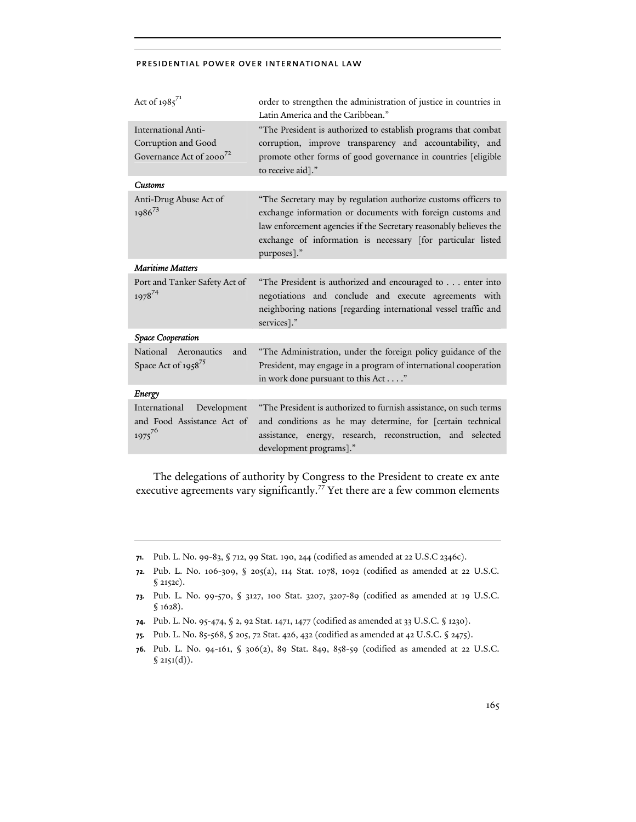| Act of $1985^{71}$                                                                 | order to strengthen the administration of justice in countries in<br>Latin America and the Caribbean."                                                                                                                                                                          |  |
|------------------------------------------------------------------------------------|---------------------------------------------------------------------------------------------------------------------------------------------------------------------------------------------------------------------------------------------------------------------------------|--|
| International Anti-<br>Corruption and Good<br>Governance Act of 2000 <sup>72</sup> | "The President is authorized to establish programs that combat<br>corruption, improve transparency and accountability, and<br>promote other forms of good governance in countries [eligible<br>to receive aid]."                                                                |  |
| Customs                                                                            |                                                                                                                                                                                                                                                                                 |  |
| Anti-Drug Abuse Act of<br>$1986^{73}$                                              | "The Secretary may by regulation authorize customs officers to<br>exchange information or documents with foreign customs and<br>law enforcement agencies if the Secretary reasonably believes the<br>exchange of information is necessary [for particular listed<br>purposes]." |  |
| <b>Maritime Matters</b>                                                            |                                                                                                                                                                                                                                                                                 |  |
| Port and Tanker Safety Act of<br>$1978^{74}$                                       | "The President is authorized and encouraged to enter into<br>negotiations and conclude and execute agreements with<br>neighboring nations [regarding international vessel traffic and<br>services]."                                                                            |  |
| Space Cooperation                                                                  |                                                                                                                                                                                                                                                                                 |  |
| National Aeronautics<br>and<br>Space Act of 1958 <sup>75</sup>                     | "The Administration, under the foreign policy guidance of the<br>President, may engage in a program of international cooperation<br>in work done pursuant to this Act"                                                                                                          |  |
| Energy                                                                             |                                                                                                                                                                                                                                                                                 |  |
| International<br>Development<br>and Food Assistance Act of<br>$1975^{76}$          | "The President is authorized to furnish assistance, on such terms<br>and conditions as he may determine, for [certain technical<br>assistance, energy, research, reconstruction, and selected<br>development programs]."                                                        |  |

The delegations of authority by Congress to the President to create ex ante executive agreements vary significantly.<sup>77</sup> Yet there are a few common elements

- **74.** Pub. L. No. 95-474, § 2, 92 Stat. 1471, 1477 (codified as amended at 33 U.S.C. § 1230).
- **75.** Pub. L. No. 85-568, § 205, 72 Stat. 426, 432 (codified as amended at 42 U.S.C. § 2475).
- **76.** Pub. L. No. 94-161, § 306(2), 89 Stat. 849, 858-59 (codified as amended at 22 U.S.C.  $$ 2151(d)).$

**<sup>71.</sup>** Pub. L. No. 99-83, § 712, 99 Stat. 190, 244 (codified as amended at 22 U.S.C 2346c).

**<sup>72.</sup>** Pub. L. No. 106-309, § 205(a), 114 Stat. 1078, 1092 (codified as amended at 22 U.S.C.  $$2152c$ ).

**<sup>73.</sup>** Pub. L. No. 99-570, § 3127, 100 Stat. 3207, 3207-89 (codified as amended at 19 U.S.C. § 1628).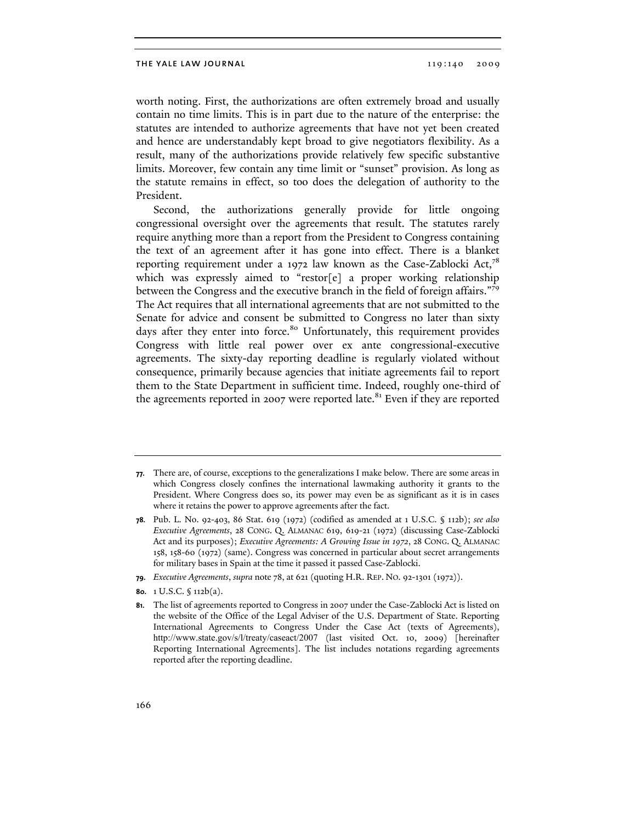worth noting. First, the authorizations are often extremely broad and usually contain no time limits. This is in part due to the nature of the enterprise: the statutes are intended to authorize agreements that have not yet been created and hence are understandably kept broad to give negotiators flexibility. As a result, many of the authorizations provide relatively few specific substantive limits. Moreover, few contain any time limit or "sunset" provision. As long as the statute remains in effect, so too does the delegation of authority to the President.

Second, the authorizations generally provide for little ongoing congressional oversight over the agreements that result. The statutes rarely require anything more than a report from the President to Congress containing the text of an agreement after it has gone into effect. There is a blanket reporting requirement under a 1972 law known as the Case-Zablocki Act,<sup>78</sup> which was expressly aimed to "restor[e] a proper working relationship between the Congress and the executive branch in the field of foreign affairs."<sup>79</sup> The Act requires that all international agreements that are not submitted to the Senate for advice and consent be submitted to Congress no later than sixty days after they enter into force.<sup>80</sup> Unfortunately, this requirement provides Congress with little real power over ex ante congressional-executive agreements. The sixty-day reporting deadline is regularly violated without consequence, primarily because agencies that initiate agreements fail to report them to the State Department in sufficient time. Indeed, roughly one-third of the agreements reported in 2007 were reported late.<sup>81</sup> Even if they are reported

**<sup>77.</sup>** There are, of course, exceptions to the generalizations I make below. There are some areas in which Congress closely confines the international lawmaking authority it grants to the President. Where Congress does so, its power may even be as significant as it is in cases where it retains the power to approve agreements after the fact.

**<sup>78.</sup>** Pub. L. No. 92-403, 86 Stat. 619 (1972) (codified as amended at 1 U.S.C. § 112b); *see also Executive Agreements*, 28 CONG. Q. ALMANAC 619, 619-21 (1972) (discussing Case-Zablocki Act and its purposes); *Executive Agreements: A Growing Issue in 1972*, 28 CONG. Q. ALMANAC 158, 158-60 (1972) (same). Congress was concerned in particular about secret arrangements for military bases in Spain at the time it passed it passed Case-Zablocki.

**<sup>79.</sup>** *Executive Agreements*, *supra* note 78, at 621 (quoting H.R. REP. NO. 92-1301 (1972)).

**<sup>80.</sup>** 1 U.S.C. § 112b(a).

**<sup>81.</sup>** The list of agreements reported to Congress in 2007 under the Case-Zablocki Act is listed on the website of the Office of the Legal Adviser of the U.S. Department of State. Reporting International Agreements to Congress Under the Case Act (texts of Agreements), http://www.state.gov/s/l/treaty/caseact/2007 (last visited Oct. 10, 2009) [hereinafter Reporting International Agreements]. The list includes notations regarding agreements reported after the reporting deadline.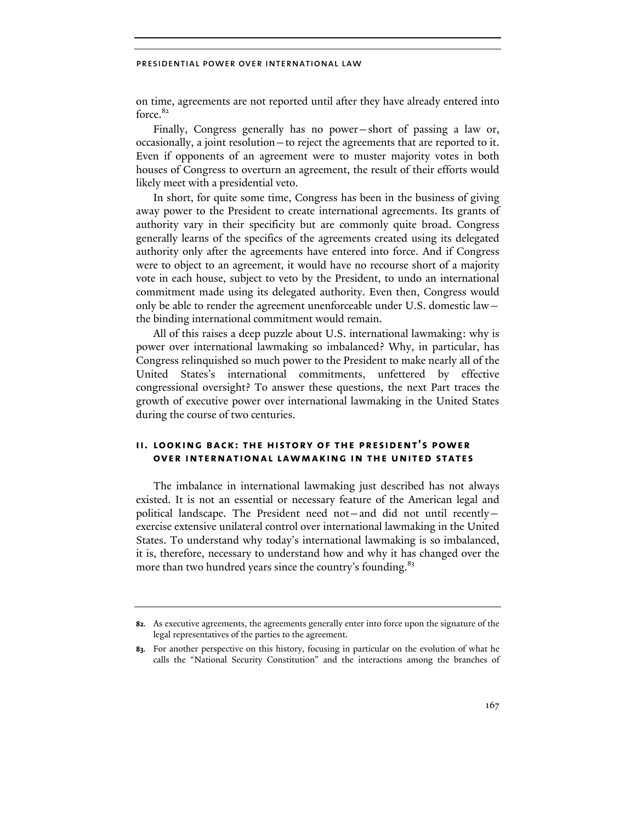on time, agreements are not reported until after they have already entered into force.<sup>82</sup>

Finally, Congress generally has no power—short of passing a law or, occasionally, a joint resolution—to reject the agreements that are reported to it. Even if opponents of an agreement were to muster majority votes in both houses of Congress to overturn an agreement, the result of their efforts would likely meet with a presidential veto.

In short, for quite some time, Congress has been in the business of giving away power to the President to create international agreements. Its grants of authority vary in their specificity but are commonly quite broad. Congress generally learns of the specifics of the agreements created using its delegated authority only after the agreements have entered into force. And if Congress were to object to an agreement, it would have no recourse short of a majority vote in each house, subject to veto by the President, to undo an international commitment made using its delegated authority. Even then, Congress would only be able to render the agreement unenforceable under U.S. domestic law the binding international commitment would remain.

All of this raises a deep puzzle about U.S. international lawmaking: why is power over international lawmaking so imbalanced? Why, in particular, has Congress relinquished so much power to the President to make nearly all of the United States's international commitments, unfettered by effective congressional oversight? To answer these questions, the next Part traces the growth of executive power over international lawmaking in the United States during the course of two centuries.

# **ii. looking back: the history of the president's power over international lawmaking in the united states**

The imbalance in international lawmaking just described has not always existed. It is not an essential or necessary feature of the American legal and political landscape. The President need not—and did not until recently exercise extensive unilateral control over international lawmaking in the United States. To understand why today's international lawmaking is so imbalanced, it is, therefore, necessary to understand how and why it has changed over the more than two hundred years since the country's founding.<sup>83</sup>

**<sup>82.</sup>** As executive agreements, the agreements generally enter into force upon the signature of the legal representatives of the parties to the agreement.

**<sup>83.</sup>** For another perspective on this history, focusing in particular on the evolution of what he calls the "National Security Constitution" and the interactions among the branches of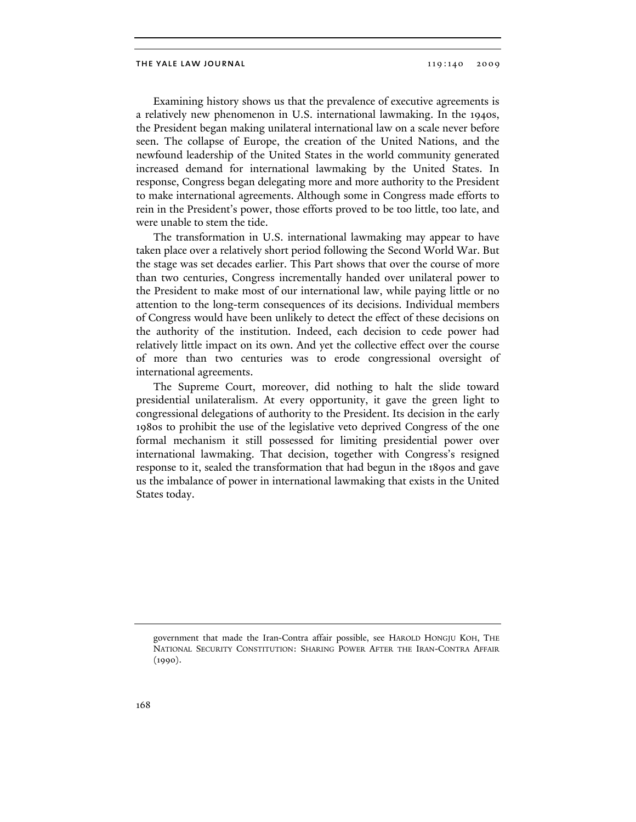### THE YALE LAW JOURNAL 119:140 2009

Examining history shows us that the prevalence of executive agreements is a relatively new phenomenon in U.S. international lawmaking. In the 1940s, the President began making unilateral international law on a scale never before seen. The collapse of Europe, the creation of the United Nations, and the newfound leadership of the United States in the world community generated increased demand for international lawmaking by the United States. In response, Congress began delegating more and more authority to the President to make international agreements. Although some in Congress made efforts to rein in the President's power, those efforts proved to be too little, too late, and were unable to stem the tide.

The transformation in U.S. international lawmaking may appear to have taken place over a relatively short period following the Second World War. But the stage was set decades earlier. This Part shows that over the course of more than two centuries, Congress incrementally handed over unilateral power to the President to make most of our international law, while paying little or no attention to the long-term consequences of its decisions. Individual members of Congress would have been unlikely to detect the effect of these decisions on the authority of the institution. Indeed, each decision to cede power had relatively little impact on its own. And yet the collective effect over the course of more than two centuries was to erode congressional oversight of international agreements.

The Supreme Court, moreover, did nothing to halt the slide toward presidential unilateralism. At every opportunity, it gave the green light to congressional delegations of authority to the President. Its decision in the early 1980s to prohibit the use of the legislative veto deprived Congress of the one formal mechanism it still possessed for limiting presidential power over international lawmaking. That decision, together with Congress's resigned response to it, sealed the transformation that had begun in the 1890s and gave us the imbalance of power in international lawmaking that exists in the United States today.

government that made the Iran-Contra affair possible, see HAROLD HONGJU KOH, THE NATIONAL SECURITY CONSTITUTION: SHARING POWER AFTER THE IRAN-CONTRA AFFAIR (1990).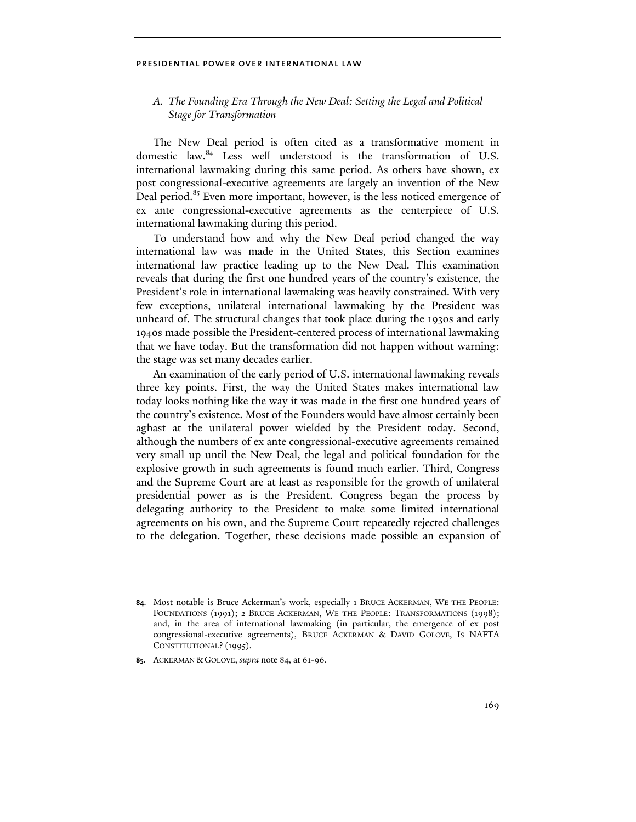# *A. The Founding Era Through the New Deal: Setting the Legal and Political Stage for Transformation*

The New Deal period is often cited as a transformative moment in domestic law.84 Less well understood is the transformation of U.S. international lawmaking during this same period. As others have shown, ex post congressional-executive agreements are largely an invention of the New Deal period.<sup>85</sup> Even more important, however, is the less noticed emergence of ex ante congressional-executive agreements as the centerpiece of U.S. international lawmaking during this period.

To understand how and why the New Deal period changed the way international law was made in the United States, this Section examines international law practice leading up to the New Deal. This examination reveals that during the first one hundred years of the country's existence, the President's role in international lawmaking was heavily constrained. With very few exceptions, unilateral international lawmaking by the President was unheard of. The structural changes that took place during the 1930s and early 1940s made possible the President-centered process of international lawmaking that we have today. But the transformation did not happen without warning: the stage was set many decades earlier.

An examination of the early period of U.S. international lawmaking reveals three key points. First, the way the United States makes international law today looks nothing like the way it was made in the first one hundred years of the country's existence. Most of the Founders would have almost certainly been aghast at the unilateral power wielded by the President today. Second, although the numbers of ex ante congressional-executive agreements remained very small up until the New Deal, the legal and political foundation for the explosive growth in such agreements is found much earlier. Third, Congress and the Supreme Court are at least as responsible for the growth of unilateral presidential power as is the President. Congress began the process by delegating authority to the President to make some limited international agreements on his own, and the Supreme Court repeatedly rejected challenges to the delegation. Together, these decisions made possible an expansion of

**<sup>84.</sup>** Most notable is Bruce Ackerman's work, especially 1 BRUCE ACKERMAN, WE THE PEOPLE: FOUNDATIONS (1991); 2 BRUCE ACKERMAN, WE THE PEOPLE: TRANSFORMATIONS (1998); and, in the area of international lawmaking (in particular, the emergence of ex post congressional-executive agreements), BRUCE ACKERMAN & DAVID GOLOVE, IS NAFTA CONSTITUTIONAL? (1995).

**<sup>85.</sup>** ACKERMAN & GOLOVE, *supra* note 84, at 61-96.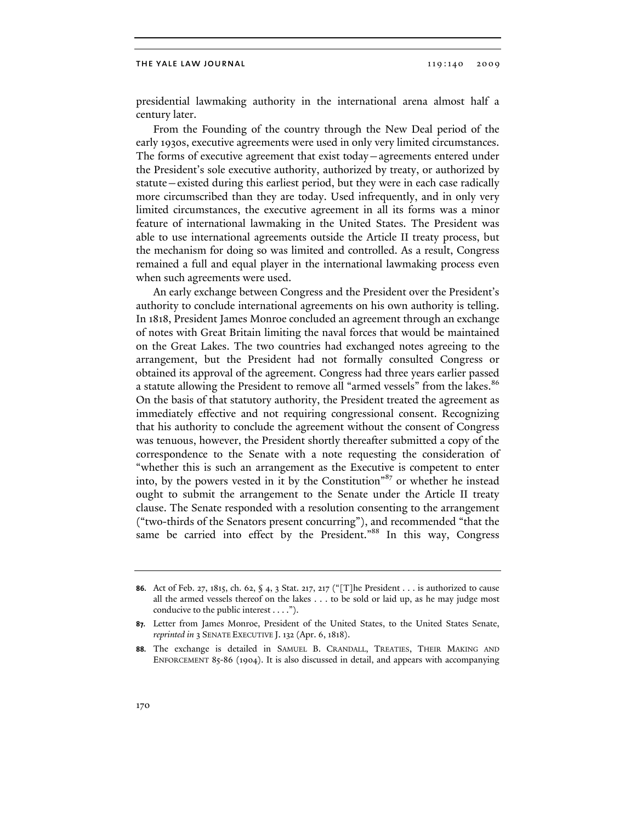presidential lawmaking authority in the international arena almost half a century later.

From the Founding of the country through the New Deal period of the early 1930s, executive agreements were used in only very limited circumstances. The forms of executive agreement that exist today—agreements entered under the President's sole executive authority, authorized by treaty, or authorized by statute—existed during this earliest period, but they were in each case radically more circumscribed than they are today. Used infrequently, and in only very limited circumstances, the executive agreement in all its forms was a minor feature of international lawmaking in the United States. The President was able to use international agreements outside the Article II treaty process, but the mechanism for doing so was limited and controlled. As a result, Congress remained a full and equal player in the international lawmaking process even when such agreements were used.

An early exchange between Congress and the President over the President's authority to conclude international agreements on his own authority is telling. In 1818, President James Monroe concluded an agreement through an exchange of notes with Great Britain limiting the naval forces that would be maintained on the Great Lakes. The two countries had exchanged notes agreeing to the arrangement, but the President had not formally consulted Congress or obtained its approval of the agreement. Congress had three years earlier passed a statute allowing the President to remove all "armed vessels" from the lakes.<sup>86</sup> On the basis of that statutory authority, the President treated the agreement as immediately effective and not requiring congressional consent. Recognizing that his authority to conclude the agreement without the consent of Congress was tenuous, however, the President shortly thereafter submitted a copy of the correspondence to the Senate with a note requesting the consideration of "whether this is such an arrangement as the Executive is competent to enter into, by the powers vested in it by the Constitution"87 or whether he instead ought to submit the arrangement to the Senate under the Article II treaty clause. The Senate responded with a resolution consenting to the arrangement ("two-thirds of the Senators present concurring"), and recommended "that the same be carried into effect by the President."<sup>88</sup> In this way, Congress

**<sup>86.</sup>** Act of Feb. 27, 1815, ch. 62, § 4, 3 Stat. 217, 217 ("[T]he President . . . is authorized to cause all the armed vessels thereof on the lakes . . . to be sold or laid up, as he may judge most conducive to the public interest . . . .").

**<sup>87.</sup>** Letter from James Monroe, President of the United States, to the United States Senate, *reprinted in* 3 SENATE EXECUTIVE J. 132 (Apr. 6, 1818).

**<sup>88.</sup>** The exchange is detailed in SAMUEL B. CRANDALL, TREATIES, THEIR MAKING AND ENFORCEMENT 85-86 (1904). It is also discussed in detail, and appears with accompanying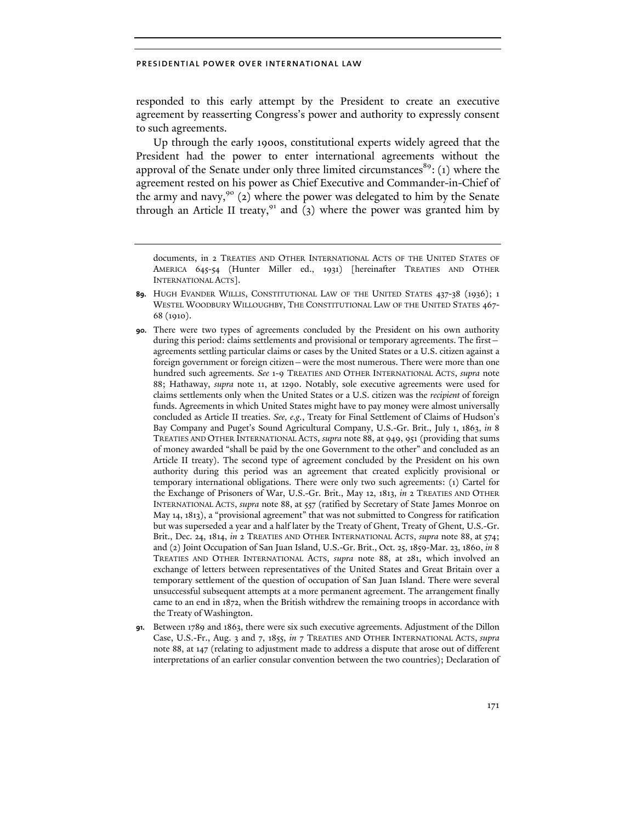responded to this early attempt by the President to create an executive agreement by reasserting Congress's power and authority to expressly consent to such agreements.

Up through the early 1900s, constitutional experts widely agreed that the President had the power to enter international agreements without the approval of the Senate under only three limited circumstances $89$ : (1) where the agreement rested on his power as Chief Executive and Commander-in-Chief of the army and navy,<sup>90</sup> (2) where the power was delegated to him by the Senate through an Article II treaty, $91$  and (3) where the power was granted him by

documents, in 2 TREATIES AND OTHER INTERNATIONAL ACTS OF THE UNITED STATES OF AMERICA 645-54 (Hunter Miller ed., 1931) [hereinafter TREATIES AND OTHER INTERNATIONAL ACTS].

**91.** Between 1789 and 1863, there were six such executive agreements. Adjustment of the Dillon Case, U.S.-Fr., Aug. 3 and 7, 1855, *in* 7 TREATIES AND OTHER INTERNATIONAL ACTS, *supra* note 88, at 147 (relating to adjustment made to address a dispute that arose out of different interpretations of an earlier consular convention between the two countries); Declaration of

**<sup>89.</sup>** HUGH EVANDER WILLIS, CONSTITUTIONAL LAW OF THE UNITED STATES 437-38 (1936); 1 WESTEL WOODBURY WILLOUGHBY, THE CONSTITUTIONAL LAW OF THE UNITED STATES 467- 68 (1910).

**<sup>90.</sup>** There were two types of agreements concluded by the President on his own authority during this period: claims settlements and provisional or temporary agreements. The first agreements settling particular claims or cases by the United States or a U.S. citizen against a foreign government or foreign citizen—were the most numerous. There were more than one hundred such agreements. *See* 1-9 TREATIES AND OTHER INTERNATIONAL ACTS, *supra* note 88; Hathaway, *supra* note 11, at 1290. Notably, sole executive agreements were used for claims settlements only when the United States or a U.S. citizen was the *recipient* of foreign funds. Agreements in which United States might have to pay money were almost universally concluded as Article II treaties. *See, e.g.*, Treaty for Final Settlement of Claims of Hudson's Bay Company and Puget's Sound Agricultural Company, U.S.-Gr. Brit., July 1, 1863, *in* 8 TREATIES AND OTHER INTERNATIONAL ACTS, *supra* note 88, at 949, 951 (providing that sums of money awarded "shall be paid by the one Government to the other" and concluded as an Article II treaty). The second type of agreement concluded by the President on his own authority during this period was an agreement that created explicitly provisional or temporary international obligations. There were only two such agreements: (1) Cartel for the Exchange of Prisoners of War, U.S.-Gr. Brit., May 12, 1813, *in* 2 TREATIES AND OTHER INTERNATIONAL ACTS, *supra* note 88, at 557 (ratified by Secretary of State James Monroe on May 14, 1813), a "provisional agreement" that was not submitted to Congress for ratification but was superseded a year and a half later by the Treaty of Ghent, Treaty of Ghent, U.S.-Gr. Brit., Dec. 24, 1814, *in* 2 TREATIES AND OTHER INTERNATIONAL ACTS, *supra* note 88, at 574; and (2) Joint Occupation of San Juan Island, U.S.-Gr. Brit., Oct. 25, 1859-Mar. 23, 1860, *in* 8 TREATIES AND OTHER INTERNATIONAL ACTS, *supra* note 88, at 281, which involved an exchange of letters between representatives of the United States and Great Britain over a temporary settlement of the question of occupation of San Juan Island. There were several unsuccessful subsequent attempts at a more permanent agreement. The arrangement finally came to an end in 1872, when the British withdrew the remaining troops in accordance with the Treaty of Washington.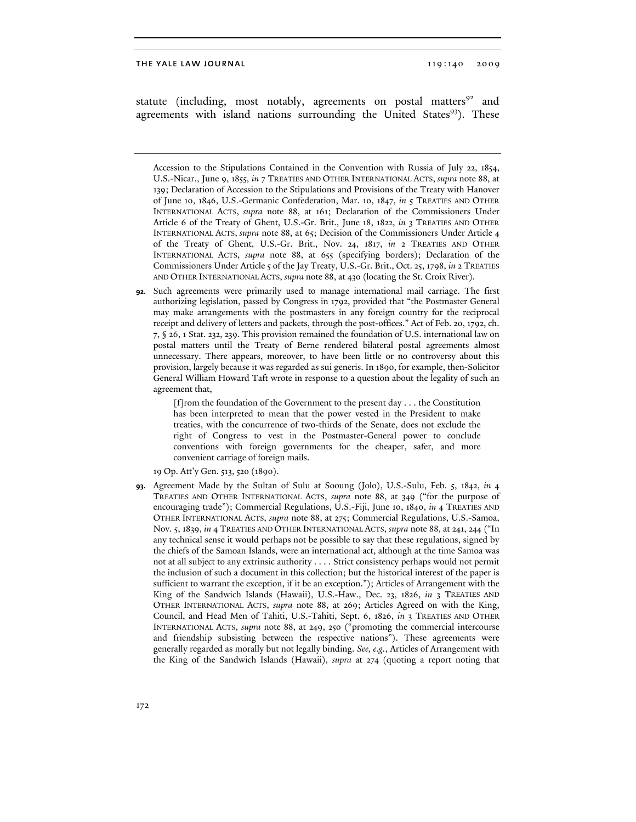statute (including, most notably, agreements on postal matters<sup>92</sup> and agreements with island nations surrounding the United States<sup>93</sup>). These

Accession to the Stipulations Contained in the Convention with Russia of July 22, 1854, U.S.-Nicar., June 9, 1855, *in* 7 TREATIES AND OTHER INTERNATIONAL ACTS, *supra* note 88, at 139; Declaration of Accession to the Stipulations and Provisions of the Treaty with Hanover of June 10, 1846, U.S.-Germanic Confederation, Mar. 10, 1847, *in* 5 TREATIES AND OTHER INTERNATIONAL ACTS, *supra* note 88, at 161; Declaration of the Commissioners Under Article 6 of the Treaty of Ghent, U.S.-Gr. Brit., June 18, 1822, *in* 3 TREATIES AND OTHER INTERNATIONAL ACTS, *supra* note 88, at 65; Decision of the Commissioners Under Article 4 of the Treaty of Ghent, U.S.-Gr. Brit., Nov. 24, 1817, *in* 2 TREATIES AND OTHER INTERNATIONAL ACTS, *supra* note 88, at 655 (specifying borders); Declaration of the Commissioners Under Article 5 of the Jay Treaty, U.S.-Gr. Brit., Oct. 25, 1798, *in* 2 TREATIES AND OTHER INTERNATIONAL ACTS, *supra* note 88, at 430 (locating the St. Croix River).

**92.** Such agreements were primarily used to manage international mail carriage. The first authorizing legislation, passed by Congress in 1792, provided that "the Postmaster General may make arrangements with the postmasters in any foreign country for the reciprocal receipt and delivery of letters and packets, through the post-offices." Act of Feb. 20, 1792, ch. 7, § 26, 1 Stat. 232, 239. This provision remained the foundation of U.S. international law on postal matters until the Treaty of Berne rendered bilateral postal agreements almost unnecessary. There appears, moreover, to have been little or no controversy about this provision, largely because it was regarded as sui generis. In 1890, for example, then-Solicitor General William Howard Taft wrote in response to a question about the legality of such an agreement that,

> [f]rom the foundation of the Government to the present day . . . the Constitution has been interpreted to mean that the power vested in the President to make treaties, with the concurrence of two-thirds of the Senate, does not exclude the right of Congress to vest in the Postmaster-General power to conclude conventions with foreign governments for the cheaper, safer, and more convenient carriage of foreign mails.

19 Op. Att'y Gen. 513, 520 (1890).

**93.** Agreement Made by the Sultan of Sulu at Sooung (Jolo), U.S.-Sulu, Feb. 5, 1842, *in* 4 TREATIES AND OTHER INTERNATIONAL ACTS, *supra* note 88, at 349 ("for the purpose of encouraging trade"); Commercial Regulations, U.S.-Fiji, June 10, 1840, *in* 4 TREATIES AND OTHER INTERNATIONAL ACTS, *supra* note 88, at 275; Commercial Regulations, U.S.-Samoa, Nov. 5, 1839, *in* 4 TREATIES AND OTHER INTERNATIONAL ACTS, *supra* note 88, at 241, 244 ("In any technical sense it would perhaps not be possible to say that these regulations, signed by the chiefs of the Samoan Islands, were an international act, although at the time Samoa was not at all subject to any extrinsic authority . . . . Strict consistency perhaps would not permit the inclusion of such a document in this collection; but the historical interest of the paper is sufficient to warrant the exception, if it be an exception."); Articles of Arrangement with the King of the Sandwich Islands (Hawaii), U.S.-Haw., Dec. 23, 1826, *in* 3 TREATIES AND OTHER INTERNATIONAL ACTS, *supra* note 88, at 269; Articles Agreed on with the King, Council, and Head Men of Tahiti, U.S.-Tahiti, Sept. 6, 1826, *in* 3 TREATIES AND OTHER INTERNATIONAL ACTS, *supra* note 88, at 249, 250 ("promoting the commercial intercourse and friendship subsisting between the respective nations"). These agreements were generally regarded as morally but not legally binding. *See, e.g.*, Articles of Arrangement with the King of the Sandwich Islands (Hawaii), *supra* at 274 (quoting a report noting that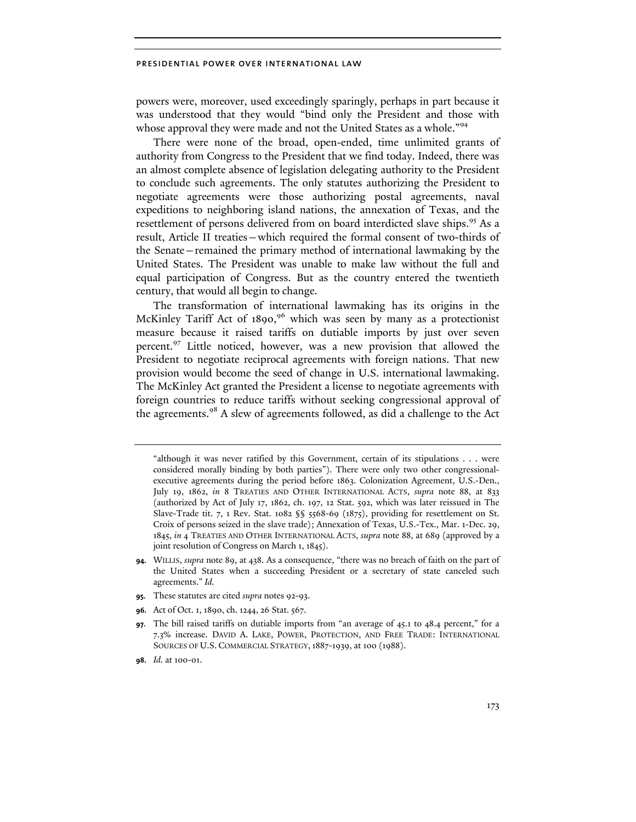powers were, moreover, used exceedingly sparingly, perhaps in part because it was understood that they would "bind only the President and those with whose approval they were made and not the United States as a whole."<sup>94</sup>

There were none of the broad, open-ended, time unlimited grants of authority from Congress to the President that we find today. Indeed, there was an almost complete absence of legislation delegating authority to the President to conclude such agreements. The only statutes authorizing the President to negotiate agreements were those authorizing postal agreements, naval expeditions to neighboring island nations, the annexation of Texas, and the resettlement of persons delivered from on board interdicted slave ships.<sup>95</sup> As a result, Article II treaties—which required the formal consent of two-thirds of the Senate—remained the primary method of international lawmaking by the United States. The President was unable to make law without the full and equal participation of Congress. But as the country entered the twentieth century, that would all begin to change.

The transformation of international lawmaking has its origins in the McKinley Tariff Act of  $1890,96$  which was seen by many as a protectionist measure because it raised tariffs on dutiable imports by just over seven percent.97 Little noticed, however, was a new provision that allowed the President to negotiate reciprocal agreements with foreign nations. That new provision would become the seed of change in U.S. international lawmaking. The McKinley Act granted the President a license to negotiate agreements with foreign countries to reduce tariffs without seeking congressional approval of the agreements.<sup>98</sup> A slew of agreements followed, as did a challenge to the Act

- **95.** These statutes are cited *supra* notes 92-93.
- **96.** Act of Oct. 1, 1890, ch. 1244, 26 Stat. 567.

**98.** *Id.* at 100-01.

<sup>&</sup>quot;although it was never ratified by this Government, certain of its stipulations . . . were considered morally binding by both parties"). There were only two other congressionalexecutive agreements during the period before 1863. Colonization Agreement, U.S.-Den., July 19, 1862, *in* 8 TREATIES AND OTHER INTERNATIONAL ACTS, *supra* note 88, at 833 (authorized by Act of July 17, 1862, ch. 197, 12 Stat. 592, which was later reissued in The Slave-Trade tit. 7, 1 Rev. Stat. 1082  $\$ ,  $\frac{568-69}{1875}$ , providing for resettlement on St. Croix of persons seized in the slave trade); Annexation of Texas, U.S.-Tex., Mar. 1-Dec. 29, 1845, *in* 4 TREATIES AND OTHER INTERNATIONAL ACTS, *supra* note 88, at 689 (approved by a joint resolution of Congress on March 1, 1845).

**<sup>94.</sup>** WILLIS, *supra* note 89, at 438. As a consequence, "there was no breach of faith on the part of the United States when a succeeding President or a secretary of state canceled such agreements." *Id.*

**<sup>97.</sup>** The bill raised tariffs on dutiable imports from "an average of 45.1 to 48.4 percent," for a 7.3% increase. DAVID A. LAKE, POWER, PROTECTION, AND FREE TRADE: INTERNATIONAL SOURCES OF U.S. COMMERCIAL STRATEGY,1887-1939, at 100 (1988).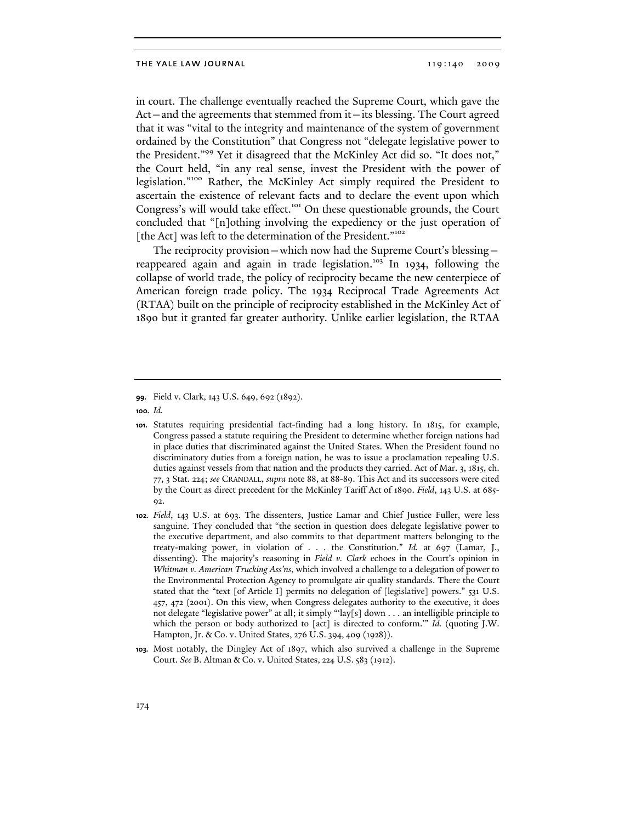in court. The challenge eventually reached the Supreme Court, which gave the Act—and the agreements that stemmed from it—its blessing. The Court agreed that it was "vital to the integrity and maintenance of the system of government ordained by the Constitution" that Congress not "delegate legislative power to the President."99 Yet it disagreed that the McKinley Act did so. "It does not," the Court held, "in any real sense, invest the President with the power of legislation."100 Rather, the McKinley Act simply required the President to ascertain the existence of relevant facts and to declare the event upon which Congress's will would take effect.<sup>101</sup> On these questionable grounds, the Court concluded that "[n]othing involving the expediency or the just operation of [the Act] was left to the determination of the President."<sup>102</sup>

The reciprocity provision—which now had the Supreme Court's blessing reappeared again and again in trade legislation.<sup>103</sup> In 1934, following the collapse of world trade, the policy of reciprocity became the new centerpiece of American foreign trade policy. The 1934 Reciprocal Trade Agreements Act (RTAA) built on the principle of reciprocity established in the McKinley Act of 1890 but it granted far greater authority. Unlike earlier legislation, the RTAA

**<sup>99.</sup>** Field v. Clark, 143 U.S. 649, 692 (1892).

**<sup>100.</sup>** *Id.* 

**<sup>101.</sup>** Statutes requiring presidential fact-finding had a long history. In 1815, for example, Congress passed a statute requiring the President to determine whether foreign nations had in place duties that discriminated against the United States. When the President found no discriminatory duties from a foreign nation, he was to issue a proclamation repealing U.S. duties against vessels from that nation and the products they carried. Act of Mar. 3, 1815, ch. 77, 3 Stat. 224; *see* CRANDALL, *supra* note 88, at 88-89. This Act and its successors were cited by the Court as direct precedent for the McKinley Tariff Act of 1890. *Field*, 143 U.S. at 685- 92.

**<sup>102.</sup>** *Field*, 143 U.S. at 693. The dissenters, Justice Lamar and Chief Justice Fuller, were less sanguine. They concluded that "the section in question does delegate legislative power to the executive department, and also commits to that department matters belonging to the treaty-making power, in violation of . . . the Constitution." *Id.* at 697 (Lamar, J., dissenting). The majority's reasoning in *Field v. Clark* echoes in the Court's opinion in *Whitman v. American Trucking Ass'ns*, which involved a challenge to a delegation of power to the Environmental Protection Agency to promulgate air quality standards. There the Court stated that the "text [of Article I] permits no delegation of [legislative] powers." 531 U.S. 457, 472 (2001). On this view, when Congress delegates authority to the executive, it does not delegate "legislative power" at all; it simply "'lay[s] down . . . an intelligible principle to which the person or body authorized to [act] is directed to conform.'" *Id.* (quoting J.W. Hampton, Jr. & Co. v. United States, 276 U.S. 394, 409 (1928)).

**<sup>103.</sup>** Most notably, the Dingley Act of 1897, which also survived a challenge in the Supreme Court. *See* B. Altman & Co. v. United States, 224 U.S. 583 (1912).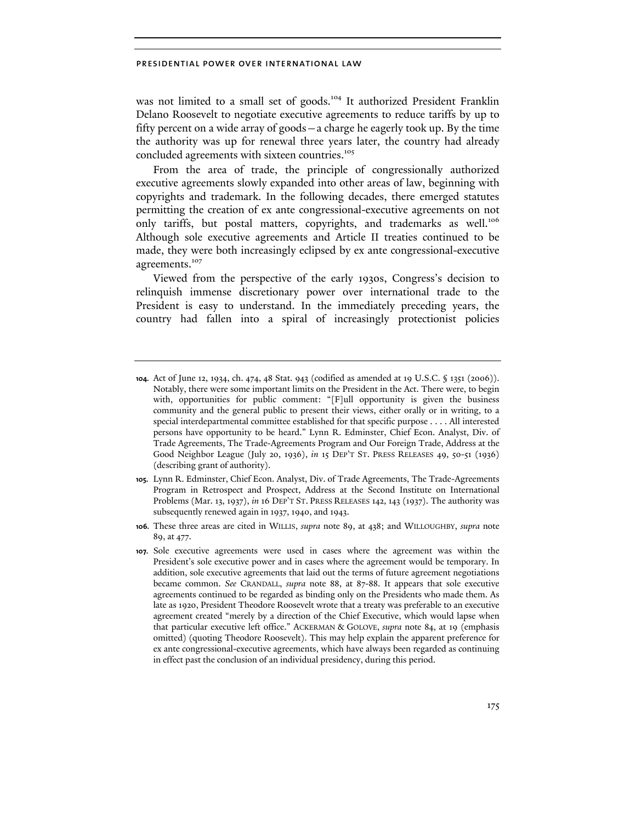was not limited to a small set of goods.<sup>104</sup> It authorized President Franklin Delano Roosevelt to negotiate executive agreements to reduce tariffs by up to fifty percent on a wide array of goods—a charge he eagerly took up. By the time the authority was up for renewal three years later, the country had already concluded agreements with sixteen countries.<sup>105</sup>

From the area of trade, the principle of congressionally authorized executive agreements slowly expanded into other areas of law, beginning with copyrights and trademark. In the following decades, there emerged statutes permitting the creation of ex ante congressional-executive agreements on not only tariffs, but postal matters, copyrights, and trademarks as well.<sup>106</sup> Although sole executive agreements and Article II treaties continued to be made, they were both increasingly eclipsed by ex ante congressional-executive agreements.<sup>107</sup>

Viewed from the perspective of the early 1930s, Congress's decision to relinquish immense discretionary power over international trade to the President is easy to understand. In the immediately preceding years, the country had fallen into a spiral of increasingly protectionist policies

**105.** Lynn R. Edminster, Chief Econ. Analyst, Div. of Trade Agreements, The Trade-Agreements Program in Retrospect and Prospect, Address at the Second Institute on International Problems (Mar. 13, 1937), *in* 16 DEP'T ST. PRESS RELEASES 142, 143 (1937). The authority was subsequently renewed again in 1937, 1940, and 1943.

**106.** These three areas are cited in WILLIS, *supra* note 89, at 438; and WILLOUGHBY, *supra* note 89, at 477.

**<sup>104.</sup>** Act of June 12, 1934, ch. 474, 48 Stat. 943 (codified as amended at 19 U.S.C. § 1351 (2006)). Notably, there were some important limits on the President in the Act. There were, to begin with, opportunities for public comment: "[F]ull opportunity is given the business community and the general public to present their views, either orally or in writing, to a special interdepartmental committee established for that specific purpose . . . . All interested persons have opportunity to be heard." Lynn R. Edminster, Chief Econ. Analyst, Div. of Trade Agreements, The Trade-Agreements Program and Our Foreign Trade, Address at the Good Neighbor League (July 20, 1936), *in* 15 DEP'T ST. PRESS RELEASES 49, 50-51 (1936) (describing grant of authority).

**<sup>107.</sup>** Sole executive agreements were used in cases where the agreement was within the President's sole executive power and in cases where the agreement would be temporary. In addition, sole executive agreements that laid out the terms of future agreement negotiations became common. *See* CRANDALL, *supra* note 88, at 87-88. It appears that sole executive agreements continued to be regarded as binding only on the Presidents who made them. As late as 1920, President Theodore Roosevelt wrote that a treaty was preferable to an executive agreement created "merely by a direction of the Chief Executive, which would lapse when that particular executive left office." ACKERMAN & GOLOVE, *supra* note 84, at 19 (emphasis omitted) (quoting Theodore Roosevelt). This may help explain the apparent preference for ex ante congressional-executive agreements, which have always been regarded as continuing in effect past the conclusion of an individual presidency, during this period.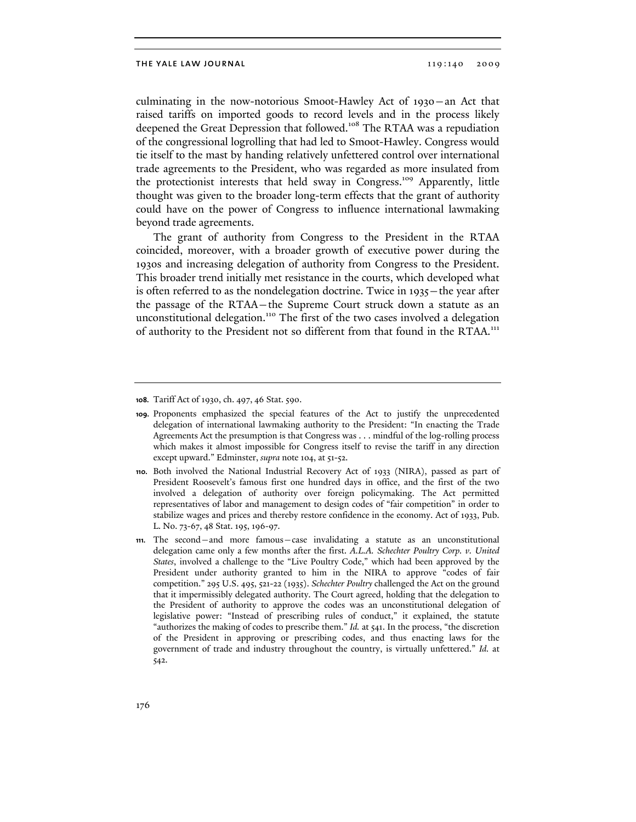culminating in the now-notorious Smoot-Hawley Act of 1930—an Act that raised tariffs on imported goods to record levels and in the process likely deepened the Great Depression that followed.<sup>108</sup> The RTAA was a repudiation of the congressional logrolling that had led to Smoot-Hawley. Congress would tie itself to the mast by handing relatively unfettered control over international trade agreements to the President, who was regarded as more insulated from the protectionist interests that held sway in Congress.109 Apparently, little thought was given to the broader long-term effects that the grant of authority could have on the power of Congress to influence international lawmaking beyond trade agreements.

The grant of authority from Congress to the President in the RTAA coincided, moreover, with a broader growth of executive power during the 1930s and increasing delegation of authority from Congress to the President. This broader trend initially met resistance in the courts, which developed what is often referred to as the nondelegation doctrine. Twice in 1935—the year after the passage of the RTAA—the Supreme Court struck down a statute as an unconstitutional delegation.<sup>110</sup> The first of the two cases involved a delegation of authority to the President not so different from that found in the RTAA.<sup>111</sup>

**<sup>108.</sup>** Tariff Act of 1930, ch. 497, 46 Stat. 590.

**<sup>109.</sup>** Proponents emphasized the special features of the Act to justify the unprecedented delegation of international lawmaking authority to the President: "In enacting the Trade Agreements Act the presumption is that Congress was . . . mindful of the log-rolling process which makes it almost impossible for Congress itself to revise the tariff in any direction except upward." Edminster, *supra* note 104, at 51-52.

**<sup>110.</sup>** Both involved the National Industrial Recovery Act of 1933 (NIRA), passed as part of President Roosevelt's famous first one hundred days in office, and the first of the two involved a delegation of authority over foreign policymaking. The Act permitted representatives of labor and management to design codes of "fair competition" in order to stabilize wages and prices and thereby restore confidence in the economy. Act of 1933, Pub. L. No. 73-67, 48 Stat. 195, 196-97.

**<sup>111.</sup>** The second—and more famous—case invalidating a statute as an unconstitutional delegation came only a few months after the first. *A.L.A. Schechter Poultry Corp. v. United States*, involved a challenge to the "Live Poultry Code," which had been approved by the President under authority granted to him in the NIRA to approve "codes of fair competition." 295 U.S. 495, 521-22 (1935). *Schechter Poultry* challenged the Act on the ground that it impermissibly delegated authority. The Court agreed, holding that the delegation to the President of authority to approve the codes was an unconstitutional delegation of legislative power: "Instead of prescribing rules of conduct," it explained, the statute "authorizes the making of codes to prescribe them." *Id.* at 541. In the process, "the discretion of the President in approving or prescribing codes, and thus enacting laws for the government of trade and industry throughout the country, is virtually unfettered." *Id.* at 542.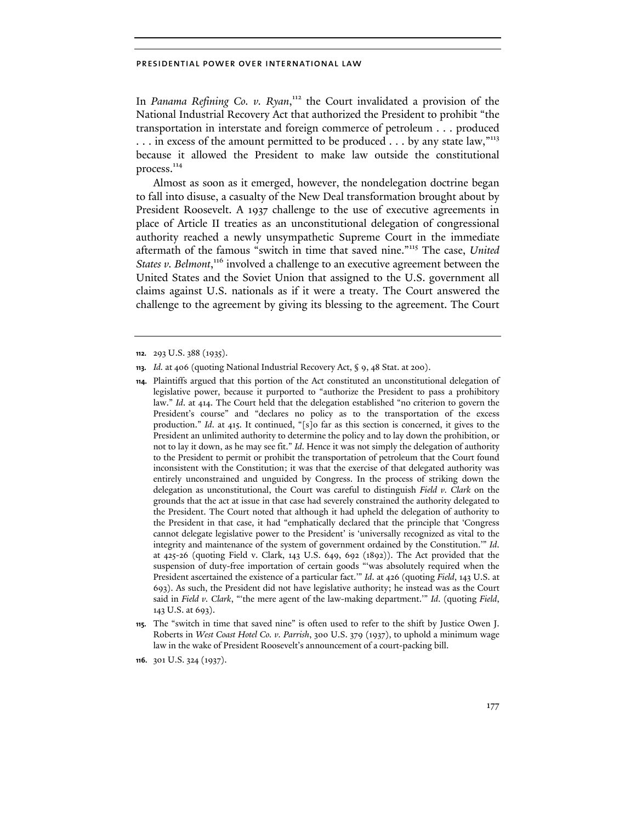In *Panama Refining Co. v. Ryan*, 112 the Court invalidated a provision of the National Industrial Recovery Act that authorized the President to prohibit "the transportation in interstate and foreign commerce of petroleum . . . produced ... in excess of the amount permitted to be produced ... by any state law,"<sup>113</sup> because it allowed the President to make law outside the constitutional process.<sup>114</sup>

Almost as soon as it emerged, however, the nondelegation doctrine began to fall into disuse, a casualty of the New Deal transformation brought about by President Roosevelt. A 1937 challenge to the use of executive agreements in place of Article II treaties as an unconstitutional delegation of congressional authority reached a newly unsympathetic Supreme Court in the immediate aftermath of the famous "switch in time that saved nine."115 The case, *United*  States v. Belmont,<sup>116</sup> involved a challenge to an executive agreement between the United States and the Soviet Union that assigned to the U.S. government all claims against U.S. nationals as if it were a treaty. The Court answered the challenge to the agreement by giving its blessing to the agreement. The Court

**114.** Plaintiffs argued that this portion of the Act constituted an unconstitutional delegation of legislative power, because it purported to "authorize the President to pass a prohibitory law." *Id*. at 414. The Court held that the delegation established "no criterion to govern the President's course" and "declares no policy as to the transportation of the excess production." *Id*. at 415. It continued, "[s]o far as this section is concerned, it gives to the President an unlimited authority to determine the policy and to lay down the prohibition, or not to lay it down, as he may see fit." *Id*. Hence it was not simply the delegation of authority to the President to permit or prohibit the transportation of petroleum that the Court found inconsistent with the Constitution; it was that the exercise of that delegated authority was entirely unconstrained and unguided by Congress. In the process of striking down the delegation as unconstitutional, the Court was careful to distinguish *Field v. Clark* on the grounds that the act at issue in that case had severely constrained the authority delegated to the President. The Court noted that although it had upheld the delegation of authority to the President in that case, it had "emphatically declared that the principle that 'Congress cannot delegate legislative power to the President' is 'universally recognized as vital to the integrity and maintenance of the system of government ordained by the Constitution.'" *Id*. at 425-26 (quoting Field v. Clark, 143 U.S. 649, 692 (1892)). The Act provided that the suspension of duty-free importation of certain goods "'was absolutely required when the President ascertained the existence of a particular fact.'" *Id*. at 426 (quoting *Field*, 143 U.S. at 693). As such, the President did not have legislative authority; he instead was as the Court said in *Field v. Clark*, "'the mere agent of the law-making department.'" *Id*. (quoting *Field*, 143 U.S. at 693).

**<sup>112.</sup>** 293 U.S. 388 (1935).

**<sup>113.</sup>** *Id.* at 406 (quoting National Industrial Recovery Act, § 9, 48 Stat. at 200).

**<sup>115.</sup>** The "switch in time that saved nine" is often used to refer to the shift by Justice Owen J. Roberts in *West Coast Hotel Co. v. Parrish*, 300 U.S. 379 (1937), to uphold a minimum wage law in the wake of President Roosevelt's announcement of a court-packing bill.

**<sup>116.</sup>** 301 U.S. 324 (1937).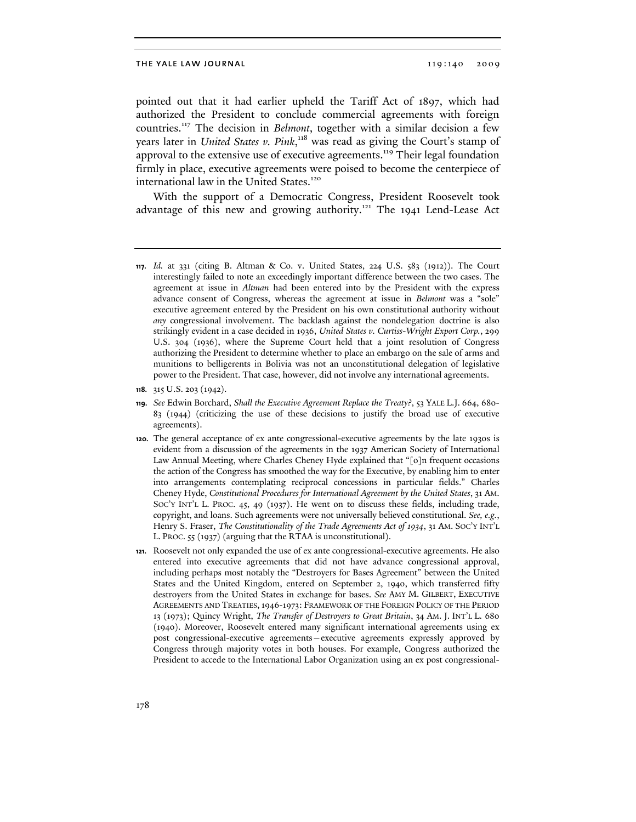pointed out that it had earlier upheld the Tariff Act of 1897, which had authorized the President to conclude commercial agreements with foreign countries.117 The decision in *Belmont*, together with a similar decision a few years later in *United States v. Pink*, 118 was read as giving the Court's stamp of approval to the extensive use of executive agreements.<sup>119</sup> Their legal foundation firmly in place, executive agreements were poised to become the centerpiece of international law in the United States.<sup>120</sup>

With the support of a Democratic Congress, President Roosevelt took advantage of this new and growing authority.<sup>121</sup> The 1941 Lend-Lease Act

**<sup>117.</sup>** *Id.* at 331 (citing B. Altman & Co. v. United States, 224 U.S. 583 (1912)). The Court interestingly failed to note an exceedingly important difference between the two cases. The agreement at issue in *Altman* had been entered into by the President with the express advance consent of Congress, whereas the agreement at issue in *Belmont* was a "sole" executive agreement entered by the President on his own constitutional authority without *any* congressional involvement. The backlash against the nondelegation doctrine is also strikingly evident in a case decided in 1936, *United States v. Curtiss-Wright Export Corp.*, 299 U.S. 304 (1936), where the Supreme Court held that a joint resolution of Congress authorizing the President to determine whether to place an embargo on the sale of arms and munitions to belligerents in Bolivia was not an unconstitutional delegation of legislative power to the President. That case, however, did not involve any international agreements.

**<sup>118.</sup>** 315 U.S. 203 (1942).

**<sup>119.</sup>** *See* Edwin Borchard, *Shall the Executive Agreement Replace the Treaty?*, 53 YALE L.J. 664, 680- 83 (1944) (criticizing the use of these decisions to justify the broad use of executive agreements).

**<sup>120.</sup>** The general acceptance of ex ante congressional-executive agreements by the late 1930s is evident from a discussion of the agreements in the 1937 American Society of International Law Annual Meeting, where Charles Cheney Hyde explained that "[o]n frequent occasions the action of the Congress has smoothed the way for the Executive, by enabling him to enter into arrangements contemplating reciprocal concessions in particular fields." Charles Cheney Hyde, *Constitutional Procedures for International Agreement by the United States*, 31 AM. SOC'Y INT'L L. PROC. 45, 49 (1937). He went on to discuss these fields, including trade, copyright, and loans. Such agreements were not universally believed constitutional. *See, e.g.*, Henry S. Fraser, *The Constitutionality of the Trade Agreements Act of 1934*, 31 AM. SOC'Y INT'L L. PROC. 55 (1937) (arguing that the RTAA is unconstitutional).

**<sup>121.</sup>** Roosevelt not only expanded the use of ex ante congressional-executive agreements. He also entered into executive agreements that did not have advance congressional approval, including perhaps most notably the "Destroyers for Bases Agreement" between the United States and the United Kingdom, entered on September 2, 1940, which transferred fifty destroyers from the United States in exchange for bases. *See* AMY M. GILBERT, EXECUTIVE AGREEMENTS AND TREATIES,1946-1973: FRAMEWORK OF THE FOREIGN POLICY OF THE PERIOD 13 (1973); Quincy Wright, *The Transfer of Destroyers to Great Britain*, 34 AM. J. INT'L L. 680 (1940). Moreover, Roosevelt entered many significant international agreements using ex post congressional-executive agreements—executive agreements expressly approved by Congress through majority votes in both houses. For example, Congress authorized the President to accede to the International Labor Organization using an ex post congressional-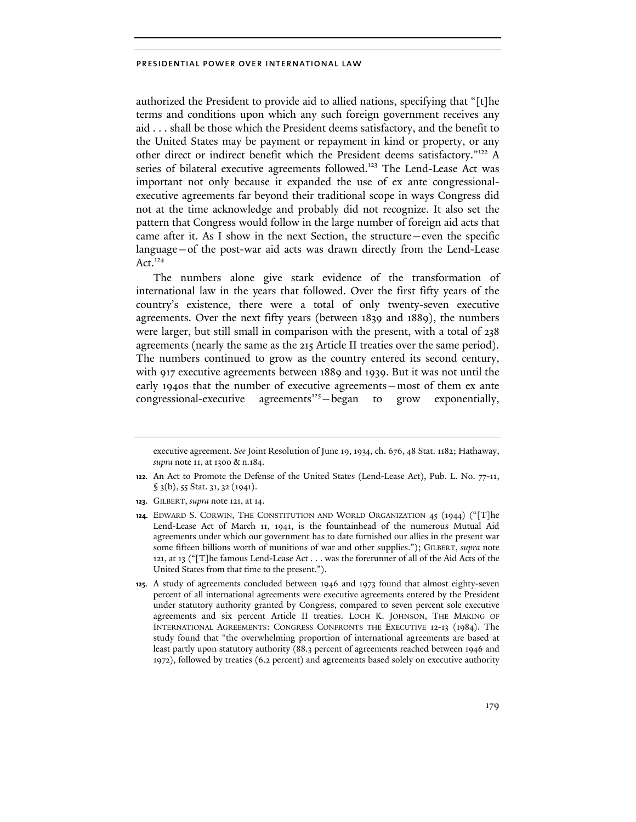authorized the President to provide aid to allied nations, specifying that "[t]he terms and conditions upon which any such foreign government receives any aid . . . shall be those which the President deems satisfactory, and the benefit to the United States may be payment or repayment in kind or property, or any other direct or indirect benefit which the President deems satisfactory."122 A series of bilateral executive agreements followed.<sup>123</sup> The Lend-Lease Act was important not only because it expanded the use of ex ante congressionalexecutive agreements far beyond their traditional scope in ways Congress did not at the time acknowledge and probably did not recognize. It also set the pattern that Congress would follow in the large number of foreign aid acts that came after it. As I show in the next Section, the structure—even the specific language—of the post-war aid acts was drawn directly from the Lend-Lease Act. $124$ 

The numbers alone give stark evidence of the transformation of international law in the years that followed. Over the first fifty years of the country's existence, there were a total of only twenty-seven executive agreements. Over the next fifty years (between 1839 and 1889), the numbers were larger, but still small in comparison with the present, with a total of 238 agreements (nearly the same as the 215 Article II treaties over the same period). The numbers continued to grow as the country entered its second century, with 917 executive agreements between 1889 and 1939. But it was not until the early 1940s that the number of executive agreements—most of them ex ante congressional-executive agreements<sup>125</sup> $-$ began to grow exponentially,

executive agreement. *See* Joint Resolution of June 19, 1934, ch. 676, 48 Stat. 1182; Hathaway, *supra* note 11, at 1300 & n.184.

**<sup>122.</sup>** An Act to Promote the Defense of the United States (Lend-Lease Act), Pub. L. No. 77-11, § 3(b), 55 Stat. 31, 32 (1941).

**<sup>123.</sup>** GILBERT, *supra* note 121, at 14.

**<sup>124.</sup>** EDWARD S. CORWIN, THE CONSTITUTION AND WORLD ORGANIZATION 45 (1944) ("[T]he Lend-Lease Act of March 11, 1941, is the fountainhead of the numerous Mutual Aid agreements under which our government has to date furnished our allies in the present war some fifteen billions worth of munitions of war and other supplies."); GILBERT, *supra* note 121, at 13 ("[T]he famous Lend-Lease Act . . . was the forerunner of all of the Aid Acts of the United States from that time to the present.").

**<sup>125.</sup>** A study of agreements concluded between 1946 and 1973 found that almost eighty-seven percent of all international agreements were executive agreements entered by the President under statutory authority granted by Congress, compared to seven percent sole executive agreements and six percent Article II treaties. LOCH K. JOHNSON, THE MAKING OF INTERNATIONAL AGREEMENTS: CONGRESS CONFRONTS THE EXECUTIVE 12-13 (1984). The study found that "the overwhelming proportion of international agreements are based at least partly upon statutory authority (88.3 percent of agreements reached between 1946 and 1972), followed by treaties (6.2 percent) and agreements based solely on executive authority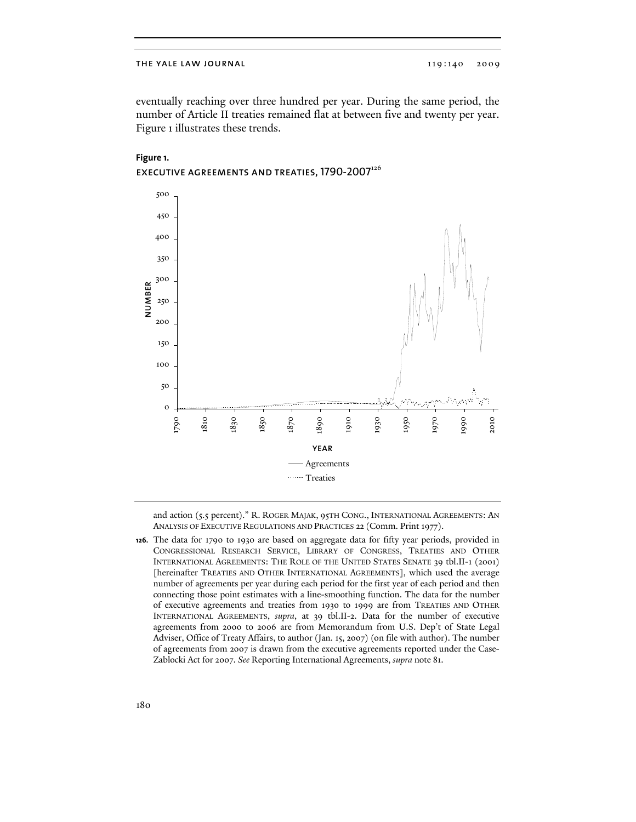### THE YALE LAW JOURNAL 119:140 2009

eventually reaching over three hundred per year. During the same period, the number of Article II treaties remained flat at between five and twenty per year. Figure 1 illustrates these trends.



# **Figure 1. EXECUTIVE AGREEMENTS AND TREATIES, 1790-2007**<sup>126</sup>

and action (5.5 percent)." R. ROGER MAJAK, 95TH CONG., INTERNATIONAL AGREEMENTS: AN ANALYSIS OF EXECUTIVE REGULATIONS AND PRACTICES 22 (Comm. Print 1977).

**126.** The data for 1790 to 1930 are based on aggregate data for fifty year periods, provided in CONGRESSIONAL RESEARCH SERVICE, LIBRARY OF CONGRESS, TREATIES AND OTHER INTERNATIONAL AGREEMENTS: THE ROLE OF THE UNITED STATES SENATE 39 tbl.II-1 (2001) [hereinafter TREATIES AND OTHER INTERNATIONAL AGREEMENTS], which used the average number of agreements per year during each period for the first year of each period and then connecting those point estimates with a line-smoothing function. The data for the number of executive agreements and treaties from 1930 to 1999 are from TREATIES AND OTHER INTERNATIONAL AGREEMENTS, *supra*, at 39 tbl.II-2. Data for the number of executive agreements from 2000 to 2006 are from Memorandum from U.S. Dep't of State Legal Adviser, Office of Treaty Affairs, to author (Jan. 15, 2007) (on file with author). The number of agreements from 2007 is drawn from the executive agreements reported under the Case-Zablocki Act for 2007. *See* Reporting International Agreements, *supra* note 81.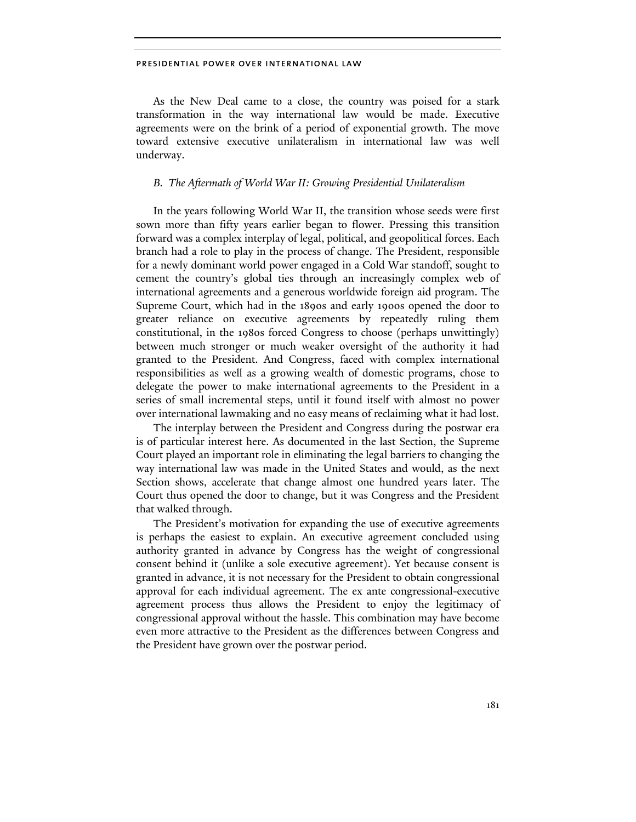As the New Deal came to a close, the country was poised for a stark transformation in the way international law would be made. Executive agreements were on the brink of a period of exponential growth. The move toward extensive executive unilateralism in international law was well underway.

### *B. The Aftermath of World War II: Growing Presidential Unilateralism*

In the years following World War II, the transition whose seeds were first sown more than fifty years earlier began to flower. Pressing this transition forward was a complex interplay of legal, political, and geopolitical forces. Each branch had a role to play in the process of change. The President, responsible for a newly dominant world power engaged in a Cold War standoff, sought to cement the country's global ties through an increasingly complex web of international agreements and a generous worldwide foreign aid program. The Supreme Court, which had in the 1890s and early 1900s opened the door to greater reliance on executive agreements by repeatedly ruling them constitutional, in the 1980s forced Congress to choose (perhaps unwittingly) between much stronger or much weaker oversight of the authority it had granted to the President. And Congress, faced with complex international responsibilities as well as a growing wealth of domestic programs, chose to delegate the power to make international agreements to the President in a series of small incremental steps, until it found itself with almost no power over international lawmaking and no easy means of reclaiming what it had lost.

The interplay between the President and Congress during the postwar era is of particular interest here. As documented in the last Section, the Supreme Court played an important role in eliminating the legal barriers to changing the way international law was made in the United States and would, as the next Section shows, accelerate that change almost one hundred years later. The Court thus opened the door to change, but it was Congress and the President that walked through.

The President's motivation for expanding the use of executive agreements is perhaps the easiest to explain. An executive agreement concluded using authority granted in advance by Congress has the weight of congressional consent behind it (unlike a sole executive agreement). Yet because consent is granted in advance, it is not necessary for the President to obtain congressional approval for each individual agreement. The ex ante congressional-executive agreement process thus allows the President to enjoy the legitimacy of congressional approval without the hassle. This combination may have become even more attractive to the President as the differences between Congress and the President have grown over the postwar period.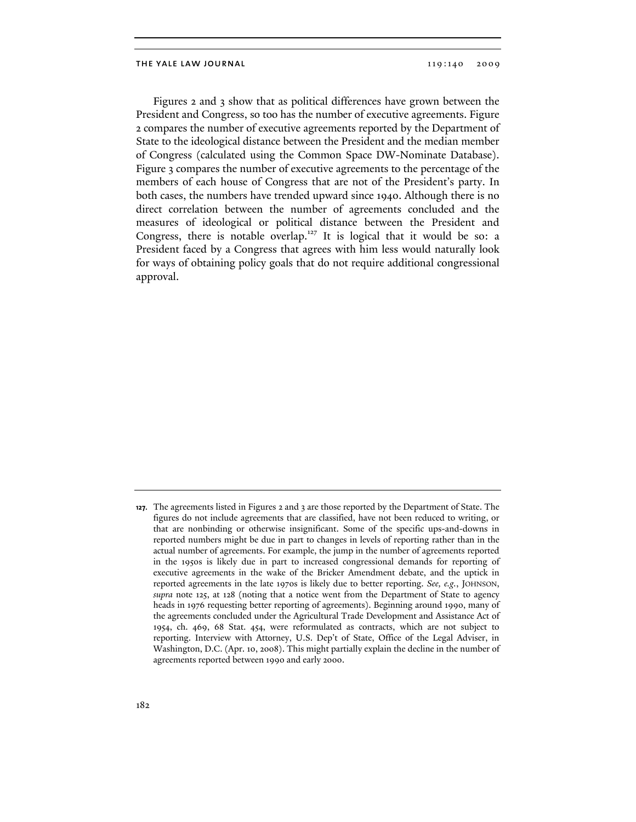Figures 2 and 3 show that as political differences have grown between the President and Congress, so too has the number of executive agreements. Figure 2 compares the number of executive agreements reported by the Department of State to the ideological distance between the President and the median member of Congress (calculated using the Common Space DW-Nominate Database). Figure 3 compares the number of executive agreements to the percentage of the members of each house of Congress that are not of the President's party. In both cases, the numbers have trended upward since 1940. Although there is no direct correlation between the number of agreements concluded and the measures of ideological or political distance between the President and Congress, there is notable overlap.<sup>127</sup> It is logical that it would be so: a President faced by a Congress that agrees with him less would naturally look for ways of obtaining policy goals that do not require additional congressional approval.

**<sup>127.</sup>** The agreements listed in Figures 2 and 3 are those reported by the Department of State. The figures do not include agreements that are classified, have not been reduced to writing, or that are nonbinding or otherwise insignificant. Some of the specific ups-and-downs in reported numbers might be due in part to changes in levels of reporting rather than in the actual number of agreements. For example, the jump in the number of agreements reported in the 1950s is likely due in part to increased congressional demands for reporting of executive agreements in the wake of the Bricker Amendment debate, and the uptick in reported agreements in the late 1970s is likely due to better reporting. *See, e.g.*, JOHNSON, *supra* note 125, at 128 (noting that a notice went from the Department of State to agency heads in 1976 requesting better reporting of agreements). Beginning around 1990, many of the agreements concluded under the Agricultural Trade Development and Assistance Act of 1954, ch. 469, 68 Stat. 454, were reformulated as contracts, which are not subject to reporting. Interview with Attorney, U.S. Dep't of State, Office of the Legal Adviser, in Washington, D.C. (Apr. 10, 2008). This might partially explain the decline in the number of agreements reported between 1990 and early 2000.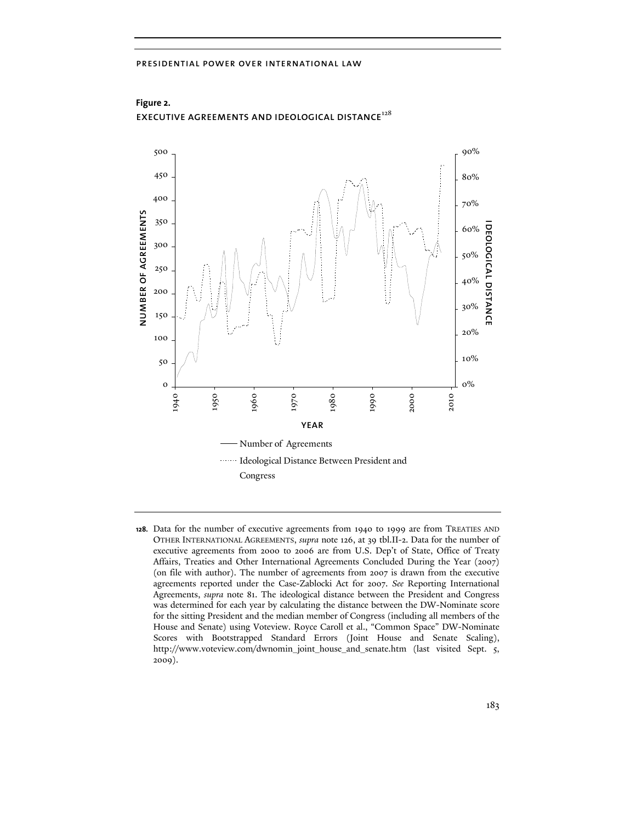

**Figure 2.**  EXECUTIVE AGREEMENTS AND IDEOLOGICAL DISTANCE $^{128}$ 

**128.** Data for the number of executive agreements from 1940 to 1999 are from TREATIES AND OTHER INTERNATIONAL AGREEMENTS, *supra* note 126, at 39 tbl.II-2. Data for the number of executive agreements from 2000 to 2006 are from U.S. Dep't of State, Office of Treaty Affairs, Treaties and Other International Agreements Concluded During the Year (2007) (on file with author). The number of agreements from 2007 is drawn from the executive agreements reported under the Case-Zablocki Act for 2007. *See* Reporting International Agreements, *supra* note 81. The ideological distance between the President and Congress was determined for each year by calculating the distance between the DW-Nominate score for the sitting President and the median member of Congress (including all members of the House and Senate) using Voteview. Royce Caroll et al., "Common Space" DW-Nominate Scores with Bootstrapped Standard Errors (Joint House and Senate Scaling), http://www.voteview.com/dwnomin\_joint\_house\_and\_senate.htm (last visited Sept. 5, 2009).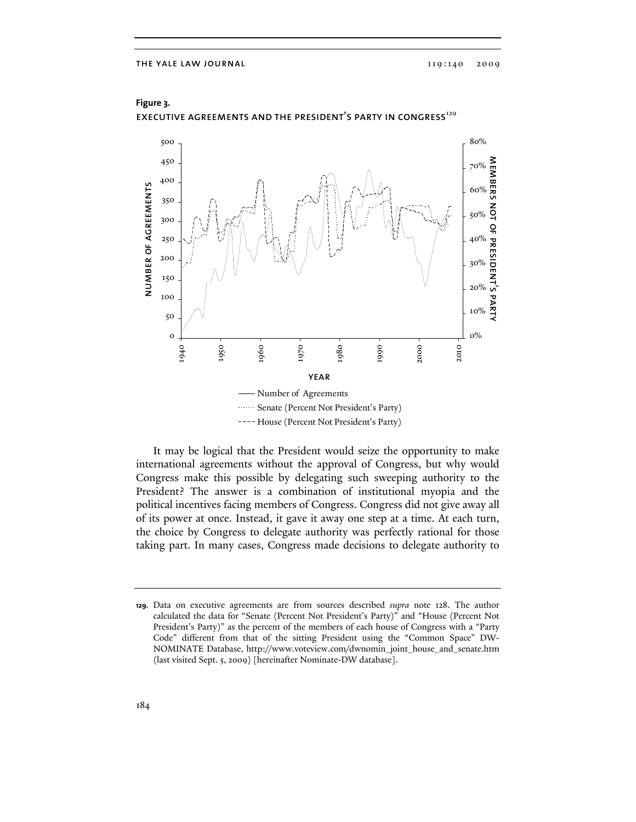

**Figure 3.**  EXECUTIVE AGREEMENTS AND THE PRESIDENT'S PARTY IN CONGRESS<sup>129</sup>

It may be logical that the President would seize the opportunity to make international agreements without the approval of Congress, but why would Congress make this possible by delegating such sweeping authority to the President? The answer is a combination of institutional myopia and the political incentives facing members of Congress. Congress did not give away all of its power at once. Instead, it gave it away one step at a time. At each turn, the choice by Congress to delegate authority was perfectly rational for those taking part. In many cases, Congress made decisions to delegate authority to

**<sup>129.</sup>** Data on executive agreements are from sources described *supra* note 128. The author calculated the data for "Senate (Percent Not President's Party)" and "House (Percent Not President's Party)" as the percent of the members of each house of Congress with a "Party Code" different from that of the sitting President using the "Common Space" DW-NOMINATE Database, http://www.voteview.com/dwnomin\_joint\_house\_and\_senate.htm (last visited Sept. 5, 2009) [hereinafter Nominate-DW database].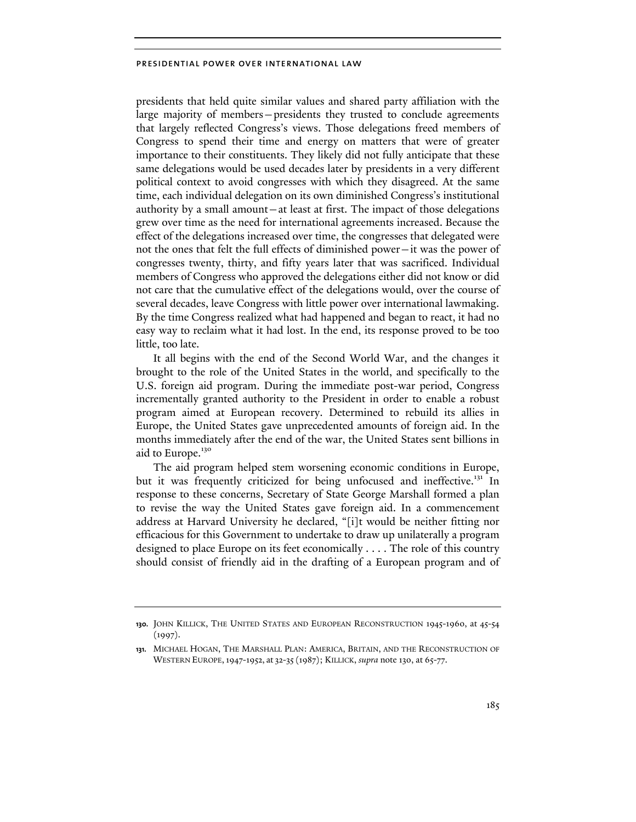presidents that held quite similar values and shared party affiliation with the large majority of members—presidents they trusted to conclude agreements that largely reflected Congress's views. Those delegations freed members of Congress to spend their time and energy on matters that were of greater importance to their constituents. They likely did not fully anticipate that these same delegations would be used decades later by presidents in a very different political context to avoid congresses with which they disagreed. At the same time, each individual delegation on its own diminished Congress's institutional authority by a small amount—at least at first. The impact of those delegations grew over time as the need for international agreements increased. Because the effect of the delegations increased over time, the congresses that delegated were not the ones that felt the full effects of diminished power—it was the power of congresses twenty, thirty, and fifty years later that was sacrificed. Individual members of Congress who approved the delegations either did not know or did not care that the cumulative effect of the delegations would, over the course of several decades, leave Congress with little power over international lawmaking. By the time Congress realized what had happened and began to react, it had no easy way to reclaim what it had lost. In the end, its response proved to be too little, too late.

It all begins with the end of the Second World War, and the changes it brought to the role of the United States in the world, and specifically to the U.S. foreign aid program. During the immediate post-war period, Congress incrementally granted authority to the President in order to enable a robust program aimed at European recovery. Determined to rebuild its allies in Europe, the United States gave unprecedented amounts of foreign aid. In the months immediately after the end of the war, the United States sent billions in aid to Europe.<sup>130</sup>

The aid program helped stem worsening economic conditions in Europe, but it was frequently criticized for being unfocused and ineffective.<sup>131</sup> In response to these concerns, Secretary of State George Marshall formed a plan to revise the way the United States gave foreign aid. In a commencement address at Harvard University he declared, "[i]t would be neither fitting nor efficacious for this Government to undertake to draw up unilaterally a program designed to place Europe on its feet economically . . . . The role of this country should consist of friendly aid in the drafting of a European program and of

**<sup>130.</sup>** JOHN KILLICK, THE UNITED STATES AND EUROPEAN RECONSTRUCTION 1945-1960, at 45-54  $(1997).$ 

**<sup>131.</sup>** MICHAEL HOGAN, THE MARSHALL PLAN: AMERICA, BRITAIN, AND THE RECONSTRUCTION OF WESTERN EUROPE,1947-1952, at 32-35(1987); KILLICK, *supra* note 130, at 65-77.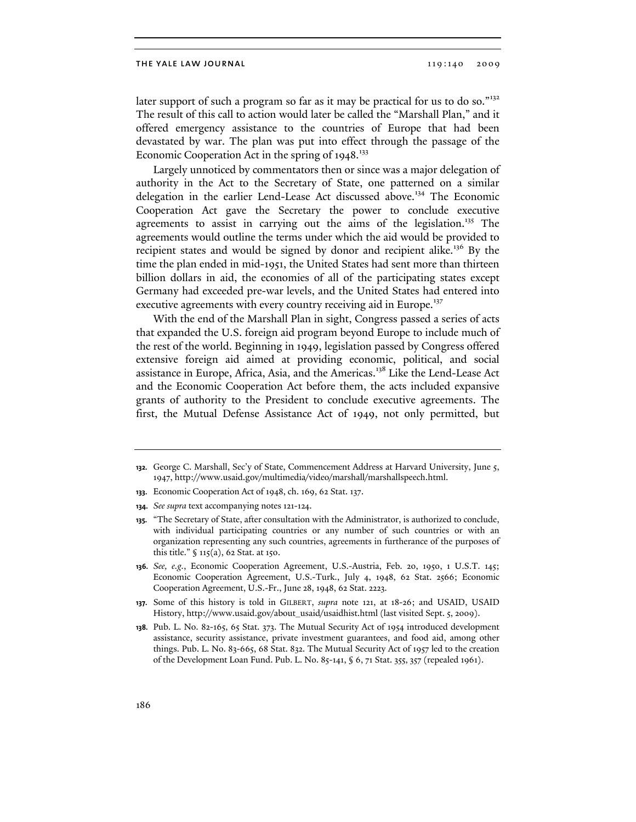later support of such a program so far as it may be practical for us to do so."<sup>132</sup> The result of this call to action would later be called the "Marshall Plan," and it offered emergency assistance to the countries of Europe that had been devastated by war. The plan was put into effect through the passage of the Economic Cooperation Act in the spring of  $1948.^{133}$ 

Largely unnoticed by commentators then or since was a major delegation of authority in the Act to the Secretary of State, one patterned on a similar delegation in the earlier Lend-Lease Act discussed above.<sup>134</sup> The Economic Cooperation Act gave the Secretary the power to conclude executive agreements to assist in carrying out the aims of the legislation.<sup>135</sup> The agreements would outline the terms under which the aid would be provided to recipient states and would be signed by donor and recipient alike.<sup>136</sup> By the time the plan ended in mid-1951, the United States had sent more than thirteen billion dollars in aid, the economies of all of the participating states except Germany had exceeded pre-war levels, and the United States had entered into executive agreements with every country receiving aid in Europe.<sup>137</sup>

With the end of the Marshall Plan in sight, Congress passed a series of acts that expanded the U.S. foreign aid program beyond Europe to include much of the rest of the world. Beginning in 1949, legislation passed by Congress offered extensive foreign aid aimed at providing economic, political, and social assistance in Europe, Africa, Asia, and the Americas.<sup>138</sup> Like the Lend-Lease Act and the Economic Cooperation Act before them, the acts included expansive grants of authority to the President to conclude executive agreements. The first, the Mutual Defense Assistance Act of 1949, not only permitted, but

**<sup>132.</sup>** George C. Marshall, Sec'y of State, Commencement Address at Harvard University, June 5, 1947, http://www.usaid.gov/multimedia/video/marshall/marshallspeech.html.

**<sup>133.</sup>** Economic Cooperation Act of 1948, ch. 169, 62 Stat. 137.

**<sup>134.</sup>** *See supra* text accompanying notes 121-124.

**<sup>135.</sup>** "The Secretary of State, after consultation with the Administrator, is authorized to conclude, with individual participating countries or any number of such countries or with an organization representing any such countries, agreements in furtherance of the purposes of this title." § 115(a), 62 Stat. at 150.

**<sup>136.</sup>** *See, e.g.*, Economic Cooperation Agreement, U.S.-Austria, Feb. 20, 1950, 1 U.S.T. 145; Economic Cooperation Agreement, U.S.-Turk., July 4, 1948, 62 Stat. 2566; Economic Cooperation Agreement, U.S.-Fr., June 28, 1948, 62 Stat. 2223.

**<sup>137.</sup>** Some of this history is told in GILBERT, *supra* note 121, at 18-26; and USAID, USAID History, http://www.usaid.gov/about\_usaid/usaidhist.html (last visited Sept. 5, 2009).

**<sup>138.</sup>** Pub. L. No. 82-165, 65 Stat. 373. The Mutual Security Act of 1954 introduced development assistance, security assistance, private investment guarantees, and food aid, among other things. Pub. L. No. 83-665, 68 Stat. 832. The Mutual Security Act of 1957 led to the creation of the Development Loan Fund. Pub. L. No. 85-141, § 6, 71 Stat. 355, 357 (repealed 1961).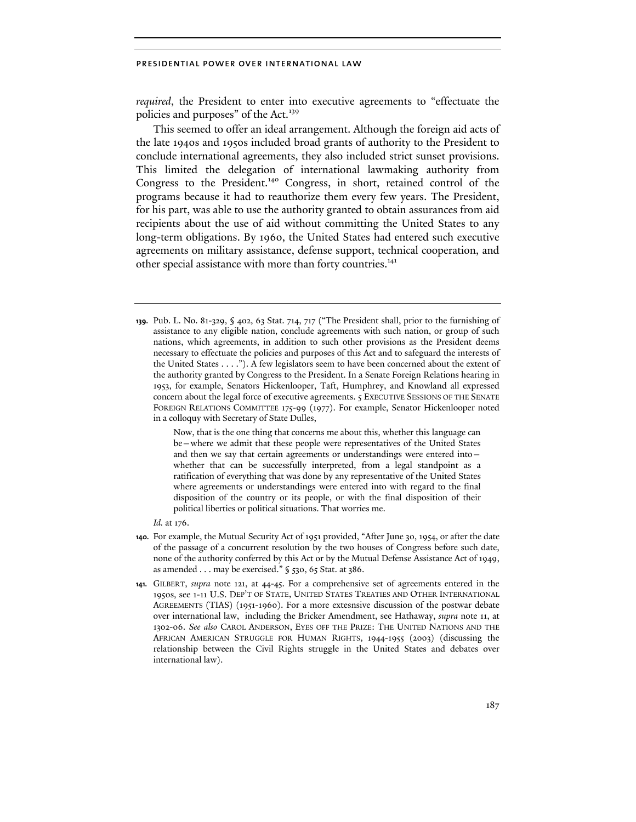*required*, the President to enter into executive agreements to "effectuate the policies and purposes" of the Act.<sup>139</sup>

This seemed to offer an ideal arrangement. Although the foreign aid acts of the late 1940s and 1950s included broad grants of authority to the President to conclude international agreements, they also included strict sunset provisions. This limited the delegation of international lawmaking authority from Congress to the President.<sup>140</sup> Congress, in short, retained control of the programs because it had to reauthorize them every few years. The President, for his part, was able to use the authority granted to obtain assurances from aid recipients about the use of aid without committing the United States to any long-term obligations. By 1960, the United States had entered such executive agreements on military assistance, defense support, technical cooperation, and other special assistance with more than forty countries.<sup>141</sup>

**139.** Pub. L. No. 81-329, § 402, 63 Stat. 714, 717 ("The President shall, prior to the furnishing of assistance to any eligible nation, conclude agreements with such nation, or group of such nations, which agreements, in addition to such other provisions as the President deems necessary to effectuate the policies and purposes of this Act and to safeguard the interests of the United States . . . ."). A few legislators seem to have been concerned about the extent of the authority granted by Congress to the President. In a Senate Foreign Relations hearing in 1953, for example, Senators Hickenlooper, Taft, Humphrey, and Knowland all expressed concern about the legal force of executive agreements. 5 EXECUTIVE SESSIONS OF THE SENATE FOREIGN RELATIONS COMMITTEE 175-99 (1977). For example, Senator Hickenlooper noted in a colloquy with Secretary of State Dulles,

> Now, that is the one thing that concerns me about this, whether this language can be—where we admit that these people were representatives of the United States and then we say that certain agreements or understandings were entered into whether that can be successfully interpreted, from a legal standpoint as a ratification of everything that was done by any representative of the United States where agreements or understandings were entered into with regard to the final disposition of the country or its people, or with the final disposition of their political liberties or political situations. That worries me.

*Id.* at 176.

- **140.** For example, the Mutual Security Act of 1951 provided, "After June 30, 1954, or after the date of the passage of a concurrent resolution by the two houses of Congress before such date, none of the authority conferred by this Act or by the Mutual Defense Assistance Act of 1949, as amended  $\dots$  may be exercised." § 530, 65 Stat. at 386.
- **141.** GILBERT, *supra* note 121, at 44-45. For a comprehensive set of agreements entered in the 1950s, see 1-11 U.S. DEP'T OF STATE, UNITED STATES TREATIES AND OTHER INTERNATIONAL AGREEMENTS (TIAS) (1951-1960). For a more extesnsive discussion of the postwar debate over international law, including the Bricker Amendment, see Hathaway, *supra* note 11, at 1302-06. *See also* CAROL ANDERSON, EYES OFF THE PRIZE: THE UNITED NATIONS AND THE AFRICAN AMERICAN STRUGGLE FOR HUMAN RIGHTS, 1944-1955 (2003) (discussing the relationship between the Civil Rights struggle in the United States and debates over international law).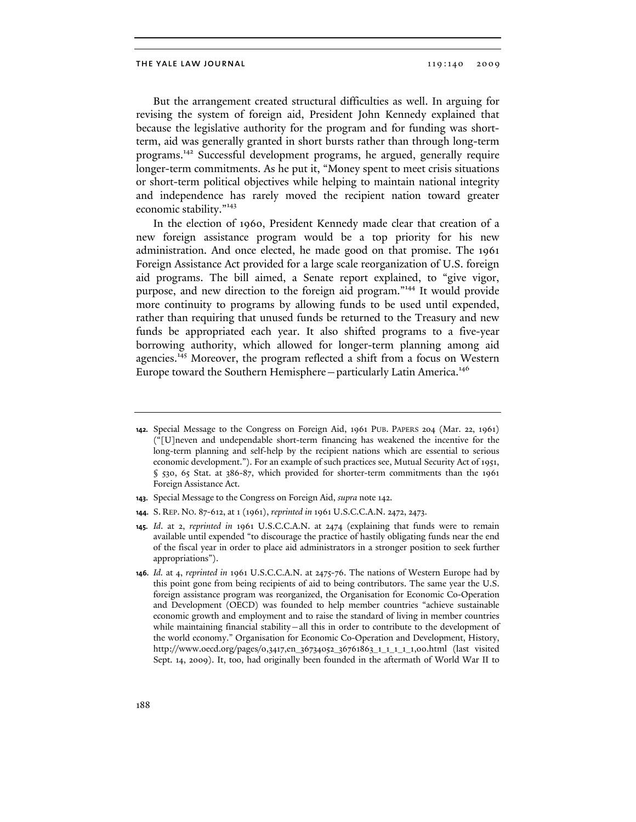But the arrangement created structural difficulties as well. In arguing for revising the system of foreign aid, President John Kennedy explained that because the legislative authority for the program and for funding was shortterm, aid was generally granted in short bursts rather than through long-term programs.142 Successful development programs, he argued, generally require longer-term commitments. As he put it, "Money spent to meet crisis situations or short-term political objectives while helping to maintain national integrity and independence has rarely moved the recipient nation toward greater economic stability."<sup>143</sup>

In the election of 1960, President Kennedy made clear that creation of a new foreign assistance program would be a top priority for his new administration. And once elected, he made good on that promise. The 1961 Foreign Assistance Act provided for a large scale reorganization of U.S. foreign aid programs. The bill aimed, a Senate report explained, to "give vigor, purpose, and new direction to the foreign aid program."144 It would provide more continuity to programs by allowing funds to be used until expended, rather than requiring that unused funds be returned to the Treasury and new funds be appropriated each year. It also shifted programs to a five-year borrowing authority, which allowed for longer-term planning among aid agencies.<sup>145</sup> Moreover, the program reflected a shift from a focus on Western Europe toward the Southern Hemisphere-particularly Latin America.<sup>146</sup>

**<sup>142.</sup>** Special Message to the Congress on Foreign Aid, 1961 PUB. PAPERS 204 (Mar. 22, 1961) ("[U]neven and undependable short-term financing has weakened the incentive for the long-term planning and self-help by the recipient nations which are essential to serious economic development."). For an example of such practices see, Mutual Security Act of 1951, § 530, 65 Stat. at 386-87, which provided for shorter-term commitments than the 1961 Foreign Assistance Act.

**<sup>143.</sup>** Special Message to the Congress on Foreign Aid, *supra* note 142.

**<sup>144.</sup>** S. REP. NO. 87-612, at 1 (1961), *reprinted in* 1961 U.S.C.C.A.N. 2472, 2473.

**<sup>145.</sup>** *Id*. at 2, *reprinted in* 1961 U.S.C.C.A.N. at 2474 (explaining that funds were to remain available until expended "to discourage the practice of hastily obligating funds near the end of the fiscal year in order to place aid administrators in a stronger position to seek further appropriations").

**<sup>146.</sup>** *Id.* at 4, *reprinted in* 1961 U.S.C.C.A.N. at 2475-76. The nations of Western Europe had by this point gone from being recipients of aid to being contributors. The same year the U.S. foreign assistance program was reorganized, the Organisation for Economic Co-Operation and Development (OECD) was founded to help member countries "achieve sustainable economic growth and employment and to raise the standard of living in member countries while maintaining financial stability—all this in order to contribute to the development of the world economy." Organisation for Economic Co-Operation and Development, History, http://www.oecd.org/pages/0,3417,en\_36734052\_36761863\_1\_1\_1\_1\_1,00.html (last visited Sept. 14, 2009). It, too, had originally been founded in the aftermath of World War II to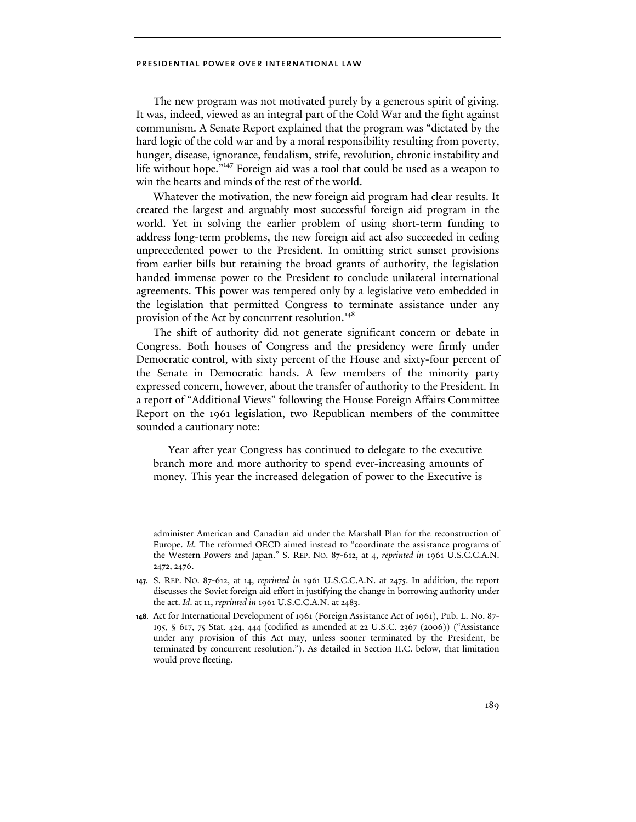The new program was not motivated purely by a generous spirit of giving. It was, indeed, viewed as an integral part of the Cold War and the fight against communism. A Senate Report explained that the program was "dictated by the hard logic of the cold war and by a moral responsibility resulting from poverty, hunger, disease, ignorance, feudalism, strife, revolution, chronic instability and life without hope."147 Foreign aid was a tool that could be used as a weapon to win the hearts and minds of the rest of the world.

Whatever the motivation, the new foreign aid program had clear results. It created the largest and arguably most successful foreign aid program in the world. Yet in solving the earlier problem of using short-term funding to address long-term problems, the new foreign aid act also succeeded in ceding unprecedented power to the President. In omitting strict sunset provisions from earlier bills but retaining the broad grants of authority, the legislation handed immense power to the President to conclude unilateral international agreements. This power was tempered only by a legislative veto embedded in the legislation that permitted Congress to terminate assistance under any provision of the Act by concurrent resolution.<sup>148</sup>

The shift of authority did not generate significant concern or debate in Congress. Both houses of Congress and the presidency were firmly under Democratic control, with sixty percent of the House and sixty-four percent of the Senate in Democratic hands. A few members of the minority party expressed concern, however, about the transfer of authority to the President. In a report of "Additional Views" following the House Foreign Affairs Committee Report on the 1961 legislation, two Republican members of the committee sounded a cautionary note:

 Year after year Congress has continued to delegate to the executive branch more and more authority to spend ever-increasing amounts of money. This year the increased delegation of power to the Executive is

administer American and Canadian aid under the Marshall Plan for the reconstruction of Europe. *Id*. The reformed OECD aimed instead to "coordinate the assistance programs of the Western Powers and Japan." S. REP. NO. 87-612, at 4, *reprinted in* 1961 U.S.C.C.A.N. 2472, 2476.

**<sup>147.</sup>** S. REP. NO. 87-612, at 14, *reprinted in* 1961 U.S.C.C.A.N. at 2475. In addition, the report discusses the Soviet foreign aid effort in justifying the change in borrowing authority under the act. *Id*. at 11, *reprinted in* 1961 U.S.C.C.A.N. at 2483.

**<sup>148.</sup>** Act for International Development of 1961 (Foreign Assistance Act of 1961), Pub. L. No. 87- 195, § 617, 75 Stat. 424, 444 (codified as amended at 22 U.S.C. 2367 (2006)) ("Assistance under any provision of this Act may, unless sooner terminated by the President, be terminated by concurrent resolution."). As detailed in Section II.C. below, that limitation would prove fleeting.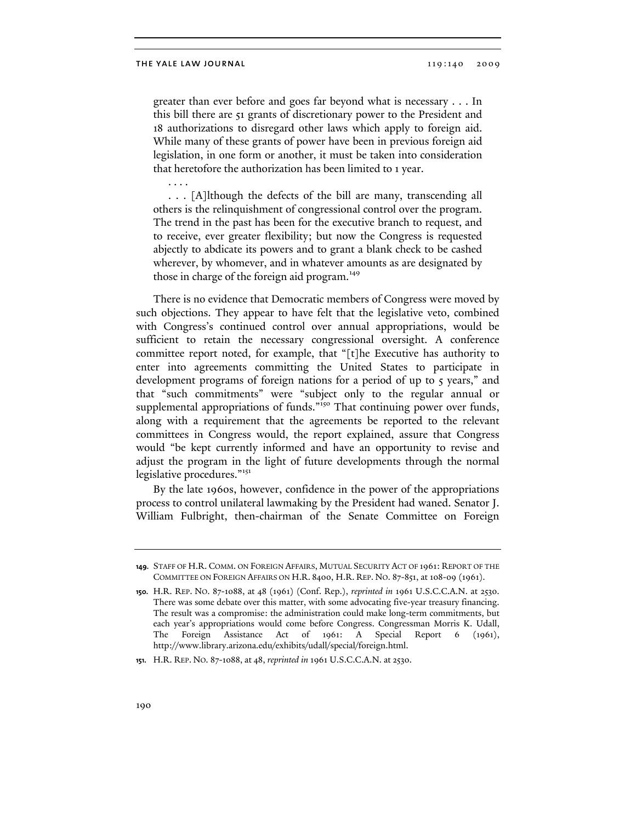. . . .

greater than ever before and goes far beyond what is necessary . . . In this bill there are 51 grants of discretionary power to the President and 18 authorizations to disregard other laws which apply to foreign aid. While many of these grants of power have been in previous foreign aid legislation, in one form or another, it must be taken into consideration that heretofore the authorization has been limited to 1 year.

 . . . [A]lthough the defects of the bill are many, transcending all others is the relinquishment of congressional control over the program. The trend in the past has been for the executive branch to request, and to receive, ever greater flexibility; but now the Congress is requested abjectly to abdicate its powers and to grant a blank check to be cashed wherever, by whomever, and in whatever amounts as are designated by those in charge of the foreign aid program.<sup>149</sup>

There is no evidence that Democratic members of Congress were moved by such objections. They appear to have felt that the legislative veto, combined with Congress's continued control over annual appropriations, would be sufficient to retain the necessary congressional oversight. A conference committee report noted, for example, that "[t]he Executive has authority to enter into agreements committing the United States to participate in development programs of foreign nations for a period of up to 5 years," and that "such commitments" were "subject only to the regular annual or supplemental appropriations of funds."<sup>150</sup> That continuing power over funds, along with a requirement that the agreements be reported to the relevant committees in Congress would, the report explained, assure that Congress would "be kept currently informed and have an opportunity to revise and adjust the program in the light of future developments through the normal legislative procedures."<sup>151</sup>

By the late 1960s, however, confidence in the power of the appropriations process to control unilateral lawmaking by the President had waned. Senator J. William Fulbright, then-chairman of the Senate Committee on Foreign

**<sup>149.</sup>** STAFF OF H.R. COMM. ON FOREIGN AFFAIRS, MUTUAL SECURITY ACT OF 1961: REPORT OF THE COMMITTEE ON FOREIGN AFFAIRS ON H.R. 8400, H.R. REP. NO. 87-851, at 108-09 (1961).

**<sup>150.</sup>** H.R. REP. NO. 87-1088, at 48 (1961) (Conf. Rep.), *reprinted in* 1961 U.S.C.C.A.N. at 2530. There was some debate over this matter, with some advocating five-year treasury financing. The result was a compromise: the administration could make long-term commitments, but each year's appropriations would come before Congress. Congressman Morris K. Udall, The Foreign Assistance Act of 1961: A Special Report 6 (1961), http://www.library.arizona.edu/exhibits/udall/special/foreign.html.

**<sup>151.</sup>** H.R. REP. NO. 87-1088, at 48, *reprinted in* 1961 U.S.C.C.A.N. at 2530.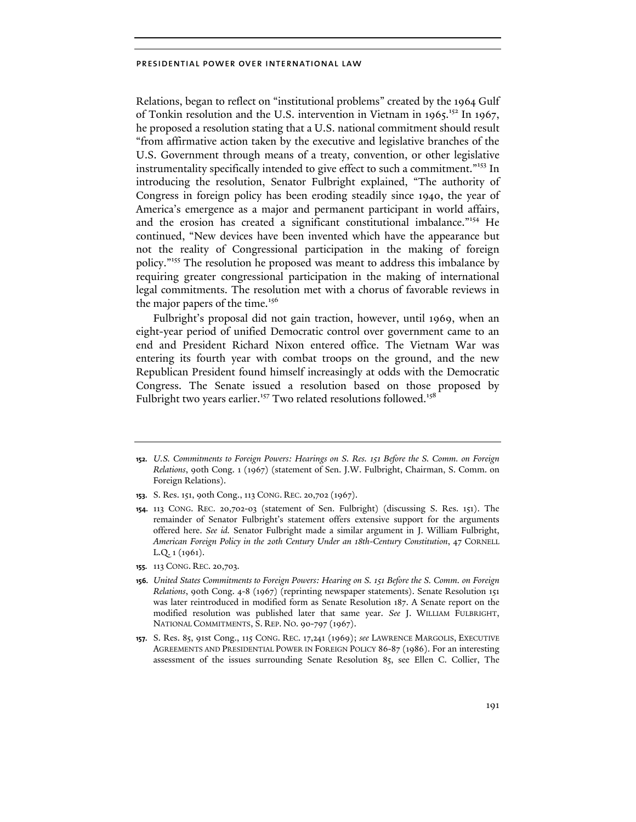Relations, began to reflect on "institutional problems" created by the 1964 Gulf of Tonkin resolution and the U.S. intervention in Vietnam in  $1965$ <sup>152</sup> In 1967, he proposed a resolution stating that a U.S. national commitment should result "from affirmative action taken by the executive and legislative branches of the U.S. Government through means of a treaty, convention, or other legislative instrumentality specifically intended to give effect to such a commitment."<sup>153</sup> In introducing the resolution, Senator Fulbright explained, "The authority of Congress in foreign policy has been eroding steadily since 1940, the year of America's emergence as a major and permanent participant in world affairs, and the erosion has created a significant constitutional imbalance."154 He continued, "New devices have been invented which have the appearance but not the reality of Congressional participation in the making of foreign policy."155 The resolution he proposed was meant to address this imbalance by requiring greater congressional participation in the making of international legal commitments. The resolution met with a chorus of favorable reviews in the major papers of the time.<sup>156</sup>

Fulbright's proposal did not gain traction, however, until 1969, when an eight-year period of unified Democratic control over government came to an end and President Richard Nixon entered office. The Vietnam War was entering its fourth year with combat troops on the ground, and the new Republican President found himself increasingly at odds with the Democratic Congress. The Senate issued a resolution based on those proposed by Fulbright two years earlier.<sup>157</sup> Two related resolutions followed.<sup>158</sup>

**155.** 113 CONG. REC. 20,703.

**<sup>152.</sup>** *U.S. Commitments to Foreign Powers: Hearings on S. Res. 151 Before the S. Comm. on Foreign Relations*, 90th Cong. 1 (1967) (statement of Sen. J.W. Fulbright, Chairman, S. Comm. on Foreign Relations).

**<sup>153.</sup>** S. Res. 151, 90th Cong., 113 CONG. REC. 20,702 (1967).

**<sup>154.</sup>** 113 CONG. REC. 20,702-03 (statement of Sen. Fulbright) (discussing S. Res. 151). The remainder of Senator Fulbright's statement offers extensive support for the arguments offered here. *See id.* Senator Fulbright made a similar argument in J. William Fulbright, *American Foreign Policy in the 20th Century Under an 18th-Century Constitution*, 47 CORNELL L.Q. 1 (1961).

**<sup>156.</sup>** *United States Commitments to Foreign Powers: Hearing on S. 151 Before the S. Comm. on Foreign Relations*, 90th Cong. 4-8 (1967) (reprinting newspaper statements). Senate Resolution 151 was later reintroduced in modified form as Senate Resolution 187. A Senate report on the modified resolution was published later that same year. *See* J. WILLIAM FULBRIGHT, NATIONAL COMMITMENTS, S. REP. NO. 90-797 (1967).

**<sup>157.</sup>** S. Res. 85, 91st Cong., 115 CONG. REC. 17,241 (1969); *see* LAWRENCE MARGOLIS, EXECUTIVE AGREEMENTS AND PRESIDENTIAL POWER IN FOREIGN POLICY 86-87 (1986). For an interesting assessment of the issues surrounding Senate Resolution 85, see Ellen C. Collier, The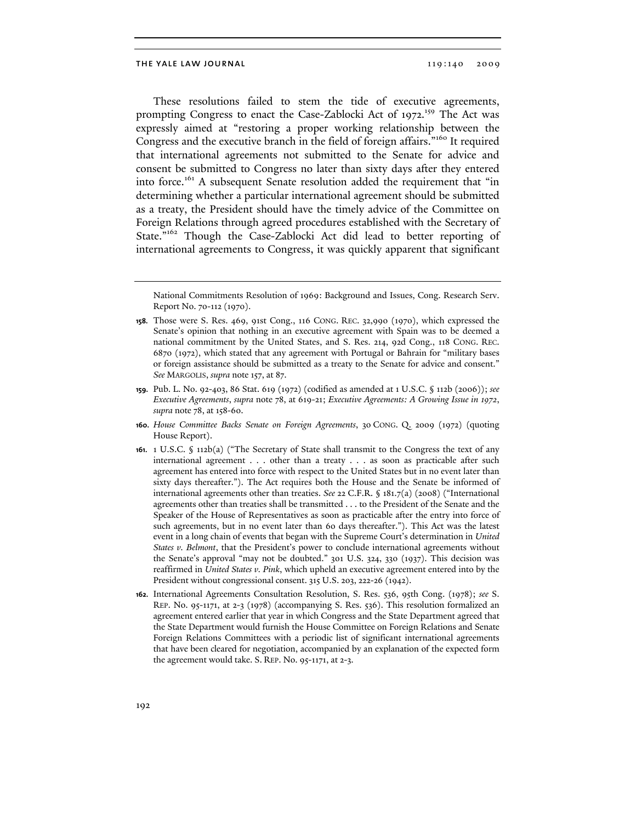These resolutions failed to stem the tide of executive agreements, prompting Congress to enact the Case-Zablocki Act of 1972.<sup>159</sup> The Act was expressly aimed at "restoring a proper working relationship between the Congress and the executive branch in the field of foreign affairs."<sup>160</sup> It required that international agreements not submitted to the Senate for advice and consent be submitted to Congress no later than sixty days after they entered into force.<sup>161</sup> A subsequent Senate resolution added the requirement that "in determining whether a particular international agreement should be submitted as a treaty, the President should have the timely advice of the Committee on Foreign Relations through agreed procedures established with the Secretary of State."<sup>162</sup> Though the Case-Zablocki Act did lead to better reporting of international agreements to Congress, it was quickly apparent that significant

- **160.** *House Committee Backs Senate on Foreign Agreements*, 30 CONG. Q. 2009 (1972) (quoting House Report).
- **161.** 1 U.S.C. § 112b(a) ("The Secretary of State shall transmit to the Congress the text of any international agreement . . . other than a treaty . . . as soon as practicable after such agreement has entered into force with respect to the United States but in no event later than sixty days thereafter."). The Act requires both the House and the Senate be informed of international agreements other than treaties. *See* 22 C.F.R. § 181.7(a) (2008) ("International agreements other than treaties shall be transmitted . . . to the President of the Senate and the Speaker of the House of Representatives as soon as practicable after the entry into force of such agreements, but in no event later than 60 days thereafter."). This Act was the latest event in a long chain of events that began with the Supreme Court's determination in *United States v. Belmont*, that the President's power to conclude international agreements without the Senate's approval "may not be doubted." 301 U.S. 324, 330 (1937). This decision was reaffirmed in *United States v. Pink*, which upheld an executive agreement entered into by the President without congressional consent. 315 U.S. 203, 222-26 (1942).
- **162.** International Agreements Consultation Resolution, S. Res. 536, 95th Cong. (1978); *see* S. REP. No. 95-1171, at 2-3 (1978) (accompanying S. Res. 536). This resolution formalized an agreement entered earlier that year in which Congress and the State Department agreed that the State Department would furnish the House Committee on Foreign Relations and Senate Foreign Relations Committees with a periodic list of significant international agreements that have been cleared for negotiation, accompanied by an explanation of the expected form the agreement would take. S. REP. No. 95-1171, at 2-3.

National Commitments Resolution of 1969: Background and Issues, Cong. Research Serv. Report No. 70-112 (1970).

**<sup>158.</sup>** Those were S. Res. 469, 91st Cong., 116 CONG. REC. 32,990 (1970), which expressed the Senate's opinion that nothing in an executive agreement with Spain was to be deemed a national commitment by the United States, and S. Res. 214, 92d Cong., 118 CONG. REC. 6870 (1972), which stated that any agreement with Portugal or Bahrain for "military bases or foreign assistance should be submitted as a treaty to the Senate for advice and consent." *See* MARGOLIS, *supra* note 157, at 87.

**<sup>159.</sup>** Pub. L. No. 92-403, 86 Stat. 619 (1972) (codified as amended at 1 U.S.C. § 112b (2006)); *see Executive Agreements*, *supra* note 78, at 619-21; *Executive Agreements: A Growing Issue in 1972*, *supra* note 78, at 158-60.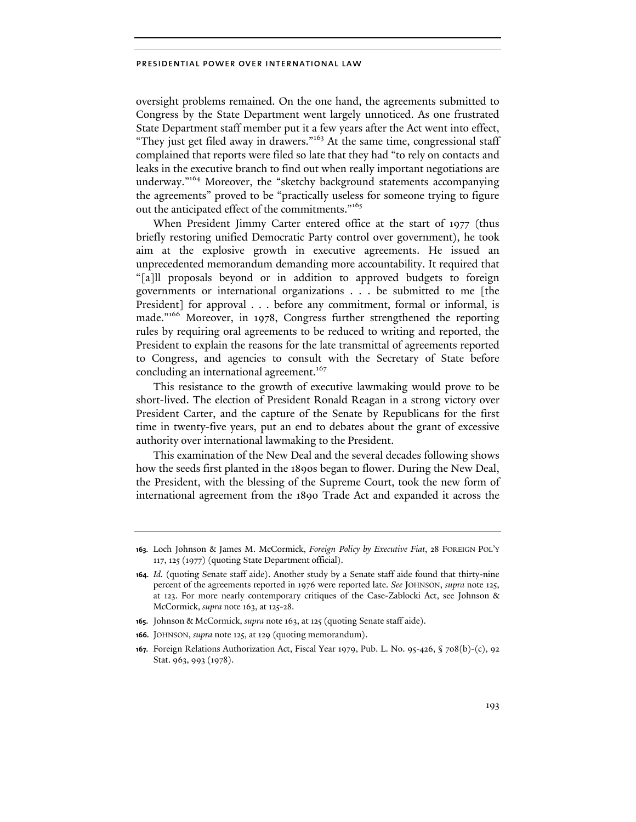oversight problems remained. On the one hand, the agreements submitted to Congress by the State Department went largely unnoticed. As one frustrated State Department staff member put it a few years after the Act went into effect, "They just get filed away in drawers."<sup>163</sup> At the same time, congressional staff complained that reports were filed so late that they had "to rely on contacts and leaks in the executive branch to find out when really important negotiations are underway."164 Moreover, the "sketchy background statements accompanying the agreements" proved to be "practically useless for someone trying to figure out the anticipated effect of the commitments."<sup>165</sup>

When President Jimmy Carter entered office at the start of 1977 (thus briefly restoring unified Democratic Party control over government), he took aim at the explosive growth in executive agreements. He issued an unprecedented memorandum demanding more accountability. It required that "[a]ll proposals beyond or in addition to approved budgets to foreign governments or international organizations . . . be submitted to me [the President] for approval . . . before any commitment, formal or informal, is made."166 Moreover, in 1978, Congress further strengthened the reporting rules by requiring oral agreements to be reduced to writing and reported, the President to explain the reasons for the late transmittal of agreements reported to Congress, and agencies to consult with the Secretary of State before concluding an international agreement.<sup>167</sup>

This resistance to the growth of executive lawmaking would prove to be short-lived. The election of President Ronald Reagan in a strong victory over President Carter, and the capture of the Senate by Republicans for the first time in twenty-five years, put an end to debates about the grant of excessive authority over international lawmaking to the President.

This examination of the New Deal and the several decades following shows how the seeds first planted in the 1890s began to flower. During the New Deal, the President, with the blessing of the Supreme Court, took the new form of international agreement from the 1890 Trade Act and expanded it across the

- **165.** Johnson & McCormick, *supra* note 163, at 125 (quoting Senate staff aide).
- **166.** JOHNSON, *supra* note 125, at 129 (quoting memorandum).
- **167.** Foreign Relations Authorization Act, Fiscal Year 1979, Pub. L. No. 95-426, § 708(b)-(c), 92 Stat. 963, 993 (1978).

**<sup>163.</sup>** Loch Johnson & James M. McCormick, *Foreign Policy by Executive Fiat*, 28 FOREIGN POL'Y 117, 125 (1977) (quoting State Department official).

**<sup>164.</sup>** *Id.* (quoting Senate staff aide). Another study by a Senate staff aide found that thirty-nine percent of the agreements reported in 1976 were reported late. *See* JOHNSON, *supra* note 125, at 123. For more nearly contemporary critiques of the Case-Zablocki Act, see Johnson & McCormick, *supra* note 163, at 125-28.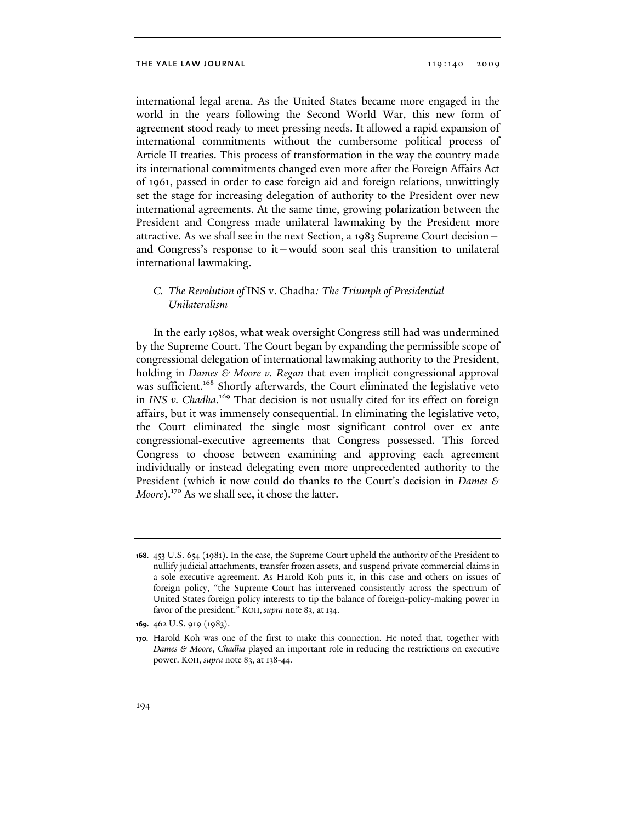international legal arena. As the United States became more engaged in the world in the years following the Second World War, this new form of agreement stood ready to meet pressing needs. It allowed a rapid expansion of international commitments without the cumbersome political process of Article II treaties. This process of transformation in the way the country made its international commitments changed even more after the Foreign Affairs Act of 1961, passed in order to ease foreign aid and foreign relations, unwittingly set the stage for increasing delegation of authority to the President over new international agreements. At the same time, growing polarization between the President and Congress made unilateral lawmaking by the President more attractive. As we shall see in the next Section, a 1983 Supreme Court decision and Congress's response to it—would soon seal this transition to unilateral international lawmaking.

### *C. The Revolution of* INS v. Chadha*: The Triumph of Presidential Unilateralism*

In the early 1980s, what weak oversight Congress still had was undermined by the Supreme Court. The Court began by expanding the permissible scope of congressional delegation of international lawmaking authority to the President, holding in *Dames & Moore v. Regan* that even implicit congressional approval was sufficient.<sup>168</sup> Shortly afterwards, the Court eliminated the legislative veto in *INS v. Chadha*. 169 That decision is not usually cited for its effect on foreign affairs, but it was immensely consequential. In eliminating the legislative veto, the Court eliminated the single most significant control over ex ante congressional-executive agreements that Congress possessed. This forced Congress to choose between examining and approving each agreement individually or instead delegating even more unprecedented authority to the President (which it now could do thanks to the Court's decision in *Dames & Moore*).<sup>170</sup> As we shall see, it chose the latter.

**<sup>168.</sup>** 453 U.S. 654 (1981). In the case, the Supreme Court upheld the authority of the President to nullify judicial attachments, transfer frozen assets, and suspend private commercial claims in a sole executive agreement. As Harold Koh puts it, in this case and others on issues of foreign policy, "the Supreme Court has intervened consistently across the spectrum of United States foreign policy interests to tip the balance of foreign-policy-making power in favor of the president." KOH, *supra* note 83, at 134.

**<sup>169.</sup>** 462 U.S. 919 (1983).

**<sup>170.</sup>** Harold Koh was one of the first to make this connection. He noted that, together with *Dames & Moore*, *Chadha* played an important role in reducing the restrictions on executive power. KOH, *supra* note 83, at 138-44.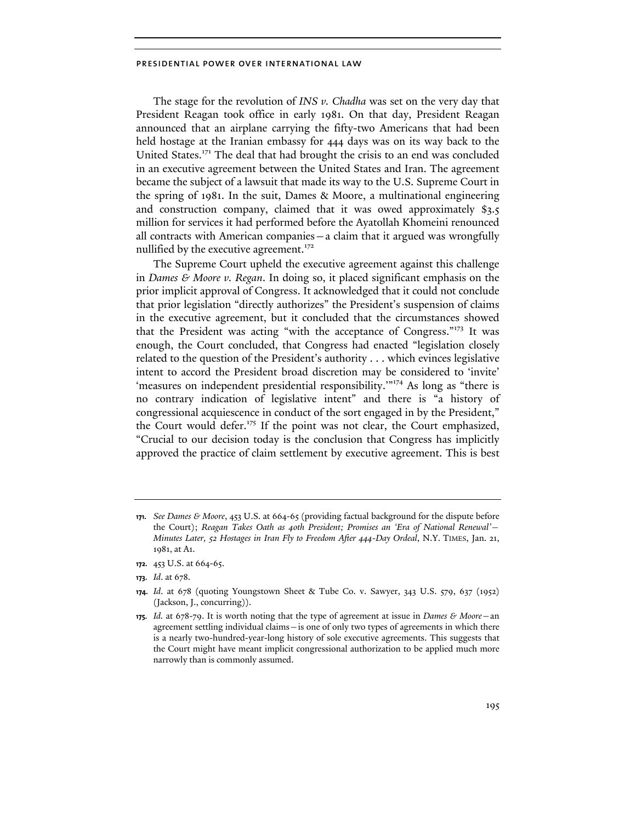The stage for the revolution of *INS v. Chadha* was set on the very day that President Reagan took office in early 1981. On that day, President Reagan announced that an airplane carrying the fifty-two Americans that had been held hostage at the Iranian embassy for 444 days was on its way back to the United States.<sup>171</sup> The deal that had brought the crisis to an end was concluded in an executive agreement between the United States and Iran. The agreement became the subject of a lawsuit that made its way to the U.S. Supreme Court in the spring of 1981. In the suit, Dames & Moore, a multinational engineering and construction company, claimed that it was owed approximately \$3.5 million for services it had performed before the Ayatollah Khomeini renounced all contracts with American companies—a claim that it argued was wrongfully nullified by the executive agreement. $172$ 

The Supreme Court upheld the executive agreement against this challenge in *Dames & Moore v. Regan*. In doing so, it placed significant emphasis on the prior implicit approval of Congress. It acknowledged that it could not conclude that prior legislation "directly authorizes" the President's suspension of claims in the executive agreement, but it concluded that the circumstances showed that the President was acting "with the acceptance of Congress."173 It was enough, the Court concluded, that Congress had enacted "legislation closely related to the question of the President's authority . . . which evinces legislative intent to accord the President broad discretion may be considered to 'invite' 'measures on independent presidential responsibility.'"<sup>174</sup> As long as "there is no contrary indication of legislative intent" and there is "a history of congressional acquiescence in conduct of the sort engaged in by the President," the Court would defer.<sup>175</sup> If the point was not clear, the Court emphasized, "Crucial to our decision today is the conclusion that Congress has implicitly approved the practice of claim settlement by executive agreement. This is best

**<sup>171.</sup>** *See Dames & Moore*, 453 U.S. at 664-65 (providing factual background for the dispute before the Court); *Reagan Takes Oath as 40th President; Promises an 'Era of National Renewal'— Minutes Later, 52 Hostages in Iran Fly to Freedom After 444-Day Ordeal*, N.Y. TIMES, Jan. 21, 1981, at A1.

**<sup>172.</sup>** 453 U.S. at 664-65.

**<sup>173.</sup>** *Id*. at 678.

**<sup>174.</sup>** *Id*. at 678 (quoting Youngstown Sheet & Tube Co. v. Sawyer, 343 U.S. 579, 637 (1952) (Jackson, J., concurring)).

**<sup>175.</sup>** *Id.* at 678-79. It is worth noting that the type of agreement at issue in *Dames & Moore*—an agreement settling individual claims—is one of only two types of agreements in which there is a nearly two-hundred-year-long history of sole executive agreements. This suggests that the Court might have meant implicit congressional authorization to be applied much more narrowly than is commonly assumed.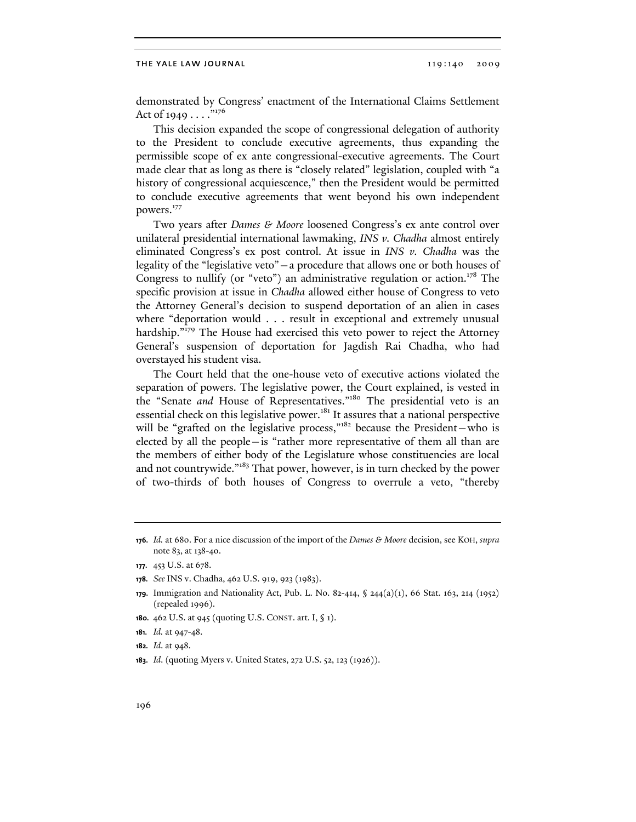demonstrated by Congress' enactment of the International Claims Settlement Act of 1949  $\dots$ ."176

This decision expanded the scope of congressional delegation of authority to the President to conclude executive agreements, thus expanding the permissible scope of ex ante congressional-executive agreements. The Court made clear that as long as there is "closely related" legislation, coupled with "a history of congressional acquiescence," then the President would be permitted to conclude executive agreements that went beyond his own independent powers.<sup>177</sup>

Two years after *Dames & Moore* loosened Congress's ex ante control over unilateral presidential international lawmaking, *INS v. Chadha* almost entirely eliminated Congress's ex post control. At issue in *INS v. Chadha* was the legality of the "legislative veto"—a procedure that allows one or both houses of Congress to nullify (or "veto") an administrative regulation or action.<sup>178</sup> The specific provision at issue in *Chadha* allowed either house of Congress to veto the Attorney General's decision to suspend deportation of an alien in cases where "deportation would . . . result in exceptional and extremely unusual hardship."<sup>179</sup> The House had exercised this veto power to reject the Attorney General's suspension of deportation for Jagdish Rai Chadha, who had overstayed his student visa.

The Court held that the one-house veto of executive actions violated the separation of powers. The legislative power, the Court explained, is vested in the "Senate *and* House of Representatives."<sup>180</sup> The presidential veto is an essential check on this legislative power.<sup>181</sup> It assures that a national perspective will be "grafted on the legislative process," $182$  because the President-who is elected by all the people—is "rather more representative of them all than are the members of either body of the Legislature whose constituencies are local and not countrywide."183 That power, however, is in turn checked by the power of two-thirds of both houses of Congress to overrule a veto, "thereby

- **180.** 462 U.S. at 945 (quoting U.S. CONST. art. I, § 1).
- **181.** *Id.* at 947-48.
- **182.** *Id*. at 948.
- **183.** *Id*. (quoting Myers v. United States, 272 U.S. 52, 123 (1926)).

**<sup>176.</sup>** *Id.* at 680. For a nice discussion of the import of the *Dames & Moore* decision, see KOH, *supra* note 83, at 138-40.

**<sup>177.</sup>** 453 U.S. at 678.

**<sup>178.</sup>** *See* INS v. Chadha, 462 U.S. 919, 923 (1983).

**<sup>179.</sup>** Immigration and Nationality Act, Pub. L. No. 82-414, § 244(a)(1), 66 Stat. 163, 214 (1952) (repealed 1996).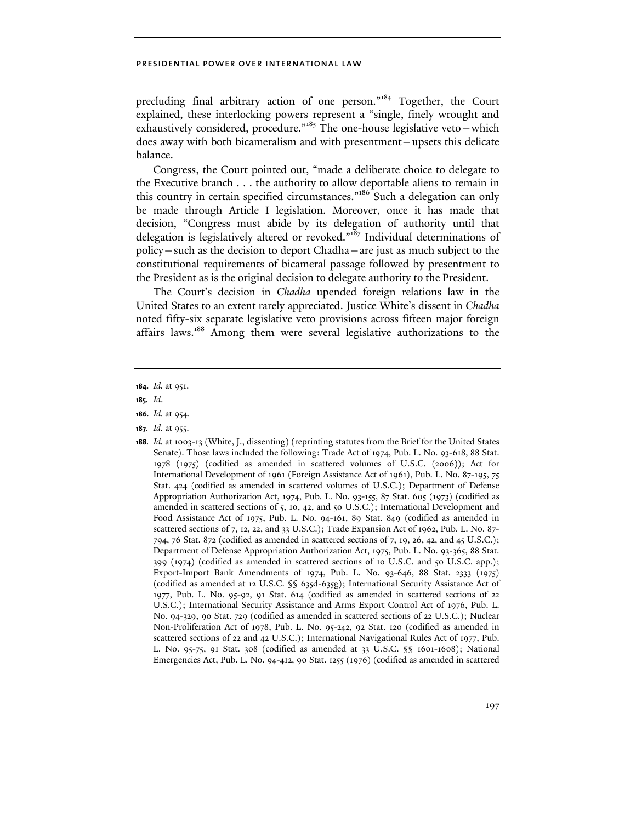precluding final arbitrary action of one person."184 Together, the Court explained, these interlocking powers represent a "single, finely wrought and exhaustively considered, procedure."<sup>185</sup> The one-house legislative veto-which does away with both bicameralism and with presentment—upsets this delicate balance.

Congress, the Court pointed out, "made a deliberate choice to delegate to the Executive branch . . . the authority to allow deportable aliens to remain in this country in certain specified circumstances."<sup>186</sup> Such a delegation can only be made through Article I legislation. Moreover, once it has made that decision, "Congress must abide by its delegation of authority until that delegation is legislatively altered or revoked."<sup>187</sup> Individual determinations of policy—such as the decision to deport Chadha—are just as much subject to the constitutional requirements of bicameral passage followed by presentment to the President as is the original decision to delegate authority to the President.

The Court's decision in *Chadha* upended foreign relations law in the United States to an extent rarely appreciated. Justice White's dissent in *Chadha* noted fifty-six separate legislative veto provisions across fifteen major foreign affairs laws.188 Among them were several legislative authorizations to the

- **186.** *Id.* at 954.
- **187.** *Id.* at 955.
- **188.** *Id.* at 1003-13 (White, J., dissenting) (reprinting statutes from the Brief for the United States Senate). Those laws included the following: Trade Act of 1974, Pub. L. No. 93-618, 88 Stat. 1978 (1975) (codified as amended in scattered volumes of U.S.C. (2006)); Act for International Development of 1961 (Foreign Assistance Act of 1961), Pub. L. No. 87-195, 75 Stat. 424 (codified as amended in scattered volumes of U.S.C.); Department of Defense Appropriation Authorization Act, 1974, Pub. L. No. 93-155, 87 Stat. 605 (1973) (codified as amended in scattered sections of 5, 10, 42, and 50 U.S.C.); International Development and Food Assistance Act of 1975, Pub. L. No. 94-161, 89 Stat. 849 (codified as amended in scattered sections of 7, 12, 22, and 33 U.S.C.); Trade Expansion Act of 1962, Pub. L. No. 87- 794, 76 Stat. 872 (codified as amended in scattered sections of 7, 19, 26, 42, and 45 U.S.C.); Department of Defense Appropriation Authorization Act, 1975, Pub. L. No. 93-365, 88 Stat. 399 (1974) (codified as amended in scattered sections of 10 U.S.C. and 50 U.S.C. app.); Export-Import Bank Amendments of 1974, Pub. L. No. 93-646, 88 Stat. 2333 (1975) (codified as amended at 12 U.S.C. §§ 635d-635g); International Security Assistance Act of 1977, Pub. L. No. 95-92, 91 Stat. 614 (codified as amended in scattered sections of 22 U.S.C.); International Security Assistance and Arms Export Control Act of 1976, Pub. L. No. 94-329, 90 Stat. 729 (codified as amended in scattered sections of 22 U.S.C.); Nuclear Non-Proliferation Act of 1978, Pub. L. No. 95-242, 92 Stat. 120 (codified as amended in scattered sections of 22 and 42 U.S.C.); International Navigational Rules Act of 1977, Pub. L. No. 95-75, 91 Stat. 308 (codified as amended at 33 U.S.C. §§ 1601-1608); National Emergencies Act, Pub. L. No. 94-412, 90 Stat. 1255 (1976) (codified as amended in scattered

**<sup>184.</sup>** *Id.* at 951.

**<sup>185.</sup>** *Id*.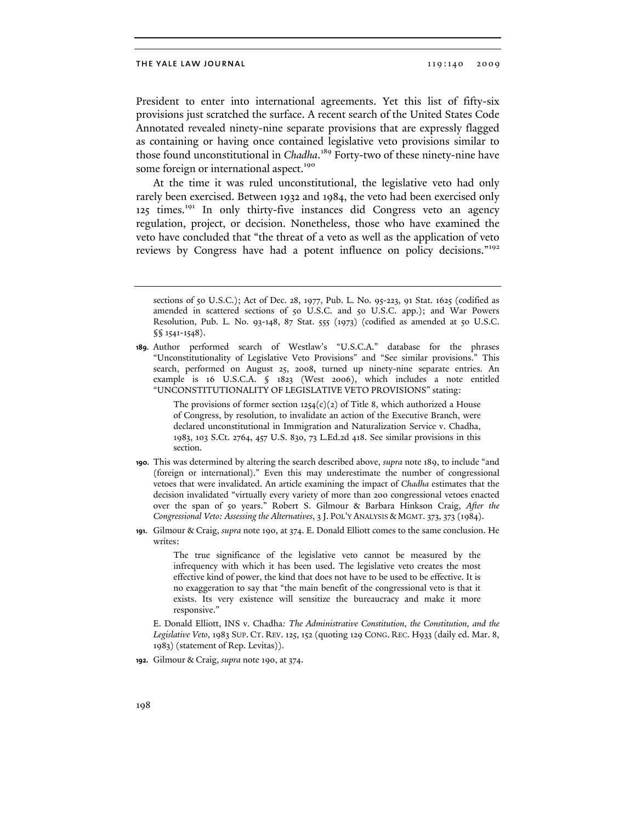President to enter into international agreements. Yet this list of fifty-six provisions just scratched the surface. A recent search of the United States Code Annotated revealed ninety-nine separate provisions that are expressly flagged as containing or having once contained legislative veto provisions similar to those found unconstitutional in *Chadha*. 189 Forty-two of these ninety-nine have some foreign or international aspect.<sup>190</sup>

At the time it was ruled unconstitutional, the legislative veto had only rarely been exercised. Between 1932 and 1984, the veto had been exercised only 125 times.191 In only thirty-five instances did Congress veto an agency regulation, project, or decision. Nonetheless, those who have examined the veto have concluded that "the threat of a veto as well as the application of veto reviews by Congress have had a potent influence on policy decisions."<sup>192</sup>

The provisions of former section  $1254(c)(2)$  of Title 8, which authorized a House of Congress, by resolution, to invalidate an action of the Executive Branch, were declared unconstitutional in Immigration and Naturalization Service v. Chadha, 1983, 103 S.Ct. 2764, 457 U.S. 830, 73 L.Ed.2d 418. See similar provisions in this section.

- **190.** This was determined by altering the search described above, *supra* note 189, to include "and (foreign or international)." Even this may underestimate the number of congressional vetoes that were invalidated. An article examining the impact of *Chadha* estimates that the decision invalidated "virtually every variety of more than 200 congressional vetoes enacted over the span of 50 years." Robert S. Gilmour & Barbara Hinkson Craig, *After the Congressional Veto: Assessing the Alternatives*, 3 J. POL'Y ANALYSIS & MGMT. 373, 373 (1984).
- **191.** Gilmour & Craig, *supra* note 190, at 374. E. Donald Elliott comes to the same conclusion. He writes:

The true significance of the legislative veto cannot be measured by the infrequency with which it has been used. The legislative veto creates the most effective kind of power, the kind that does not have to be used to be effective. It is no exaggeration to say that "the main benefit of the congressional veto is that it exists. Its very existence will sensitize the bureaucracy and make it more responsive."

 E. Donald Elliott, INS v. Chadha*: The Administrative Constitution, the Constitution, and the Legislative Veto*, 1983 SUP. CT. REV. 125, 152 (quoting 129 CONG. REC. H933 (daily ed. Mar. 8, 1983) (statement of Rep. Levitas)).

**192.** Gilmour & Craig, *supra* note 190, at 374.

sections of 50 U.S.C.); Act of Dec. 28, 1977, Pub. L. No. 95-223, 91 Stat. 1625 (codified as amended in scattered sections of 50 U.S.C. and 50 U.S.C. app.); and War Powers Resolution, Pub. L. No. 93-148, 87 Stat. 555 (1973) (codified as amended at 50 U.S.C. §§ 1541-1548).

**<sup>189.</sup>** Author performed search of Westlaw's "U.S.C.A." database for the phrases "Unconstitutionality of Legislative Veto Provisions" and "See similar provisions." This search, performed on August 25, 2008, turned up ninety-nine separate entries. An example is 16 U.S.C.A. § 1823 (West 2006), which includes a note entitled "UNCONSTITUTIONALITY OF LEGISLATIVE VETO PROVISIONS" stating: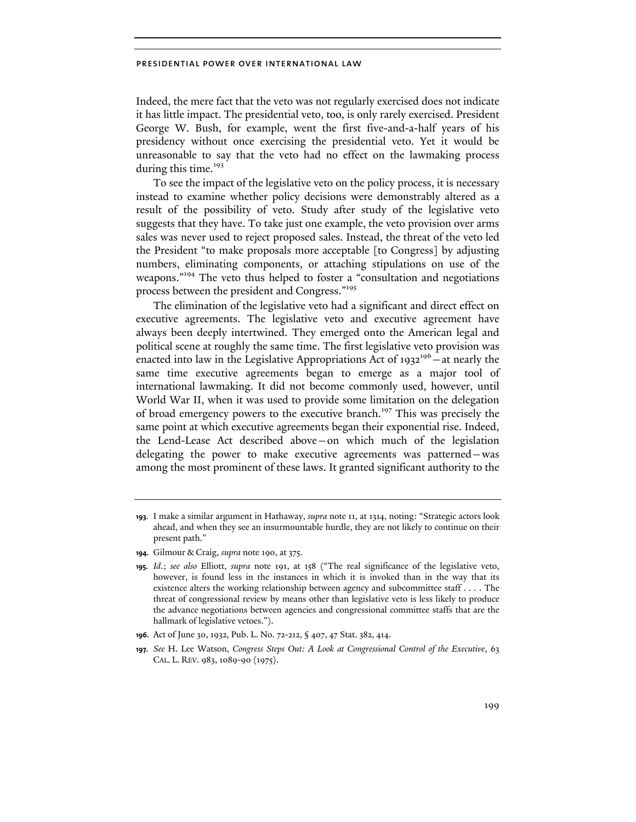Indeed, the mere fact that the veto was not regularly exercised does not indicate it has little impact. The presidential veto, too, is only rarely exercised. President George W. Bush, for example, went the first five-and-a-half years of his presidency without once exercising the presidential veto. Yet it would be unreasonable to say that the veto had no effect on the lawmaking process during this time.<sup>193</sup>

To see the impact of the legislative veto on the policy process, it is necessary instead to examine whether policy decisions were demonstrably altered as a result of the possibility of veto. Study after study of the legislative veto suggests that they have. To take just one example, the veto provision over arms sales was never used to reject proposed sales. Instead, the threat of the veto led the President "to make proposals more acceptable [to Congress] by adjusting numbers, eliminating components, or attaching stipulations on use of the weapons."<sup>194</sup> The veto thus helped to foster a "consultation and negotiations" process between the president and Congress."<sup>195</sup>

The elimination of the legislative veto had a significant and direct effect on executive agreements. The legislative veto and executive agreement have always been deeply intertwined. They emerged onto the American legal and political scene at roughly the same time. The first legislative veto provision was enacted into law in the Legislative Appropriations Act of  $1932^{196}$  – at nearly the same time executive agreements began to emerge as a major tool of international lawmaking. It did not become commonly used, however, until World War II, when it was used to provide some limitation on the delegation of broad emergency powers to the executive branch.<sup>197</sup> This was precisely the same point at which executive agreements began their exponential rise. Indeed, the Lend-Lease Act described above—on which much of the legislation delegating the power to make executive agreements was patterned—was among the most prominent of these laws. It granted significant authority to the

**<sup>193.</sup>** I make a similar argument in Hathaway, *supra* note 11, at 1314, noting: "Strategic actors look ahead, and when they see an insurmountable hurdle, they are not likely to continue on their present path."

**<sup>194.</sup>** Gilmour & Craig, *supra* note 190, at 375.

**<sup>195.</sup>** *Id*.; *see also* Elliott, *supra* note 191, at 158 ("The real significance of the legislative veto, however, is found less in the instances in which it is invoked than in the way that its existence alters the working relationship between agency and subcommittee staff . . . . The threat of congressional review by means other than legislative veto is less likely to produce the advance negotiations between agencies and congressional committee staffs that are the hallmark of legislative vetoes.").

**<sup>196.</sup>** Act of June 30, 1932, Pub. L. No. 72-212, § 407, 47 Stat. 382, 414.

**<sup>197.</sup>** *See* H. Lee Watson, *Congress Steps Out: A Look at Congressional Control of the Executive*, 63 CAL. L. REV. 983, 1089-90 (1975).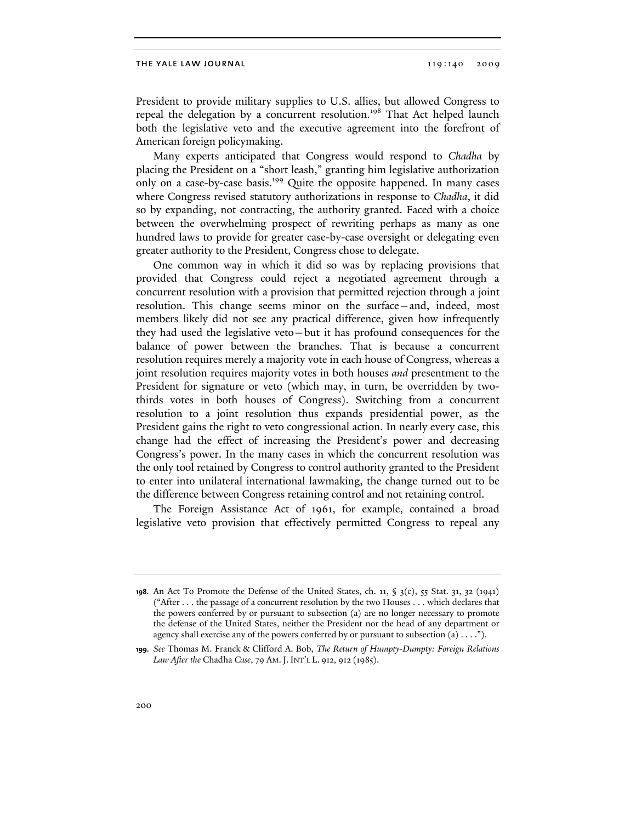President to provide military supplies to U.S. allies, but allowed Congress to repeal the delegation by a concurrent resolution.<sup>198</sup> That Act helped launch both the legislative veto and the executive agreement into the forefront of American foreign policymaking.

Many experts anticipated that Congress would respond to *Chadha* by placing the President on a "short leash," granting him legislative authorization only on a case-by-case basis.<sup>199</sup> Quite the opposite happened. In many cases where Congress revised statutory authorizations in response to *Chadha*, it did so by expanding, not contracting, the authority granted. Faced with a choice between the overwhelming prospect of rewriting perhaps as many as one hundred laws to provide for greater case-by-case oversight or delegating even greater authority to the President, Congress chose to delegate.

One common way in which it did so was by replacing provisions that provided that Congress could reject a negotiated agreement through a concurrent resolution with a provision that permitted rejection through a joint resolution. This change seems minor on the surface—and, indeed, most members likely did not see any practical difference, given how infrequently they had used the legislative veto—but it has profound consequences for the balance of power between the branches. That is because a concurrent resolution requires merely a majority vote in each house of Congress, whereas a joint resolution requires majority votes in both houses *and* presentment to the President for signature or veto (which may, in turn, be overridden by twothirds votes in both houses of Congress). Switching from a concurrent resolution to a joint resolution thus expands presidential power, as the President gains the right to veto congressional action. In nearly every case, this change had the effect of increasing the President's power and decreasing Congress's power. In the many cases in which the concurrent resolution was the only tool retained by Congress to control authority granted to the President to enter into unilateral international lawmaking, the change turned out to be the difference between Congress retaining control and not retaining control.

The Foreign Assistance Act of 1961, for example, contained a broad legislative veto provision that effectively permitted Congress to repeal any

**<sup>198.</sup>** An Act To Promote the Defense of the United States, ch. 11, § 3(c), 55 Stat. 31, 32 (1941) ("After . . . the passage of a concurrent resolution by the two Houses . . . which declares that the powers conferred by or pursuant to subsection (a) are no longer necessary to promote the defense of the United States, neither the President nor the head of any department or agency shall exercise any of the powers conferred by or pursuant to subsection  $(a) \ldots$ .").

**<sup>199.</sup>** *See* Thomas M. Franck & Clifford A. Bob, *The Return of Humpty-Dumpty: Foreign Relations Law After the* Chadha *Case*, 79 AM.J. INT'L L. 912, 912 (1985).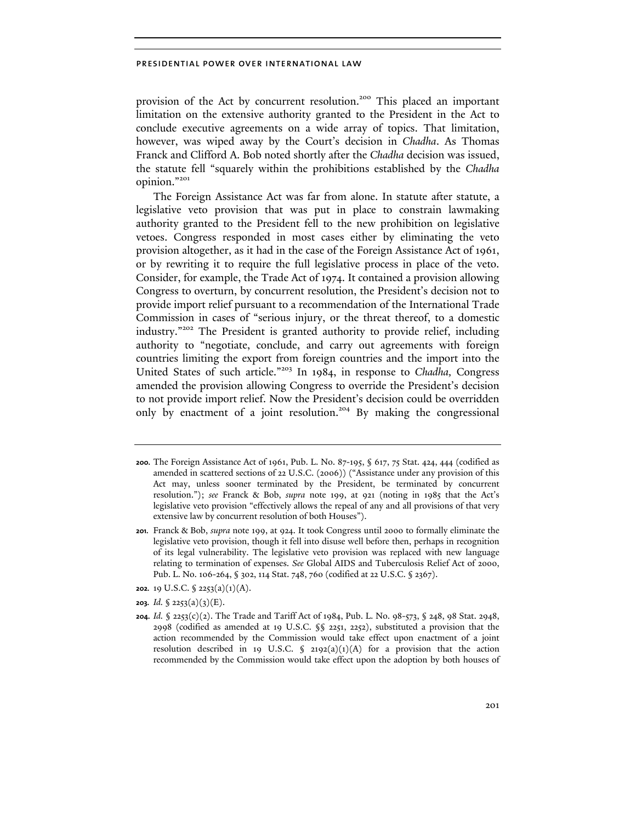provision of the Act by concurrent resolution.<sup>200</sup> This placed an important limitation on the extensive authority granted to the President in the Act to conclude executive agreements on a wide array of topics. That limitation, however, was wiped away by the Court's decision in *Chadha*. As Thomas Franck and Clifford A. Bob noted shortly after the *Chadha* decision was issued, the statute fell "squarely within the prohibitions established by the *Chadha* opinion."<sup>201</sup>

The Foreign Assistance Act was far from alone. In statute after statute, a legislative veto provision that was put in place to constrain lawmaking authority granted to the President fell to the new prohibition on legislative vetoes. Congress responded in most cases either by eliminating the veto provision altogether, as it had in the case of the Foreign Assistance Act of 1961, or by rewriting it to require the full legislative process in place of the veto. Consider, for example, the Trade Act of 1974. It contained a provision allowing Congress to overturn, by concurrent resolution, the President's decision not to provide import relief pursuant to a recommendation of the International Trade Commission in cases of "serious injury, or the threat thereof, to a domestic industry."202 The President is granted authority to provide relief, including authority to "negotiate, conclude, and carry out agreements with foreign countries limiting the export from foreign countries and the import into the United States of such article."203 In 1984, in response to *Chadha,* Congress amended the provision allowing Congress to override the President's decision to not provide import relief. Now the President's decision could be overridden only by enactment of a joint resolution.<sup>204</sup> By making the congressional

**<sup>200.</sup>** The Foreign Assistance Act of 1961, Pub. L. No. 87-195, § 617, 75 Stat. 424, 444 (codified as amended in scattered sections of 22 U.S.C. (2006)) ("Assistance under any provision of this Act may, unless sooner terminated by the President, be terminated by concurrent resolution."); *see* Franck & Bob, *supra* note 199, at 921 (noting in 1985 that the Act's legislative veto provision "effectively allows the repeal of any and all provisions of that very extensive law by concurrent resolution of both Houses").

**<sup>201.</sup>** Franck & Bob, *supra* note 199, at 924. It took Congress until 2000 to formally eliminate the legislative veto provision, though it fell into disuse well before then, perhaps in recognition of its legal vulnerability. The legislative veto provision was replaced with new language relating to termination of expenses. *See* Global AIDS and Tuberculosis Relief Act of 2000, Pub. L. No. 106-264, § 302, 114 Stat. 748, 760 (codified at 22 U.S.C. § 2367).

**<sup>202.</sup>** 19 U.S.C. § 2253(a)(1)(A).

**<sup>203.</sup>** *Id.* § 2253(a)(3)(E).

**<sup>204.</sup>** *Id.* § 2253(c)(2). The Trade and Tariff Act of 1984, Pub. L. No. 98-573, § 248, 98 Stat. 2948, 2998 (codified as amended at 19 U.S.C. §§ 2251, 2252), substituted a provision that the action recommended by the Commission would take effect upon enactment of a joint resolution described in 19 U.S.C.  $\int$  2192(a)(1)(A) for a provision that the action recommended by the Commission would take effect upon the adoption by both houses of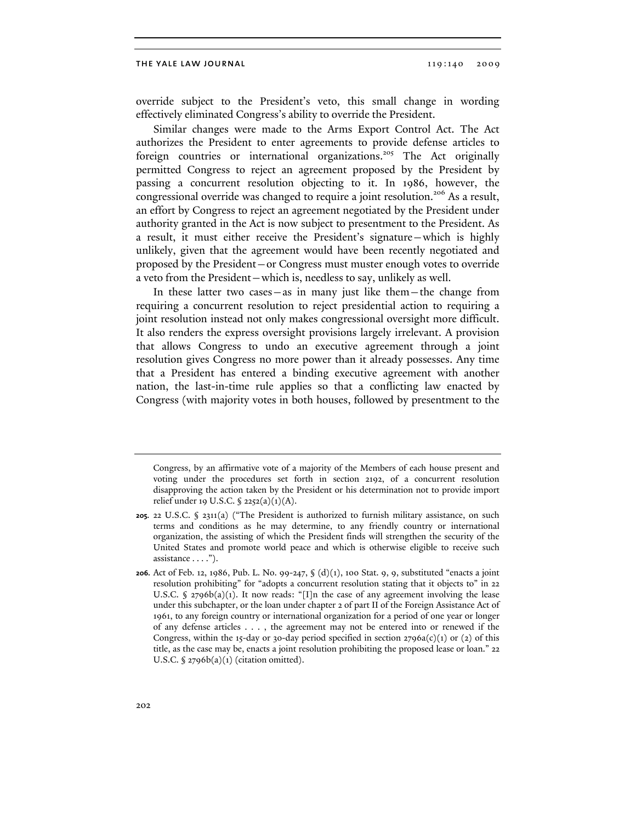override subject to the President's veto, this small change in wording effectively eliminated Congress's ability to override the President.

Similar changes were made to the Arms Export Control Act. The Act authorizes the President to enter agreements to provide defense articles to foreign countries or international organizations.<sup>205</sup> The Act originally permitted Congress to reject an agreement proposed by the President by passing a concurrent resolution objecting to it. In 1986, however, the congressional override was changed to require a joint resolution.<sup>206</sup> As a result, an effort by Congress to reject an agreement negotiated by the President under authority granted in the Act is now subject to presentment to the President. As a result, it must either receive the President's signature—which is highly unlikely, given that the agreement would have been recently negotiated and proposed by the President—or Congress must muster enough votes to override a veto from the President—which is, needless to say, unlikely as well.

In these latter two cases—as in many just like them—the change from requiring a concurrent resolution to reject presidential action to requiring a joint resolution instead not only makes congressional oversight more difficult. It also renders the express oversight provisions largely irrelevant. A provision that allows Congress to undo an executive agreement through a joint resolution gives Congress no more power than it already possesses. Any time that a President has entered a binding executive agreement with another nation, the last-in-time rule applies so that a conflicting law enacted by Congress (with majority votes in both houses, followed by presentment to the

Congress, by an affirmative vote of a majority of the Members of each house present and voting under the procedures set forth in section 2192, of a concurrent resolution disapproving the action taken by the President or his determination not to provide import relief under 19 U.S.C. § 2252(a)(1)(A).

**<sup>205.</sup>** 22 U.S.C. § 2311(a) ("The President is authorized to furnish military assistance, on such terms and conditions as he may determine, to any friendly country or international organization, the assisting of which the President finds will strengthen the security of the United States and promote world peace and which is otherwise eligible to receive such assistance . . . .").

**<sup>206.</sup>** Act of Feb. 12, 1986, Pub. L. No. 99-247, § (d)(1), 100 Stat. 9, 9, substituted "enacts a joint resolution prohibiting" for "adopts a concurrent resolution stating that it objects to" in 22 U.S.C.  $\oint$  2796b(a)(1). It now reads: "[I]n the case of any agreement involving the lease under this subchapter, or the loan under chapter 2 of part II of the Foreign Assistance Act of 1961, to any foreign country or international organization for a period of one year or longer of any defense articles . . . , the agreement may not be entered into or renewed if the Congress, within the 15-day or 30-day period specified in section  $2796a(c)(1)$  or (2) of this title, as the case may be, enacts a joint resolution prohibiting the proposed lease or loan." 22 U.S.C.  $\sqrt{2796b(a)(1)}$  (citation omitted).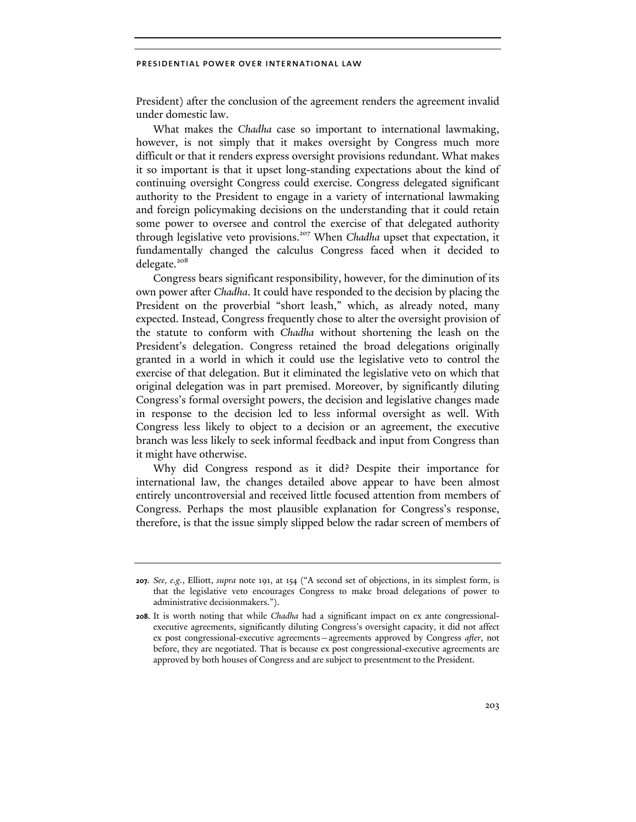President) after the conclusion of the agreement renders the agreement invalid under domestic law.

What makes the *Chadha* case so important to international lawmaking, however, is not simply that it makes oversight by Congress much more difficult or that it renders express oversight provisions redundant. What makes it so important is that it upset long-standing expectations about the kind of continuing oversight Congress could exercise. Congress delegated significant authority to the President to engage in a variety of international lawmaking and foreign policymaking decisions on the understanding that it could retain some power to oversee and control the exercise of that delegated authority through legislative veto provisions.<sup>207</sup> When *Chadha* upset that expectation, it fundamentally changed the calculus Congress faced when it decided to delegate.<sup>208</sup>

Congress bears significant responsibility, however, for the diminution of its own power after *Chadha*. It could have responded to the decision by placing the President on the proverbial "short leash," which, as already noted, many expected. Instead, Congress frequently chose to alter the oversight provision of the statute to conform with *Chadha* without shortening the leash on the President's delegation. Congress retained the broad delegations originally granted in a world in which it could use the legislative veto to control the exercise of that delegation. But it eliminated the legislative veto on which that original delegation was in part premised. Moreover, by significantly diluting Congress's formal oversight powers, the decision and legislative changes made in response to the decision led to less informal oversight as well. With Congress less likely to object to a decision or an agreement, the executive branch was less likely to seek informal feedback and input from Congress than it might have otherwise.

Why did Congress respond as it did? Despite their importance for international law, the changes detailed above appear to have been almost entirely uncontroversial and received little focused attention from members of Congress. Perhaps the most plausible explanation for Congress's response, therefore, is that the issue simply slipped below the radar screen of members of

**<sup>207.</sup>** *See, e.g.*, Elliott, *supra* note 191, at 154 ("A second set of objections, in its simplest form, is that the legislative veto encourages Congress to make broad delegations of power to administrative decisionmakers.").

**<sup>208.</sup>** It is worth noting that while *Chadha* had a significant impact on ex ante congressionalexecutive agreements, significantly diluting Congress's oversight capacity, it did not affect ex post congressional-executive agreements—agreements approved by Congress *after*, not before, they are negotiated. That is because ex post congressional-executive agreements are approved by both houses of Congress and are subject to presentment to the President.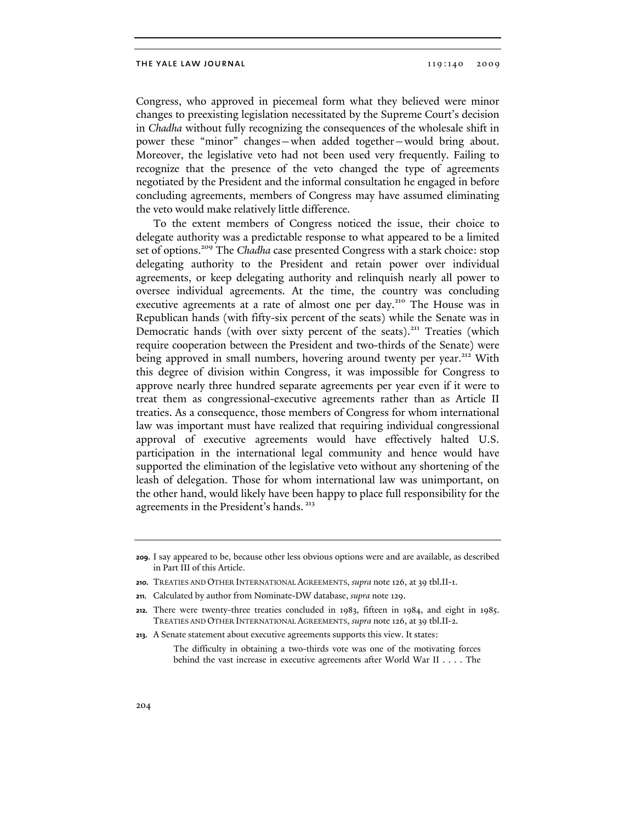Congress, who approved in piecemeal form what they believed were minor changes to preexisting legislation necessitated by the Supreme Court's decision in *Chadha* without fully recognizing the consequences of the wholesale shift in power these "minor" changes—when added together—would bring about. Moreover, the legislative veto had not been used very frequently. Failing to recognize that the presence of the veto changed the type of agreements negotiated by the President and the informal consultation he engaged in before concluding agreements, members of Congress may have assumed eliminating the veto would make relatively little difference.

To the extent members of Congress noticed the issue, their choice to delegate authority was a predictable response to what appeared to be a limited set of options.<sup>209</sup> The *Chadha* case presented Congress with a stark choice: stop delegating authority to the President and retain power over individual agreements, or keep delegating authority and relinquish nearly all power to oversee individual agreements. At the time, the country was concluding executive agreements at a rate of almost one per day.<sup>210</sup> The House was in Republican hands (with fifty-six percent of the seats) while the Senate was in Democratic hands (with over sixty percent of the seats).<sup>211</sup> Treaties (which require cooperation between the President and two-thirds of the Senate) were being approved in small numbers, hovering around twenty per year.<sup>212</sup> With this degree of division within Congress, it was impossible for Congress to approve nearly three hundred separate agreements per year even if it were to treat them as congressional-executive agreements rather than as Article II treaties. As a consequence, those members of Congress for whom international law was important must have realized that requiring individual congressional approval of executive agreements would have effectively halted U.S. participation in the international legal community and hence would have supported the elimination of the legislative veto without any shortening of the leash of delegation. Those for whom international law was unimportant, on the other hand, would likely have been happy to place full responsibility for the agreements in the President's hands.<sup>213</sup>

**<sup>209.</sup>** I say appeared to be, because other less obvious options were and are available, as described in Part III of this Article.

**<sup>210.</sup>** TREATIES AND OTHER INTERNATIONAL AGREEMENTS, *supra* note 126, at 39 tbl.II-1.

**<sup>211.</sup>** Calculated by author from Nominate-DW database, *supra* note 129.

**<sup>212.</sup>** There were twenty-three treaties concluded in 1983, fifteen in 1984, and eight in 1985. TREATIES AND OTHER INTERNATIONAL AGREEMENTS, *supra* note 126, at 39 tbl.II-2.

**<sup>213.</sup>** A Senate statement about executive agreements supports this view. It states:

The difficulty in obtaining a two-thirds vote was one of the motivating forces behind the vast increase in executive agreements after World War II . . . . The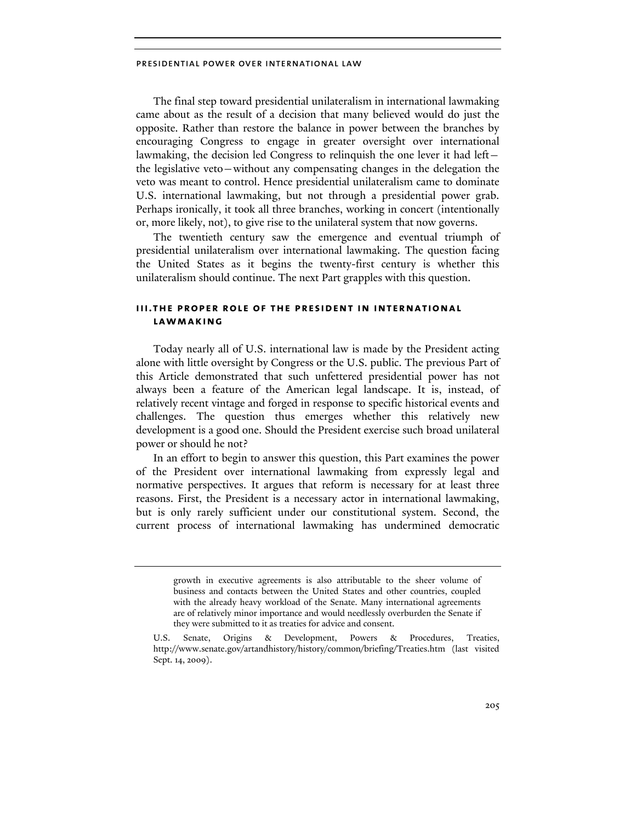The final step toward presidential unilateralism in international lawmaking came about as the result of a decision that many believed would do just the opposite. Rather than restore the balance in power between the branches by encouraging Congress to engage in greater oversight over international lawmaking, the decision led Congress to relinquish the one lever it had left the legislative veto—without any compensating changes in the delegation the veto was meant to control. Hence presidential unilateralism came to dominate U.S. international lawmaking, but not through a presidential power grab. Perhaps ironically, it took all three branches, working in concert (intentionally or, more likely, not), to give rise to the unilateral system that now governs.

The twentieth century saw the emergence and eventual triumph of presidential unilateralism over international lawmaking. The question facing the United States as it begins the twenty-first century is whether this unilateralism should continue. The next Part grapples with this question.

### **iii.the proper role of the president in international lawmaking**

Today nearly all of U.S. international law is made by the President acting alone with little oversight by Congress or the U.S. public. The previous Part of this Article demonstrated that such unfettered presidential power has not always been a feature of the American legal landscape. It is, instead, of relatively recent vintage and forged in response to specific historical events and challenges. The question thus emerges whether this relatively new development is a good one. Should the President exercise such broad unilateral power or should he not?

In an effort to begin to answer this question, this Part examines the power of the President over international lawmaking from expressly legal and normative perspectives. It argues that reform is necessary for at least three reasons. First, the President is a necessary actor in international lawmaking, but is only rarely sufficient under our constitutional system. Second, the current process of international lawmaking has undermined democratic

growth in executive agreements is also attributable to the sheer volume of business and contacts between the United States and other countries, coupled with the already heavy workload of the Senate. Many international agreements are of relatively minor importance and would needlessly overburden the Senate if they were submitted to it as treaties for advice and consent.

U.S. Senate, Origins & Development, Powers & Procedures, Treaties, http://www.senate.gov/artandhistory/history/common/briefing/Treaties.htm (last visited Sept. 14, 2009).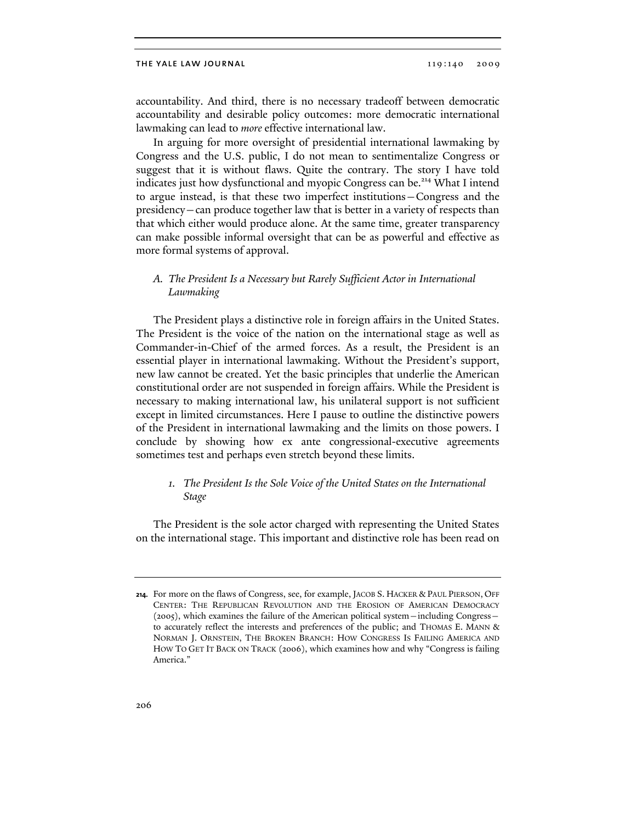accountability. And third, there is no necessary tradeoff between democratic accountability and desirable policy outcomes: more democratic international lawmaking can lead to *more* effective international law.

In arguing for more oversight of presidential international lawmaking by Congress and the U.S. public, I do not mean to sentimentalize Congress or suggest that it is without flaws. Quite the contrary. The story I have told indicates just how dysfunctional and myopic Congress can be.<sup>214</sup> What I intend to argue instead, is that these two imperfect institutions—Congress and the presidency—can produce together law that is better in a variety of respects than that which either would produce alone. At the same time, greater transparency can make possible informal oversight that can be as powerful and effective as more formal systems of approval.

## *A. The President Is a Necessary but Rarely Sufficient Actor in International Lawmaking*

The President plays a distinctive role in foreign affairs in the United States. The President is the voice of the nation on the international stage as well as Commander-in-Chief of the armed forces. As a result, the President is an essential player in international lawmaking. Without the President's support, new law cannot be created. Yet the basic principles that underlie the American constitutional order are not suspended in foreign affairs. While the President is necessary to making international law, his unilateral support is not sufficient except in limited circumstances. Here I pause to outline the distinctive powers of the President in international lawmaking and the limits on those powers. I conclude by showing how ex ante congressional-executive agreements sometimes test and perhaps even stretch beyond these limits.

## *1. The President Is the Sole Voice of the United States on the International Stage*

The President is the sole actor charged with representing the United States on the international stage. This important and distinctive role has been read on

**<sup>214.</sup>** For more on the flaws of Congress, see, for example, JACOB S. HACKER & PAUL PIERSON, OFF CENTER: THE REPUBLICAN REVOLUTION AND THE EROSION OF AMERICAN DEMOCRACY (2005), which examines the failure of the American political system—including Congress to accurately reflect the interests and preferences of the public; and THOMAS E. MANN & NORMAN J. ORNSTEIN, THE BROKEN BRANCH: HOW CONGRESS IS FAILING AMERICA AND HOW TO GET IT BACK ON TRACK (2006), which examines how and why "Congress is failing America."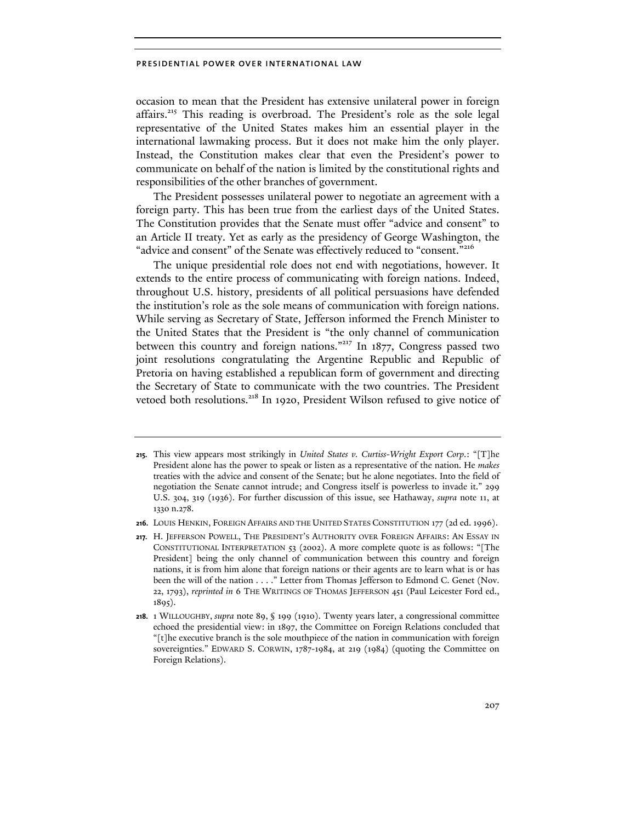occasion to mean that the President has extensive unilateral power in foreign affairs.<sup>215</sup> This reading is overbroad. The President's role as the sole legal representative of the United States makes him an essential player in the international lawmaking process. But it does not make him the only player. Instead, the Constitution makes clear that even the President's power to communicate on behalf of the nation is limited by the constitutional rights and responsibilities of the other branches of government.

The President possesses unilateral power to negotiate an agreement with a foreign party. This has been true from the earliest days of the United States. The Constitution provides that the Senate must offer "advice and consent" to an Article II treaty. Yet as early as the presidency of George Washington, the "advice and consent" of the Senate was effectively reduced to "consent."<sup>216</sup>

The unique presidential role does not end with negotiations, however. It extends to the entire process of communicating with foreign nations. Indeed, throughout U.S. history, presidents of all political persuasions have defended the institution's role as the sole means of communication with foreign nations. While serving as Secretary of State, Jefferson informed the French Minister to the United States that the President is "the only channel of communication between this country and foreign nations."<sup>217</sup> In 1877, Congress passed two joint resolutions congratulating the Argentine Republic and Republic of Pretoria on having established a republican form of government and directing the Secretary of State to communicate with the two countries. The President vetoed both resolutions.<sup>218</sup> In 1920, President Wilson refused to give notice of

**<sup>215.</sup>** This view appears most strikingly in *United States v. Curtiss-Wright Export Corp*.: "[T]he President alone has the power to speak or listen as a representative of the nation. He *makes* treaties with the advice and consent of the Senate; but he alone negotiates. Into the field of negotiation the Senate cannot intrude; and Congress itself is powerless to invade it." 299 U.S. 304, 319 (1936). For further discussion of this issue, see Hathaway, *supra* note 11, at 1330 n.278.

**<sup>216.</sup>** LOUIS HENKIN, FOREIGN AFFAIRS AND THE UNITED STATES CONSTITUTION 177 (2d ed. 1996).

**<sup>217.</sup>** H. JEFFERSON POWELL, THE PRESIDENT'S AUTHORITY OVER FOREIGN AFFAIRS: AN ESSAY IN CONSTITUTIONAL INTERPRETATION 53 (2002). A more complete quote is as follows: "[The President] being the only channel of communication between this country and foreign nations, it is from him alone that foreign nations or their agents are to learn what is or has been the will of the nation . . . ." Letter from Thomas Jefferson to Edmond C. Genet (Nov. 22, 1793), *reprinted in* 6 THE WRITINGS OF THOMAS JEFFERSON 451 (Paul Leicester Ford ed., 1895).

**<sup>218.</sup>** 1 WILLOUGHBY, *supra* note 89, § 199 (1910). Twenty years later, a congressional committee echoed the presidential view: in 1897, the Committee on Foreign Relations concluded that "[t]he executive branch is the sole mouthpiece of the nation in communication with foreign sovereignties." EDWARD S. CORWIN, 1787-1984, at 219 (1984) (quoting the Committee on Foreign Relations).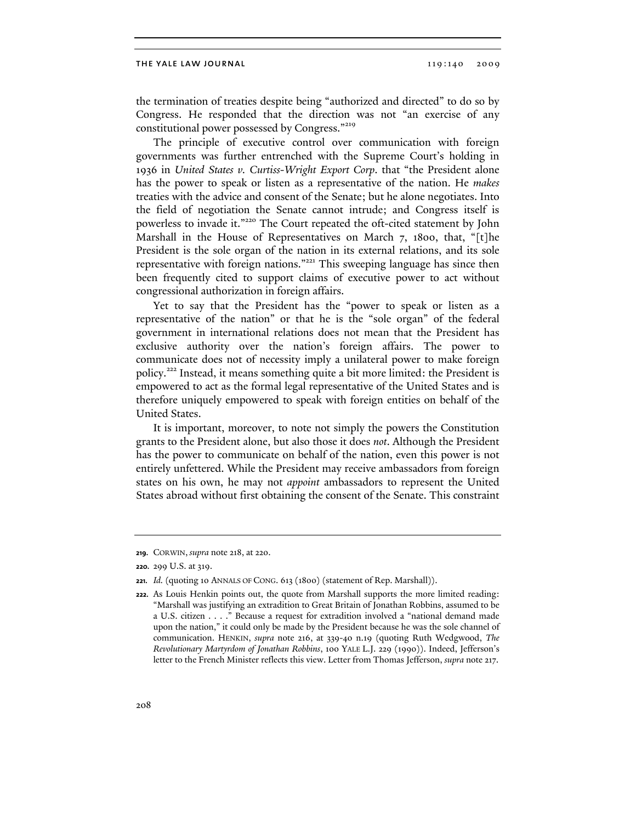the termination of treaties despite being "authorized and directed" to do so by Congress. He responded that the direction was not "an exercise of any constitutional power possessed by Congress."<sup>219</sup>

The principle of executive control over communication with foreign governments was further entrenched with the Supreme Court's holding in 1936 in *United States v. Curtiss-Wright Export Corp*. that "the President alone has the power to speak or listen as a representative of the nation. He *makes* treaties with the advice and consent of the Senate; but he alone negotiates. Into the field of negotiation the Senate cannot intrude; and Congress itself is powerless to invade it."220 The Court repeated the oft-cited statement by John Marshall in the House of Representatives on March 7, 1800, that, "[t]he President is the sole organ of the nation in its external relations, and its sole representative with foreign nations."221 This sweeping language has since then been frequently cited to support claims of executive power to act without congressional authorization in foreign affairs.

Yet to say that the President has the "power to speak or listen as a representative of the nation" or that he is the "sole organ" of the federal government in international relations does not mean that the President has exclusive authority over the nation's foreign affairs. The power to communicate does not of necessity imply a unilateral power to make foreign policy.222 Instead, it means something quite a bit more limited: the President is empowered to act as the formal legal representative of the United States and is therefore uniquely empowered to speak with foreign entities on behalf of the United States.

It is important, moreover, to note not simply the powers the Constitution grants to the President alone, but also those it does *not*. Although the President has the power to communicate on behalf of the nation, even this power is not entirely unfettered. While the President may receive ambassadors from foreign states on his own, he may not *appoint* ambassadors to represent the United States abroad without first obtaining the consent of the Senate. This constraint

**<sup>219.</sup>** CORWIN, *supra* note 218, at 220.

**<sup>220.</sup>** 299 U.S. at 319.

**<sup>221.</sup>** *Id.* (quoting 10 ANNALS OF CONG. 613 (1800) (statement of Rep. Marshall)).

**<sup>222.</sup>** As Louis Henkin points out, the quote from Marshall supports the more limited reading: "Marshall was justifying an extradition to Great Britain of Jonathan Robbins, assumed to be a U.S. citizen . . . ." Because a request for extradition involved a "national demand made upon the nation," it could only be made by the President because he was the sole channel of communication. HENKIN, *supra* note 216, at 339-40 n.19 (quoting Ruth Wedgwood, *The Revolutionary Martyrdom of Jonathan Robbins*, 100 YALE L.J. 229 (1990)). Indeed, Jefferson's letter to the French Minister reflects this view. Letter from Thomas Jefferson, *supra* note 217.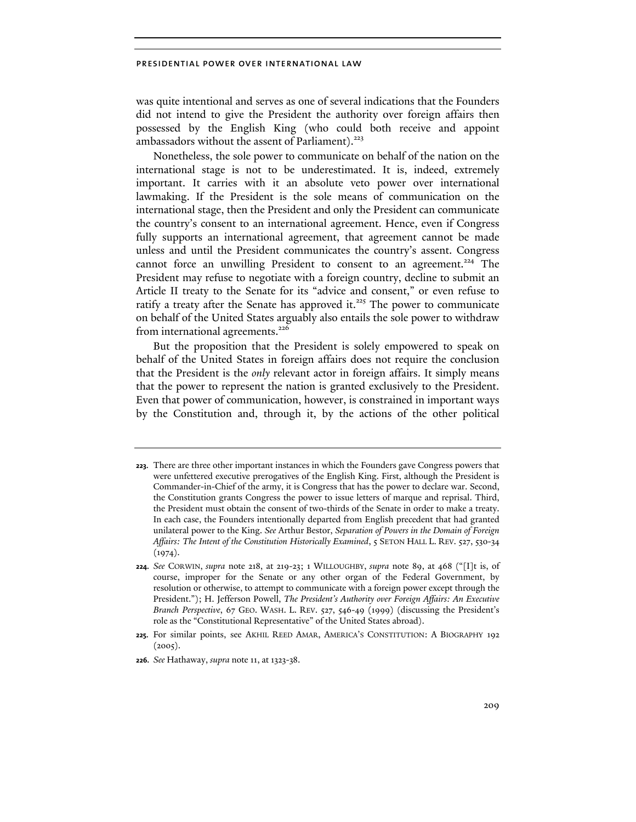was quite intentional and serves as one of several indications that the Founders did not intend to give the President the authority over foreign affairs then possessed by the English King (who could both receive and appoint ambassadors without the assent of Parliament). $223$ 

Nonetheless, the sole power to communicate on behalf of the nation on the international stage is not to be underestimated. It is, indeed, extremely important. It carries with it an absolute veto power over international lawmaking. If the President is the sole means of communication on the international stage, then the President and only the President can communicate the country's consent to an international agreement. Hence, even if Congress fully supports an international agreement, that agreement cannot be made unless and until the President communicates the country's assent. Congress cannot force an unwilling President to consent to an agreement.<sup>224</sup> The President may refuse to negotiate with a foreign country, decline to submit an Article II treaty to the Senate for its "advice and consent," or even refuse to ratify a treaty after the Senate has approved it.<sup>225</sup> The power to communicate on behalf of the United States arguably also entails the sole power to withdraw from international agreements.<sup>226</sup>

But the proposition that the President is solely empowered to speak on behalf of the United States in foreign affairs does not require the conclusion that the President is the *only* relevant actor in foreign affairs. It simply means that the power to represent the nation is granted exclusively to the President. Even that power of communication, however, is constrained in important ways by the Constitution and, through it, by the actions of the other political

**<sup>223.</sup>** There are three other important instances in which the Founders gave Congress powers that were unfettered executive prerogatives of the English King. First, although the President is Commander-in-Chief of the army, it is Congress that has the power to declare war. Second, the Constitution grants Congress the power to issue letters of marque and reprisal. Third, the President must obtain the consent of two-thirds of the Senate in order to make a treaty. In each case, the Founders intentionally departed from English precedent that had granted unilateral power to the King. *See* Arthur Bestor, *Separation of Powers in the Domain of Foreign Affairs: The Intent of the Constitution Historically Examined*, 5 SETON HALL L. REV. 527, 530-34  $(1974).$ 

**<sup>224.</sup>** *See* CORWIN, *supra* note 218, at 219-23; 1 WILLOUGHBY, *supra* note 89, at 468 ("[I]t is, of course, improper for the Senate or any other organ of the Federal Government, by resolution or otherwise, to attempt to communicate with a foreign power except through the President."); H. Jefferson Powell, *The President's Authority over Foreign Affairs: An Executive Branch Perspective*, 67 GEO. WASH. L. REV. 527, 546-49 (1999) (discussing the President's role as the "Constitutional Representative" of the United States abroad).

**<sup>225.</sup>** For similar points, see AKHIL REED AMAR, AMERICA'S CONSTITUTION: A BIOGRAPHY 192  $(2005).$ 

**<sup>226.</sup>** *See* Hathaway, *supra* note 11, at 1323-38.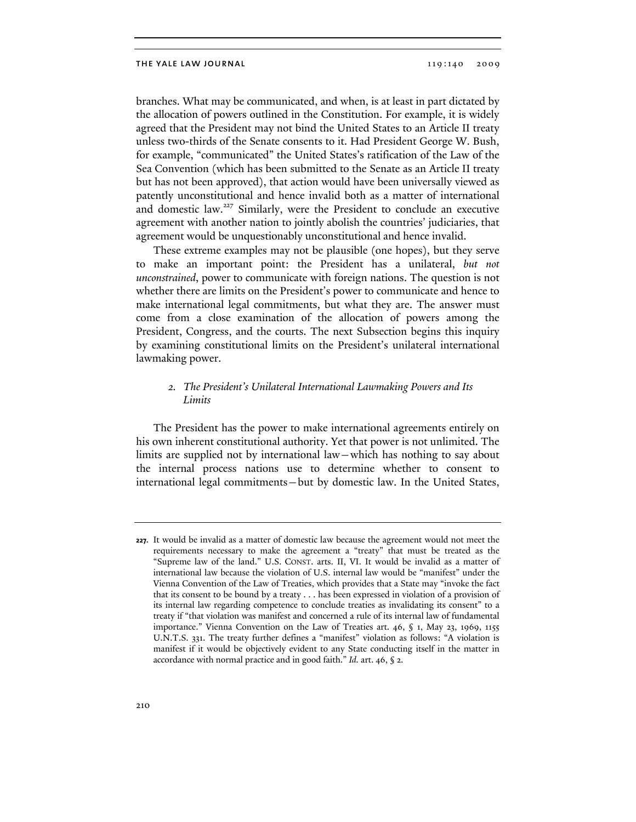branches. What may be communicated, and when, is at least in part dictated by the allocation of powers outlined in the Constitution. For example, it is widely agreed that the President may not bind the United States to an Article II treaty unless two-thirds of the Senate consents to it. Had President George W. Bush, for example, "communicated" the United States's ratification of the Law of the Sea Convention (which has been submitted to the Senate as an Article II treaty but has not been approved), that action would have been universally viewed as patently unconstitutional and hence invalid both as a matter of international and domestic law.<sup>227</sup> Similarly, were the President to conclude an executive agreement with another nation to jointly abolish the countries' judiciaries, that agreement would be unquestionably unconstitutional and hence invalid.

These extreme examples may not be plausible (one hopes), but they serve to make an important point: the President has a unilateral, *but not unconstrained*, power to communicate with foreign nations. The question is not whether there are limits on the President's power to communicate and hence to make international legal commitments, but what they are. The answer must come from a close examination of the allocation of powers among the President, Congress, and the courts. The next Subsection begins this inquiry by examining constitutional limits on the President's unilateral international lawmaking power.

## *2. The President's Unilateral International Lawmaking Powers and Its Limits*

The President has the power to make international agreements entirely on his own inherent constitutional authority. Yet that power is not unlimited. The limits are supplied not by international law—which has nothing to say about the internal process nations use to determine whether to consent to international legal commitments—but by domestic law. In the United States,

**<sup>227.</sup>** It would be invalid as a matter of domestic law because the agreement would not meet the requirements necessary to make the agreement a "treaty" that must be treated as the "Supreme law of the land." U.S. CONST. arts. II, VI. It would be invalid as a matter of international law because the violation of U.S. internal law would be "manifest" under the Vienna Convention of the Law of Treaties, which provides that a State may "invoke the fact that its consent to be bound by a treaty . . . has been expressed in violation of a provision of its internal law regarding competence to conclude treaties as invalidating its consent" to a treaty if "that violation was manifest and concerned a rule of its internal law of fundamental importance." Vienna Convention on the Law of Treaties art. 46, § 1, May 23, 1969, 1155 U.N.T.S. 331. The treaty further defines a "manifest" violation as follows: "A violation is manifest if it would be objectively evident to any State conducting itself in the matter in accordance with normal practice and in good faith." *Id.* art. 46, § 2.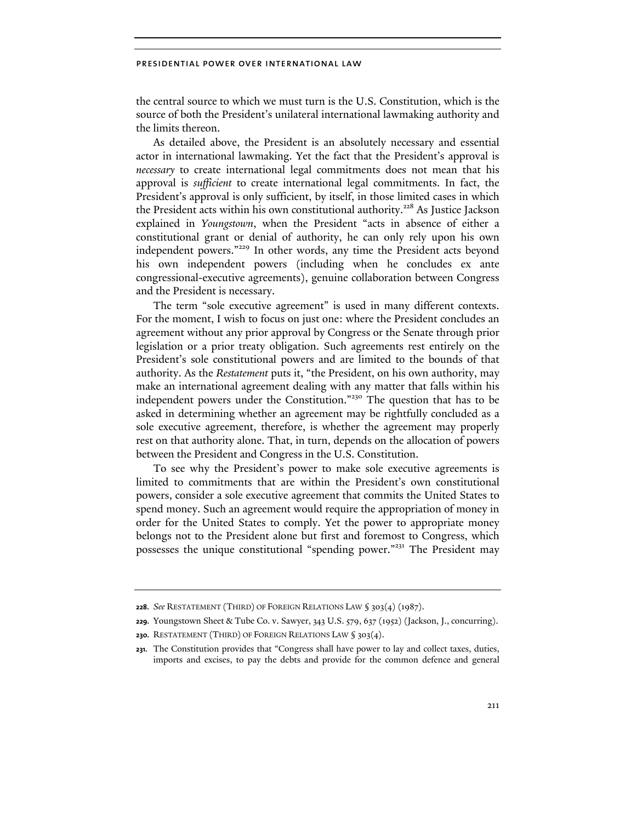the central source to which we must turn is the U.S. Constitution, which is the source of both the President's unilateral international lawmaking authority and the limits thereon.

As detailed above, the President is an absolutely necessary and essential actor in international lawmaking. Yet the fact that the President's approval is *necessary* to create international legal commitments does not mean that his approval is *sufficient* to create international legal commitments. In fact, the President's approval is only sufficient, by itself, in those limited cases in which the President acts within his own constitutional authority.<sup>228</sup> As Justice Jackson explained in *Youngstown*, when the President "acts in absence of either a constitutional grant or denial of authority, he can only rely upon his own independent powers."229 In other words, any time the President acts beyond his own independent powers (including when he concludes ex ante congressional-executive agreements), genuine collaboration between Congress and the President is necessary.

The term "sole executive agreement" is used in many different contexts. For the moment, I wish to focus on just one: where the President concludes an agreement without any prior approval by Congress or the Senate through prior legislation or a prior treaty obligation. Such agreements rest entirely on the President's sole constitutional powers and are limited to the bounds of that authority. As the *Restatement* puts it, "the President, on his own authority, may make an international agreement dealing with any matter that falls within his independent powers under the Constitution."230 The question that has to be asked in determining whether an agreement may be rightfully concluded as a sole executive agreement, therefore, is whether the agreement may properly rest on that authority alone. That, in turn, depends on the allocation of powers between the President and Congress in the U.S. Constitution.

To see why the President's power to make sole executive agreements is limited to commitments that are within the President's own constitutional powers, consider a sole executive agreement that commits the United States to spend money. Such an agreement would require the appropriation of money in order for the United States to comply. Yet the power to appropriate money belongs not to the President alone but first and foremost to Congress, which possesses the unique constitutional "spending power."231 The President may

**<sup>228.</sup>** *See* RESTATEMENT (THIRD) OF FOREIGN RELATIONS LAW § 303(4) (1987).

**<sup>229.</sup>** Youngstown Sheet & Tube Co. v. Sawyer, 343 U.S. 579, 637 (1952) (Jackson, J., concurring).

**<sup>230.</sup>** RESTATEMENT (THIRD) OF FOREIGN RELATIONS LAW § 303(4).

**<sup>231.</sup>** The Constitution provides that "Congress shall have power to lay and collect taxes, duties, imports and excises, to pay the debts and provide for the common defence and general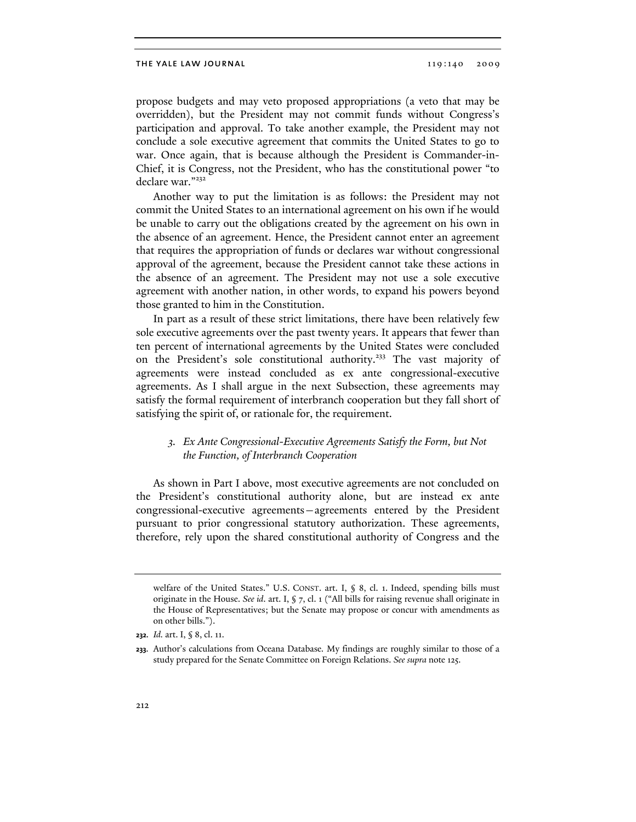propose budgets and may veto proposed appropriations (a veto that may be overridden), but the President may not commit funds without Congress's participation and approval. To take another example, the President may not conclude a sole executive agreement that commits the United States to go to war. Once again, that is because although the President is Commander-in-Chief, it is Congress, not the President, who has the constitutional power "to declare war."232

Another way to put the limitation is as follows: the President may not commit the United States to an international agreement on his own if he would be unable to carry out the obligations created by the agreement on his own in the absence of an agreement. Hence, the President cannot enter an agreement that requires the appropriation of funds or declares war without congressional approval of the agreement, because the President cannot take these actions in the absence of an agreement. The President may not use a sole executive agreement with another nation, in other words, to expand his powers beyond those granted to him in the Constitution.

In part as a result of these strict limitations, there have been relatively few sole executive agreements over the past twenty years. It appears that fewer than ten percent of international agreements by the United States were concluded on the President's sole constitutional authority.233 The vast majority of agreements were instead concluded as ex ante congressional-executive agreements. As I shall argue in the next Subsection, these agreements may satisfy the formal requirement of interbranch cooperation but they fall short of satisfying the spirit of, or rationale for, the requirement.

# *3. Ex Ante Congressional-Executive Agreements Satisfy the Form, but Not the Function, of Interbranch Cooperation*

As shown in Part I above, most executive agreements are not concluded on the President's constitutional authority alone, but are instead ex ante congressional-executive agreements—agreements entered by the President pursuant to prior congressional statutory authorization. These agreements, therefore, rely upon the shared constitutional authority of Congress and the

welfare of the United States." U.S. CONST. art. I, § 8, cl. 1. Indeed, spending bills must originate in the House. *See id*. art. I, § 7, cl. 1 ("All bills for raising revenue shall originate in the House of Representatives; but the Senate may propose or concur with amendments as on other bills.").

**<sup>232.</sup>** *Id.* art. I, § 8, cl. 11.

**<sup>233.</sup>** Author's calculations from Oceana Database*.* My findings are roughly similar to those of a study prepared for the Senate Committee on Foreign Relations. *See supra* note 125.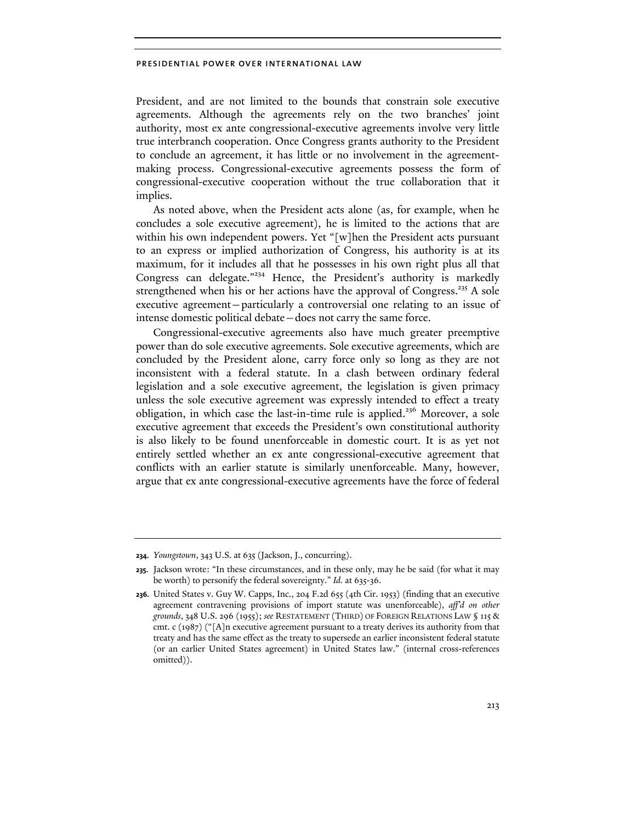President, and are not limited to the bounds that constrain sole executive agreements. Although the agreements rely on the two branches' joint authority, most ex ante congressional-executive agreements involve very little true interbranch cooperation. Once Congress grants authority to the President to conclude an agreement, it has little or no involvement in the agreementmaking process. Congressional-executive agreements possess the form of congressional-executive cooperation without the true collaboration that it implies.

As noted above, when the President acts alone (as, for example, when he concludes a sole executive agreement), he is limited to the actions that are within his own independent powers. Yet "[w]hen the President acts pursuant to an express or implied authorization of Congress, his authority is at its maximum, for it includes all that he possesses in his own right plus all that Congress can delegate."<sup>234</sup> Hence, the President's authority is markedly strengthened when his or her actions have the approval of Congress.<sup>235</sup> A sole executive agreement—particularly a controversial one relating to an issue of intense domestic political debate—does not carry the same force.

Congressional-executive agreements also have much greater preemptive power than do sole executive agreements. Sole executive agreements, which are concluded by the President alone, carry force only so long as they are not inconsistent with a federal statute. In a clash between ordinary federal legislation and a sole executive agreement, the legislation is given primacy unless the sole executive agreement was expressly intended to effect a treaty obligation, in which case the last-in-time rule is applied.<sup>236</sup> Moreover, a sole executive agreement that exceeds the President's own constitutional authority is also likely to be found unenforceable in domestic court. It is as yet not entirely settled whether an ex ante congressional-executive agreement that conflicts with an earlier statute is similarly unenforceable. Many, however, argue that ex ante congressional-executive agreements have the force of federal

**<sup>234.</sup>** *Youngstown*, 343 U.S. at 635 (Jackson, J., concurring).

**<sup>235.</sup>** Jackson wrote: "In these circumstances, and in these only, may he be said (for what it may be worth) to personify the federal sovereignty." *Id.* at 635-36.

**<sup>236.</sup>** United States v. Guy W. Capps, Inc., 204 F.2d 655 (4th Cir. 1953) (finding that an executive agreement contravening provisions of import statute was unenforceable), *aff'd on other grounds*, 348 U.S. 296 (1955); *see* RESTATEMENT (THIRD) OF FOREIGN RELATIONS LAW § 115 & cmt. c (1987) ("[A]n executive agreement pursuant to a treaty derives its authority from that treaty and has the same effect as the treaty to supersede an earlier inconsistent federal statute (or an earlier United States agreement) in United States law." (internal cross-references omitted)).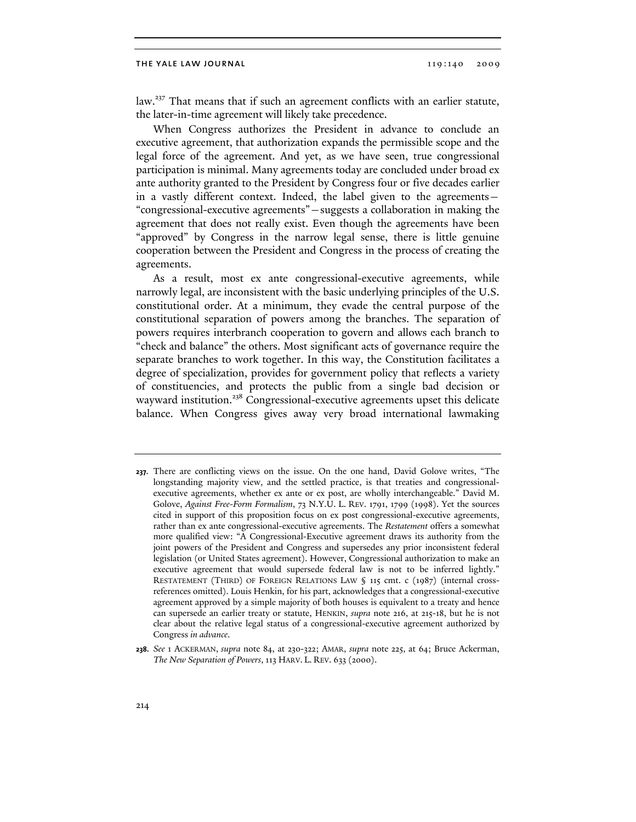law.<sup>237</sup> That means that if such an agreement conflicts with an earlier statute, the later-in-time agreement will likely take precedence.

When Congress authorizes the President in advance to conclude an executive agreement, that authorization expands the permissible scope and the legal force of the agreement. And yet, as we have seen, true congressional participation is minimal. Many agreements today are concluded under broad ex ante authority granted to the President by Congress four or five decades earlier in a vastly different context. Indeed, the label given to the agreements— "congressional-executive agreements"—suggests a collaboration in making the agreement that does not really exist. Even though the agreements have been "approved" by Congress in the narrow legal sense, there is little genuine cooperation between the President and Congress in the process of creating the agreements.

As a result, most ex ante congressional-executive agreements, while narrowly legal, are inconsistent with the basic underlying principles of the U.S. constitutional order. At a minimum, they evade the central purpose of the constitutional separation of powers among the branches. The separation of powers requires interbranch cooperation to govern and allows each branch to "check and balance" the others. Most significant acts of governance require the separate branches to work together. In this way, the Constitution facilitates a degree of specialization, provides for government policy that reflects a variety of constituencies, and protects the public from a single bad decision or wayward institution.<sup>238</sup> Congressional-executive agreements upset this delicate balance. When Congress gives away very broad international lawmaking

**<sup>237.</sup>** There are conflicting views on the issue. On the one hand, David Golove writes, "The longstanding majority view, and the settled practice, is that treaties and congressionalexecutive agreements, whether ex ante or ex post, are wholly interchangeable." David M. Golove, *Against Free-Form Formalism*, 73 N.Y.U. L. REV. 1791, 1799 (1998). Yet the sources cited in support of this proposition focus on ex post congressional-executive agreements, rather than ex ante congressional-executive agreements. The *Restatement* offers a somewhat more qualified view: "A Congressional-Executive agreement draws its authority from the joint powers of the President and Congress and supersedes any prior inconsistent federal legislation (or United States agreement). However, Congressional authorization to make an executive agreement that would supersede federal law is not to be inferred lightly." RESTATEMENT (THIRD) OF FOREIGN RELATIONS LAW § 115 cmt. c (1987) (internal crossreferences omitted). Louis Henkin, for his part, acknowledges that a congressional-executive agreement approved by a simple majority of both houses is equivalent to a treaty and hence can supersede an earlier treaty or statute, HENKIN, *supra* note 216, at 215-18, but he is not clear about the relative legal status of a congressional-executive agreement authorized by Congress *in advance*.

**<sup>238.</sup>** *See* 1 ACKERMAN, *supra* note 84, at 230-322; AMAR, *supra* note 225, at 64; Bruce Ackerman, *The New Separation of Powers*, 113 HARV. L. REV. 633 (2000).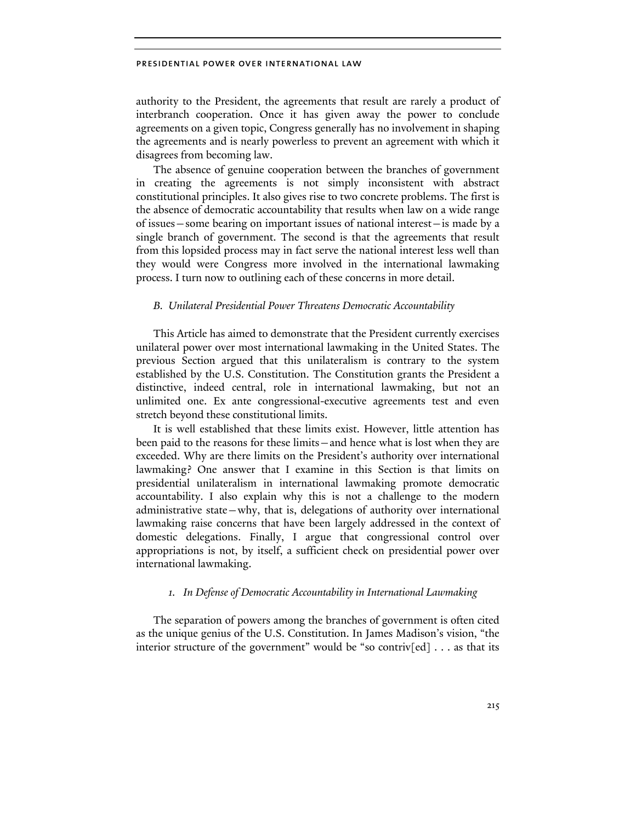authority to the President, the agreements that result are rarely a product of interbranch cooperation. Once it has given away the power to conclude agreements on a given topic, Congress generally has no involvement in shaping the agreements and is nearly powerless to prevent an agreement with which it disagrees from becoming law.

The absence of genuine cooperation between the branches of government in creating the agreements is not simply inconsistent with abstract constitutional principles. It also gives rise to two concrete problems. The first is the absence of democratic accountability that results when law on a wide range of issues—some bearing on important issues of national interest—is made by a single branch of government. The second is that the agreements that result from this lopsided process may in fact serve the national interest less well than they would were Congress more involved in the international lawmaking process. I turn now to outlining each of these concerns in more detail.

# *B. Unilateral Presidential Power Threatens Democratic Accountability*

This Article has aimed to demonstrate that the President currently exercises unilateral power over most international lawmaking in the United States. The previous Section argued that this unilateralism is contrary to the system established by the U.S. Constitution. The Constitution grants the President a distinctive, indeed central, role in international lawmaking, but not an unlimited one. Ex ante congressional-executive agreements test and even stretch beyond these constitutional limits.

It is well established that these limits exist. However, little attention has been paid to the reasons for these limits—and hence what is lost when they are exceeded. Why are there limits on the President's authority over international lawmaking? One answer that I examine in this Section is that limits on presidential unilateralism in international lawmaking promote democratic accountability. I also explain why this is not a challenge to the modern administrative state—why, that is, delegations of authority over international lawmaking raise concerns that have been largely addressed in the context of domestic delegations. Finally, I argue that congressional control over appropriations is not, by itself, a sufficient check on presidential power over international lawmaking.

# *1. In Defense of Democratic Accountability in International Lawmaking*

The separation of powers among the branches of government is often cited as the unique genius of the U.S. Constitution. In James Madison's vision, "the interior structure of the government" would be "so contriv $[ed] \ldots$  as that its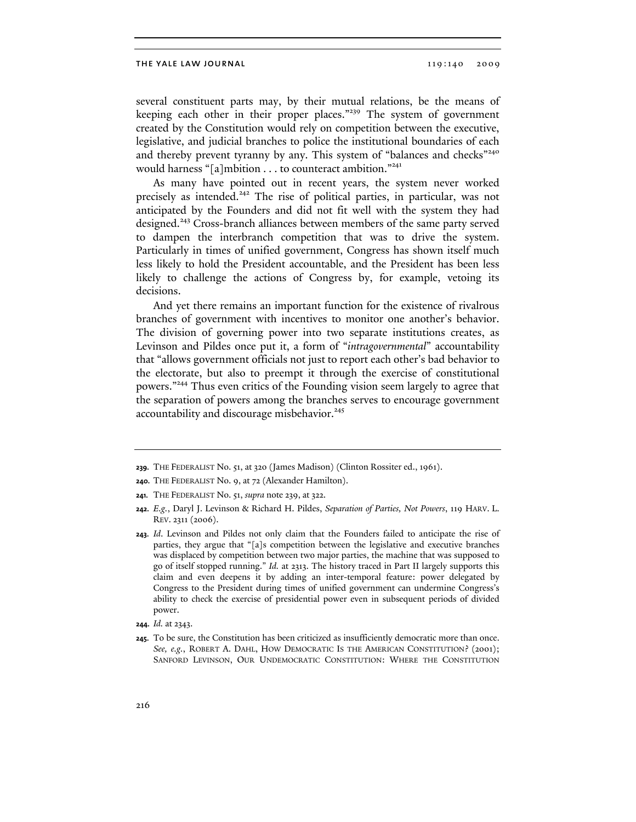several constituent parts may, by their mutual relations, be the means of keeping each other in their proper places."<sup>239</sup> The system of government created by the Constitution would rely on competition between the executive, legislative, and judicial branches to police the institutional boundaries of each and thereby prevent tyranny by any. This system of "balances and checks"<sup>240</sup> would harness "[a]mbition . . . to counteract ambition."<sup>241</sup>

As many have pointed out in recent years, the system never worked precisely as intended.<sup>242</sup> The rise of political parties, in particular, was not anticipated by the Founders and did not fit well with the system they had designed.<sup>243</sup> Cross-branch alliances between members of the same party served to dampen the interbranch competition that was to drive the system. Particularly in times of unified government, Congress has shown itself much less likely to hold the President accountable, and the President has been less likely to challenge the actions of Congress by, for example, vetoing its decisions.

And yet there remains an important function for the existence of rivalrous branches of government with incentives to monitor one another's behavior. The division of governing power into two separate institutions creates, as Levinson and Pildes once put it, a form of "*intragovernmental*" accountability that "allows government officials not just to report each other's bad behavior to the electorate, but also to preempt it through the exercise of constitutional powers."244 Thus even critics of the Founding vision seem largely to agree that the separation of powers among the branches serves to encourage government accountability and discourage misbehavior.<sup>245</sup>

**<sup>239.</sup>** THE FEDERALIST No. 51, at 320 (James Madison) (Clinton Rossiter ed., 1961).

**<sup>240.</sup>** THE FEDERALIST No. 9, at 72 (Alexander Hamilton).

**<sup>241.</sup>** THE FEDERALIST No. 51, *supra* note 239, at 322.

**<sup>242.</sup>** *E.g.*, Daryl J. Levinson & Richard H. Pildes, *Separation of Parties, Not Powers*, 119 HARV. L. REV. 2311 (2006).

**<sup>243.</sup>** *Id*. Levinson and Pildes not only claim that the Founders failed to anticipate the rise of parties, they argue that "[a]s competition between the legislative and executive branches was displaced by competition between two major parties, the machine that was supposed to go of itself stopped running." *Id.* at 2313. The history traced in Part II largely supports this claim and even deepens it by adding an inter-temporal feature: power delegated by Congress to the President during times of unified government can undermine Congress's ability to check the exercise of presidential power even in subsequent periods of divided power.

**<sup>244.</sup>** *Id.* at 2343.

**<sup>245.</sup>** To be sure, the Constitution has been criticized as insufficiently democratic more than once. *See, e.g.*, ROBERT A. DAHL, HOW DEMOCRATIC IS THE AMERICAN CONSTITUTION? (2001); SANFORD LEVINSON, OUR UNDEMOCRATIC CONSTITUTION: WHERE THE CONSTITUTION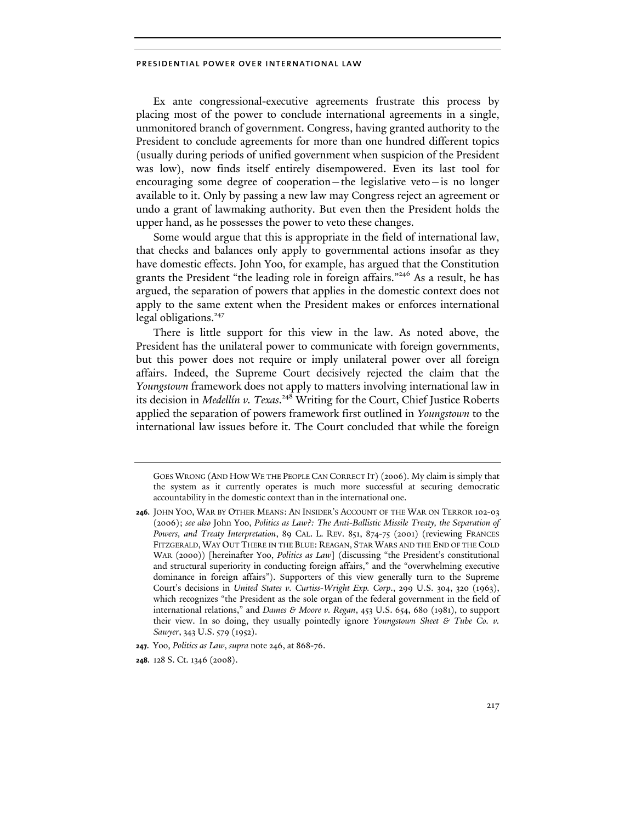Ex ante congressional-executive agreements frustrate this process by placing most of the power to conclude international agreements in a single, unmonitored branch of government. Congress, having granted authority to the President to conclude agreements for more than one hundred different topics (usually during periods of unified government when suspicion of the President was low), now finds itself entirely disempowered. Even its last tool for encouraging some degree of cooperation—the legislative veto—is no longer available to it. Only by passing a new law may Congress reject an agreement or undo a grant of lawmaking authority. But even then the President holds the upper hand, as he possesses the power to veto these changes.

Some would argue that this is appropriate in the field of international law, that checks and balances only apply to governmental actions insofar as they have domestic effects. John Yoo, for example, has argued that the Constitution grants the President "the leading role in foreign affairs."246 As a result, he has argued, the separation of powers that applies in the domestic context does not apply to the same extent when the President makes or enforces international legal obligations.<sup>247</sup>

There is little support for this view in the law. As noted above, the President has the unilateral power to communicate with foreign governments, but this power does not require or imply unilateral power over all foreign affairs. Indeed, the Supreme Court decisively rejected the claim that the *Youngstown* framework does not apply to matters involving international law in its decision in *Medellín v. Texas*. 248 Writing for the Court, Chief Justice Roberts applied the separation of powers framework first outlined in *Youngstown* to the international law issues before it. The Court concluded that while the foreign

GOES WRONG (AND HOW WE THE PEOPLE CAN CORRECT IT) (2006). My claim is simply that the system as it currently operates is much more successful at securing democratic accountability in the domestic context than in the international one.

**<sup>246.</sup>** JOHN YOO, WAR BY OTHER MEANS: AN INSIDER'S ACCOUNT OF THE WAR ON TERROR 102-03 (2006); *see also* John Yoo, *Politics as Law?: The Anti-Ballistic Missile Treaty, the Separation of Powers, and Treaty Interpretation*, 89 CAL. L. REV. 851, 874-75 (2001) (reviewing FRANCES FITZGERALD, WAY OUT THERE IN THE BLUE: REAGAN, STAR WARS AND THE END OF THE COLD WAR (2000)) [hereinafter Yoo, *Politics as Law*] (discussing "the President's constitutional and structural superiority in conducting foreign affairs," and the "overwhelming executive dominance in foreign affairs"). Supporters of this view generally turn to the Supreme Court's decisions in *United States v. Curtiss-Wright Exp. Corp*., 299 U.S. 304, 320 (1963), which recognizes "the President as the sole organ of the federal government in the field of international relations," and *Dames & Moore v. Regan*, 453 U.S. 654, 680 (1981), to support their view. In so doing, they usually pointedly ignore *Youngstown Sheet & Tube Co. v. Sawyer*, 343 U.S. 579 (1952).

**<sup>247.</sup>** Yoo, *Politics as Law*, *supra* note 246, at 868-76.

**<sup>248.</sup>** 128 S. Ct. 1346 (2008).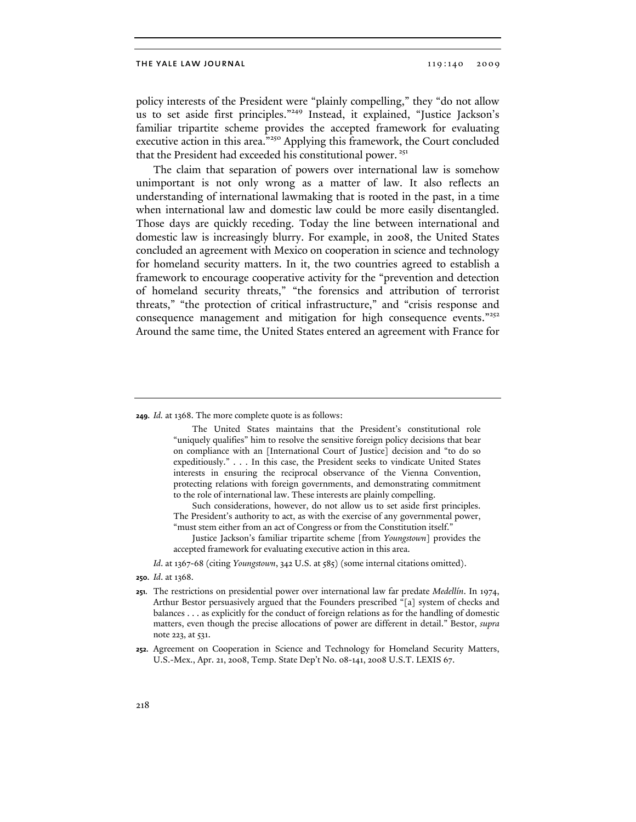policy interests of the President were "plainly compelling," they "do not allow us to set aside first principles."249 Instead, it explained, "Justice Jackson's familiar tripartite scheme provides the accepted framework for evaluating executive action in this area."<sup>250</sup> Applying this framework, the Court concluded that the President had exceeded his constitutional power.<sup>251</sup>

The claim that separation of powers over international law is somehow unimportant is not only wrong as a matter of law. It also reflects an understanding of international lawmaking that is rooted in the past, in a time when international law and domestic law could be more easily disentangled. Those days are quickly receding. Today the line between international and domestic law is increasingly blurry. For example, in 2008, the United States concluded an agreement with Mexico on cooperation in science and technology for homeland security matters. In it, the two countries agreed to establish a framework to encourage cooperative activity for the "prevention and detection of homeland security threats," "the forensics and attribution of terrorist threats," "the protection of critical infrastructure," and "crisis response and consequence management and mitigation for high consequence events."<sup>252</sup> Around the same time, the United States entered an agreement with France for

**249.** *Id.* at 1368. The more complete quote is as follows:

The United States maintains that the President's constitutional role "uniquely qualifies" him to resolve the sensitive foreign policy decisions that bear on compliance with an [International Court of Justice] decision and "to do so expeditiously." . . . In this case, the President seeks to vindicate United States interests in ensuring the reciprocal observance of the Vienna Convention, protecting relations with foreign governments, and demonstrating commitment to the role of international law. These interests are plainly compelling.

Such considerations, however, do not allow us to set aside first principles. The President's authority to act, as with the exercise of any governmental power, "must stem either from an act of Congress or from the Constitution itself."

Justice Jackson's familiar tripartite scheme [from *Youngstown*] provides the accepted framework for evaluating executive action in this area.

 *Id*. at 1367-68 (citing *Youngstown*, 342 U.S. at 585) (some internal citations omitted).

- **251.** The restrictions on presidential power over international law far predate *Medellín*. In 1974, Arthur Bestor persuasively argued that the Founders prescribed "[a] system of checks and balances . . . as explicitly for the conduct of foreign relations as for the handling of domestic matters, even though the precise allocations of power are different in detail." Bestor, *supra*  note 223, at 531.
- **252.** Agreement on Cooperation in Science and Technology for Homeland Security Matters, U.S.-Mex., Apr. 21, 2008, Temp. State Dep't No. 08-141, 2008 U.S.T. LEXIS 67.

**<sup>250.</sup>** *Id*. at 1368.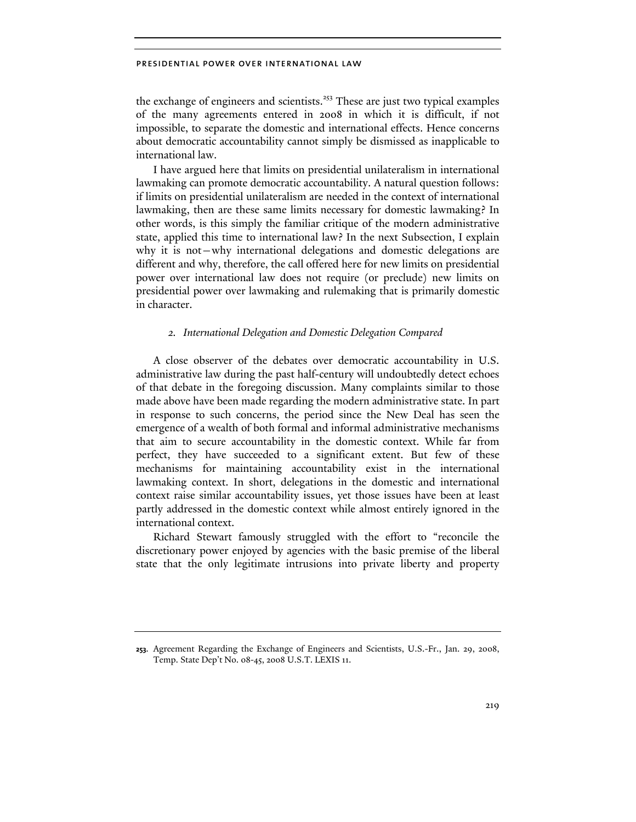the exchange of engineers and scientists.<sup>253</sup> These are just two typical examples of the many agreements entered in 2008 in which it is difficult, if not impossible, to separate the domestic and international effects. Hence concerns about democratic accountability cannot simply be dismissed as inapplicable to international law.

I have argued here that limits on presidential unilateralism in international lawmaking can promote democratic accountability. A natural question follows: if limits on presidential unilateralism are needed in the context of international lawmaking, then are these same limits necessary for domestic lawmaking? In other words, is this simply the familiar critique of the modern administrative state, applied this time to international law? In the next Subsection, I explain why it is not—why international delegations and domestic delegations are different and why, therefore, the call offered here for new limits on presidential power over international law does not require (or preclude) new limits on presidential power over lawmaking and rulemaking that is primarily domestic in character.

# *2. International Delegation and Domestic Delegation Compared*

A close observer of the debates over democratic accountability in U.S. administrative law during the past half-century will undoubtedly detect echoes of that debate in the foregoing discussion. Many complaints similar to those made above have been made regarding the modern administrative state. In part in response to such concerns, the period since the New Deal has seen the emergence of a wealth of both formal and informal administrative mechanisms that aim to secure accountability in the domestic context. While far from perfect, they have succeeded to a significant extent. But few of these mechanisms for maintaining accountability exist in the international lawmaking context. In short, delegations in the domestic and international context raise similar accountability issues, yet those issues have been at least partly addressed in the domestic context while almost entirely ignored in the international context.

Richard Stewart famously struggled with the effort to "reconcile the discretionary power enjoyed by agencies with the basic premise of the liberal state that the only legitimate intrusions into private liberty and property

**<sup>253.</sup>** Agreement Regarding the Exchange of Engineers and Scientists, U.S.-Fr., Jan. 29, 2008, Temp. State Dep't No. 08-45, 2008 U.S.T. LEXIS 11.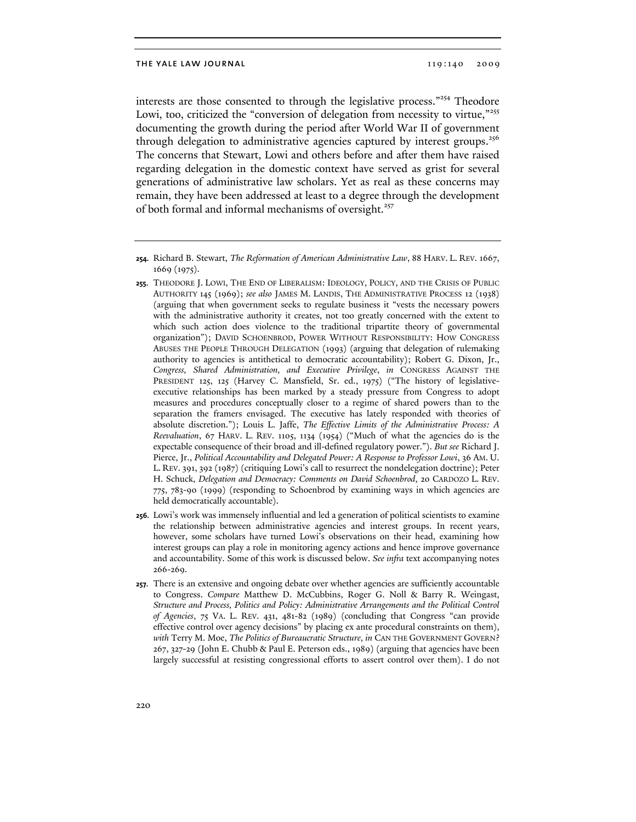interests are those consented to through the legislative process."254 Theodore Lowi, too, criticized the "conversion of delegation from necessity to virtue,"<sup>255</sup> documenting the growth during the period after World War II of government through delegation to administrative agencies captured by interest groups.<sup>256</sup> The concerns that Stewart, Lowi and others before and after them have raised regarding delegation in the domestic context have served as grist for several generations of administrative law scholars. Yet as real as these concerns may remain, they have been addressed at least to a degree through the development of both formal and informal mechanisms of oversight.<sup>257</sup>

- **255.** THEODORE J. LOWI, THE END OF LIBERALISM: IDEOLOGY, POLICY, AND THE CRISIS OF PUBLIC AUTHORITY 145 (1969); *see also* JAMES M. LANDIS, THE ADMINISTRATIVE PROCESS 12 (1938) (arguing that when government seeks to regulate business it "vests the necessary powers with the administrative authority it creates, not too greatly concerned with the extent to which such action does violence to the traditional tripartite theory of governmental organization"); DAVID SCHOENBROD, POWER WITHOUT RESPONSIBILITY: HOW CONGRESS ABUSES THE PEOPLE THROUGH DELEGATION (1993) (arguing that delegation of rulemaking authority to agencies is antithetical to democratic accountability); Robert G. Dixon, Jr., *Congress, Shared Administration, and Executive Privilege*, *in* CONGRESS AGAINST THE PRESIDENT 125, 125 (Harvey C. Mansfield, Sr. ed., 1975) ("The history of legislativeexecutive relationships has been marked by a steady pressure from Congress to adopt measures and procedures conceptually closer to a regime of shared powers than to the separation the framers envisaged. The executive has lately responded with theories of absolute discretion."); Louis L. Jaffe, *The Effective Limits of the Administrative Process: A Reevaluation*, 67 HARV. L. REV. 1105, 1134 (1954) ("Much of what the agencies do is the expectable consequence of their broad and ill-defined regulatory power."). *But see* Richard J. Pierce, Jr., *Political Accountability and Delegated Power: A Response to Professor Lowi*, 36 AM. U. L. REV. 391, 392 (1987) (critiquing Lowi's call to resurrect the nondelegation doctrine); Peter H. Schuck, *Delegation and Democracy: Comments on David Schoenbrod*, 20 CARDOZO L. REV. 775, 783-90 (1999) (responding to Schoenbrod by examining ways in which agencies are held democratically accountable).
- **256.** Lowi's work was immensely influential and led a generation of political scientists to examine the relationship between administrative agencies and interest groups. In recent years, however, some scholars have turned Lowi's observations on their head, examining how interest groups can play a role in monitoring agency actions and hence improve governance and accountability. Some of this work is discussed below. *See infra* text accompanying notes 266-269.
- **257.** There is an extensive and ongoing debate over whether agencies are sufficiently accountable to Congress. *Compare* Matthew D. McCubbins, Roger G. Noll & Barry R. Weingast, *Structure and Process, Politics and Policy: Administrative Arrangements and the Political Control of Agencies*, 75 VA. L. REV. 431, 481-82 (1989) (concluding that Congress "can provide effective control over agency decisions" by placing ex ante procedural constraints on them), *with* Terry M. Moe, *The Politics of Bureaucratic Structure*, *in* CAN THE GOVERNMENT GOVERN? 267, 327-29 (John E. Chubb & Paul E. Peterson eds., 1989) (arguing that agencies have been largely successful at resisting congressional efforts to assert control over them). I do not

**<sup>254.</sup>** Richard B. Stewart, *The Reformation of American Administrative Law*, 88 HARV. L. REV. 1667, 1669 (1975).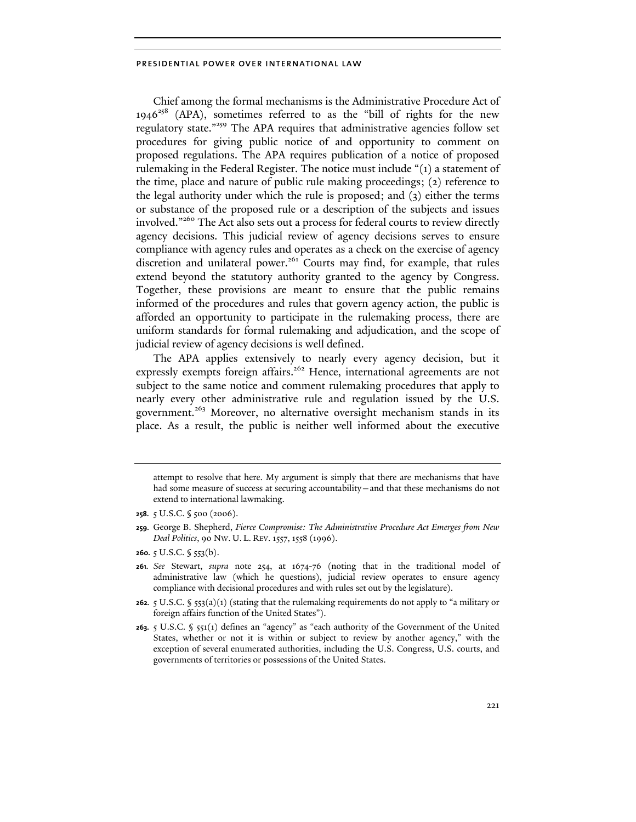Chief among the formal mechanisms is the Administrative Procedure Act of  $1946^{258}$  (APA), sometimes referred to as the "bill of rights for the new regulatory state."<sup>259</sup> The APA requires that administrative agencies follow set procedures for giving public notice of and opportunity to comment on proposed regulations. The APA requires publication of a notice of proposed rulemaking in the Federal Register. The notice must include "(1) a statement of the time, place and nature of public rule making proceedings; (2) reference to the legal authority under which the rule is proposed; and (3) either the terms or substance of the proposed rule or a description of the subjects and issues involved."<sup>260</sup> The Act also sets out a process for federal courts to review directly agency decisions. This judicial review of agency decisions serves to ensure compliance with agency rules and operates as a check on the exercise of agency discretion and unilateral power.<sup>261</sup> Courts may find, for example, that rules extend beyond the statutory authority granted to the agency by Congress. Together, these provisions are meant to ensure that the public remains informed of the procedures and rules that govern agency action, the public is afforded an opportunity to participate in the rulemaking process, there are uniform standards for formal rulemaking and adjudication, and the scope of judicial review of agency decisions is well defined.

The APA applies extensively to nearly every agency decision, but it expressly exempts foreign affairs.<sup>262</sup> Hence, international agreements are not subject to the same notice and comment rulemaking procedures that apply to nearly every other administrative rule and regulation issued by the U.S. government.<sup>263</sup> Moreover, no alternative oversight mechanism stands in its place. As a result, the public is neither well informed about the executive

**260.** 5 U.S.C. § 553(b).

- **262.** 5 U.S.C. § 553(a)(1) (stating that the rulemaking requirements do not apply to "a military or foreign affairs function of the United States").
- **263.** 5 U.S.C. § 551(1) defines an "agency" as "each authority of the Government of the United States, whether or not it is within or subject to review by another agency," with the exception of several enumerated authorities, including the U.S. Congress, U.S. courts, and governments of territories or possessions of the United States.

attempt to resolve that here. My argument is simply that there are mechanisms that have had some measure of success at securing accountability—and that these mechanisms do not extend to international lawmaking.

**<sup>258.</sup>** 5 U.S.C. § 500 (2006).

**<sup>259.</sup>** George B. Shepherd, *Fierce Compromise: The Administrative Procedure Act Emerges from New Deal Politics*, 90 NW. U. L. REV. 1557, 1558 (1996).

**<sup>261.</sup>** *See* Stewart, *supra* note 254, at 1674-76 (noting that in the traditional model of administrative law (which he questions), judicial review operates to ensure agency compliance with decisional procedures and with rules set out by the legislature).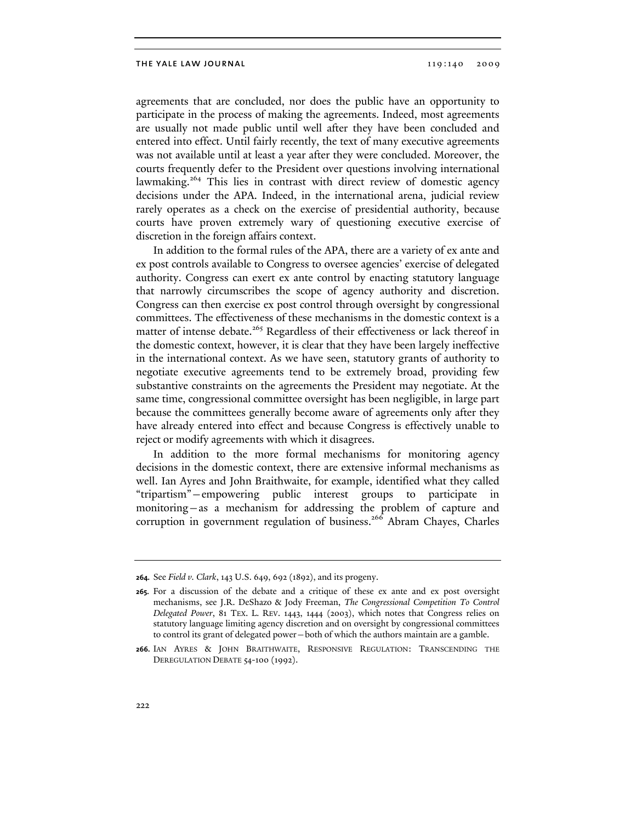agreements that are concluded, nor does the public have an opportunity to participate in the process of making the agreements. Indeed, most agreements are usually not made public until well after they have been concluded and entered into effect. Until fairly recently, the text of many executive agreements was not available until at least a year after they were concluded. Moreover, the courts frequently defer to the President over questions involving international lawmaking.<sup>264</sup> This lies in contrast with direct review of domestic agency decisions under the APA. Indeed, in the international arena, judicial review rarely operates as a check on the exercise of presidential authority, because courts have proven extremely wary of questioning executive exercise of discretion in the foreign affairs context.

In addition to the formal rules of the APA, there are a variety of ex ante and ex post controls available to Congress to oversee agencies' exercise of delegated authority. Congress can exert ex ante control by enacting statutory language that narrowly circumscribes the scope of agency authority and discretion. Congress can then exercise ex post control through oversight by congressional committees. The effectiveness of these mechanisms in the domestic context is a matter of intense debate.<sup>265</sup> Regardless of their effectiveness or lack thereof in the domestic context, however, it is clear that they have been largely ineffective in the international context. As we have seen, statutory grants of authority to negotiate executive agreements tend to be extremely broad, providing few substantive constraints on the agreements the President may negotiate. At the same time, congressional committee oversight has been negligible, in large part because the committees generally become aware of agreements only after they have already entered into effect and because Congress is effectively unable to reject or modify agreements with which it disagrees.

In addition to the more formal mechanisms for monitoring agency decisions in the domestic context, there are extensive informal mechanisms as well. Ian Ayres and John Braithwaite, for example, identified what they called "tripartism"—empowering public interest groups to participate in monitoring—as a mechanism for addressing the problem of capture and corruption in government regulation of business.<sup>266</sup> Abram Chayes, Charles

**<sup>264.</sup>** See *Field v. Clark*, 143 U.S. 649, 692 (1892), and its progeny.

**<sup>265.</sup>** For a discussion of the debate and a critique of these ex ante and ex post oversight mechanisms, see J.R. DeShazo & Jody Freeman, *The Congressional Competition To Control Delegated Power*, 81 TEX. L. REV. 1443, 1444 (2003), which notes that Congress relies on statutory language limiting agency discretion and on oversight by congressional committees to control its grant of delegated power—both of which the authors maintain are a gamble.

**<sup>266.</sup>** IAN AYRES & JOHN BRAITHWAITE, RESPONSIVE REGULATION: TRANSCENDING THE DEREGULATION DEBATE 54-100 (1992).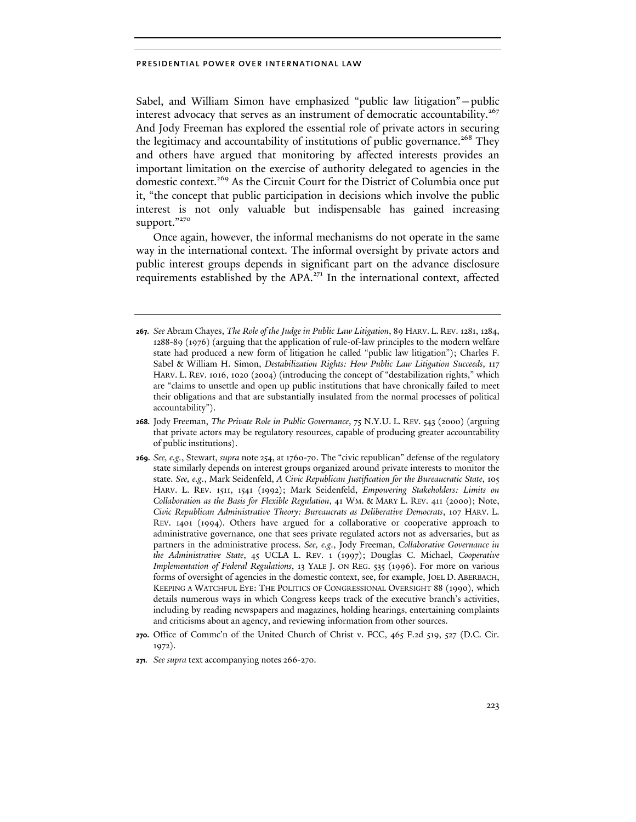Sabel, and William Simon have emphasized "public law litigation"—public interest advocacy that serves as an instrument of democratic accountability.<sup>267</sup> And Jody Freeman has explored the essential role of private actors in securing the legitimacy and accountability of institutions of public governance.<sup>268</sup> They and others have argued that monitoring by affected interests provides an important limitation on the exercise of authority delegated to agencies in the domestic context.269 As the Circuit Court for the District of Columbia once put it, "the concept that public participation in decisions which involve the public interest is not only valuable but indispensable has gained increasing support."270

Once again, however, the informal mechanisms do not operate in the same way in the international context. The informal oversight by private actors and public interest groups depends in significant part on the advance disclosure requirements established by the APA.<sup>271</sup> In the international context, affected

- **268.** Jody Freeman, *The Private Role in Public Governance*, 75 N.Y.U. L. REV. 543 (2000) (arguing that private actors may be regulatory resources, capable of producing greater accountability of public institutions).
- **269.** *See, e.g.*, Stewart, *supra* note 254, at 1760-70. The "civic republican" defense of the regulatory state similarly depends on interest groups organized around private interests to monitor the state. *See, e.g.*, Mark Seidenfeld, *A Civic Republican Justification for the Bureaucratic State*, 105 HARV. L. REV. 1511, 1541 (1992); Mark Seidenfeld, *Empowering Stakeholders: Limits on Collaboration as the Basis for Flexible Regulation*, 41 WM. & MARY L. REV. 411 (2000); Note, *Civic Republican Administrative Theory: Bureaucrats as Deliberative Democrats*, 107 HARV. L. REV. 1401 (1994). Others have argued for a collaborative or cooperative approach to administrative governance, one that sees private regulated actors not as adversaries, but as partners in the administrative process. *See, e.g.*, Jody Freeman, *Collaborative Governance in the Administrative State*, 45 UCLA L. REV. 1 (1997); Douglas C. Michael, *Cooperative Implementation of Federal Regulations*, 13 YALE J. ON REG. 535 (1996). For more on various forms of oversight of agencies in the domestic context, see, for example, JOEL D. ABERBACH, KEEPING A WATCHFUL EYE: THE POLITICS OF CONGRESSIONAL OVERSIGHT 88 (1990), which details numerous ways in which Congress keeps track of the executive branch's activities, including by reading newspapers and magazines, holding hearings, entertaining complaints and criticisms about an agency, and reviewing information from other sources.
- **270.** Office of Commc'n of the United Church of Christ v. FCC, 465 F.2d 519, 527 (D.C. Cir. 1972).
- **271.** *See supra* text accompanying notes 266-270.

**<sup>267.</sup>** *See* Abram Chayes, *The Role of the Judge in Public Law Litigation*, 89 HARV. L. REV. 1281, 1284, 1288-89 (1976) (arguing that the application of rule-of-law principles to the modern welfare state had produced a new form of litigation he called "public law litigation"); Charles F. Sabel & William H. Simon, *Destabilization Rights: How Public Law Litigation Succeeds*, 117 HARV. L. REV. 1016, 1020 (2004) (introducing the concept of "destabilization rights," which are "claims to unsettle and open up public institutions that have chronically failed to meet their obligations and that are substantially insulated from the normal processes of political accountability").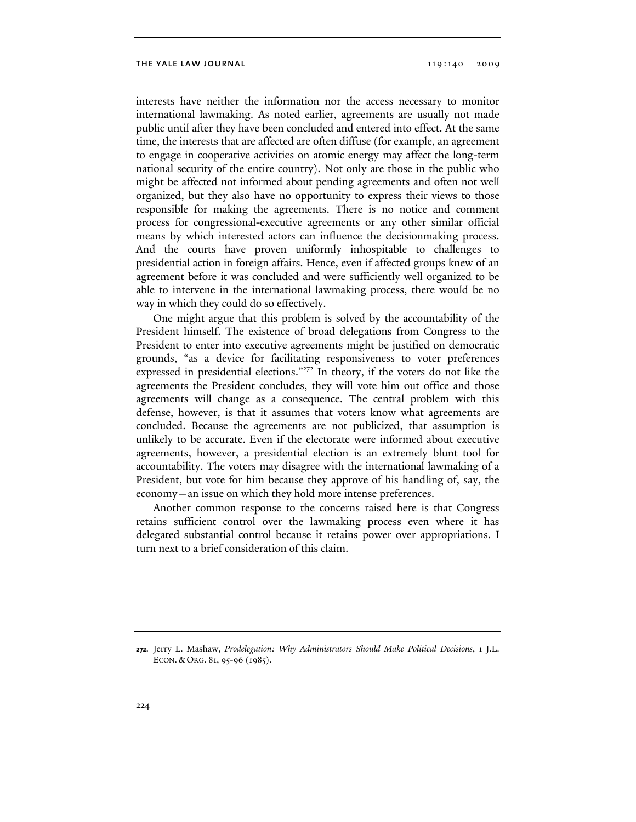interests have neither the information nor the access necessary to monitor international lawmaking. As noted earlier, agreements are usually not made public until after they have been concluded and entered into effect. At the same time, the interests that are affected are often diffuse (for example, an agreement to engage in cooperative activities on atomic energy may affect the long-term national security of the entire country). Not only are those in the public who might be affected not informed about pending agreements and often not well organized, but they also have no opportunity to express their views to those responsible for making the agreements. There is no notice and comment process for congressional-executive agreements or any other similar official means by which interested actors can influence the decisionmaking process. And the courts have proven uniformly inhospitable to challenges to presidential action in foreign affairs. Hence, even if affected groups knew of an agreement before it was concluded and were sufficiently well organized to be able to intervene in the international lawmaking process, there would be no way in which they could do so effectively.

One might argue that this problem is solved by the accountability of the President himself. The existence of broad delegations from Congress to the President to enter into executive agreements might be justified on democratic grounds, "as a device for facilitating responsiveness to voter preferences expressed in presidential elections."<sup>272</sup> In theory, if the voters do not like the agreements the President concludes, they will vote him out office and those agreements will change as a consequence. The central problem with this defense, however, is that it assumes that voters know what agreements are concluded. Because the agreements are not publicized, that assumption is unlikely to be accurate. Even if the electorate were informed about executive agreements, however, a presidential election is an extremely blunt tool for accountability. The voters may disagree with the international lawmaking of a President, but vote for him because they approve of his handling of, say, the economy—an issue on which they hold more intense preferences.

Another common response to the concerns raised here is that Congress retains sufficient control over the lawmaking process even where it has delegated substantial control because it retains power over appropriations. I turn next to a brief consideration of this claim.

**<sup>272.</sup>** Jerry L. Mashaw, *Prodelegation: Why Administrators Should Make Political Decisions*, 1 J.L. ECON. & ORG. 81, 95-96 (1985).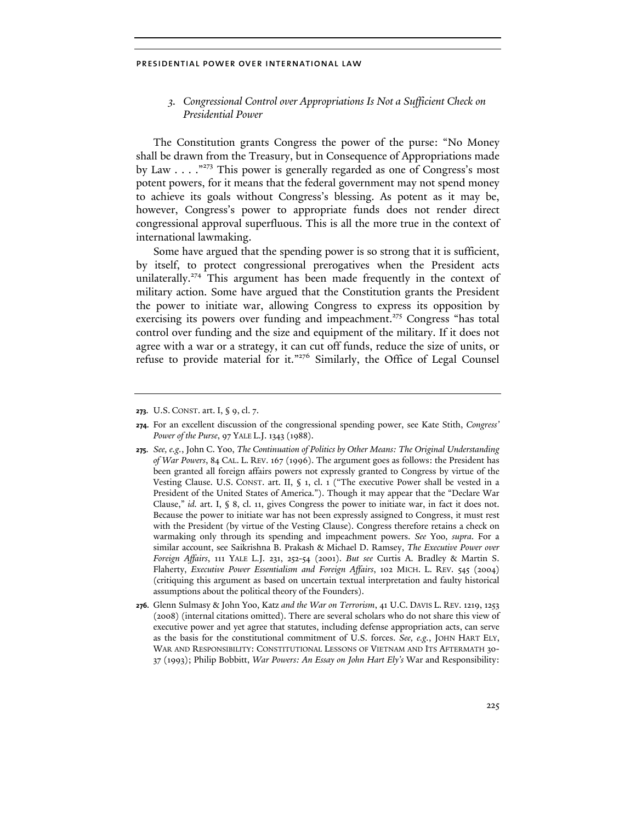*3. Congressional Control over Appropriations Is Not a Sufficient Check on Presidential Power* 

The Constitution grants Congress the power of the purse: "No Money shall be drawn from the Treasury, but in Consequence of Appropriations made by Law  $\ldots$ ."<sup>273</sup> This power is generally regarded as one of Congress's most potent powers, for it means that the federal government may not spend money to achieve its goals without Congress's blessing. As potent as it may be, however, Congress's power to appropriate funds does not render direct congressional approval superfluous. This is all the more true in the context of international lawmaking.

Some have argued that the spending power is so strong that it is sufficient, by itself, to protect congressional prerogatives when the President acts unilaterally.<sup>274</sup> This argument has been made frequently in the context of military action. Some have argued that the Constitution grants the President the power to initiate war, allowing Congress to express its opposition by exercising its powers over funding and impeachment.<sup>275</sup> Congress "has total control over funding and the size and equipment of the military. If it does not agree with a war or a strategy, it can cut off funds, reduce the size of units, or refuse to provide material for it."276 Similarly, the Office of Legal Counsel

- **275.** *See, e.g.*, John C. Yoo, *The Continuation of Politics by Other Means: The Original Understanding of War Powers*, 84 CAL. L. REV. 167 (1996). The argument goes as follows: the President has been granted all foreign affairs powers not expressly granted to Congress by virtue of the Vesting Clause. U.S. CONST. art. II, § 1, cl. 1 ("The executive Power shall be vested in a President of the United States of America."). Though it may appear that the "Declare War Clause," *id.* art. I, § 8, cl. 11, gives Congress the power to initiate war, in fact it does not. Because the power to initiate war has not been expressly assigned to Congress, it must rest with the President (by virtue of the Vesting Clause). Congress therefore retains a check on warmaking only through its spending and impeachment powers. *See* Yoo, *supra*. For a similar account, see Saikrishna B. Prakash & Michael D. Ramsey, *The Executive Power over Foreign Affairs*, 111 YALE L.J. 231, 252-54 (2001). *But see* Curtis A. Bradley & Martin S. Flaherty, *Executive Power Essentialism and Foreign Affairs*, 102 MICH. L. REV. 545 (2004) (critiquing this argument as based on uncertain textual interpretation and faulty historical assumptions about the political theory of the Founders).
- **276.** Glenn Sulmasy & John Yoo, Katz *and the War on Terrorism*, 41 U.C. DAVIS L. REV. 1219, 1253 (2008) (internal citations omitted). There are several scholars who do not share this view of executive power and yet agree that statutes, including defense appropriation acts, can serve as the basis for the constitutional commitment of U.S. forces. *See, e.g.*, JOHN HART ELY, WAR AND RESPONSIBILITY: CONSTITUTIONAL LESSONS OF VIETNAM AND ITS AFTERMATH 30- 37 (1993); Philip Bobbitt, *War Powers: An Essay on John Hart Ely's* War and Responsibility:

**<sup>273.</sup>** U.S. CONST. art. I, § 9, cl. 7.

**<sup>274.</sup>** For an excellent discussion of the congressional spending power, see Kate Stith, *Congress' Power of the Purse*, 97 YALE L.J. 1343 (1988).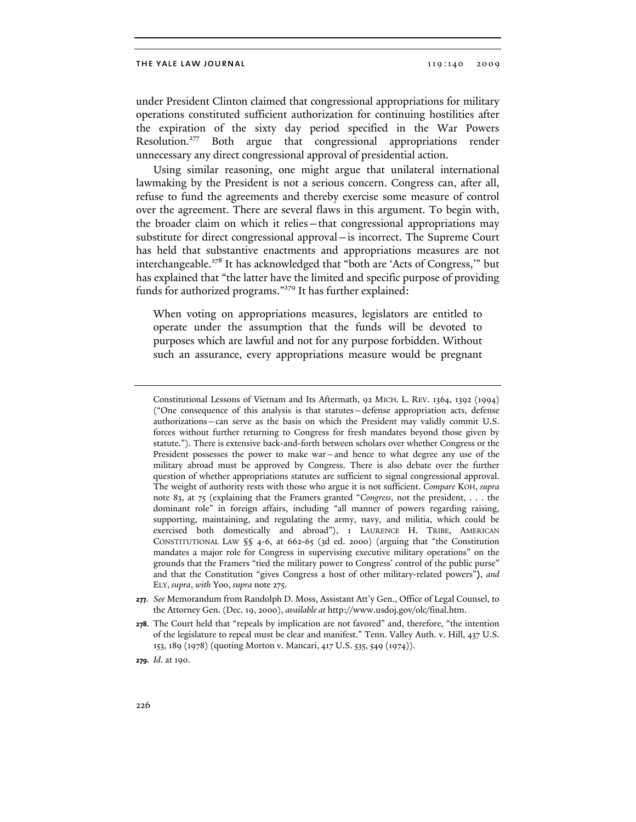under President Clinton claimed that congressional appropriations for military operations constituted sufficient authorization for continuing hostilities after the expiration of the sixty day period specified in the War Powers Resolution.277 Both argue that congressional appropriations render unnecessary any direct congressional approval of presidential action.

Using similar reasoning, one might argue that unilateral international lawmaking by the President is not a serious concern. Congress can, after all, refuse to fund the agreements and thereby exercise some measure of control over the agreement. There are several flaws in this argument. To begin with, the broader claim on which it relies—that congressional appropriations may substitute for direct congressional approval—is incorrect. The Supreme Court has held that substantive enactments and appropriations measures are not interchangeable.<sup>278</sup> It has acknowledged that "both are 'Acts of Congress," but has explained that "the latter have the limited and specific purpose of providing funds for authorized programs."279 It has further explained:

When voting on appropriations measures, legislators are entitled to operate under the assumption that the funds will be devoted to purposes which are lawful and not for any purpose forbidden. Without such an assurance, every appropriations measure would be pregnant

Constitutional Lessons of Vietnam and Its Aftermath, 92 MICH. L. REV. 1364, 1392 (1994) ("One consequence of this analysis is that statutes—defense appropriation acts, defense authorizations—can serve as the basis on which the President may validly commit U.S. forces without further returning to Congress for fresh mandates beyond those given by statute."). There is extensive back-and-forth between scholars over whether Congress or the President possesses the power to make war—and hence to what degree any use of the military abroad must be approved by Congress. There is also debate over the further question of whether appropriations statutes are sufficient to signal congressional approval. The weight of authority rests with those who argue it is not sufficient. *Compare* KOH, *supra* note 83, at 75 (explaining that the Framers granted "*Congress*, not the president, . . . the dominant role" in foreign affairs, including "all manner of powers regarding raising, supporting, maintaining, and regulating the army, navy, and militia, which could be exercised both domestically and abroad"), 1 LAURENCE H. TRIBE, AMERICAN CONSTITUTIONAL LAW §§ 4-6, at 662-65 (3d ed. 2000) (arguing that "the Constitution mandates a major role for Congress in supervising executive military operations" on the grounds that the Framers "tied the military power to Congress' control of the public purse" and that the Constitution "gives Congress a host of other military-related powers"), *and* ELY, *supra*, *with* Yoo, *supra* note 275.

**277.** *See* Memorandum from Randolph D. Moss, Assistant Att'y Gen., Office of Legal Counsel, to the Attorney Gen. (Dec. 19, 2000), *available at* http://www.usdoj.gov/olc/final.htm.

**<sup>278.</sup>** The Court held that "repeals by implication are not favored" and, therefore, "the intention of the legislature to repeal must be clear and manifest." Tenn. Valley Auth. v. Hill, 437 U.S. 153, 189 (1978) (quoting Morton v. Mancari, 417 U.S. 535, 549 (1974)).

**<sup>279.</sup>** *Id*. at 190.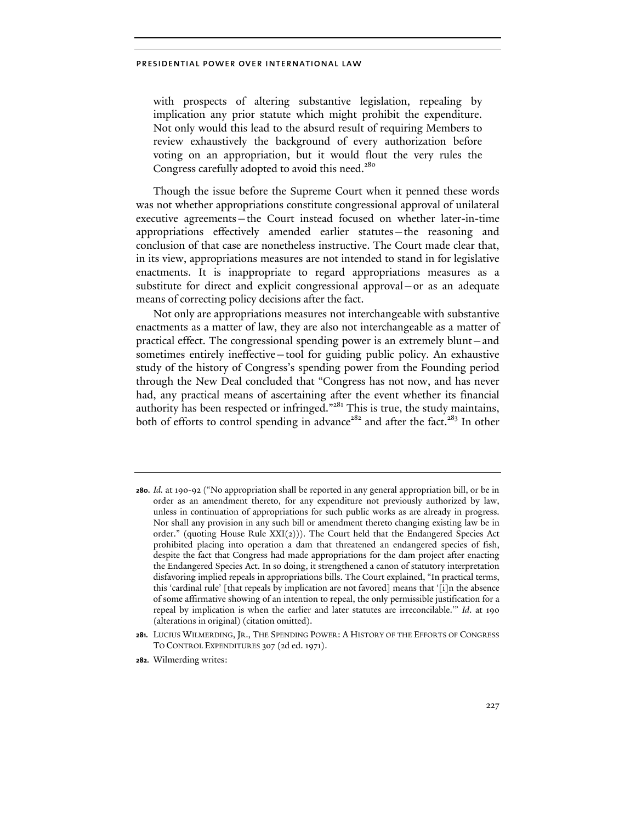with prospects of altering substantive legislation, repealing by implication any prior statute which might prohibit the expenditure. Not only would this lead to the absurd result of requiring Members to review exhaustively the background of every authorization before voting on an appropriation, but it would flout the very rules the Congress carefully adopted to avoid this need.<sup>280</sup>

Though the issue before the Supreme Court when it penned these words was not whether appropriations constitute congressional approval of unilateral executive agreements—the Court instead focused on whether later-in-time appropriations effectively amended earlier statutes—the reasoning and conclusion of that case are nonetheless instructive. The Court made clear that, in its view, appropriations measures are not intended to stand in for legislative enactments. It is inappropriate to regard appropriations measures as a substitute for direct and explicit congressional approval—or as an adequate means of correcting policy decisions after the fact.

Not only are appropriations measures not interchangeable with substantive enactments as a matter of law, they are also not interchangeable as a matter of practical effect. The congressional spending power is an extremely blunt—and sometimes entirely ineffective—tool for guiding public policy. An exhaustive study of the history of Congress's spending power from the Founding period through the New Deal concluded that "Congress has not now, and has never had, any practical means of ascertaining after the event whether its financial authority has been respected or infringed."<sup>281</sup> This is true, the study maintains, both of efforts to control spending in advance<sup>282</sup> and after the fact.<sup>283</sup> In other

**282.** Wilmerding writes:

**<sup>280.</sup>** *Id.* at 190-92 ("No appropriation shall be reported in any general appropriation bill, or be in order as an amendment thereto, for any expenditure not previously authorized by law, unless in continuation of appropriations for such public works as are already in progress. Nor shall any provision in any such bill or amendment thereto changing existing law be in order." (quoting House Rule  $XXI(2)$ )). The Court held that the Endangered Species Act prohibited placing into operation a dam that threatened an endangered species of fish, despite the fact that Congress had made appropriations for the dam project after enacting the Endangered Species Act. In so doing, it strengthened a canon of statutory interpretation disfavoring implied repeals in appropriations bills. The Court explained, "In practical terms, this 'cardinal rule' [that repeals by implication are not favored] means that '[i]n the absence of some affirmative showing of an intention to repeal, the only permissible justification for a repeal by implication is when the earlier and later statutes are irreconcilable.'" *Id*. at 190 (alterations in original) (citation omitted).

**<sup>281.</sup>** LUCIUS WILMERDING, JR., THE SPENDING POWER: A HISTORY OF THE EFFORTS OF CONGRESS TO CONTROL EXPENDITURES 307 (2d ed. 1971).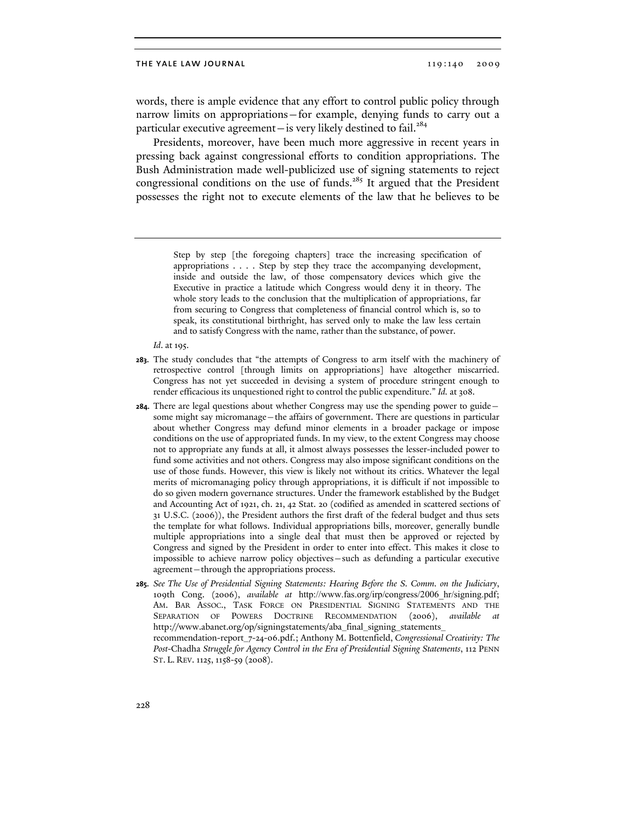words, there is ample evidence that any effort to control public policy through narrow limits on appropriations—for example, denying funds to carry out a particular executive agreement—is very likely destined to fail.<sup>284</sup>

Presidents, moreover, have been much more aggressive in recent years in pressing back against congressional efforts to condition appropriations. The Bush Administration made well-publicized use of signing statements to reject congressional conditions on the use of funds.<sup>285</sup> It argued that the President possesses the right not to execute elements of the law that he believes to be

> Step by step [the foregoing chapters] trace the increasing specification of appropriations . . . . Step by step they trace the accompanying development, inside and outside the law, of those compensatory devices which give the Executive in practice a latitude which Congress would deny it in theory. The whole story leads to the conclusion that the multiplication of appropriations, far from securing to Congress that completeness of financial control which is, so to speak, its constitutional birthright, has served only to make the law less certain and to satisfy Congress with the name, rather than the substance, of power.

*Id*. at 195.

- **283.** The study concludes that "the attempts of Congress to arm itself with the machinery of retrospective control [through limits on appropriations] have altogether miscarried. Congress has not yet succeeded in devising a system of procedure stringent enough to render efficacious its unquestioned right to control the public expenditure." *Id.* at 308.
- **284.** There are legal questions about whether Congress may use the spending power to guide some might say micromanage—the affairs of government. There are questions in particular about whether Congress may defund minor elements in a broader package or impose conditions on the use of appropriated funds. In my view, to the extent Congress may choose not to appropriate any funds at all, it almost always possesses the lesser-included power to fund some activities and not others. Congress may also impose significant conditions on the use of those funds. However, this view is likely not without its critics. Whatever the legal merits of micromanaging policy through appropriations, it is difficult if not impossible to do so given modern governance structures. Under the framework established by the Budget and Accounting Act of 1921, ch. 21, 42 Stat. 20 (codified as amended in scattered sections of 31 U.S.C. (2006)), the President authors the first draft of the federal budget and thus sets the template for what follows. Individual appropriations bills, moreover, generally bundle multiple appropriations into a single deal that must then be approved or rejected by Congress and signed by the President in order to enter into effect. This makes it close to impossible to achieve narrow policy objectives—such as defunding a particular executive agreement—through the appropriations process.
- **285.** *See The Use of Presidential Signing Statements: Hearing Before the S. Comm. on the Judiciary*, 109th Cong. (2006), *available at* http://www.fas.org/irp/congress/2006\_hr/signing.pdf; AM. BAR ASSOC., TASK FORCE ON PRESIDENTIAL SIGNING STATEMENTS AND THE SEPARATION OF POWERS DOCTRINE RECOMMENDATION (2006), *available* http://www.abanet.org/op/signingstatements/aba\_final\_signing\_statements\_ recommendation-report\_7-24-06.pdf.; Anthony M. Bottenfield, *Congressional Creativity: The Post-*Chadha *Struggle for Agency Control in the Era of Presidential Signing Statements*, 112 PENN ST. L. REV. 1125, 1158-59 (2008).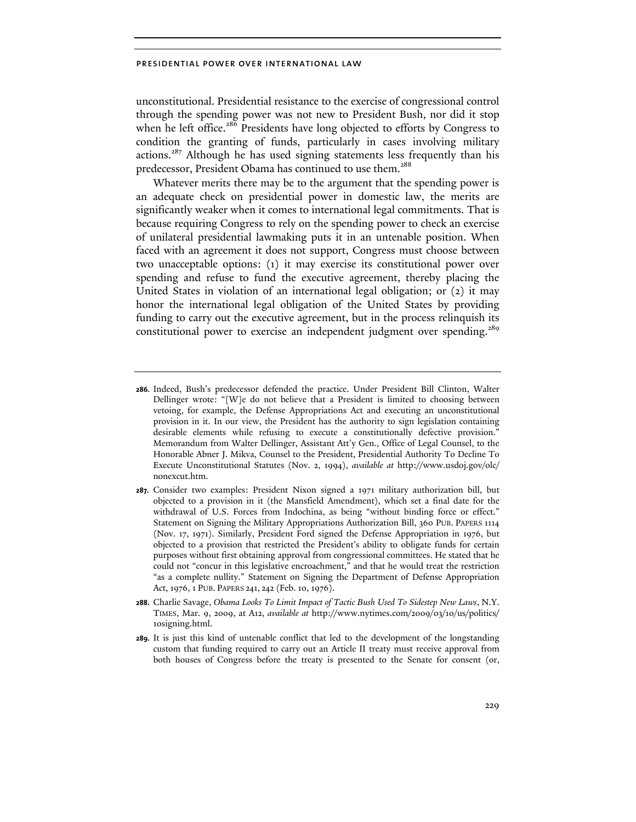unconstitutional. Presidential resistance to the exercise of congressional control through the spending power was not new to President Bush, nor did it stop when he left office.<sup>286</sup> Presidents have long objected to efforts by Congress to condition the granting of funds, particularly in cases involving military actions.<sup>287</sup> Although he has used signing statements less frequently than his predecessor, President Obama has continued to use them.<sup>288</sup>

Whatever merits there may be to the argument that the spending power is an adequate check on presidential power in domestic law, the merits are significantly weaker when it comes to international legal commitments. That is because requiring Congress to rely on the spending power to check an exercise of unilateral presidential lawmaking puts it in an untenable position. When faced with an agreement it does not support, Congress must choose between two unacceptable options: (1) it may exercise its constitutional power over spending and refuse to fund the executive agreement, thereby placing the United States in violation of an international legal obligation; or (2) it may honor the international legal obligation of the United States by providing funding to carry out the executive agreement, but in the process relinquish its constitutional power to exercise an independent judgment over spending.<sup>289</sup>

- **287.** Consider two examples: President Nixon signed a 1971 military authorization bill, but objected to a provision in it (the Mansfield Amendment), which set a final date for the withdrawal of U.S. Forces from Indochina, as being "without binding force or effect." Statement on Signing the Military Appropriations Authorization Bill, 360 PUB. PAPERS 1114 (Nov. 17, 1971). Similarly, President Ford signed the Defense Appropriation in 1976, but objected to a provision that restricted the President's ability to obligate funds for certain purposes without first obtaining approval from congressional committees. He stated that he could not "concur in this legislative encroachment," and that he would treat the restriction "as a complete nullity." Statement on Signing the Department of Defense Appropriation Act, 1976, 1 PUB. PAPERS 241, 242 (Feb. 10, 1976).
- **288.** Charlie Savage, *Obama Looks To Limit Impact of Tactic Bush Used To Sidestep New Laws*, N.Y. TIMES, Mar. 9, 2009, at A12, *available at* http://www.nytimes.com/2009/03/10/us/politics/ 10signing.html.
- **289.** It is just this kind of untenable conflict that led to the development of the longstanding custom that funding required to carry out an Article II treaty must receive approval from both houses of Congress before the treaty is presented to the Senate for consent (or,

**<sup>286.</sup>** Indeed, Bush's predecessor defended the practice. Under President Bill Clinton, Walter Dellinger wrote: "[W]e do not believe that a President is limited to choosing between vetoing, for example, the Defense Appropriations Act and executing an unconstitutional provision in it. In our view, the President has the authority to sign legislation containing desirable elements while refusing to execute a constitutionally defective provision." Memorandum from Walter Dellinger, Assistant Att'y Gen., Office of Legal Counsel, to the Honorable Abner J. Mikva, Counsel to the President, Presidential Authority To Decline To Execute Unconstitutional Statutes (Nov. 2, 1994), *available at* http://www.usdoj.gov/olc/ nonexcut.htm.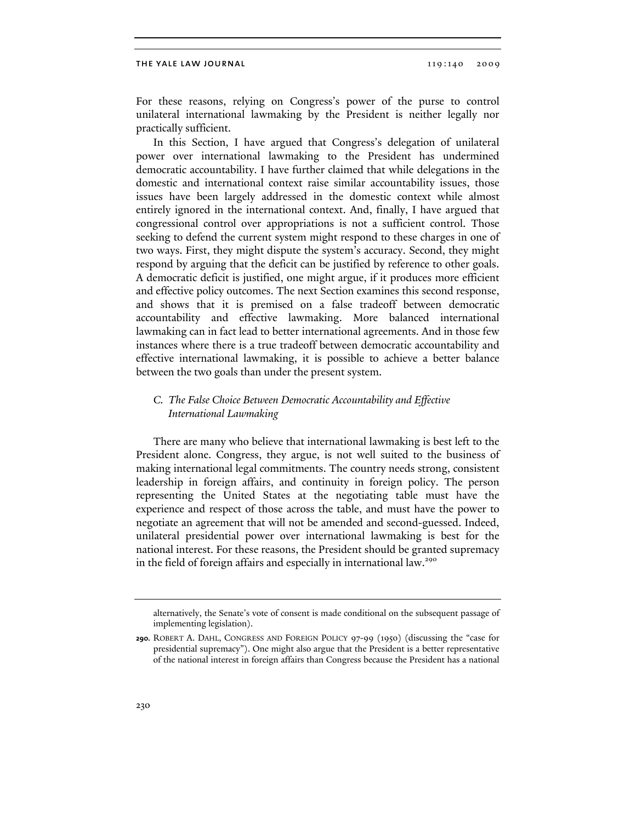For these reasons, relying on Congress's power of the purse to control unilateral international lawmaking by the President is neither legally nor practically sufficient.

In this Section, I have argued that Congress's delegation of unilateral power over international lawmaking to the President has undermined democratic accountability. I have further claimed that while delegations in the domestic and international context raise similar accountability issues, those issues have been largely addressed in the domestic context while almost entirely ignored in the international context. And, finally, I have argued that congressional control over appropriations is not a sufficient control. Those seeking to defend the current system might respond to these charges in one of two ways. First, they might dispute the system's accuracy. Second, they might respond by arguing that the deficit can be justified by reference to other goals. A democratic deficit is justified, one might argue, if it produces more efficient and effective policy outcomes. The next Section examines this second response, and shows that it is premised on a false tradeoff between democratic accountability and effective lawmaking. More balanced international lawmaking can in fact lead to better international agreements. And in those few instances where there is a true tradeoff between democratic accountability and effective international lawmaking, it is possible to achieve a better balance between the two goals than under the present system.

# *C. The False Choice Between Democratic Accountability and Effective International Lawmaking*

There are many who believe that international lawmaking is best left to the President alone. Congress, they argue, is not well suited to the business of making international legal commitments. The country needs strong, consistent leadership in foreign affairs, and continuity in foreign policy. The person representing the United States at the negotiating table must have the experience and respect of those across the table, and must have the power to negotiate an agreement that will not be amended and second-guessed. Indeed, unilateral presidential power over international lawmaking is best for the national interest. For these reasons, the President should be granted supremacy in the field of foreign affairs and especially in international law.<sup>290</sup>

alternatively, the Senate's vote of consent is made conditional on the subsequent passage of implementing legislation).

**<sup>290.</sup>** ROBERT A. DAHL, CONGRESS AND FOREIGN POLICY 97-99 (1950) (discussing the "case for presidential supremacy"). One might also argue that the President is a better representative of the national interest in foreign affairs than Congress because the President has a national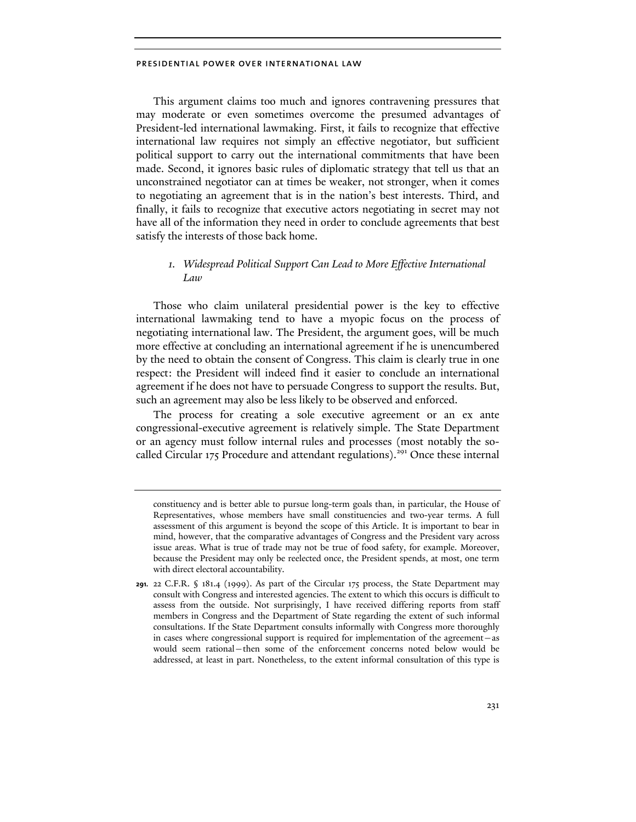This argument claims too much and ignores contravening pressures that may moderate or even sometimes overcome the presumed advantages of President-led international lawmaking. First, it fails to recognize that effective international law requires not simply an effective negotiator, but sufficient political support to carry out the international commitments that have been made. Second, it ignores basic rules of diplomatic strategy that tell us that an unconstrained negotiator can at times be weaker, not stronger, when it comes to negotiating an agreement that is in the nation's best interests. Third, and finally, it fails to recognize that executive actors negotiating in secret may not have all of the information they need in order to conclude agreements that best satisfy the interests of those back home.

# *1. Widespread Political Support Can Lead to More Effective International Law*

Those who claim unilateral presidential power is the key to effective international lawmaking tend to have a myopic focus on the process of negotiating international law. The President, the argument goes, will be much more effective at concluding an international agreement if he is unencumbered by the need to obtain the consent of Congress. This claim is clearly true in one respect: the President will indeed find it easier to conclude an international agreement if he does not have to persuade Congress to support the results. But, such an agreement may also be less likely to be observed and enforced.

The process for creating a sole executive agreement or an ex ante congressional-executive agreement is relatively simple. The State Department or an agency must follow internal rules and processes (most notably the socalled Circular 175 Procedure and attendant regulations).<sup>291</sup> Once these internal

constituency and is better able to pursue long-term goals than, in particular, the House of Representatives, whose members have small constituencies and two-year terms. A full assessment of this argument is beyond the scope of this Article. It is important to bear in mind, however, that the comparative advantages of Congress and the President vary across issue areas. What is true of trade may not be true of food safety, for example. Moreover, because the President may only be reelected once, the President spends, at most, one term with direct electoral accountability.

**<sup>291.</sup>** 22 C.F.R. § 181.4 (1999). As part of the Circular 175 process, the State Department may consult with Congress and interested agencies. The extent to which this occurs is difficult to assess from the outside. Not surprisingly, I have received differing reports from staff members in Congress and the Department of State regarding the extent of such informal consultations. If the State Department consults informally with Congress more thoroughly in cases where congressional support is required for implementation of the agreement—as would seem rational—then some of the enforcement concerns noted below would be addressed, at least in part. Nonetheless, to the extent informal consultation of this type is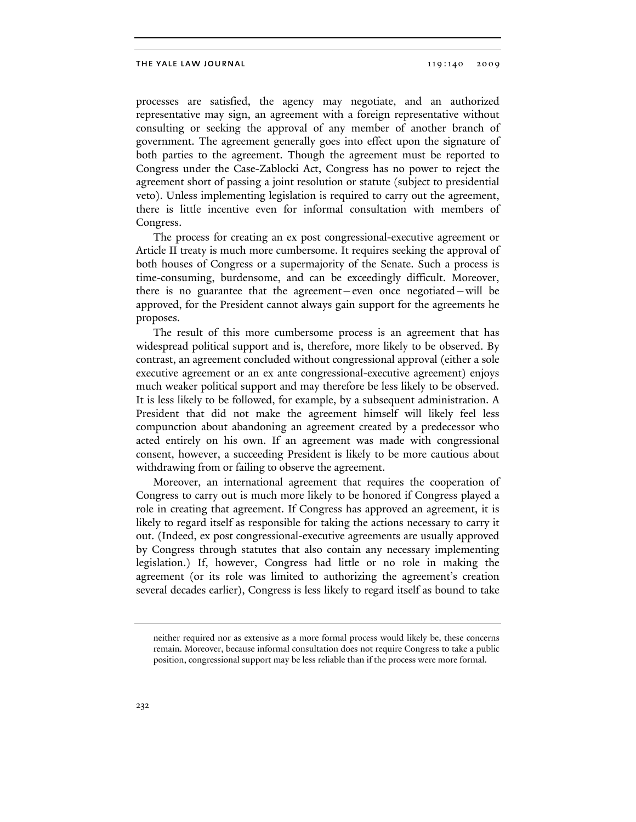processes are satisfied, the agency may negotiate, and an authorized representative may sign, an agreement with a foreign representative without consulting or seeking the approval of any member of another branch of government. The agreement generally goes into effect upon the signature of both parties to the agreement. Though the agreement must be reported to Congress under the Case-Zablocki Act, Congress has no power to reject the agreement short of passing a joint resolution or statute (subject to presidential veto). Unless implementing legislation is required to carry out the agreement, there is little incentive even for informal consultation with members of Congress.

The process for creating an ex post congressional-executive agreement or Article II treaty is much more cumbersome. It requires seeking the approval of both houses of Congress or a supermajority of the Senate. Such a process is time-consuming, burdensome, and can be exceedingly difficult. Moreover, there is no guarantee that the agreement—even once negotiated—will be approved, for the President cannot always gain support for the agreements he proposes.

The result of this more cumbersome process is an agreement that has widespread political support and is, therefore, more likely to be observed. By contrast, an agreement concluded without congressional approval (either a sole executive agreement or an ex ante congressional-executive agreement) enjoys much weaker political support and may therefore be less likely to be observed. It is less likely to be followed, for example, by a subsequent administration. A President that did not make the agreement himself will likely feel less compunction about abandoning an agreement created by a predecessor who acted entirely on his own. If an agreement was made with congressional consent, however, a succeeding President is likely to be more cautious about withdrawing from or failing to observe the agreement.

Moreover, an international agreement that requires the cooperation of Congress to carry out is much more likely to be honored if Congress played a role in creating that agreement. If Congress has approved an agreement, it is likely to regard itself as responsible for taking the actions necessary to carry it out. (Indeed, ex post congressional-executive agreements are usually approved by Congress through statutes that also contain any necessary implementing legislation.) If, however, Congress had little or no role in making the agreement (or its role was limited to authorizing the agreement's creation several decades earlier), Congress is less likely to regard itself as bound to take

neither required nor as extensive as a more formal process would likely be, these concerns remain. Moreover, because informal consultation does not require Congress to take a public position, congressional support may be less reliable than if the process were more formal.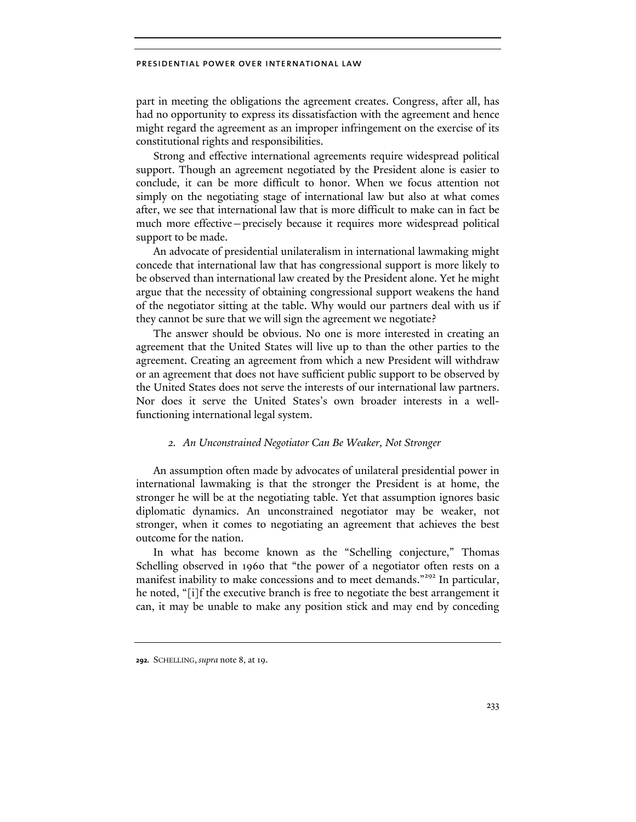part in meeting the obligations the agreement creates. Congress, after all, has had no opportunity to express its dissatisfaction with the agreement and hence might regard the agreement as an improper infringement on the exercise of its constitutional rights and responsibilities.

Strong and effective international agreements require widespread political support. Though an agreement negotiated by the President alone is easier to conclude, it can be more difficult to honor. When we focus attention not simply on the negotiating stage of international law but also at what comes after, we see that international law that is more difficult to make can in fact be much more effective—precisely because it requires more widespread political support to be made.

An advocate of presidential unilateralism in international lawmaking might concede that international law that has congressional support is more likely to be observed than international law created by the President alone. Yet he might argue that the necessity of obtaining congressional support weakens the hand of the negotiator sitting at the table. Why would our partners deal with us if they cannot be sure that we will sign the agreement we negotiate?

The answer should be obvious. No one is more interested in creating an agreement that the United States will live up to than the other parties to the agreement. Creating an agreement from which a new President will withdraw or an agreement that does not have sufficient public support to be observed by the United States does not serve the interests of our international law partners. Nor does it serve the United States's own broader interests in a wellfunctioning international legal system.

# *2. An Unconstrained Negotiator Can Be Weaker, Not Stronger*

An assumption often made by advocates of unilateral presidential power in international lawmaking is that the stronger the President is at home, the stronger he will be at the negotiating table. Yet that assumption ignores basic diplomatic dynamics. An unconstrained negotiator may be weaker, not stronger, when it comes to negotiating an agreement that achieves the best outcome for the nation.

In what has become known as the "Schelling conjecture," Thomas Schelling observed in 1960 that "the power of a negotiator often rests on a manifest inability to make concessions and to meet demands."<sup>292</sup> In particular, he noted, "[i]f the executive branch is free to negotiate the best arrangement it can, it may be unable to make any position stick and may end by conceding

**<sup>292.</sup>** SCHELLING, *supra* note 8, at 19.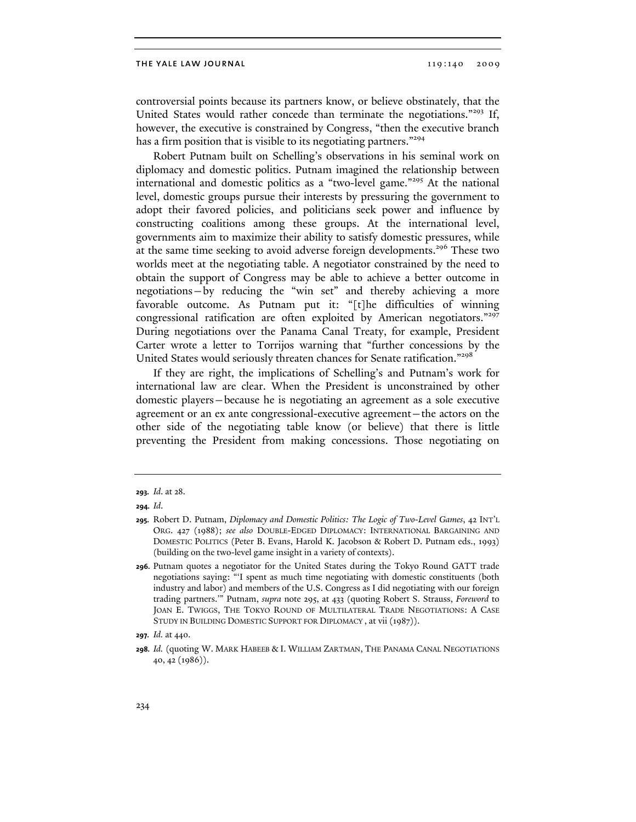controversial points because its partners know, or believe obstinately, that the United States would rather concede than terminate the negotiations."293 If, however, the executive is constrained by Congress, "then the executive branch has a firm position that is visible to its negotiating partners."<sup>294</sup>

Robert Putnam built on Schelling's observations in his seminal work on diplomacy and domestic politics. Putnam imagined the relationship between international and domestic politics as a "two-level game."295 At the national level, domestic groups pursue their interests by pressuring the government to adopt their favored policies, and politicians seek power and influence by constructing coalitions among these groups. At the international level, governments aim to maximize their ability to satisfy domestic pressures, while at the same time seeking to avoid adverse foreign developments.<sup>296</sup> These two worlds meet at the negotiating table. A negotiator constrained by the need to obtain the support of Congress may be able to achieve a better outcome in negotiations—by reducing the "win set" and thereby achieving a more favorable outcome. As Putnam put it: "[t]he difficulties of winning congressional ratification are often exploited by American negotiators."<sup>297</sup> During negotiations over the Panama Canal Treaty, for example, President Carter wrote a letter to Torrijos warning that "further concessions by the United States would seriously threaten chances for Senate ratification."298

If they are right, the implications of Schelling's and Putnam's work for international law are clear. When the President is unconstrained by other domestic players—because he is negotiating an agreement as a sole executive agreement or an ex ante congressional-executive agreement—the actors on the other side of the negotiating table know (or believe) that there is little preventing the President from making concessions. Those negotiating on

**<sup>293.</sup>** *Id*. at 28.

**<sup>294.</sup>** *Id*.

**<sup>295.</sup>** Robert D. Putnam, *Diplomacy and Domestic Politics: The Logic of Two-Level Games*, 42 INT'L ORG. 427 (1988); *see also* DOUBLE-EDGED DIPLOMACY: INTERNATIONAL BARGAINING AND DOMESTIC POLITICS (Peter B. Evans, Harold K. Jacobson & Robert D. Putnam eds., 1993) (building on the two-level game insight in a variety of contexts).

**<sup>296.</sup>** Putnam quotes a negotiator for the United States during the Tokyo Round GATT trade negotiations saying: "'I spent as much time negotiating with domestic constituents (both industry and labor) and members of the U.S. Congress as I did negotiating with our foreign trading partners.'" Putnam, *supra* note 295, at 433 (quoting Robert S. Strauss, *Foreword* to JOAN E. TWIGGS, THE TOKYO ROUND OF MULTILATERAL TRADE NEGOTIATIONS: A CASE STUDY IN BUILDING DOMESTIC SUPPORT FOR DIPLOMACY , at vii (1987)).

**<sup>297.</sup>** *Id.* at 440.

**<sup>298.</sup>** *Id.* (quoting W. MARK HABEEB & I. WILLIAM ZARTMAN, THE PANAMA CANAL NEGOTIATIONS 40, 42 (1986)).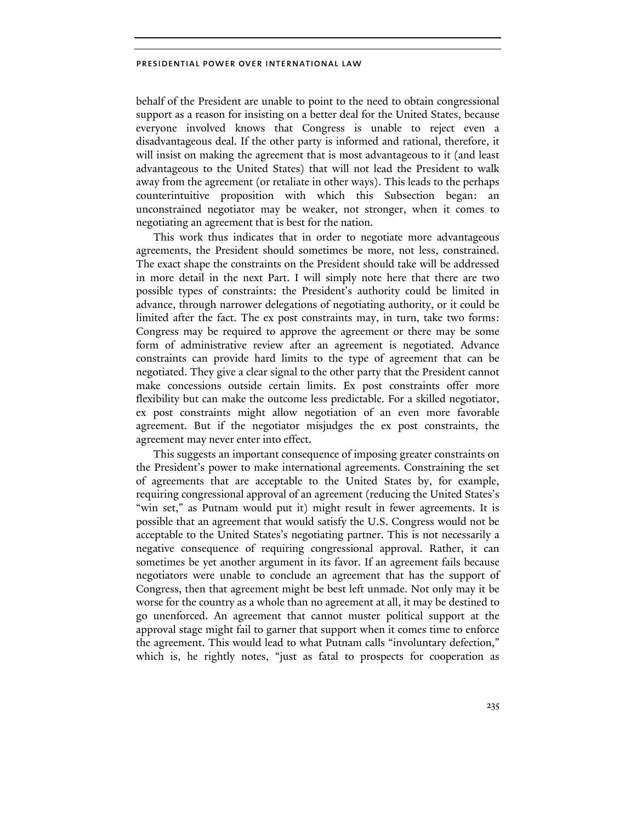behalf of the President are unable to point to the need to obtain congressional support as a reason for insisting on a better deal for the United States, because everyone involved knows that Congress is unable to reject even a disadvantageous deal. If the other party is informed and rational, therefore, it will insist on making the agreement that is most advantageous to it (and least advantageous to the United States) that will not lead the President to walk away from the agreement (or retaliate in other ways). This leads to the perhaps counterintuitive proposition with which this Subsection began: an unconstrained negotiator may be weaker, not stronger, when it comes to negotiating an agreement that is best for the nation.

This work thus indicates that in order to negotiate more advantageous agreements, the President should sometimes be more, not less, constrained. The exact shape the constraints on the President should take will be addressed in more detail in the next Part. I will simply note here that there are two possible types of constraints: the President's authority could be limited in advance, through narrower delegations of negotiating authority, or it could be limited after the fact. The ex post constraints may, in turn, take two forms: Congress may be required to approve the agreement or there may be some form of administrative review after an agreement is negotiated. Advance constraints can provide hard limits to the type of agreement that can be negotiated. They give a clear signal to the other party that the President cannot make concessions outside certain limits. Ex post constraints offer more flexibility but can make the outcome less predictable. For a skilled negotiator, ex post constraints might allow negotiation of an even more favorable agreement. But if the negotiator misjudges the ex post constraints, the agreement may never enter into effect.

This suggests an important consequence of imposing greater constraints on the President's power to make international agreements. Constraining the set of agreements that are acceptable to the United States by, for example, requiring congressional approval of an agreement (reducing the United States's "win set," as Putnam would put it) might result in fewer agreements. It is possible that an agreement that would satisfy the U.S. Congress would not be acceptable to the United States's negotiating partner. This is not necessarily a negative consequence of requiring congressional approval. Rather, it can sometimes be yet another argument in its favor. If an agreement fails because negotiators were unable to conclude an agreement that has the support of Congress, then that agreement might be best left unmade. Not only may it be worse for the country as a whole than no agreement at all, it may be destined to go unenforced. An agreement that cannot muster political support at the approval stage might fail to garner that support when it comes time to enforce the agreement. This would lead to what Putnam calls "involuntary defection," which is, he rightly notes, "just as fatal to prospects for cooperation as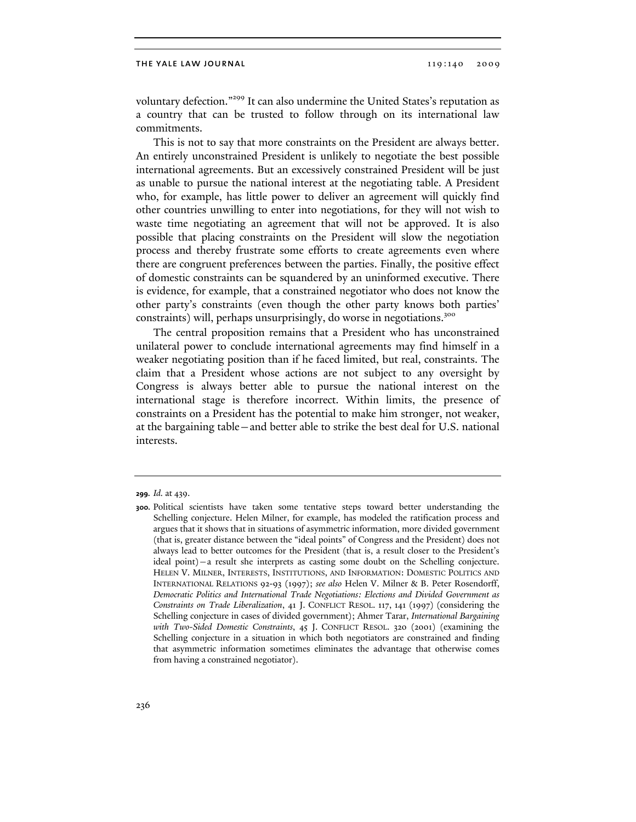voluntary defection."299 It can also undermine the United States's reputation as a country that can be trusted to follow through on its international law commitments.

This is not to say that more constraints on the President are always better. An entirely unconstrained President is unlikely to negotiate the best possible international agreements. But an excessively constrained President will be just as unable to pursue the national interest at the negotiating table. A President who, for example, has little power to deliver an agreement will quickly find other countries unwilling to enter into negotiations, for they will not wish to waste time negotiating an agreement that will not be approved. It is also possible that placing constraints on the President will slow the negotiation process and thereby frustrate some efforts to create agreements even where there are congruent preferences between the parties. Finally, the positive effect of domestic constraints can be squandered by an uninformed executive. There is evidence, for example, that a constrained negotiator who does not know the other party's constraints (even though the other party knows both parties' constraints) will, perhaps unsurprisingly, do worse in negotiations.<sup>300</sup>

The central proposition remains that a President who has unconstrained unilateral power to conclude international agreements may find himself in a weaker negotiating position than if he faced limited, but real, constraints. The claim that a President whose actions are not subject to any oversight by Congress is always better able to pursue the national interest on the international stage is therefore incorrect. Within limits, the presence of constraints on a President has the potential to make him stronger, not weaker, at the bargaining table—and better able to strike the best deal for U.S. national interests.

**<sup>299.</sup>** *Id.* at 439.

**<sup>300.</sup>** Political scientists have taken some tentative steps toward better understanding the Schelling conjecture. Helen Milner, for example, has modeled the ratification process and argues that it shows that in situations of asymmetric information, more divided government (that is, greater distance between the "ideal points" of Congress and the President) does not always lead to better outcomes for the President (that is, a result closer to the President's ideal point)—a result she interprets as casting some doubt on the Schelling conjecture. HELEN V. MILNER, INTERESTS, INSTITUTIONS, AND INFORMATION: DOMESTIC POLITICS AND INTERNATIONAL RELATIONS 92-93 (1997); *see also* Helen V. Milner & B. Peter Rosendorff, *Democratic Politics and International Trade Negotiations: Elections and Divided Government as Constraints on Trade Liberalization*, 41 J. CONFLICT RESOL. 117, 141 (1997) (considering the Schelling conjecture in cases of divided government); Ahmer Tarar, *International Bargaining with Two-Sided Domestic Constraints*, 45 J. CONFLICT RESOL. 320 (2001) (examining the Schelling conjecture in a situation in which both negotiators are constrained and finding that asymmetric information sometimes eliminates the advantage that otherwise comes from having a constrained negotiator).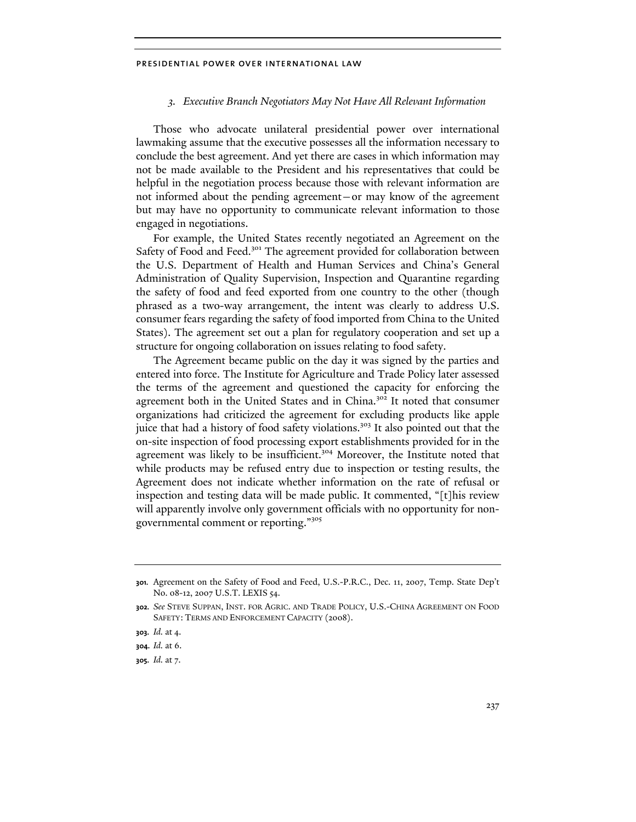## *3. Executive Branch Negotiators May Not Have All Relevant Information*

Those who advocate unilateral presidential power over international lawmaking assume that the executive possesses all the information necessary to conclude the best agreement. And yet there are cases in which information may not be made available to the President and his representatives that could be helpful in the negotiation process because those with relevant information are not informed about the pending agreement—or may know of the agreement but may have no opportunity to communicate relevant information to those engaged in negotiations.

For example, the United States recently negotiated an Agreement on the Safety of Food and Feed.<sup>301</sup> The agreement provided for collaboration between the U.S. Department of Health and Human Services and China's General Administration of Quality Supervision, Inspection and Quarantine regarding the safety of food and feed exported from one country to the other (though phrased as a two-way arrangement, the intent was clearly to address U.S. consumer fears regarding the safety of food imported from China to the United States). The agreement set out a plan for regulatory cooperation and set up a structure for ongoing collaboration on issues relating to food safety.

The Agreement became public on the day it was signed by the parties and entered into force. The Institute for Agriculture and Trade Policy later assessed the terms of the agreement and questioned the capacity for enforcing the agreement both in the United States and in China.<sup>302</sup> It noted that consumer organizations had criticized the agreement for excluding products like apple juice that had a history of food safety violations.<sup>303</sup> It also pointed out that the on-site inspection of food processing export establishments provided for in the agreement was likely to be insufficient.<sup>304</sup> Moreover, the Institute noted that while products may be refused entry due to inspection or testing results, the Agreement does not indicate whether information on the rate of refusal or inspection and testing data will be made public. It commented, "[t]his review will apparently involve only government officials with no opportunity for nongovernmental comment or reporting."<sup>305</sup>

**<sup>301.</sup>** Agreement on the Safety of Food and Feed, U.S.-P.R.C., Dec. 11, 2007, Temp. State Dep't No. 08-12, 2007 U.S.T. LEXIS 54.

**<sup>302.</sup>** *See* STEVE SUPPAN, INST. FOR AGRIC. AND TRADE POLICY, U.S.-CHINA AGREEMENT ON FOOD SAFETY: TERMS AND ENFORCEMENT CAPACITY (2008).

**<sup>303.</sup>** *Id.* at 4.

**<sup>304.</sup>** *Id.* at 6.

**<sup>305.</sup>** *Id.* at 7.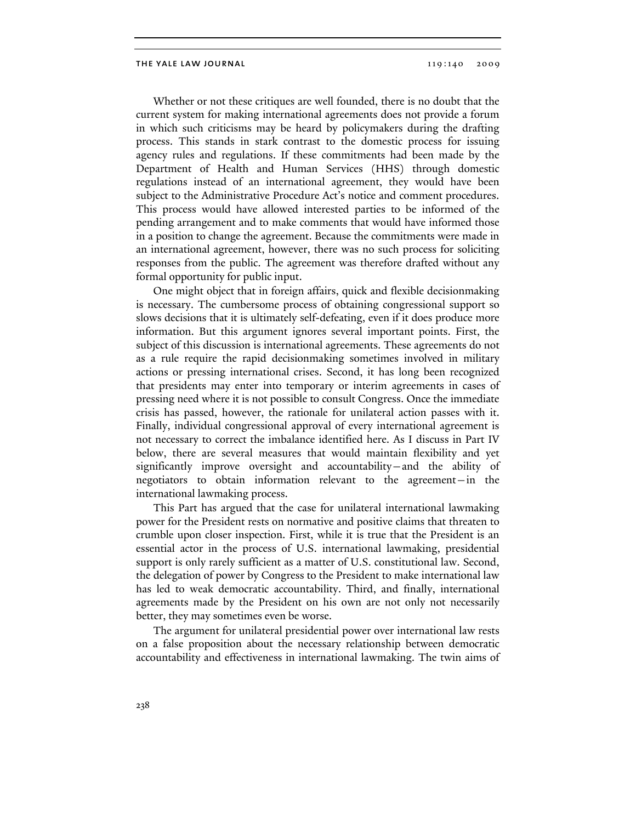Whether or not these critiques are well founded, there is no doubt that the current system for making international agreements does not provide a forum in which such criticisms may be heard by policymakers during the drafting process. This stands in stark contrast to the domestic process for issuing agency rules and regulations. If these commitments had been made by the Department of Health and Human Services (HHS) through domestic regulations instead of an international agreement, they would have been subject to the Administrative Procedure Act's notice and comment procedures. This process would have allowed interested parties to be informed of the pending arrangement and to make comments that would have informed those in a position to change the agreement. Because the commitments were made in an international agreement, however, there was no such process for soliciting responses from the public. The agreement was therefore drafted without any formal opportunity for public input.

One might object that in foreign affairs, quick and flexible decisionmaking is necessary. The cumbersome process of obtaining congressional support so slows decisions that it is ultimately self-defeating, even if it does produce more information. But this argument ignores several important points. First, the subject of this discussion is international agreements. These agreements do not as a rule require the rapid decisionmaking sometimes involved in military actions or pressing international crises. Second, it has long been recognized that presidents may enter into temporary or interim agreements in cases of pressing need where it is not possible to consult Congress. Once the immediate crisis has passed, however, the rationale for unilateral action passes with it. Finally, individual congressional approval of every international agreement is not necessary to correct the imbalance identified here. As I discuss in Part IV below, there are several measures that would maintain flexibility and yet significantly improve oversight and accountability—and the ability of negotiators to obtain information relevant to the agreement—in the international lawmaking process.

This Part has argued that the case for unilateral international lawmaking power for the President rests on normative and positive claims that threaten to crumble upon closer inspection. First, while it is true that the President is an essential actor in the process of U.S. international lawmaking, presidential support is only rarely sufficient as a matter of U.S. constitutional law. Second, the delegation of power by Congress to the President to make international law has led to weak democratic accountability. Third, and finally, international agreements made by the President on his own are not only not necessarily better, they may sometimes even be worse.

The argument for unilateral presidential power over international law rests on a false proposition about the necessary relationship between democratic accountability and effectiveness in international lawmaking. The twin aims of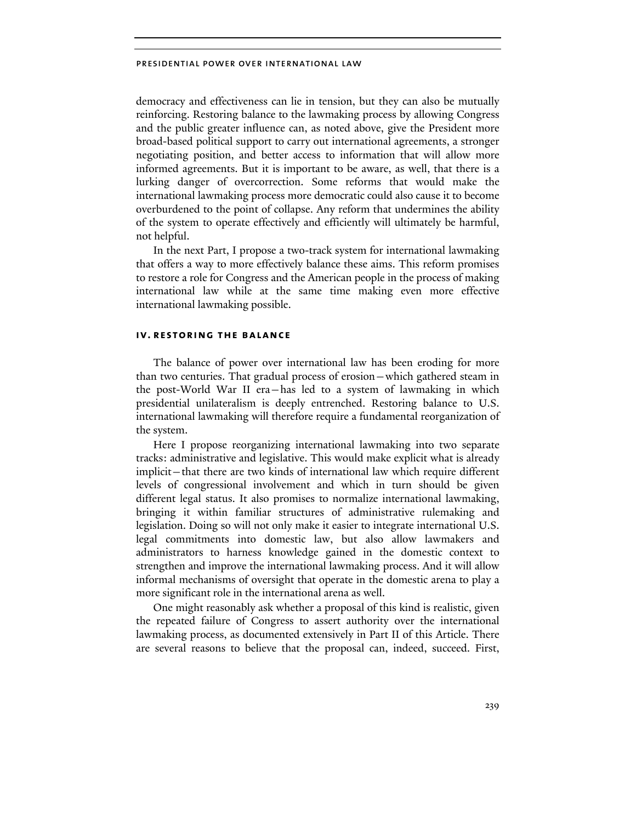democracy and effectiveness can lie in tension, but they can also be mutually reinforcing. Restoring balance to the lawmaking process by allowing Congress and the public greater influence can, as noted above, give the President more broad-based political support to carry out international agreements, a stronger negotiating position, and better access to information that will allow more informed agreements. But it is important to be aware, as well, that there is a lurking danger of overcorrection. Some reforms that would make the international lawmaking process more democratic could also cause it to become overburdened to the point of collapse. Any reform that undermines the ability of the system to operate effectively and efficiently will ultimately be harmful, not helpful.

In the next Part, I propose a two-track system for international lawmaking that offers a way to more effectively balance these aims. This reform promises to restore a role for Congress and the American people in the process of making international law while at the same time making even more effective international lawmaking possible.

## **iv. restoring the balance**

The balance of power over international law has been eroding for more than two centuries. That gradual process of erosion—which gathered steam in the post-World War II era—has led to a system of lawmaking in which presidential unilateralism is deeply entrenched. Restoring balance to U.S. international lawmaking will therefore require a fundamental reorganization of the system.

Here I propose reorganizing international lawmaking into two separate tracks: administrative and legislative. This would make explicit what is already implicit—that there are two kinds of international law which require different levels of congressional involvement and which in turn should be given different legal status. It also promises to normalize international lawmaking, bringing it within familiar structures of administrative rulemaking and legislation. Doing so will not only make it easier to integrate international U.S. legal commitments into domestic law, but also allow lawmakers and administrators to harness knowledge gained in the domestic context to strengthen and improve the international lawmaking process. And it will allow informal mechanisms of oversight that operate in the domestic arena to play a more significant role in the international arena as well.

One might reasonably ask whether a proposal of this kind is realistic, given the repeated failure of Congress to assert authority over the international lawmaking process, as documented extensively in Part II of this Article. There are several reasons to believe that the proposal can, indeed, succeed. First,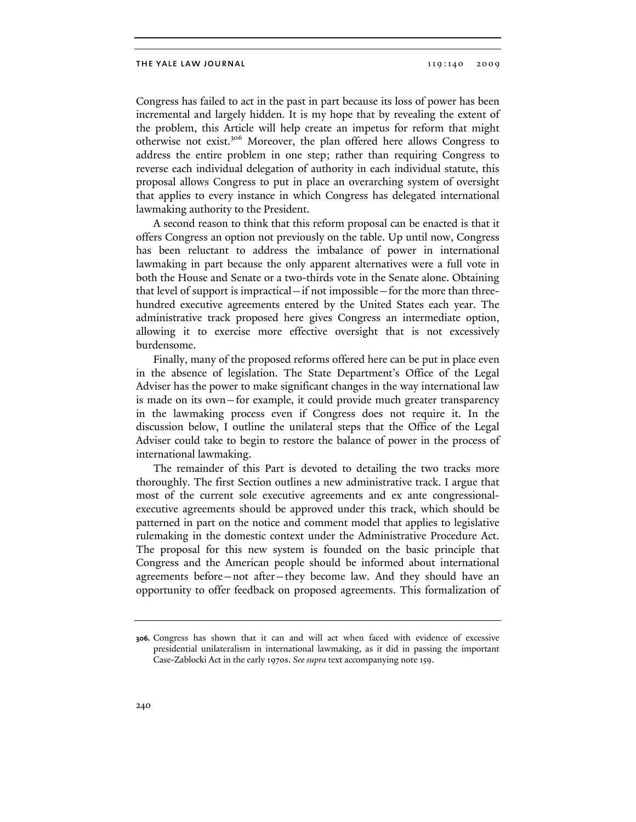Congress has failed to act in the past in part because its loss of power has been incremental and largely hidden. It is my hope that by revealing the extent of the problem, this Article will help create an impetus for reform that might otherwise not exist.306 Moreover, the plan offered here allows Congress to address the entire problem in one step; rather than requiring Congress to reverse each individual delegation of authority in each individual statute, this proposal allows Congress to put in place an overarching system of oversight that applies to every instance in which Congress has delegated international lawmaking authority to the President.

A second reason to think that this reform proposal can be enacted is that it offers Congress an option not previously on the table. Up until now, Congress has been reluctant to address the imbalance of power in international lawmaking in part because the only apparent alternatives were a full vote in both the House and Senate or a two-thirds vote in the Senate alone. Obtaining that level of support is impractical—if not impossible—for the more than threehundred executive agreements entered by the United States each year. The administrative track proposed here gives Congress an intermediate option, allowing it to exercise more effective oversight that is not excessively burdensome.

Finally, many of the proposed reforms offered here can be put in place even in the absence of legislation. The State Department's Office of the Legal Adviser has the power to make significant changes in the way international law is made on its own—for example, it could provide much greater transparency in the lawmaking process even if Congress does not require it. In the discussion below, I outline the unilateral steps that the Office of the Legal Adviser could take to begin to restore the balance of power in the process of international lawmaking.

The remainder of this Part is devoted to detailing the two tracks more thoroughly. The first Section outlines a new administrative track. I argue that most of the current sole executive agreements and ex ante congressionalexecutive agreements should be approved under this track, which should be patterned in part on the notice and comment model that applies to legislative rulemaking in the domestic context under the Administrative Procedure Act. The proposal for this new system is founded on the basic principle that Congress and the American people should be informed about international agreements before—not after—they become law. And they should have an opportunity to offer feedback on proposed agreements. This formalization of

**<sup>306.</sup>** Congress has shown that it can and will act when faced with evidence of excessive presidential unilateralism in international lawmaking, as it did in passing the important Case-Zablocki Act in the early 1970s. *See supra* text accompanying note 159.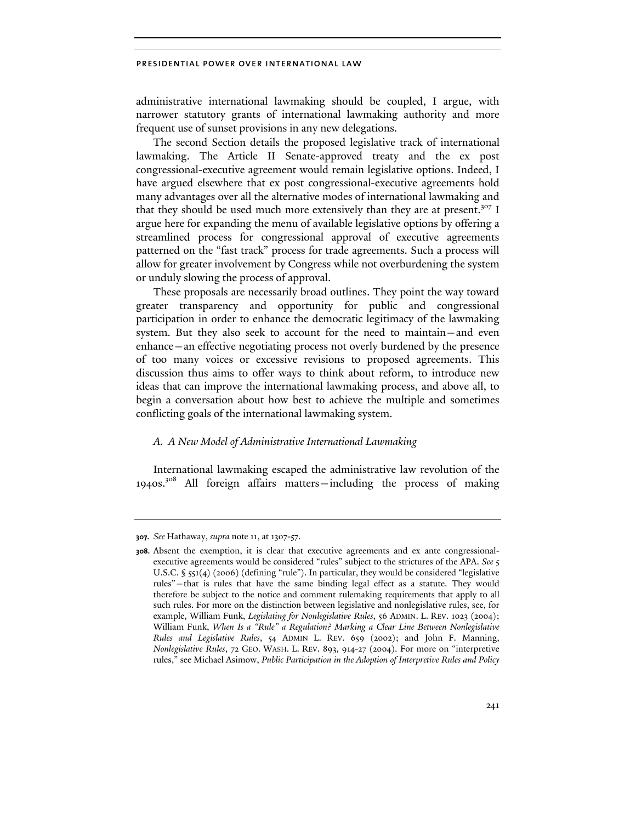administrative international lawmaking should be coupled, I argue, with narrower statutory grants of international lawmaking authority and more frequent use of sunset provisions in any new delegations.

The second Section details the proposed legislative track of international lawmaking. The Article II Senate-approved treaty and the ex post congressional-executive agreement would remain legislative options. Indeed, I have argued elsewhere that ex post congressional-executive agreements hold many advantages over all the alternative modes of international lawmaking and that they should be used much more extensively than they are at present.<sup>307</sup> I argue here for expanding the menu of available legislative options by offering a streamlined process for congressional approval of executive agreements patterned on the "fast track" process for trade agreements. Such a process will allow for greater involvement by Congress while not overburdening the system or unduly slowing the process of approval.

These proposals are necessarily broad outlines. They point the way toward greater transparency and opportunity for public and congressional participation in order to enhance the democratic legitimacy of the lawmaking system. But they also seek to account for the need to maintain—and even enhance—an effective negotiating process not overly burdened by the presence of too many voices or excessive revisions to proposed agreements. This discussion thus aims to offer ways to think about reform, to introduce new ideas that can improve the international lawmaking process, and above all, to begin a conversation about how best to achieve the multiple and sometimes conflicting goals of the international lawmaking system.

# *A. A New Model of Administrative International Lawmaking*

International lawmaking escaped the administrative law revolution of the 1940s.308 All foreign affairs matters—including the process of making

**<sup>307.</sup>** *See* Hathaway, *supra* note 11, at 1307-57.

**<sup>308.</sup>** Absent the exemption, it is clear that executive agreements and ex ante congressionalexecutive agreements would be considered "rules" subject to the strictures of the APA. *See* 5 U.S.C. § 551(4) (2006) (defining "rule"). In particular, they would be considered "legislative rules"—that is rules that have the same binding legal effect as a statute. They would therefore be subject to the notice and comment rulemaking requirements that apply to all such rules. For more on the distinction between legislative and nonlegislative rules, see, for example, William Funk, *Legislating for Nonlegislative Rules*, 56 ADMIN. L. REV. 1023 (2004); William Funk, *When Is a "Rule" a Regulation? Marking a Clear Line Between Nonlegislative Rules and Legislative Rules*, 54 ADMIN L. REV. 659 (2002); and John F. Manning, *Nonlegislative Rules*, 72 GEO. WASH. L. REV. 893, 914-27 (2004). For more on "interpretive rules," see Michael Asimow, *Public Participation in the Adoption of Interpretive Rules and Policy*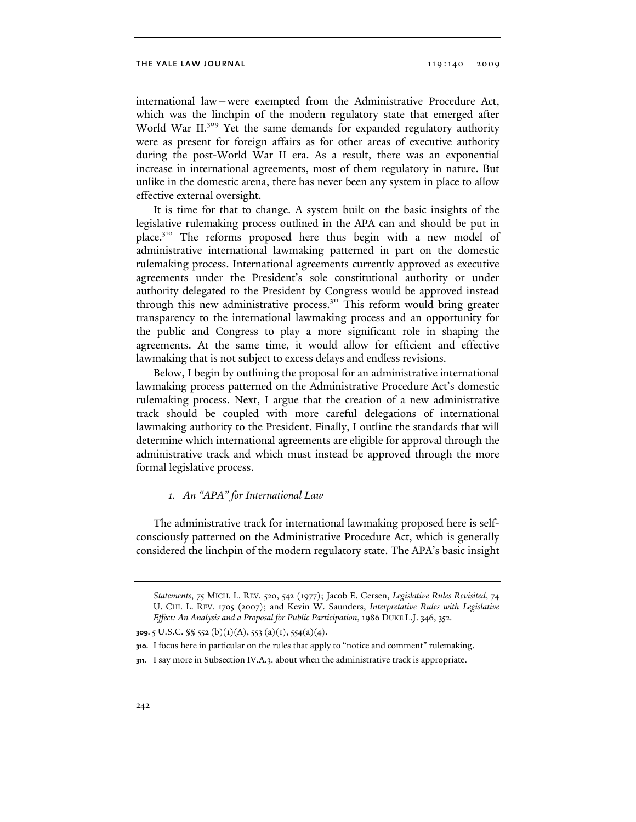international law—were exempted from the Administrative Procedure Act, which was the linchpin of the modern regulatory state that emerged after World War II.<sup>309</sup> Yet the same demands for expanded regulatory authority were as present for foreign affairs as for other areas of executive authority during the post-World War II era. As a result, there was an exponential increase in international agreements, most of them regulatory in nature. But unlike in the domestic arena, there has never been any system in place to allow effective external oversight.

It is time for that to change. A system built on the basic insights of the legislative rulemaking process outlined in the APA can and should be put in place.<sup>310</sup> The reforms proposed here thus begin with a new model of administrative international lawmaking patterned in part on the domestic rulemaking process. International agreements currently approved as executive agreements under the President's sole constitutional authority or under authority delegated to the President by Congress would be approved instead through this new administrative process.<sup>311</sup> This reform would bring greater transparency to the international lawmaking process and an opportunity for the public and Congress to play a more significant role in shaping the agreements. At the same time, it would allow for efficient and effective lawmaking that is not subject to excess delays and endless revisions.

Below, I begin by outlining the proposal for an administrative international lawmaking process patterned on the Administrative Procedure Act's domestic rulemaking process. Next, I argue that the creation of a new administrative track should be coupled with more careful delegations of international lawmaking authority to the President. Finally, I outline the standards that will determine which international agreements are eligible for approval through the administrative track and which must instead be approved through the more formal legislative process.

# *1. An "APA" for International Law*

The administrative track for international lawmaking proposed here is selfconsciously patterned on the Administrative Procedure Act, which is generally considered the linchpin of the modern regulatory state. The APA's basic insight

*Statements*, 75 MICH. L. REV. 520, 542 (1977); Jacob E. Gersen, *Legislative Rules Revisited*, 74 U. CHI. L. REV. 1705 (2007); and Kevin W. Saunders, *Interpretative Rules with Legislative Effect: An Analysis and a Proposal for Public Participation*, 1986 DUKE L.J. 346, 352.

**<sup>309.</sup>** 5 U.S.C. §§ 552 (b)(1)(A), 553 (a)(1), 554(a)(4).

**<sup>310.</sup>** I focus here in particular on the rules that apply to "notice and comment" rulemaking.

**<sup>311.</sup>** I say more in Subsection IV.A.3. about when the administrative track is appropriate.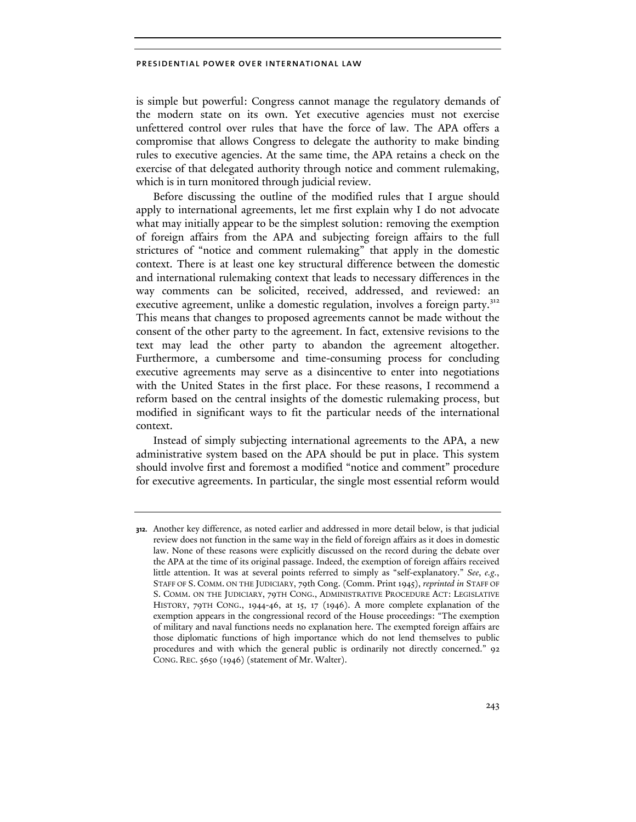is simple but powerful: Congress cannot manage the regulatory demands of the modern state on its own. Yet executive agencies must not exercise unfettered control over rules that have the force of law. The APA offers a compromise that allows Congress to delegate the authority to make binding rules to executive agencies. At the same time, the APA retains a check on the exercise of that delegated authority through notice and comment rulemaking, which is in turn monitored through judicial review.

Before discussing the outline of the modified rules that I argue should apply to international agreements, let me first explain why I do not advocate what may initially appear to be the simplest solution: removing the exemption of foreign affairs from the APA and subjecting foreign affairs to the full strictures of "notice and comment rulemaking" that apply in the domestic context. There is at least one key structural difference between the domestic and international rulemaking context that leads to necessary differences in the way comments can be solicited, received, addressed, and reviewed: an executive agreement, unlike a domestic regulation, involves a foreign party.<sup>312</sup> This means that changes to proposed agreements cannot be made without the consent of the other party to the agreement. In fact, extensive revisions to the text may lead the other party to abandon the agreement altogether. Furthermore, a cumbersome and time-consuming process for concluding executive agreements may serve as a disincentive to enter into negotiations with the United States in the first place. For these reasons, I recommend a reform based on the central insights of the domestic rulemaking process, but modified in significant ways to fit the particular needs of the international context.

Instead of simply subjecting international agreements to the APA, a new administrative system based on the APA should be put in place. This system should involve first and foremost a modified "notice and comment" procedure for executive agreements. In particular, the single most essential reform would

**<sup>312.</sup>** Another key difference, as noted earlier and addressed in more detail below, is that judicial review does not function in the same way in the field of foreign affairs as it does in domestic law. None of these reasons were explicitly discussed on the record during the debate over the APA at the time of its original passage. Indeed, the exemption of foreign affairs received little attention. It was at several points referred to simply as "self-explanatory." *See*, *e.g.*, STAFF OF S. COMM. ON THE JUDICIARY, 79th Cong. (Comm. Print 1945), *reprinted in* STAFF OF S. COMM. ON THE JUDICIARY, 79TH CONG., ADMINISTRATIVE PROCEDURE ACT: LEGISLATIVE HISTORY, 79TH CONG., 1944-46, at 15, 17 (1946). A more complete explanation of the exemption appears in the congressional record of the House proceedings: "The exemption of military and naval functions needs no explanation here. The exempted foreign affairs are those diplomatic functions of high importance which do not lend themselves to public procedures and with which the general public is ordinarily not directly concerned." 92 CONG. REC. 5650 (1946) (statement of Mr. Walter).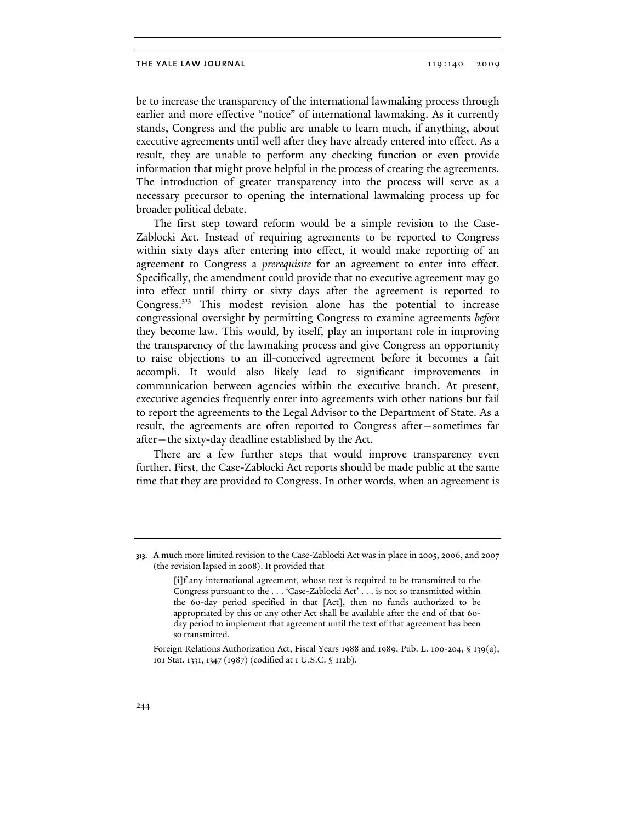be to increase the transparency of the international lawmaking process through earlier and more effective "notice" of international lawmaking. As it currently stands, Congress and the public are unable to learn much, if anything, about executive agreements until well after they have already entered into effect. As a result, they are unable to perform any checking function or even provide information that might prove helpful in the process of creating the agreements. The introduction of greater transparency into the process will serve as a necessary precursor to opening the international lawmaking process up for broader political debate.

The first step toward reform would be a simple revision to the Case-Zablocki Act. Instead of requiring agreements to be reported to Congress within sixty days after entering into effect, it would make reporting of an agreement to Congress a *prerequisite* for an agreement to enter into effect. Specifically, the amendment could provide that no executive agreement may go into effect until thirty or sixty days after the agreement is reported to Congress.313 This modest revision alone has the potential to increase congressional oversight by permitting Congress to examine agreements *before* they become law. This would, by itself, play an important role in improving the transparency of the lawmaking process and give Congress an opportunity to raise objections to an ill-conceived agreement before it becomes a fait accompli. It would also likely lead to significant improvements in communication between agencies within the executive branch. At present, executive agencies frequently enter into agreements with other nations but fail to report the agreements to the Legal Advisor to the Department of State. As a result, the agreements are often reported to Congress after—sometimes far after—the sixty-day deadline established by the Act.

There are a few further steps that would improve transparency even further. First, the Case-Zablocki Act reports should be made public at the same time that they are provided to Congress. In other words, when an agreement is

 Foreign Relations Authorization Act, Fiscal Years 1988 and 1989, Pub. L. 100-204, § 139(a), 101 Stat. 1331, 1347 (1987) (codified at 1 U.S.C. § 112b).

**<sup>313.</sup>** A much more limited revision to the Case-Zablocki Act was in place in 2005, 2006, and 2007 (the revision lapsed in 2008). It provided that

<sup>[</sup>i]f any international agreement, whose text is required to be transmitted to the Congress pursuant to the . . . 'Case-Zablocki Act' . . . is not so transmitted within the 60-day period specified in that [Act], then no funds authorized to be appropriated by this or any other Act shall be available after the end of that 60 day period to implement that agreement until the text of that agreement has been so transmitted.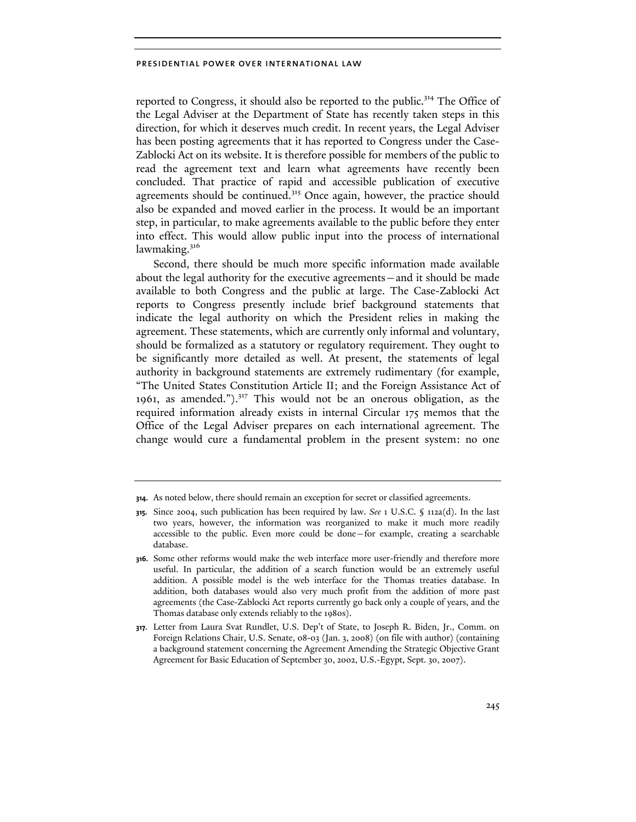reported to Congress, it should also be reported to the public.<sup>314</sup> The Office of the Legal Adviser at the Department of State has recently taken steps in this direction, for which it deserves much credit. In recent years, the Legal Adviser has been posting agreements that it has reported to Congress under the Case-Zablocki Act on its website. It is therefore possible for members of the public to read the agreement text and learn what agreements have recently been concluded. That practice of rapid and accessible publication of executive agreements should be continued.<sup>315</sup> Once again, however, the practice should also be expanded and moved earlier in the process. It would be an important step, in particular, to make agreements available to the public before they enter into effect. This would allow public input into the process of international lawmaking. $316$ 

Second, there should be much more specific information made available about the legal authority for the executive agreements—and it should be made available to both Congress and the public at large. The Case-Zablocki Act reports to Congress presently include brief background statements that indicate the legal authority on which the President relies in making the agreement. These statements, which are currently only informal and voluntary, should be formalized as a statutory or regulatory requirement. They ought to be significantly more detailed as well. At present, the statements of legal authority in background statements are extremely rudimentary (for example, "The United States Constitution Article II; and the Foreign Assistance Act of 1961, as amended.").317 This would not be an onerous obligation, as the required information already exists in internal Circular 175 memos that the Office of the Legal Adviser prepares on each international agreement. The change would cure a fundamental problem in the present system: no one

**<sup>314.</sup>** As noted below, there should remain an exception for secret or classified agreements.

**<sup>315.</sup>** Since 2004, such publication has been required by law. *See* 1 U.S.C. § 112a(d). In the last two years, however, the information was reorganized to make it much more readily accessible to the public. Even more could be done—for example, creating a searchable database.

**<sup>316.</sup>** Some other reforms would make the web interface more user-friendly and therefore more useful. In particular, the addition of a search function would be an extremely useful addition. A possible model is the web interface for the Thomas treaties database. In addition, both databases would also very much profit from the addition of more past agreements (the Case-Zablocki Act reports currently go back only a couple of years, and the Thomas database only extends reliably to the 1980s).

**<sup>317.</sup>** Letter from Laura Svat Rundlet, U.S. Dep't of State, to Joseph R. Biden, Jr., Comm. on Foreign Relations Chair, U.S. Senate, 08-03 (Jan. 3, 2008) (on file with author) (containing a background statement concerning the Agreement Amending the Strategic Objective Grant Agreement for Basic Education of September 30, 2002, U.S.-Egypt, Sept. 30, 2007).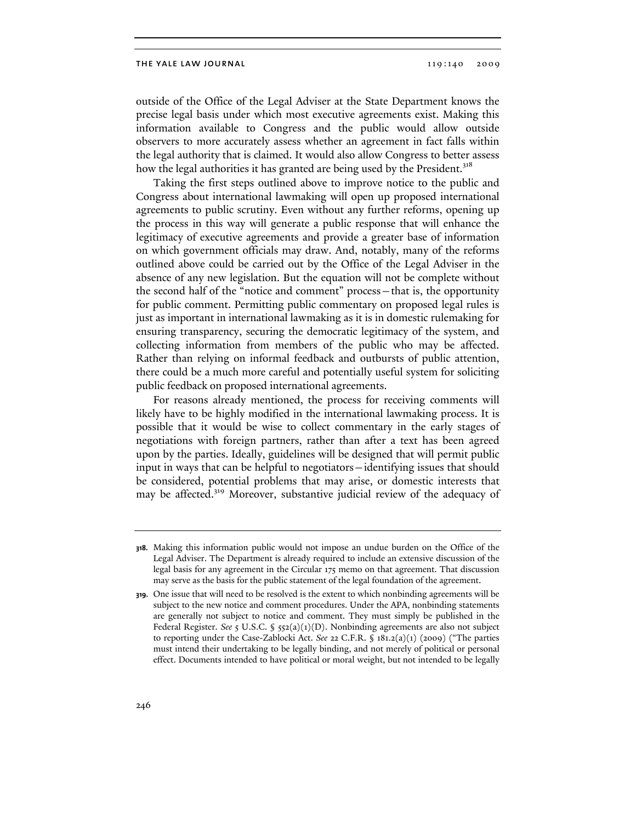outside of the Office of the Legal Adviser at the State Department knows the precise legal basis under which most executive agreements exist. Making this information available to Congress and the public would allow outside observers to more accurately assess whether an agreement in fact falls within the legal authority that is claimed. It would also allow Congress to better assess how the legal authorities it has granted are being used by the President.<sup>318</sup>

Taking the first steps outlined above to improve notice to the public and Congress about international lawmaking will open up proposed international agreements to public scrutiny. Even without any further reforms, opening up the process in this way will generate a public response that will enhance the legitimacy of executive agreements and provide a greater base of information on which government officials may draw. And, notably, many of the reforms outlined above could be carried out by the Office of the Legal Adviser in the absence of any new legislation. But the equation will not be complete without the second half of the "notice and comment" process—that is, the opportunity for public comment. Permitting public commentary on proposed legal rules is just as important in international lawmaking as it is in domestic rulemaking for ensuring transparency, securing the democratic legitimacy of the system, and collecting information from members of the public who may be affected. Rather than relying on informal feedback and outbursts of public attention, there could be a much more careful and potentially useful system for soliciting public feedback on proposed international agreements.

For reasons already mentioned, the process for receiving comments will likely have to be highly modified in the international lawmaking process. It is possible that it would be wise to collect commentary in the early stages of negotiations with foreign partners, rather than after a text has been agreed upon by the parties. Ideally, guidelines will be designed that will permit public input in ways that can be helpful to negotiators—identifying issues that should be considered, potential problems that may arise, or domestic interests that may be affected.<sup>319</sup> Moreover, substantive judicial review of the adequacy of

**<sup>318.</sup>** Making this information public would not impose an undue burden on the Office of the Legal Adviser. The Department is already required to include an extensive discussion of the legal basis for any agreement in the Circular 175 memo on that agreement. That discussion may serve as the basis for the public statement of the legal foundation of the agreement.

**<sup>319.</sup>** One issue that will need to be resolved is the extent to which nonbinding agreements will be subject to the new notice and comment procedures. Under the APA, nonbinding statements are generally not subject to notice and comment. They must simply be published in the Federal Register. *See* 5 U.S.C. § 552(a)(1)(D). Nonbinding agreements are also not subject to reporting under the Case-Zablocki Act. *See* 22 C.F.R. § 181.2(a)(1) (2009) ("The parties must intend their undertaking to be legally binding, and not merely of political or personal effect. Documents intended to have political or moral weight, but not intended to be legally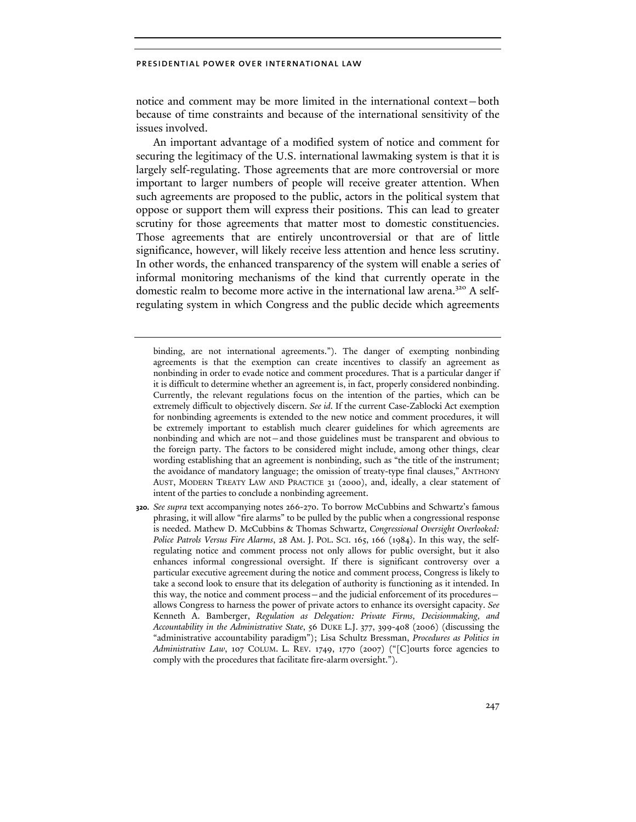notice and comment may be more limited in the international context—both because of time constraints and because of the international sensitivity of the issues involved.

An important advantage of a modified system of notice and comment for securing the legitimacy of the U.S. international lawmaking system is that it is largely self-regulating. Those agreements that are more controversial or more important to larger numbers of people will receive greater attention. When such agreements are proposed to the public, actors in the political system that oppose or support them will express their positions. This can lead to greater scrutiny for those agreements that matter most to domestic constituencies. Those agreements that are entirely uncontroversial or that are of little significance, however, will likely receive less attention and hence less scrutiny. In other words, the enhanced transparency of the system will enable a series of informal monitoring mechanisms of the kind that currently operate in the domestic realm to become more active in the international law arena.320 A selfregulating system in which Congress and the public decide which agreements

binding, are not international agreements."). The danger of exempting nonbinding agreements is that the exemption can create incentives to classify an agreement as nonbinding in order to evade notice and comment procedures. That is a particular danger if it is difficult to determine whether an agreement is, in fact, properly considered nonbinding. Currently, the relevant regulations focus on the intention of the parties, which can be extremely difficult to objectively discern. *See id*. If the current Case-Zablocki Act exemption for nonbinding agreements is extended to the new notice and comment procedures, it will be extremely important to establish much clearer guidelines for which agreements are nonbinding and which are not—and those guidelines must be transparent and obvious to the foreign party. The factors to be considered might include, among other things, clear wording establishing that an agreement is nonbinding, such as "the title of the instrument; the avoidance of mandatory language; the omission of treaty-type final clauses," ANTHONY AUST, MODERN TREATY LAW AND PRACTICE 31 (2000), and, ideally, a clear statement of intent of the parties to conclude a nonbinding agreement.

**320.** *See supra* text accompanying notes 266-270. To borrow McCubbins and Schwartz's famous phrasing, it will allow "fire alarms" to be pulled by the public when a congressional response is needed. Mathew D. McCubbins & Thomas Schwartz, *Congressional Oversight Overlooked: Police Patrols Versus Fire Alarms*, 28 AM. J. POL. SCI. 165, 166 (1984). In this way, the selfregulating notice and comment process not only allows for public oversight, but it also enhances informal congressional oversight. If there is significant controversy over a particular executive agreement during the notice and comment process, Congress is likely to take a second look to ensure that its delegation of authority is functioning as it intended. In this way, the notice and comment process—and the judicial enforcement of its procedures allows Congress to harness the power of private actors to enhance its oversight capacity. *See* Kenneth A. Bamberger, *Regulation as Delegation: Private Firms, Decisionmaking, and Accountability in the Administrative State*, 56 DUKE L.J. 377, 399-408 (2006) (discussing the "administrative accountability paradigm"); Lisa Schultz Bressman, *Procedures as Politics in Administrative Law*, 107 COLUM. L. REV. 1749, 1770 (2007) ("[C]ourts force agencies to comply with the procedures that facilitate fire-alarm oversight.").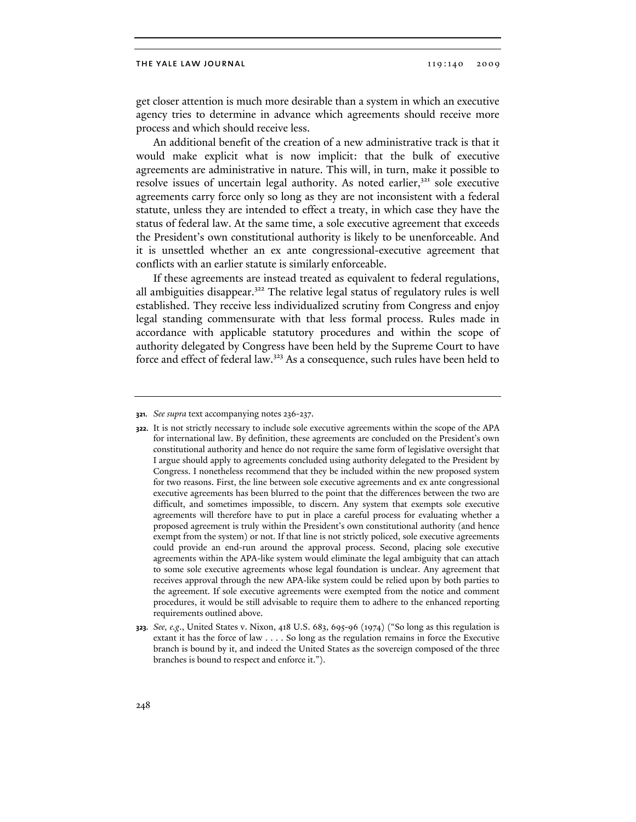get closer attention is much more desirable than a system in which an executive agency tries to determine in advance which agreements should receive more process and which should receive less.

An additional benefit of the creation of a new administrative track is that it would make explicit what is now implicit: that the bulk of executive agreements are administrative in nature. This will, in turn, make it possible to resolve issues of uncertain legal authority. As noted earlier, $321$  sole executive agreements carry force only so long as they are not inconsistent with a federal statute, unless they are intended to effect a treaty, in which case they have the status of federal law. At the same time, a sole executive agreement that exceeds the President's own constitutional authority is likely to be unenforceable. And it is unsettled whether an ex ante congressional-executive agreement that conflicts with an earlier statute is similarly enforceable.

If these agreements are instead treated as equivalent to federal regulations, all ambiguities disappear.<sup>322</sup> The relative legal status of regulatory rules is well established. They receive less individualized scrutiny from Congress and enjoy legal standing commensurate with that less formal process. Rules made in accordance with applicable statutory procedures and within the scope of authority delegated by Congress have been held by the Supreme Court to have force and effect of federal law.323 As a consequence, such rules have been held to

**<sup>321.</sup>** *See supra* text accompanying notes 236-237.

**<sup>322.</sup>** It is not strictly necessary to include sole executive agreements within the scope of the APA for international law. By definition, these agreements are concluded on the President's own constitutional authority and hence do not require the same form of legislative oversight that I argue should apply to agreements concluded using authority delegated to the President by Congress. I nonetheless recommend that they be included within the new proposed system for two reasons. First, the line between sole executive agreements and ex ante congressional executive agreements has been blurred to the point that the differences between the two are difficult, and sometimes impossible, to discern. Any system that exempts sole executive agreements will therefore have to put in place a careful process for evaluating whether a proposed agreement is truly within the President's own constitutional authority (and hence exempt from the system) or not. If that line is not strictly policed, sole executive agreements could provide an end-run around the approval process. Second, placing sole executive agreements within the APA-like system would eliminate the legal ambiguity that can attach to some sole executive agreements whose legal foundation is unclear. Any agreement that receives approval through the new APA-like system could be relied upon by both parties to the agreement. If sole executive agreements were exempted from the notice and comment procedures, it would be still advisable to require them to adhere to the enhanced reporting requirements outlined above.

**<sup>323.</sup>** *See, e.g*., United States v. Nixon, 418 U.S. 683, 695-96 (1974) ("So long as this regulation is extant it has the force of law . . . . So long as the regulation remains in force the Executive branch is bound by it, and indeed the United States as the sovereign composed of the three branches is bound to respect and enforce it.").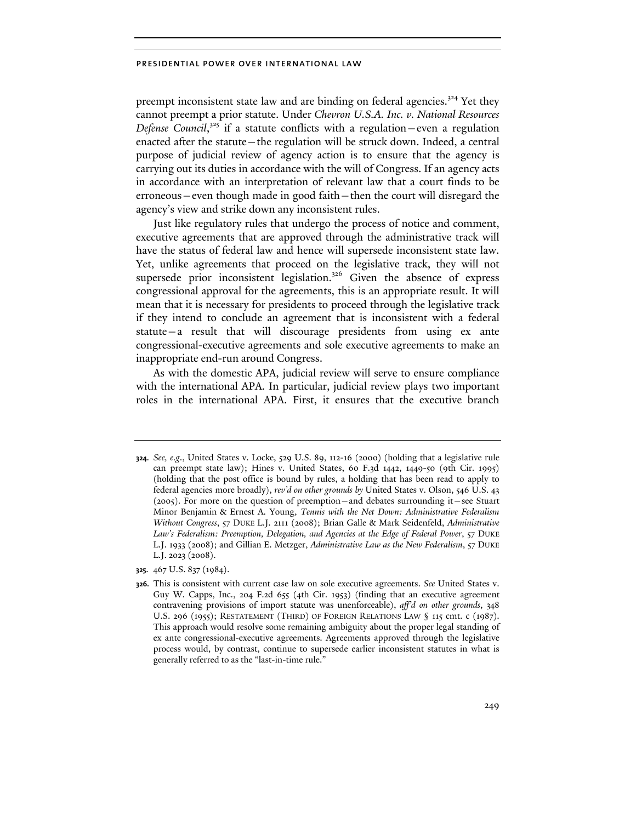preempt inconsistent state law and are binding on federal agencies.<sup>324</sup> Yet they cannot preempt a prior statute. Under *Chevron U.S.A. Inc. v. National Resources*  Defense Council,<sup>325</sup> if a statute conflicts with a regulation–even a regulation enacted after the statute—the regulation will be struck down. Indeed, a central purpose of judicial review of agency action is to ensure that the agency is carrying out its duties in accordance with the will of Congress. If an agency acts in accordance with an interpretation of relevant law that a court finds to be erroneous—even though made in good faith—then the court will disregard the agency's view and strike down any inconsistent rules.

Just like regulatory rules that undergo the process of notice and comment, executive agreements that are approved through the administrative track will have the status of federal law and hence will supersede inconsistent state law. Yet, unlike agreements that proceed on the legislative track, they will not supersede prior inconsistent legislation.<sup>326</sup> Given the absence of express congressional approval for the agreements, this is an appropriate result. It will mean that it is necessary for presidents to proceed through the legislative track if they intend to conclude an agreement that is inconsistent with a federal statute—a result that will discourage presidents from using ex ante congressional-executive agreements and sole executive agreements to make an inappropriate end-run around Congress.

As with the domestic APA, judicial review will serve to ensure compliance with the international APA. In particular, judicial review plays two important roles in the international APA. First, it ensures that the executive branch

**325.** 467 U.S. 837 (1984).

**<sup>324.</sup>** *See, e.g*., United States v. Locke, 529 U.S. 89, 112-16 (2000) (holding that a legislative rule can preempt state law); Hines v. United States, 60 F.3d 1442, 1449-50 (9th Cir. 1995) (holding that the post office is bound by rules, a holding that has been read to apply to federal agencies more broadly), *rev'd on other grounds by* United States v. Olson, 546 U.S. 43 (2005). For more on the question of preemption—and debates surrounding it—see Stuart Minor Benjamin & Ernest A. Young, *Tennis with the Net Down: Administrative Federalism Without Congress*, 57 DUKE L.J. 2111 (2008); Brian Galle & Mark Seidenfeld, *Administrative*  Law's Federalism: Preemption, Delegation, and Agencies at the Edge of Federal Power, 57 DUKE L.J. 1933 (2008); and Gillian E. Metzger, *Administrative Law as the New Federalism*, 57 DUKE L.J. 2023 (2008).

**<sup>326.</sup>** This is consistent with current case law on sole executive agreements. *See* United States v. Guy W. Capps, Inc., 204 F.2d 655 (4th Cir. 1953) (finding that an executive agreement contravening provisions of import statute was unenforceable), *aff'd on other grounds*, 348 U.S. 296 (1955); RESTATEMENT (THIRD) OF FOREIGN RELATIONS LAW § 115 cmt. c (1987). This approach would resolve some remaining ambiguity about the proper legal standing of ex ante congressional-executive agreements. Agreements approved through the legislative process would, by contrast, continue to supersede earlier inconsistent statutes in what is generally referred to as the "last-in-time rule."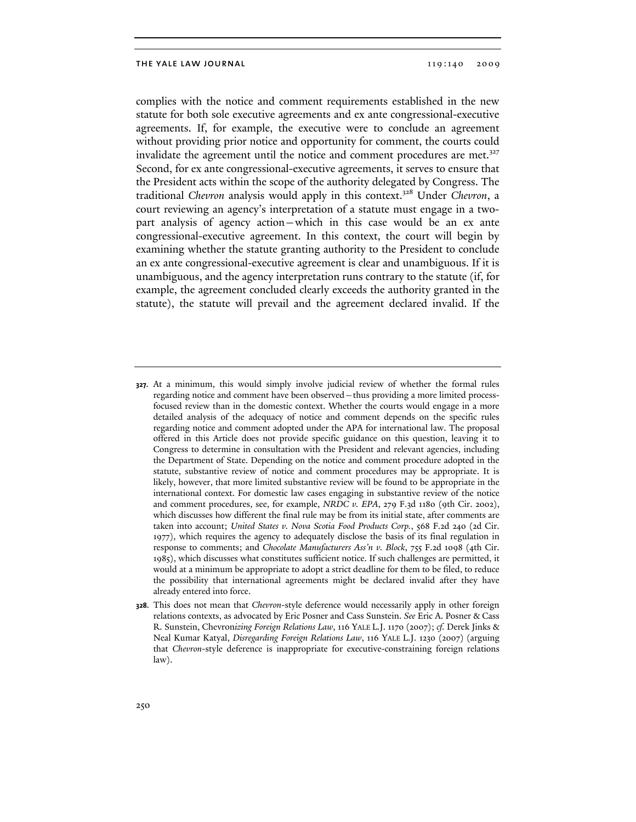complies with the notice and comment requirements established in the new statute for both sole executive agreements and ex ante congressional-executive agreements. If, for example, the executive were to conclude an agreement without providing prior notice and opportunity for comment, the courts could invalidate the agreement until the notice and comment procedures are met.<sup>327</sup> Second, for ex ante congressional-executive agreements, it serves to ensure that the President acts within the scope of the authority delegated by Congress. The traditional *Chevron* analysis would apply in this context.328 Under *Chevron*, a court reviewing an agency's interpretation of a statute must engage in a twopart analysis of agency action—which in this case would be an ex ante congressional-executive agreement. In this context, the court will begin by examining whether the statute granting authority to the President to conclude an ex ante congressional-executive agreement is clear and unambiguous. If it is unambiguous, and the agency interpretation runs contrary to the statute (if, for example, the agreement concluded clearly exceeds the authority granted in the statute), the statute will prevail and the agreement declared invalid. If the

**<sup>327.</sup>** At a minimum, this would simply involve judicial review of whether the formal rules regarding notice and comment have been observed—thus providing a more limited processfocused review than in the domestic context. Whether the courts would engage in a more detailed analysis of the adequacy of notice and comment depends on the specific rules regarding notice and comment adopted under the APA for international law. The proposal offered in this Article does not provide specific guidance on this question, leaving it to Congress to determine in consultation with the President and relevant agencies, including the Department of State. Depending on the notice and comment procedure adopted in the statute, substantive review of notice and comment procedures may be appropriate. It is likely, however, that more limited substantive review will be found to be appropriate in the international context. For domestic law cases engaging in substantive review of the notice and comment procedures, see, for example, *NRDC v. EPA*, 279 F.3d 1180 (9th Cir. 2002), which discusses how different the final rule may be from its initial state, after comments are taken into account; *United States v. Nova Scotia Food Products Corp.*, 568 F.2d 240 (2d Cir. 1977), which requires the agency to adequately disclose the basis of its final regulation in response to comments; and *Chocolate Manufacturers Ass'n v. Block*, 755 F.2d 1098 (4th Cir. 1985), which discusses what constitutes sufficient notice. If such challenges are permitted, it would at a minimum be appropriate to adopt a strict deadline for them to be filed, to reduce the possibility that international agreements might be declared invalid after they have already entered into force.

**<sup>328.</sup>** This does not mean that *Chevron*-style deference would necessarily apply in other foreign relations contexts, as advocated by Eric Posner and Cass Sunstein. *See* Eric A. Posner & Cass R. Sunstein, Chevron*izing Foreign Relations Law*, 116 YALE L.J. 1170 (2007); *cf.* Derek Jinks & Neal Kumar Katyal, *Disregarding Foreign Relations Law*, 116 YALE L.J. 1230 (2007) (arguing that *Chevron*-style deference is inappropriate for executive-constraining foreign relations law).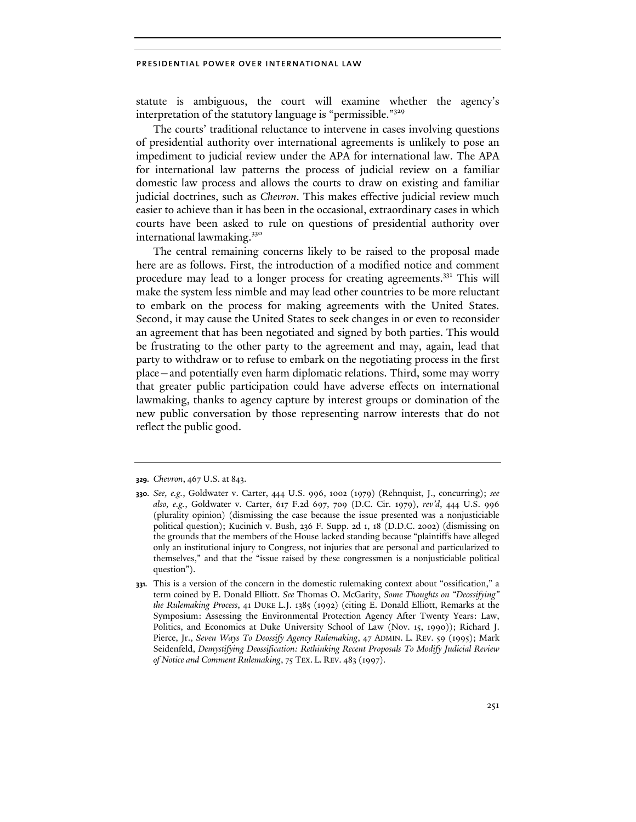statute is ambiguous, the court will examine whether the agency's interpretation of the statutory language is "permissible."<sup>329</sup>

The courts' traditional reluctance to intervene in cases involving questions of presidential authority over international agreements is unlikely to pose an impediment to judicial review under the APA for international law. The APA for international law patterns the process of judicial review on a familiar domestic law process and allows the courts to draw on existing and familiar judicial doctrines, such as *Chevron*. This makes effective judicial review much easier to achieve than it has been in the occasional, extraordinary cases in which courts have been asked to rule on questions of presidential authority over international lawmaking.<sup>330</sup>

The central remaining concerns likely to be raised to the proposal made here are as follows. First, the introduction of a modified notice and comment procedure may lead to a longer process for creating agreements.331 This will make the system less nimble and may lead other countries to be more reluctant to embark on the process for making agreements with the United States. Second, it may cause the United States to seek changes in or even to reconsider an agreement that has been negotiated and signed by both parties. This would be frustrating to the other party to the agreement and may, again, lead that party to withdraw or to refuse to embark on the negotiating process in the first place—and potentially even harm diplomatic relations. Third, some may worry that greater public participation could have adverse effects on international lawmaking, thanks to agency capture by interest groups or domination of the new public conversation by those representing narrow interests that do not reflect the public good.

**<sup>329.</sup>** *Chevron*, 467 U.S. at 843.

**<sup>330.</sup>** *See, e.g.*, Goldwater v. Carter, 444 U.S. 996, 1002 (1979) (Rehnquist, J., concurring); *see also, e.g.*, Goldwater v. Carter, 617 F.2d 697, 709 (D.C. Cir. 1979), *rev'd*, 444 U.S. 996 (plurality opinion) (dismissing the case because the issue presented was a nonjusticiable political question); Kucinich v. Bush, 236 F. Supp. 2d 1, 18 (D.D.C. 2002) (dismissing on the grounds that the members of the House lacked standing because "plaintiffs have alleged only an institutional injury to Congress, not injuries that are personal and particularized to themselves," and that the "issue raised by these congressmen is a nonjusticiable political question").

**<sup>331.</sup>** This is a version of the concern in the domestic rulemaking context about "ossification," a term coined by E. Donald Elliott. *See* Thomas O. McGarity, *Some Thoughts on "Deossifying" the Rulemaking Process*, 41 DUKE L.J. 1385 (1992) (citing E. Donald Elliott, Remarks at the Symposium: Assessing the Environmental Protection Agency After Twenty Years: Law, Politics, and Economics at Duke University School of Law (Nov. 15, 1990)); Richard J. Pierce, Jr., *Seven Ways To Deossify Agency Rulemaking*, 47 ADMIN. L. REV. 59 (1995); Mark Seidenfeld, *Demystifying Deossification: Rethinking Recent Proposals To Modify Judicial Review of Notice and Comment Rulemaking*, 75 TEX. L. REV. 483 (1997).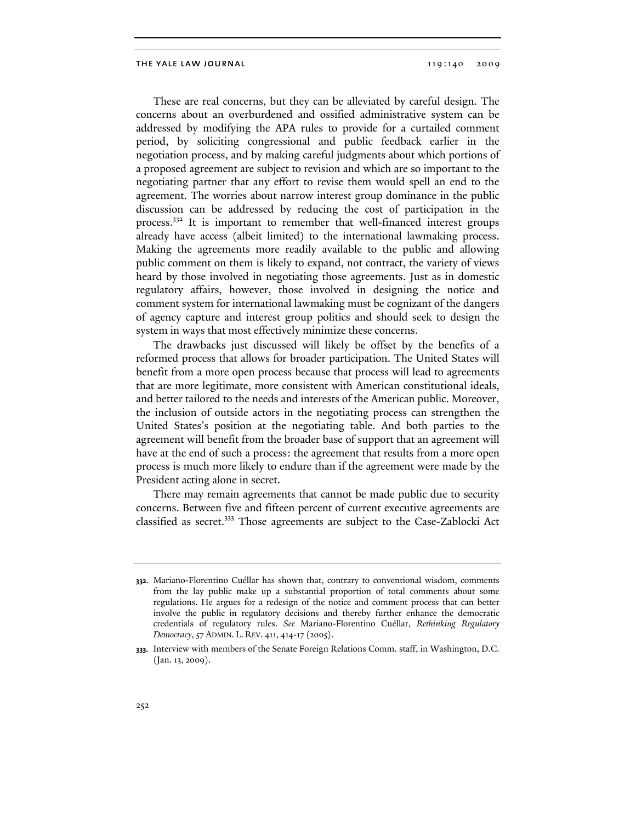These are real concerns, but they can be alleviated by careful design. The concerns about an overburdened and ossified administrative system can be addressed by modifying the APA rules to provide for a curtailed comment period, by soliciting congressional and public feedback earlier in the negotiation process, and by making careful judgments about which portions of a proposed agreement are subject to revision and which are so important to the negotiating partner that any effort to revise them would spell an end to the agreement. The worries about narrow interest group dominance in the public discussion can be addressed by reducing the cost of participation in the process.332 It is important to remember that well-financed interest groups already have access (albeit limited) to the international lawmaking process. Making the agreements more readily available to the public and allowing public comment on them is likely to expand, not contract, the variety of views heard by those involved in negotiating those agreements. Just as in domestic regulatory affairs, however, those involved in designing the notice and comment system for international lawmaking must be cognizant of the dangers of agency capture and interest group politics and should seek to design the system in ways that most effectively minimize these concerns.

The drawbacks just discussed will likely be offset by the benefits of a reformed process that allows for broader participation. The United States will benefit from a more open process because that process will lead to agreements that are more legitimate, more consistent with American constitutional ideals, and better tailored to the needs and interests of the American public. Moreover, the inclusion of outside actors in the negotiating process can strengthen the United States's position at the negotiating table. And both parties to the agreement will benefit from the broader base of support that an agreement will have at the end of such a process: the agreement that results from a more open process is much more likely to endure than if the agreement were made by the President acting alone in secret.

There may remain agreements that cannot be made public due to security concerns. Between five and fifteen percent of current executive agreements are classified as secret.333 Those agreements are subject to the Case-Zablocki Act

**<sup>332.</sup>** Mariano-Florentino Cuéllar has shown that, contrary to conventional wisdom, comments from the lay public make up a substantial proportion of total comments about some regulations. He argues for a redesign of the notice and comment process that can better involve the public in regulatory decisions and thereby further enhance the democratic credentials of regulatory rules. *See* Mariano-Florentino Cuéllar, *Rethinking Regulatory Democracy*, 57 ADMIN. L. REV. 411, 414-17 (2005).

**<sup>333.</sup>** Interview with members of the Senate Foreign Relations Comm. staff, in Washington, D.C. (Jan. 13, 2009).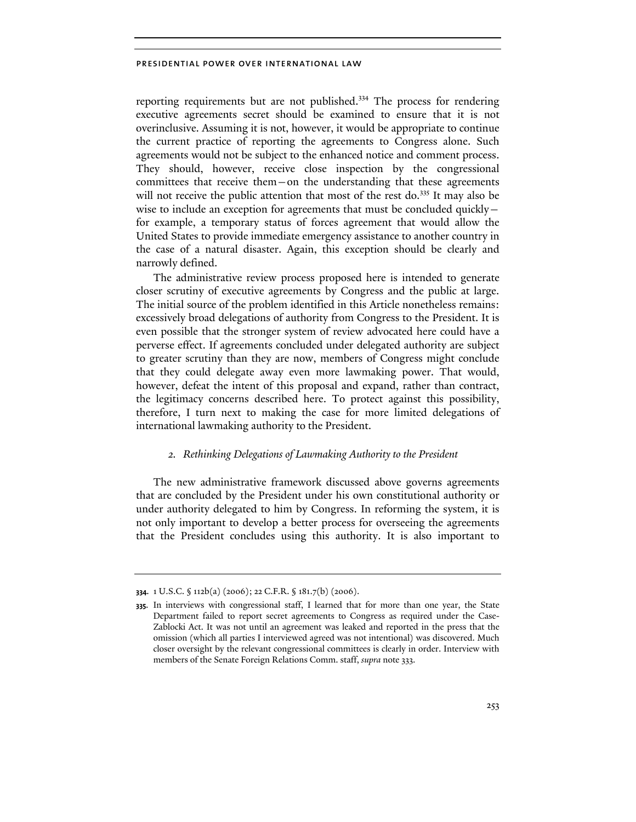reporting requirements but are not published.334 The process for rendering executive agreements secret should be examined to ensure that it is not overinclusive. Assuming it is not, however, it would be appropriate to continue the current practice of reporting the agreements to Congress alone. Such agreements would not be subject to the enhanced notice and comment process. They should, however, receive close inspection by the congressional committees that receive them—on the understanding that these agreements will not receive the public attention that most of the rest do.<sup>335</sup> It may also be wise to include an exception for agreements that must be concluded quicklyfor example, a temporary status of forces agreement that would allow the United States to provide immediate emergency assistance to another country in the case of a natural disaster. Again, this exception should be clearly and narrowly defined.

The administrative review process proposed here is intended to generate closer scrutiny of executive agreements by Congress and the public at large. The initial source of the problem identified in this Article nonetheless remains: excessively broad delegations of authority from Congress to the President. It is even possible that the stronger system of review advocated here could have a perverse effect. If agreements concluded under delegated authority are subject to greater scrutiny than they are now, members of Congress might conclude that they could delegate away even more lawmaking power. That would, however, defeat the intent of this proposal and expand, rather than contract, the legitimacy concerns described here. To protect against this possibility, therefore, I turn next to making the case for more limited delegations of international lawmaking authority to the President.

# *2. Rethinking Delegations of Lawmaking Authority to the President*

The new administrative framework discussed above governs agreements that are concluded by the President under his own constitutional authority or under authority delegated to him by Congress. In reforming the system, it is not only important to develop a better process for overseeing the agreements that the President concludes using this authority. It is also important to

**<sup>334.</sup>** 1 U.S.C. § 112b(a) (2006); 22 C.F.R. § 181.7(b) (2006).

**<sup>335.</sup>** In interviews with congressional staff, I learned that for more than one year, the State Department failed to report secret agreements to Congress as required under the Case-Zablocki Act. It was not until an agreement was leaked and reported in the press that the omission (which all parties I interviewed agreed was not intentional) was discovered. Much closer oversight by the relevant congressional committees is clearly in order. Interview with members of the Senate Foreign Relations Comm. staff, *supra* note 333.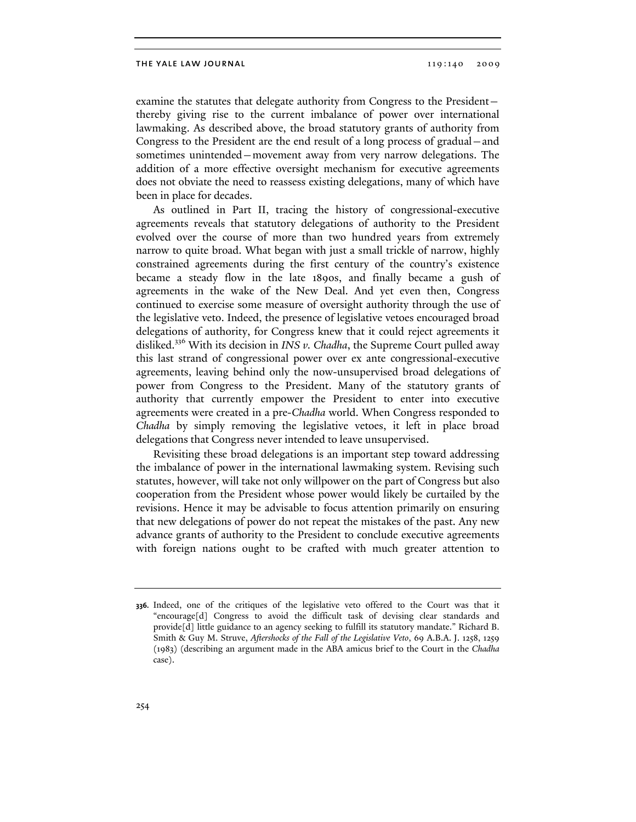examine the statutes that delegate authority from Congress to the President thereby giving rise to the current imbalance of power over international lawmaking. As described above, the broad statutory grants of authority from Congress to the President are the end result of a long process of gradual—and sometimes unintended—movement away from very narrow delegations. The addition of a more effective oversight mechanism for executive agreements does not obviate the need to reassess existing delegations, many of which have been in place for decades.

As outlined in Part II, tracing the history of congressional-executive agreements reveals that statutory delegations of authority to the President evolved over the course of more than two hundred years from extremely narrow to quite broad. What began with just a small trickle of narrow, highly constrained agreements during the first century of the country's existence became a steady flow in the late 1890s, and finally became a gush of agreements in the wake of the New Deal. And yet even then, Congress continued to exercise some measure of oversight authority through the use of the legislative veto. Indeed, the presence of legislative vetoes encouraged broad delegations of authority, for Congress knew that it could reject agreements it disliked.336 With its decision in *INS v. Chadha*, the Supreme Court pulled away this last strand of congressional power over ex ante congressional-executive agreements, leaving behind only the now-unsupervised broad delegations of power from Congress to the President. Many of the statutory grants of authority that currently empower the President to enter into executive agreements were created in a pre-*Chadha* world. When Congress responded to *Chadha* by simply removing the legislative vetoes, it left in place broad delegations that Congress never intended to leave unsupervised.

Revisiting these broad delegations is an important step toward addressing the imbalance of power in the international lawmaking system. Revising such statutes, however, will take not only willpower on the part of Congress but also cooperation from the President whose power would likely be curtailed by the revisions. Hence it may be advisable to focus attention primarily on ensuring that new delegations of power do not repeat the mistakes of the past. Any new advance grants of authority to the President to conclude executive agreements with foreign nations ought to be crafted with much greater attention to

**<sup>336.</sup>** Indeed, one of the critiques of the legislative veto offered to the Court was that it "encourage[d] Congress to avoid the difficult task of devising clear standards and provide[d] little guidance to an agency seeking to fulfill its statutory mandate." Richard B. Smith & Guy M. Struve, *Aftershocks of the Fall of the Legislative Veto*, 69 A.B.A. J. 1258, 1259 (1983) (describing an argument made in the ABA amicus brief to the Court in the *Chadha* case).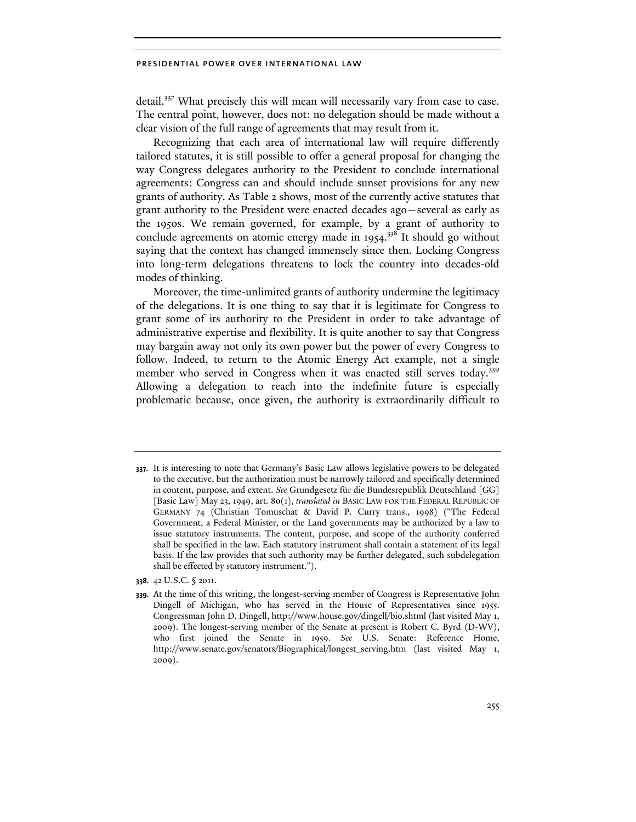detail.337 What precisely this will mean will necessarily vary from case to case. The central point, however, does not: no delegation should be made without a clear vision of the full range of agreements that may result from it.

Recognizing that each area of international law will require differently tailored statutes, it is still possible to offer a general proposal for changing the way Congress delegates authority to the President to conclude international agreements: Congress can and should include sunset provisions for any new grants of authority. As Table 2 shows, most of the currently active statutes that grant authority to the President were enacted decades ago—several as early as the 1950s. We remain governed, for example, by a grant of authority to conclude agreements on atomic energy made in 1954.<sup>338</sup> It should go without saying that the context has changed immensely since then. Locking Congress into long-term delegations threatens to lock the country into decades-old modes of thinking.

Moreover, the time-unlimited grants of authority undermine the legitimacy of the delegations. It is one thing to say that it is legitimate for Congress to grant some of its authority to the President in order to take advantage of administrative expertise and flexibility. It is quite another to say that Congress may bargain away not only its own power but the power of every Congress to follow. Indeed, to return to the Atomic Energy Act example, not a single member who served in Congress when it was enacted still serves today.<sup>339</sup> Allowing a delegation to reach into the indefinite future is especially problematic because, once given, the authority is extraordinarily difficult to

**338.** 42 U.S.C. § 2011.

**339.** At the time of this writing, the longest-serving member of Congress is Representative John Dingell of Michigan, who has served in the House of Representatives since 1955. Congressman John D. Dingell, http://www.house.gov/dingell/bio.shtml (last visited May 1, 2009). The longest-serving member of the Senate at present is Robert C. Byrd (D-WV), who first joined the Senate in 1959. *See* U.S. Senate: Reference Home, http://www.senate.gov/senators/Biographical/longest\_serving.htm (last visited May 1, 2009).

**<sup>337.</sup>** It is interesting to note that Germany's Basic Law allows legislative powers to be delegated to the executive, but the authorization must be narrowly tailored and specifically determined in content, purpose, and extent. *See* Grundgesetz für die Bundesrepublik Deutschland [GG] [Basic Law] May 23, 1949, art. 80(1), *translated in* BASIC LAW FOR THE FEDERAL REPUBLIC OF GERMANY 74 (Christian Tomuschat & David P. Curry trans., 1998) ("The Federal Government, a Federal Minister, or the Land governments may be authorized by a law to issue statutory instruments. The content, purpose, and scope of the authority conferred shall be specified in the law. Each statutory instrument shall contain a statement of its legal basis. If the law provides that such authority may be further delegated, such subdelegation shall be effected by statutory instrument.").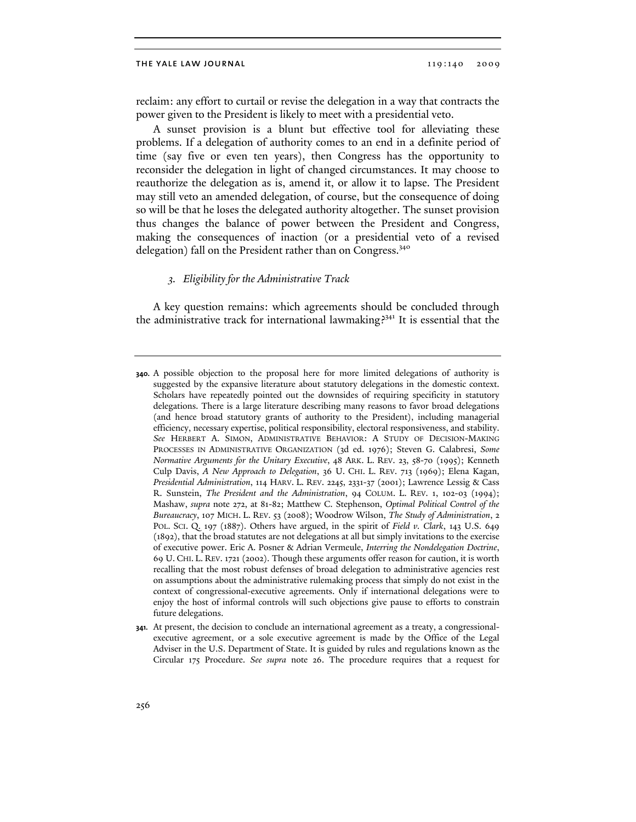reclaim: any effort to curtail or revise the delegation in a way that contracts the power given to the President is likely to meet with a presidential veto.

A sunset provision is a blunt but effective tool for alleviating these problems. If a delegation of authority comes to an end in a definite period of time (say five or even ten years), then Congress has the opportunity to reconsider the delegation in light of changed circumstances. It may choose to reauthorize the delegation as is, amend it, or allow it to lapse. The President may still veto an amended delegation, of course, but the consequence of doing so will be that he loses the delegated authority altogether. The sunset provision thus changes the balance of power between the President and Congress, making the consequences of inaction (or a presidential veto of a revised delegation) fall on the President rather than on Congress.<sup>340</sup>

## *3. Eligibility for the Administrative Track*

A key question remains: which agreements should be concluded through the administrative track for international lawmaking?<sup>341</sup> It is essential that the

**<sup>340.</sup>** A possible objection to the proposal here for more limited delegations of authority is suggested by the expansive literature about statutory delegations in the domestic context. Scholars have repeatedly pointed out the downsides of requiring specificity in statutory delegations. There is a large literature describing many reasons to favor broad delegations (and hence broad statutory grants of authority to the President), including managerial efficiency, necessary expertise, political responsibility, electoral responsiveness, and stability. *See* HERBERT A. SIMON, ADMINISTRATIVE BEHAVIOR: A STUDY OF DECISION-MAKING PROCESSES IN ADMINISTRATIVE ORGANIZATION (3d ed. 1976); Steven G. Calabresi, *Some Normative Arguments for the Unitary Executive*, 48 ARK. L. REV. 23, 58-70 (1995); Kenneth Culp Davis, *A New Approach to Delegation*, 36 U. CHI. L. REV. 713 (1969); Elena Kagan, *Presidential Administration*, 114 HARV. L. REV. 2245, 2331-37 (2001); Lawrence Lessig & Cass R. Sunstein, *The President and the Administration*, 94 COLUM. L. REV. 1, 102-03 (1994); Mashaw, *supra* note 272, at 81-82; Matthew C. Stephenson, *Optimal Political Control of the Bureaucracy*, 107 MICH. L. REV. 53 (2008); Woodrow Wilson, *The Study of Administration*, 2 POL. SCI. Q. 197 (1887). Others have argued, in the spirit of *Field v. Clark*, 143 U.S. 649 (1892), that the broad statutes are not delegations at all but simply invitations to the exercise of executive power. Eric A. Posner & Adrian Vermeule, *Interring the Nondelegation Doctrine*, 69 U. CHI. L. REV. 1721 (2002). Though these arguments offer reason for caution, it is worth recalling that the most robust defenses of broad delegation to administrative agencies rest on assumptions about the administrative rulemaking process that simply do not exist in the context of congressional-executive agreements. Only if international delegations were to enjoy the host of informal controls will such objections give pause to efforts to constrain future delegations.

**<sup>341.</sup>** At present, the decision to conclude an international agreement as a treaty, a congressionalexecutive agreement, or a sole executive agreement is made by the Office of the Legal Adviser in the U.S. Department of State. It is guided by rules and regulations known as the Circular 175 Procedure. *See supra* note 26. The procedure requires that a request for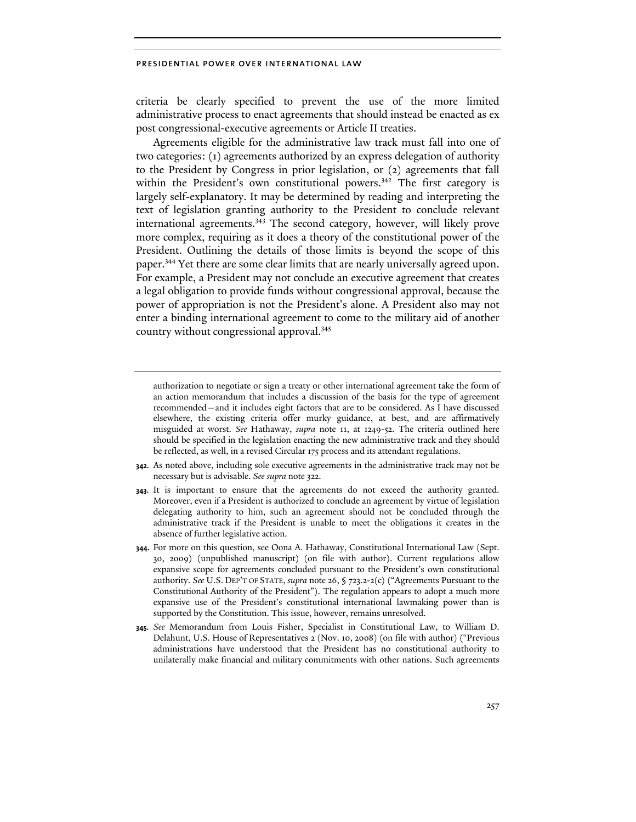criteria be clearly specified to prevent the use of the more limited administrative process to enact agreements that should instead be enacted as ex post congressional-executive agreements or Article II treaties.

Agreements eligible for the administrative law track must fall into one of two categories: (1) agreements authorized by an express delegation of authority to the President by Congress in prior legislation, or (2) agreements that fall within the President's own constitutional powers.<sup>342</sup> The first category is largely self-explanatory. It may be determined by reading and interpreting the text of legislation granting authority to the President to conclude relevant international agreements.<sup>343</sup> The second category, however, will likely prove more complex, requiring as it does a theory of the constitutional power of the President. Outlining the details of those limits is beyond the scope of this paper.344 Yet there are some clear limits that are nearly universally agreed upon. For example, a President may not conclude an executive agreement that creates a legal obligation to provide funds without congressional approval, because the power of appropriation is not the President's alone. A President also may not enter a binding international agreement to come to the military aid of another country without congressional approval.345

- **343.** It is important to ensure that the agreements do not exceed the authority granted. Moreover, even if a President is authorized to conclude an agreement by virtue of legislation delegating authority to him, such an agreement should not be concluded through the administrative track if the President is unable to meet the obligations it creates in the absence of further legislative action.
- **344.** For more on this question, see Oona A. Hathaway, Constitutional International Law (Sept. 30, 2009) (unpublished manuscript) (on file with author). Current regulations allow expansive scope for agreements concluded pursuant to the President's own constitutional authority. *See* U.S. DEP'T OF STATE, *supra* note 26, § 723.2-2(c) ("Agreements Pursuant to the Constitutional Authority of the President"). The regulation appears to adopt a much more expansive use of the President's constitutional international lawmaking power than is supported by the Constitution. This issue, however, remains unresolved.
- **345.** *See* Memorandum from Louis Fisher, Specialist in Constitutional Law, to William D. Delahunt, U.S. House of Representatives 2 (Nov. 10, 2008) (on file with author) ("Previous administrations have understood that the President has no constitutional authority to unilaterally make financial and military commitments with other nations. Such agreements

authorization to negotiate or sign a treaty or other international agreement take the form of an action memorandum that includes a discussion of the basis for the type of agreement recommended—and it includes eight factors that are to be considered. As I have discussed elsewhere, the existing criteria offer murky guidance, at best, and are affirmatively misguided at worst. *See* Hathaway, *supra* note 11, at 1249-52. The criteria outlined here should be specified in the legislation enacting the new administrative track and they should be reflected, as well, in a revised Circular 175 process and its attendant regulations.

**<sup>342.</sup>** As noted above, including sole executive agreements in the administrative track may not be necessary but is advisable. *See supra* note 322.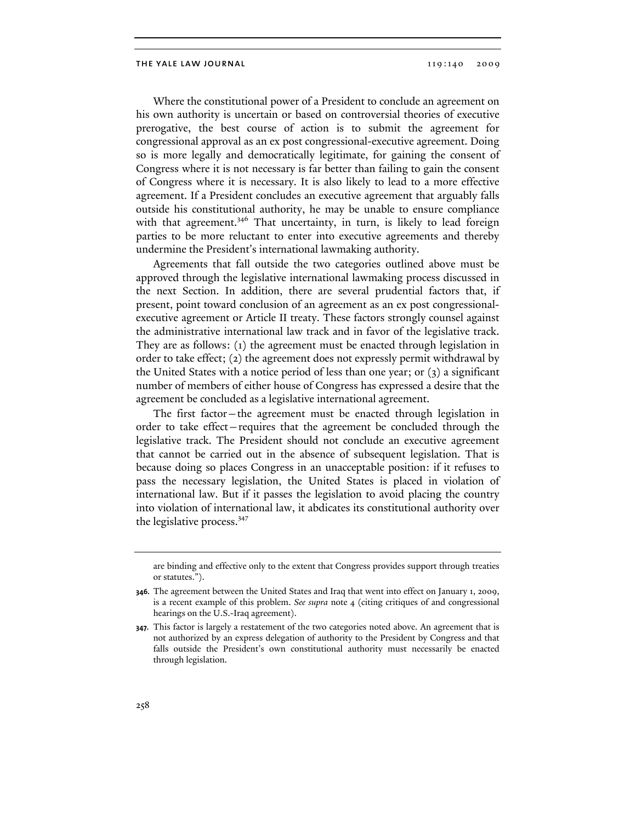Where the constitutional power of a President to conclude an agreement on his own authority is uncertain or based on controversial theories of executive prerogative, the best course of action is to submit the agreement for congressional approval as an ex post congressional-executive agreement. Doing so is more legally and democratically legitimate, for gaining the consent of Congress where it is not necessary is far better than failing to gain the consent of Congress where it is necessary. It is also likely to lead to a more effective agreement. If a President concludes an executive agreement that arguably falls outside his constitutional authority, he may be unable to ensure compliance with that agreement.<sup>346</sup> That uncertainty, in turn, is likely to lead foreign parties to be more reluctant to enter into executive agreements and thereby undermine the President's international lawmaking authority.

Agreements that fall outside the two categories outlined above must be approved through the legislative international lawmaking process discussed in the next Section. In addition, there are several prudential factors that, if present, point toward conclusion of an agreement as an ex post congressionalexecutive agreement or Article II treaty. These factors strongly counsel against the administrative international law track and in favor of the legislative track. They are as follows: (1) the agreement must be enacted through legislation in order to take effect; (2) the agreement does not expressly permit withdrawal by the United States with a notice period of less than one year; or (3) a significant number of members of either house of Congress has expressed a desire that the agreement be concluded as a legislative international agreement.

The first factor—the agreement must be enacted through legislation in order to take effect—requires that the agreement be concluded through the legislative track. The President should not conclude an executive agreement that cannot be carried out in the absence of subsequent legislation. That is because doing so places Congress in an unacceptable position: if it refuses to pass the necessary legislation, the United States is placed in violation of international law. But if it passes the legislation to avoid placing the country into violation of international law, it abdicates its constitutional authority over the legislative process.<sup>347</sup>

are binding and effective only to the extent that Congress provides support through treaties or statutes.").

**<sup>346.</sup>** The agreement between the United States and Iraq that went into effect on January 1, 2009, is a recent example of this problem. *See supra* note 4 (citing critiques of and congressional hearings on the U.S.-Iraq agreement).

**<sup>347.</sup>** This factor is largely a restatement of the two categories noted above. An agreement that is not authorized by an express delegation of authority to the President by Congress and that falls outside the President's own constitutional authority must necessarily be enacted through legislation.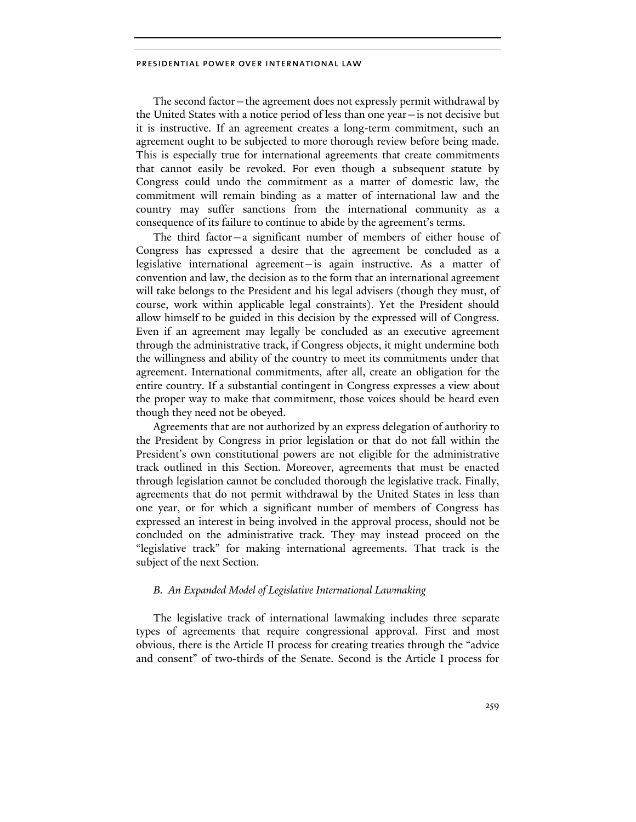The second factor—the agreement does not expressly permit withdrawal by the United States with a notice period of less than one year—is not decisive but it is instructive. If an agreement creates a long-term commitment, such an agreement ought to be subjected to more thorough review before being made. This is especially true for international agreements that create commitments that cannot easily be revoked. For even though a subsequent statute by Congress could undo the commitment as a matter of domestic law, the commitment will remain binding as a matter of international law and the country may suffer sanctions from the international community as a consequence of its failure to continue to abide by the agreement's terms.

The third factor—a significant number of members of either house of Congress has expressed a desire that the agreement be concluded as a legislative international agreement—is again instructive. As a matter of convention and law, the decision as to the form that an international agreement will take belongs to the President and his legal advisers (though they must, of course, work within applicable legal constraints). Yet the President should allow himself to be guided in this decision by the expressed will of Congress. Even if an agreement may legally be concluded as an executive agreement through the administrative track, if Congress objects, it might undermine both the willingness and ability of the country to meet its commitments under that agreement. International commitments, after all, create an obligation for the entire country. If a substantial contingent in Congress expresses a view about the proper way to make that commitment, those voices should be heard even though they need not be obeyed.

Agreements that are not authorized by an express delegation of authority to the President by Congress in prior legislation or that do not fall within the President's own constitutional powers are not eligible for the administrative track outlined in this Section. Moreover, agreements that must be enacted through legislation cannot be concluded thorough the legislative track. Finally, agreements that do not permit withdrawal by the United States in less than one year, or for which a significant number of members of Congress has expressed an interest in being involved in the approval process, should not be concluded on the administrative track. They may instead proceed on the "legislative track" for making international agreements. That track is the subject of the next Section.

# *B. An Expanded Model of Legislative International Lawmaking*

The legislative track of international lawmaking includes three separate types of agreements that require congressional approval. First and most obvious, there is the Article II process for creating treaties through the "advice and consent" of two-thirds of the Senate. Second is the Article I process for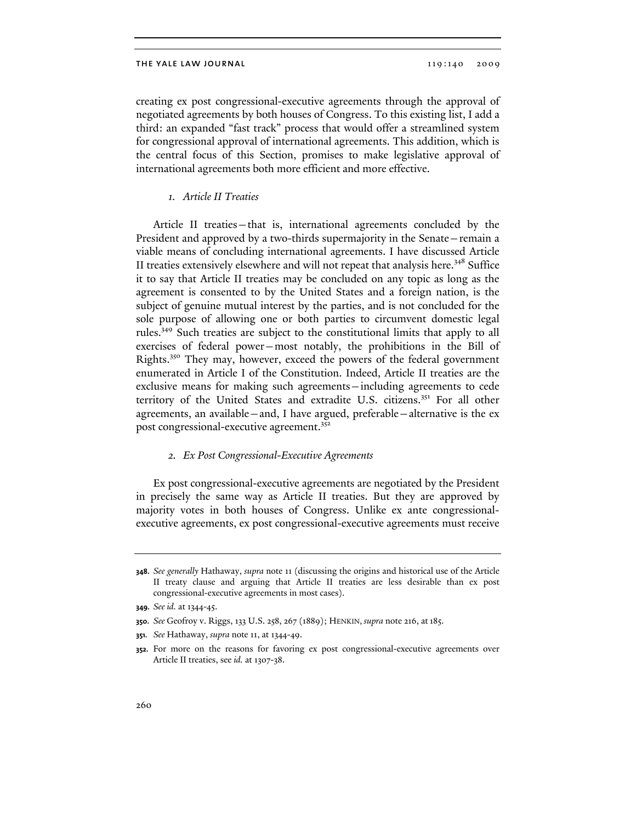creating ex post congressional-executive agreements through the approval of negotiated agreements by both houses of Congress. To this existing list, I add a third: an expanded "fast track" process that would offer a streamlined system for congressional approval of international agreements. This addition, which is the central focus of this Section, promises to make legislative approval of international agreements both more efficient and more effective.

# *1. Article II Treaties*

Article II treaties—that is, international agreements concluded by the President and approved by a two-thirds supermajority in the Senate—remain a viable means of concluding international agreements. I have discussed Article II treaties extensively elsewhere and will not repeat that analysis here.<sup>348</sup> Suffice it to say that Article II treaties may be concluded on any topic as long as the agreement is consented to by the United States and a foreign nation, is the subject of genuine mutual interest by the parties, and is not concluded for the sole purpose of allowing one or both parties to circumvent domestic legal rules.349 Such treaties are subject to the constitutional limits that apply to all exercises of federal power—most notably, the prohibitions in the Bill of Rights.350 They may, however, exceed the powers of the federal government enumerated in Article I of the Constitution. Indeed, Article II treaties are the exclusive means for making such agreements—including agreements to cede territory of the United States and extradite U.S. citizens.351 For all other agreements, an available—and, I have argued, preferable—alternative is the ex post congressional-executive agreement.<sup>352</sup>

## *2. Ex Post Congressional-Executive Agreements*

Ex post congressional-executive agreements are negotiated by the President in precisely the same way as Article II treaties. But they are approved by majority votes in both houses of Congress. Unlike ex ante congressionalexecutive agreements, ex post congressional-executive agreements must receive

**<sup>348.</sup>** *See generally* Hathaway, *supra* note 11 (discussing the origins and historical use of the Article II treaty clause and arguing that Article II treaties are less desirable than ex post congressional-executive agreements in most cases).

**<sup>349.</sup>** *See id.* at 1344-45.

**<sup>350.</sup>** *See* Geofroy v. Riggs, 133 U.S. 258, 267 (1889); HENKIN, *supra* note 216, at185.

**<sup>351.</sup>** *See* Hathaway, *supra* note 11, at 1344-49.

**<sup>352.</sup>** For more on the reasons for favoring ex post congressional-executive agreements over Article II treaties, see *id.* at 1307-38.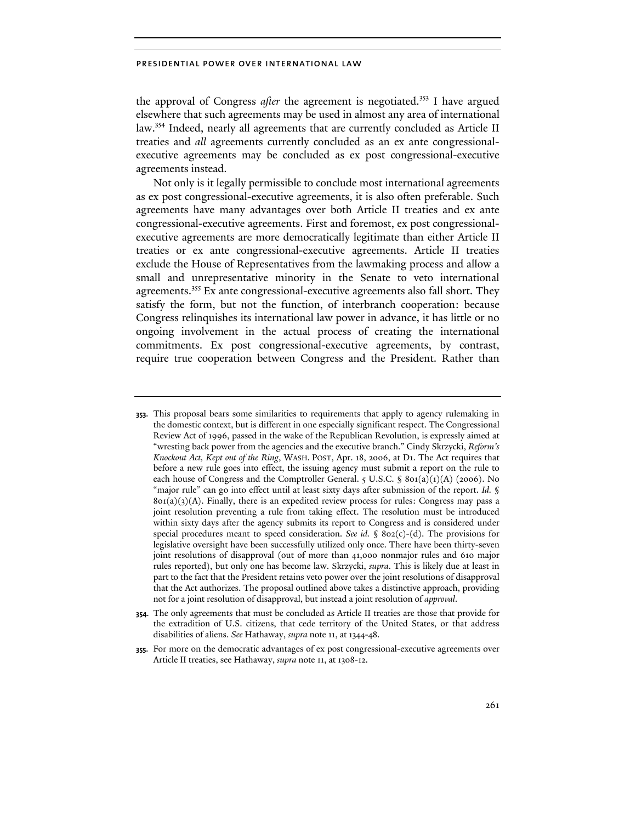the approval of Congress *after* the agreement is negotiated.<sup>353</sup> I have argued elsewhere that such agreements may be used in almost any area of international law.<sup>354</sup> Indeed, nearly all agreements that are currently concluded as Article II treaties and *all* agreements currently concluded as an ex ante congressionalexecutive agreements may be concluded as ex post congressional-executive agreements instead.

Not only is it legally permissible to conclude most international agreements as ex post congressional-executive agreements, it is also often preferable. Such agreements have many advantages over both Article II treaties and ex ante congressional-executive agreements. First and foremost, ex post congressionalexecutive agreements are more democratically legitimate than either Article II treaties or ex ante congressional-executive agreements. Article II treaties exclude the House of Representatives from the lawmaking process and allow a small and unrepresentative minority in the Senate to veto international agreements.355 Ex ante congressional-executive agreements also fall short. They satisfy the form, but not the function, of interbranch cooperation: because Congress relinquishes its international law power in advance, it has little or no ongoing involvement in the actual process of creating the international commitments. Ex post congressional-executive agreements, by contrast, require true cooperation between Congress and the President. Rather than

- **353.** This proposal bears some similarities to requirements that apply to agency rulemaking in the domestic context, but is different in one especially significant respect. The Congressional Review Act of 1996, passed in the wake of the Republican Revolution, is expressly aimed at "wresting back power from the agencies and the executive branch." Cindy Skrzycki, *Reform's Knockout Act, Kept out of the Ring*, WASH. POST, Apr. 18, 2006, at D1. The Act requires that before a new rule goes into effect, the issuing agency must submit a report on the rule to each house of Congress and the Comptroller General.  $\zeta$  U.S.C.  $\hat{\zeta}$  801(a)(1)(A) (2006). No "major rule" can go into effect until at least sixty days after submission of the report. *Id.* §  $801(a)(3)(A)$ . Finally, there is an expedited review process for rules: Congress may pass a joint resolution preventing a rule from taking effect. The resolution must be introduced within sixty days after the agency submits its report to Congress and is considered under special procedures meant to speed consideration. *See id.* § 802(c)-(d). The provisions for legislative oversight have been successfully utilized only once. There have been thirty-seven joint resolutions of disapproval (out of more than 41,000 nonmajor rules and 610 major rules reported), but only one has become law. Skrzycki, *supra*. This is likely due at least in part to the fact that the President retains veto power over the joint resolutions of disapproval that the Act authorizes. The proposal outlined above takes a distinctive approach, providing not for a joint resolution of disapproval, but instead a joint resolution of *approval*.
- **354.** The only agreements that must be concluded as Article II treaties are those that provide for the extradition of U.S. citizens, that cede territory of the United States, or that address disabilities of aliens. *See* Hathaway, *supra* note 11, at 1344-48.
- **355.** For more on the democratic advantages of ex post congressional-executive agreements over Article II treaties, see Hathaway, *supra* note 11, at 1308-12.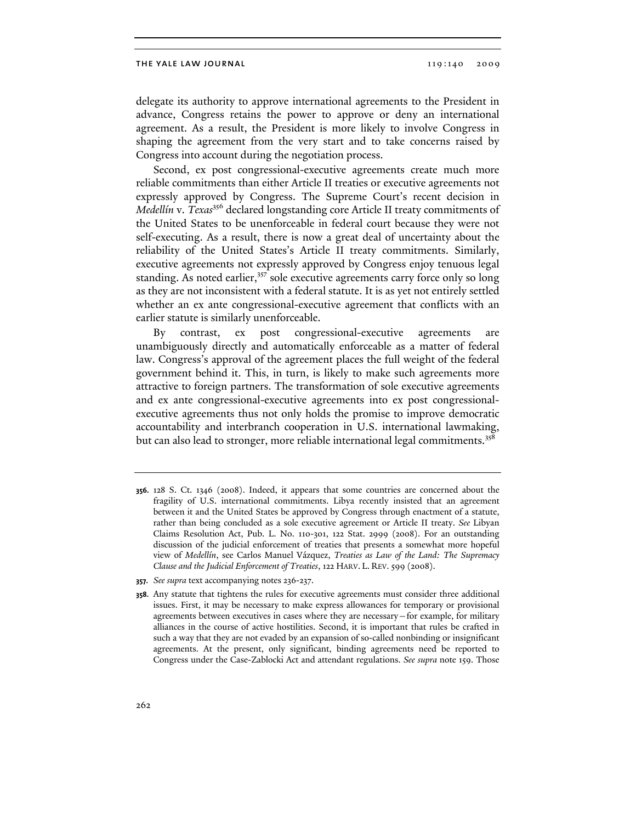delegate its authority to approve international agreements to the President in advance, Congress retains the power to approve or deny an international agreement. As a result, the President is more likely to involve Congress in shaping the agreement from the very start and to take concerns raised by Congress into account during the negotiation process.

Second, ex post congressional-executive agreements create much more reliable commitments than either Article II treaties or executive agreements not expressly approved by Congress. The Supreme Court's recent decision in *Medellín* v. *Texas*<sup>356</sup> declared longstanding core Article II treaty commitments of the United States to be unenforceable in federal court because they were not self-executing. As a result, there is now a great deal of uncertainty about the reliability of the United States's Article II treaty commitments. Similarly, executive agreements not expressly approved by Congress enjoy tenuous legal standing. As noted earlier,<sup>357</sup> sole executive agreements carry force only so long as they are not inconsistent with a federal statute. It is as yet not entirely settled whether an ex ante congressional-executive agreement that conflicts with an earlier statute is similarly unenforceable.

By contrast, ex post congressional-executive agreements are unambiguously directly and automatically enforceable as a matter of federal law. Congress's approval of the agreement places the full weight of the federal government behind it. This, in turn, is likely to make such agreements more attractive to foreign partners. The transformation of sole executive agreements and ex ante congressional-executive agreements into ex post congressionalexecutive agreements thus not only holds the promise to improve democratic accountability and interbranch cooperation in U.S. international lawmaking, but can also lead to stronger, more reliable international legal commitments.<sup>358</sup>

**<sup>356.</sup>** 128 S. Ct. 1346 (2008). Indeed, it appears that some countries are concerned about the fragility of U.S. international commitments. Libya recently insisted that an agreement between it and the United States be approved by Congress through enactment of a statute, rather than being concluded as a sole executive agreement or Article II treaty. *See* Libyan Claims Resolution Act, Pub. L. No. 110-301, 122 Stat. 2999 (2008). For an outstanding discussion of the judicial enforcement of treaties that presents a somewhat more hopeful view of *Medellín*, see Carlos Manuel Vázquez, *Treaties as Law of the Land: The Supremacy Clause and the Judicial Enforcement of Treaties*, 122 HARV. L. REV. 599 (2008).

**<sup>357.</sup>** *See supra* text accompanying notes 236-237.

**<sup>358.</sup>** Any statute that tightens the rules for executive agreements must consider three additional issues. First, it may be necessary to make express allowances for temporary or provisional agreements between executives in cases where they are necessary—for example, for military alliances in the course of active hostilities. Second, it is important that rules be crafted in such a way that they are not evaded by an expansion of so-called nonbinding or insignificant agreements. At the present, only significant, binding agreements need be reported to Congress under the Case-Zablocki Act and attendant regulations. *See supra* note 159. Those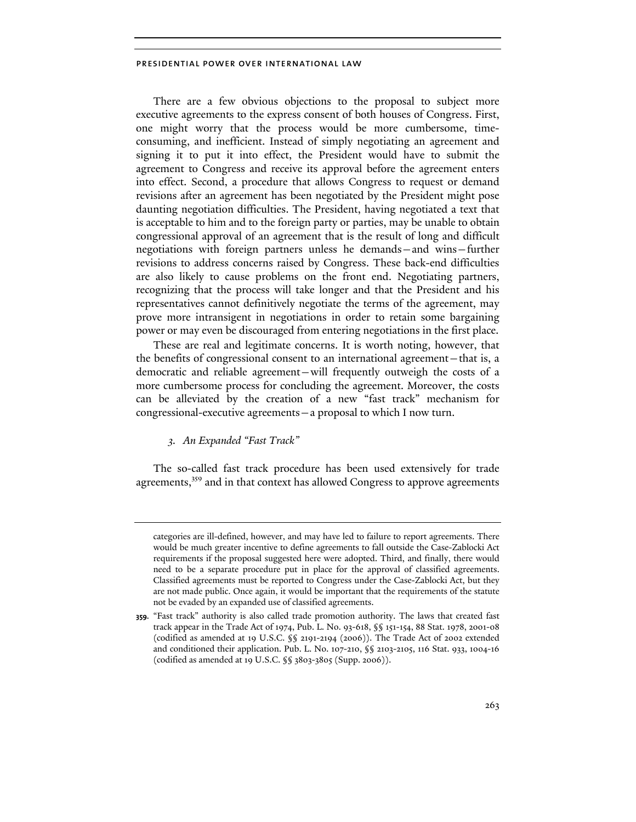There are a few obvious objections to the proposal to subject more executive agreements to the express consent of both houses of Congress. First, one might worry that the process would be more cumbersome, timeconsuming, and inefficient. Instead of simply negotiating an agreement and signing it to put it into effect, the President would have to submit the agreement to Congress and receive its approval before the agreement enters into effect. Second, a procedure that allows Congress to request or demand revisions after an agreement has been negotiated by the President might pose daunting negotiation difficulties. The President, having negotiated a text that is acceptable to him and to the foreign party or parties, may be unable to obtain congressional approval of an agreement that is the result of long and difficult negotiations with foreign partners unless he demands—and wins—further revisions to address concerns raised by Congress. These back-end difficulties are also likely to cause problems on the front end. Negotiating partners, recognizing that the process will take longer and that the President and his representatives cannot definitively negotiate the terms of the agreement, may prove more intransigent in negotiations in order to retain some bargaining power or may even be discouraged from entering negotiations in the first place.

These are real and legitimate concerns. It is worth noting, however, that the benefits of congressional consent to an international agreement—that is, a democratic and reliable agreement—will frequently outweigh the costs of a more cumbersome process for concluding the agreement. Moreover, the costs can be alleviated by the creation of a new "fast track" mechanism for congressional-executive agreements—a proposal to which I now turn.

# *3. An Expanded "Fast Track"*

The so-called fast track procedure has been used extensively for trade agreements,<sup>359</sup> and in that context has allowed Congress to approve agreements

categories are ill-defined, however, and may have led to failure to report agreements. There would be much greater incentive to define agreements to fall outside the Case-Zablocki Act requirements if the proposal suggested here were adopted. Third, and finally, there would need to be a separate procedure put in place for the approval of classified agreements. Classified agreements must be reported to Congress under the Case-Zablocki Act, but they are not made public. Once again, it would be important that the requirements of the statute not be evaded by an expanded use of classified agreements.

**<sup>359.</sup>** "Fast track" authority is also called trade promotion authority. The laws that created fast track appear in the Trade Act of 1974, Pub. L. No. 93-618, §§ 151-154, 88 Stat. 1978, 2001-08 (codified as amended at 19 U.S.C. §§ 2191-2194 (2006)). The Trade Act of 2002 extended and conditioned their application. Pub. L. No. 107-210, §§ 2103-2105, 116 Stat. 933, 1004-16 (codified as amended at 19 U.S.C. §§ 3803-3805 (Supp. 2006)).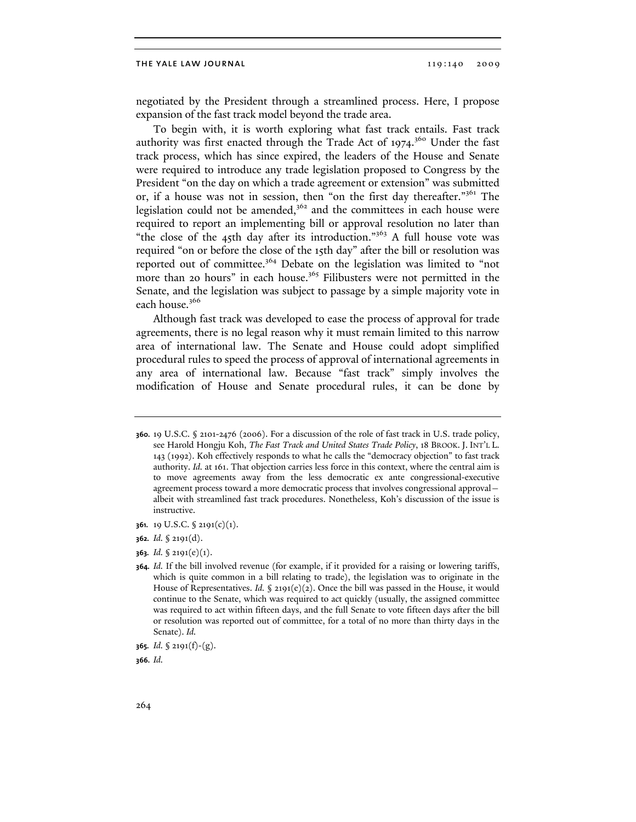negotiated by the President through a streamlined process. Here, I propose expansion of the fast track model beyond the trade area.

To begin with, it is worth exploring what fast track entails. Fast track authority was first enacted through the Trade Act of 1974.<sup>360</sup> Under the fast track process, which has since expired, the leaders of the House and Senate were required to introduce any trade legislation proposed to Congress by the President "on the day on which a trade agreement or extension" was submitted or, if a house was not in session, then "on the first day thereafter."361 The legislation could not be amended,<sup>362</sup> and the committees in each house were required to report an implementing bill or approval resolution no later than "the close of the 45th day after its introduction."363 A full house vote was required "on or before the close of the 15th day" after the bill or resolution was reported out of committee.<sup>364</sup> Debate on the legislation was limited to "not more than 20 hours" in each house.<sup>365</sup> Filibusters were not permitted in the Senate, and the legislation was subject to passage by a simple majority vote in each house.<sup>366</sup>

Although fast track was developed to ease the process of approval for trade agreements, there is no legal reason why it must remain limited to this narrow area of international law. The Senate and House could adopt simplified procedural rules to speed the process of approval of international agreements in any area of international law. Because "fast track" simply involves the modification of House and Senate procedural rules, it can be done by

- **361.** 19 U.S.C. § 2191(c)(1).
- **362.** *Id.* § 2191(d).
- **363.** *Id.* § 2191(e)(1).

**366.** *Id.*

**<sup>360.</sup>** 19 U.S.C. § 2101-2476 (2006). For a discussion of the role of fast track in U.S. trade policy, see Harold Hongju Koh, *The Fast Track and United States Trade Policy*, 18 BROOK. J. INT'L L. 143 (1992). Koh effectively responds to what he calls the "democracy objection" to fast track authority. *Id.* at 161. That objection carries less force in this context, where the central aim is to move agreements away from the less democratic ex ante congressional-executive agreement process toward a more democratic process that involves congressional approval albeit with streamlined fast track procedures. Nonetheless, Koh's discussion of the issue is instructive.

**<sup>364.</sup>** *Id.* If the bill involved revenue (for example, if it provided for a raising or lowering tariffs, which is quite common in a bill relating to trade), the legislation was to originate in the House of Representatives. *Id.* § 2191(e)(2). Once the bill was passed in the House, it would continue to the Senate, which was required to act quickly (usually, the assigned committee was required to act within fifteen days, and the full Senate to vote fifteen days after the bill or resolution was reported out of committee, for a total of no more than thirty days in the Senate). *Id.*

**<sup>365.</sup>** *Id.* § 2191(f)-(g).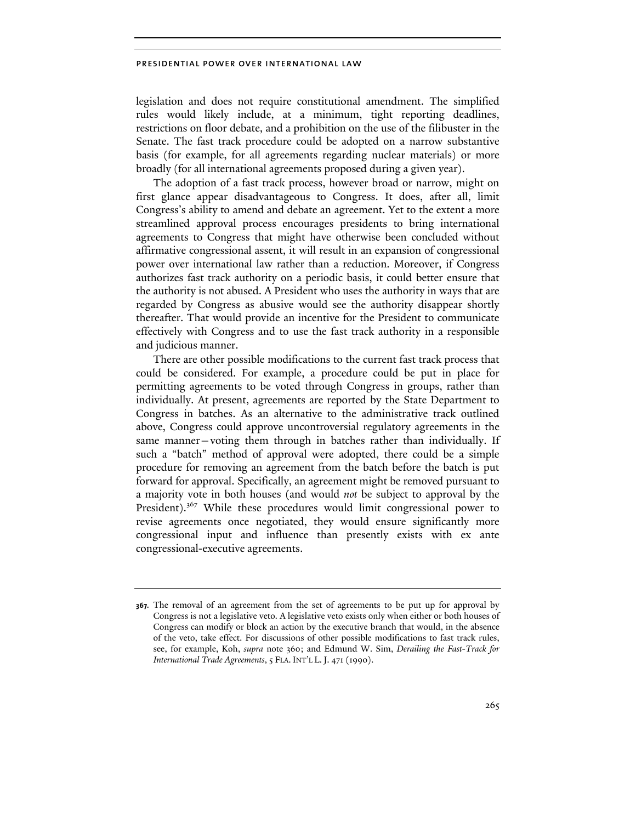legislation and does not require constitutional amendment. The simplified rules would likely include, at a minimum, tight reporting deadlines, restrictions on floor debate, and a prohibition on the use of the filibuster in the Senate. The fast track procedure could be adopted on a narrow substantive basis (for example, for all agreements regarding nuclear materials) or more broadly (for all international agreements proposed during a given year).

The adoption of a fast track process, however broad or narrow, might on first glance appear disadvantageous to Congress. It does, after all, limit Congress's ability to amend and debate an agreement. Yet to the extent a more streamlined approval process encourages presidents to bring international agreements to Congress that might have otherwise been concluded without affirmative congressional assent, it will result in an expansion of congressional power over international law rather than a reduction. Moreover, if Congress authorizes fast track authority on a periodic basis, it could better ensure that the authority is not abused. A President who uses the authority in ways that are regarded by Congress as abusive would see the authority disappear shortly thereafter. That would provide an incentive for the President to communicate effectively with Congress and to use the fast track authority in a responsible and judicious manner.

There are other possible modifications to the current fast track process that could be considered. For example, a procedure could be put in place for permitting agreements to be voted through Congress in groups, rather than individually. At present, agreements are reported by the State Department to Congress in batches. As an alternative to the administrative track outlined above, Congress could approve uncontroversial regulatory agreements in the same manner—voting them through in batches rather than individually. If such a "batch" method of approval were adopted, there could be a simple procedure for removing an agreement from the batch before the batch is put forward for approval. Specifically, an agreement might be removed pursuant to a majority vote in both houses (and would *not* be subject to approval by the President).<sup>367</sup> While these procedures would limit congressional power to revise agreements once negotiated, they would ensure significantly more congressional input and influence than presently exists with ex ante congressional-executive agreements.

**<sup>367.</sup>** The removal of an agreement from the set of agreements to be put up for approval by Congress is not a legislative veto. A legislative veto exists only when either or both houses of Congress can modify or block an action by the executive branch that would, in the absence of the veto, take effect. For discussions of other possible modifications to fast track rules, see, for example, Koh, *supra* note 360; and Edmund W. Sim, *Derailing the Fast-Track for International Trade Agreements*, 5 FLA. INT'L L.J. 471 (1990).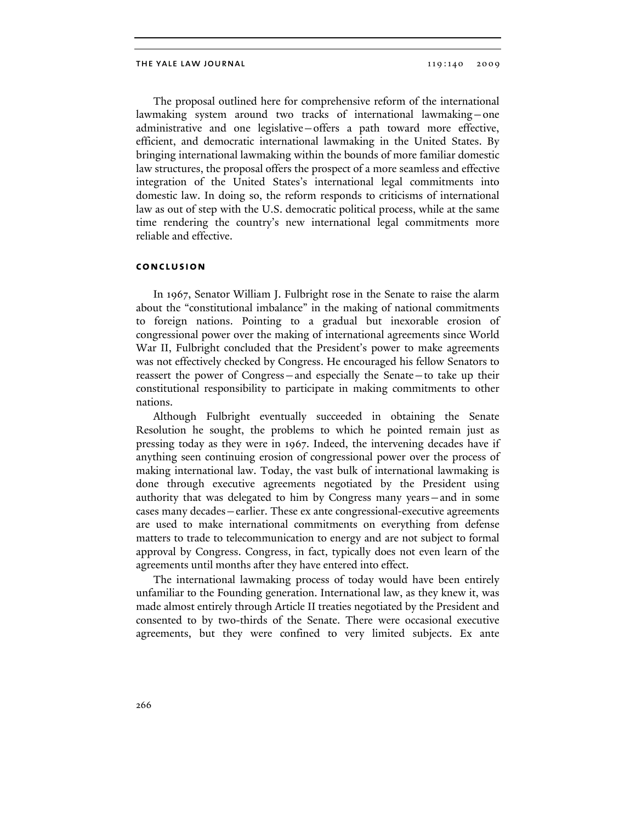The proposal outlined here for comprehensive reform of the international lawmaking system around two tracks of international lawmaking—one administrative and one legislative—offers a path toward more effective, efficient, and democratic international lawmaking in the United States. By bringing international lawmaking within the bounds of more familiar domestic law structures, the proposal offers the prospect of a more seamless and effective integration of the United States's international legal commitments into domestic law. In doing so, the reform responds to criticisms of international law as out of step with the U.S. democratic political process, while at the same time rendering the country's new international legal commitments more reliable and effective.

## **conclusion**

In 1967, Senator William J. Fulbright rose in the Senate to raise the alarm about the "constitutional imbalance" in the making of national commitments to foreign nations. Pointing to a gradual but inexorable erosion of congressional power over the making of international agreements since World War II, Fulbright concluded that the President's power to make agreements was not effectively checked by Congress. He encouraged his fellow Senators to reassert the power of Congress—and especially the Senate—to take up their constitutional responsibility to participate in making commitments to other nations.

Although Fulbright eventually succeeded in obtaining the Senate Resolution he sought, the problems to which he pointed remain just as pressing today as they were in 1967. Indeed, the intervening decades have if anything seen continuing erosion of congressional power over the process of making international law. Today, the vast bulk of international lawmaking is done through executive agreements negotiated by the President using authority that was delegated to him by Congress many years—and in some cases many decades—earlier. These ex ante congressional-executive agreements are used to make international commitments on everything from defense matters to trade to telecommunication to energy and are not subject to formal approval by Congress. Congress, in fact, typically does not even learn of the agreements until months after they have entered into effect.

The international lawmaking process of today would have been entirely unfamiliar to the Founding generation. International law, as they knew it, was made almost entirely through Article II treaties negotiated by the President and consented to by two-thirds of the Senate. There were occasional executive agreements, but they were confined to very limited subjects. Ex ante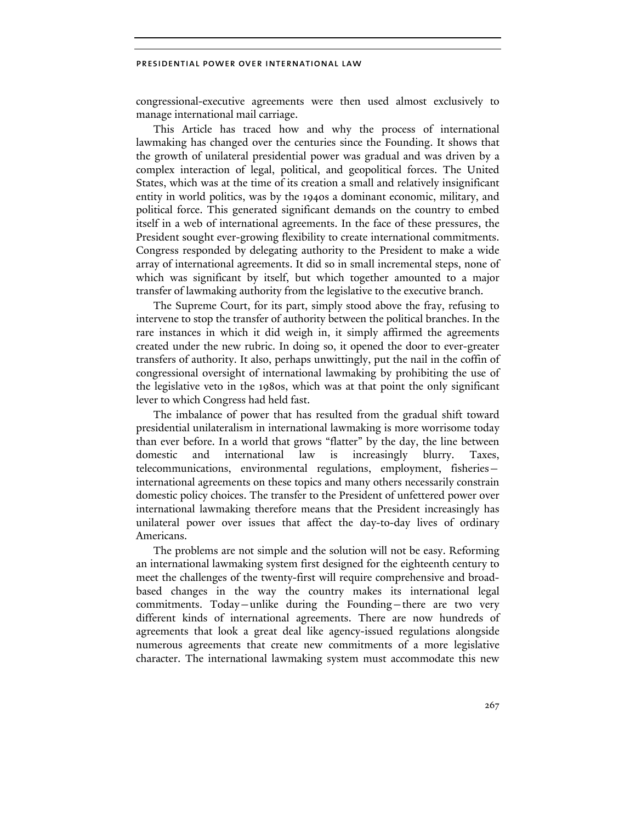congressional-executive agreements were then used almost exclusively to manage international mail carriage.

This Article has traced how and why the process of international lawmaking has changed over the centuries since the Founding. It shows that the growth of unilateral presidential power was gradual and was driven by a complex interaction of legal, political, and geopolitical forces. The United States, which was at the time of its creation a small and relatively insignificant entity in world politics, was by the 1940s a dominant economic, military, and political force. This generated significant demands on the country to embed itself in a web of international agreements. In the face of these pressures, the President sought ever-growing flexibility to create international commitments. Congress responded by delegating authority to the President to make a wide array of international agreements. It did so in small incremental steps, none of which was significant by itself, but which together amounted to a major transfer of lawmaking authority from the legislative to the executive branch.

The Supreme Court, for its part, simply stood above the fray, refusing to intervene to stop the transfer of authority between the political branches. In the rare instances in which it did weigh in, it simply affirmed the agreements created under the new rubric. In doing so, it opened the door to ever-greater transfers of authority. It also, perhaps unwittingly, put the nail in the coffin of congressional oversight of international lawmaking by prohibiting the use of the legislative veto in the 1980s, which was at that point the only significant lever to which Congress had held fast.

The imbalance of power that has resulted from the gradual shift toward presidential unilateralism in international lawmaking is more worrisome today than ever before. In a world that grows "flatter" by the day, the line between domestic and international law is increasingly blurry. Taxes, telecommunications, environmental regulations, employment, fisheries international agreements on these topics and many others necessarily constrain domestic policy choices. The transfer to the President of unfettered power over international lawmaking therefore means that the President increasingly has unilateral power over issues that affect the day-to-day lives of ordinary Americans.

The problems are not simple and the solution will not be easy. Reforming an international lawmaking system first designed for the eighteenth century to meet the challenges of the twenty-first will require comprehensive and broadbased changes in the way the country makes its international legal commitments. Today—unlike during the Founding—there are two very different kinds of international agreements. There are now hundreds of agreements that look a great deal like agency-issued regulations alongside numerous agreements that create new commitments of a more legislative character. The international lawmaking system must accommodate this new